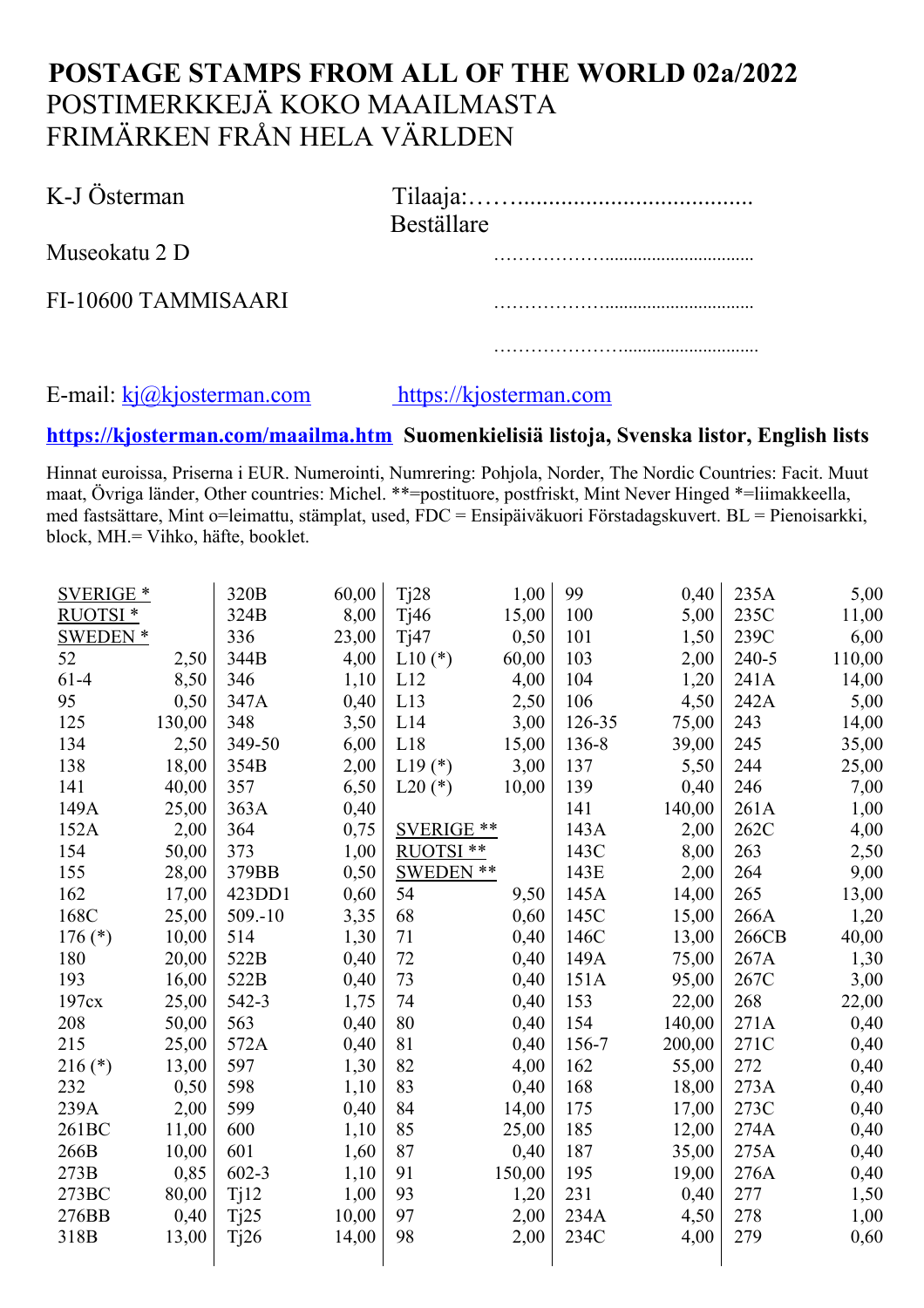## **POSTAGE STAMPS FROM ALL OF THE WORLD 02a/2022** POSTIMERKKEJÄ KOKO MAAILMASTA FRIMÄRKEN FRÅN HELA VÄRLDEN

| K-J Österman        | <b>Beställare</b> |
|---------------------|-------------------|
| Museokatu 2 D       |                   |
| FI-10600 TAMMISAARI |                   |
|                     |                   |

## E-mail: [kj@kjosterman.com](http://kj.kjosterman.com/) https://kjosterman.com

## **https:/[/kjosterman.com/maailma.htm](http://www.kjosterman.com/maailma.htm) Suomenkielisiä listoja, Svenska listor, English lists**

Hinnat euroissa, Priserna i EUR. Numerointi, Numrering: Pohjola, Norder, The Nordic Countries: Facit. Muut maat, Övriga länder, Other countries: Michel. \*\*=postituore, postfriskt, Mint Never Hinged \*=liimakkeella, med fastsättare, Mint o=leimattu, stämplat, used, FDC = Ensipäiväkuori Förstadagskuvert. BL = Pienoisarkki, block, MH.= Vihko, häfte, booklet.

| <b>SVERIGE *</b>    |        | 320B       | 60,00 | Tj28              | 1,00   | 99     | 0,40   | 235A  | 5,00   |
|---------------------|--------|------------|-------|-------------------|--------|--------|--------|-------|--------|
| RUOTSI <sup>*</sup> |        | 324B       | 8,00  | Tj46              | 15,00  | 100    | 5,00   | 235C  | 11,00  |
| SWEDEN <sup>*</sup> |        | 336        | 23,00 | Tj47              | 0,50   | 101    | 1,50   | 239C  | 6,00   |
| 52                  | 2,50   | 344B       | 4,00  | $L10(*)$          | 60,00  | 103    | 2,00   | 240-5 | 110,00 |
| $61-4$              | 8,50   | 346        | 1,10  | L12               | 4,00   | 104    | 1,20   | 241A  | 14,00  |
| 95                  | 0,50   | 347A       | 0,40  | L13               | 2,50   | 106    | 4,50   | 242A  | 5,00   |
| 125                 | 130,00 | 348        | 3,50  | L14               | 3,00   | 126-35 | 75,00  | 243   | 14,00  |
| 134                 | 2,50   | 349-50     | 6,00  | L18               | 15,00  | 136-8  | 39,00  | 245   | 35,00  |
| 138                 | 18,00  | 354B       | 2,00  | $L19(*)$          | 3,00   | 137    | 5,50   | 244   | 25,00  |
| 141                 | 40,00  | 357        | 6,50  | $L20$ (*)         | 10,00  | 139    | 0,40   | 246   | 7,00   |
| 149A                | 25,00  | 363A       | 0,40  |                   |        | 141    | 140,00 | 261A  | 1,00   |
| 152A                | 2,00   | 364        | 0,75  | <b>SVERIGE **</b> |        | 143A   | 2,00   | 262C  | 4,00   |
| 154                 | 50,00  | 373        | 1,00  | RUOTSI **         |        | 143C   | 8,00   | 263   | 2,50   |
| 155                 | 28,00  | 379BB      | 0,50  | <b>SWEDEN **</b>  |        | 143E   | 2,00   | 264   | 9,00   |
| 162                 | 17,00  | 423DD1     | 0,60  | 54                | 9,50   | 145A   | 14,00  | 265   | 13,00  |
| 168C                | 25,00  | $509 - 10$ | 3,35  | 68                | 0,60   | 145C   | 15,00  | 266A  | 1,20   |
| $176$ (*)           | 10,00  | 514        | 1,30  | 71                | 0,40   | 146C   | 13,00  | 266CB | 40,00  |
| 180                 | 20,00  | 522B       | 0,40  | 72                | 0,40   | 149A   | 75,00  | 267A  | 1,30   |
| 193                 | 16,00  | 522B       | 0,40  | 73                | 0,40   | 151A   | 95,00  | 267C  | 3,00   |
| 197cx               | 25,00  | 542-3      | 1,75  | 74                | 0,40   | 153    | 22,00  | 268   | 22,00  |
| 208                 | 50,00  | 563        | 0,40  | 80                | 0,40   | 154    | 140,00 | 271A  | 0,40   |
| 215                 | 25,00  | 572A       | 0,40  | 81                | 0,40   | 156-7  | 200,00 | 271C  | 0,40   |
| $216$ (*)           | 13,00  | 597        | 1,30  | 82                | 4,00   | 162    | 55,00  | 272   | 0,40   |
| 232                 | 0,50   | 598        | 1,10  | 83                | 0,40   | 168    | 18,00  | 273A  | 0,40   |
| 239A                | 2,00   | 599        | 0,40  | 84                | 14,00  | 175    | 17,00  | 273C  | 0,40   |
| 261BC               | 11,00  | 600        | 1,10  | 85                | 25,00  | 185    | 12,00  | 274A  | 0,40   |
| 266B                | 10,00  | 601        | 1,60  | 87                | 0,40   | 187    | 35,00  | 275A  | 0,40   |
| 273B                | 0,85   | $602 - 3$  | 1,10  | 91                | 150,00 | 195    | 19,00  | 276A  | 0,40   |
| 273BC               | 80,00  | Tj12       | 1,00  | 93                | 1,20   | 231    | 0,40   | 277   | 1,50   |
| 276BB               | 0,40   | Tj25       | 10,00 | 97                | 2,00   | 234A   | 4,50   | 278   | 1,00   |
| 318B                | 13,00  | Tj26       | 14,00 | 98                | 2,00   | 234C   | 4,00   | 279   | 0,60   |
|                     |        |            |       |                   |        |        |        |       |        |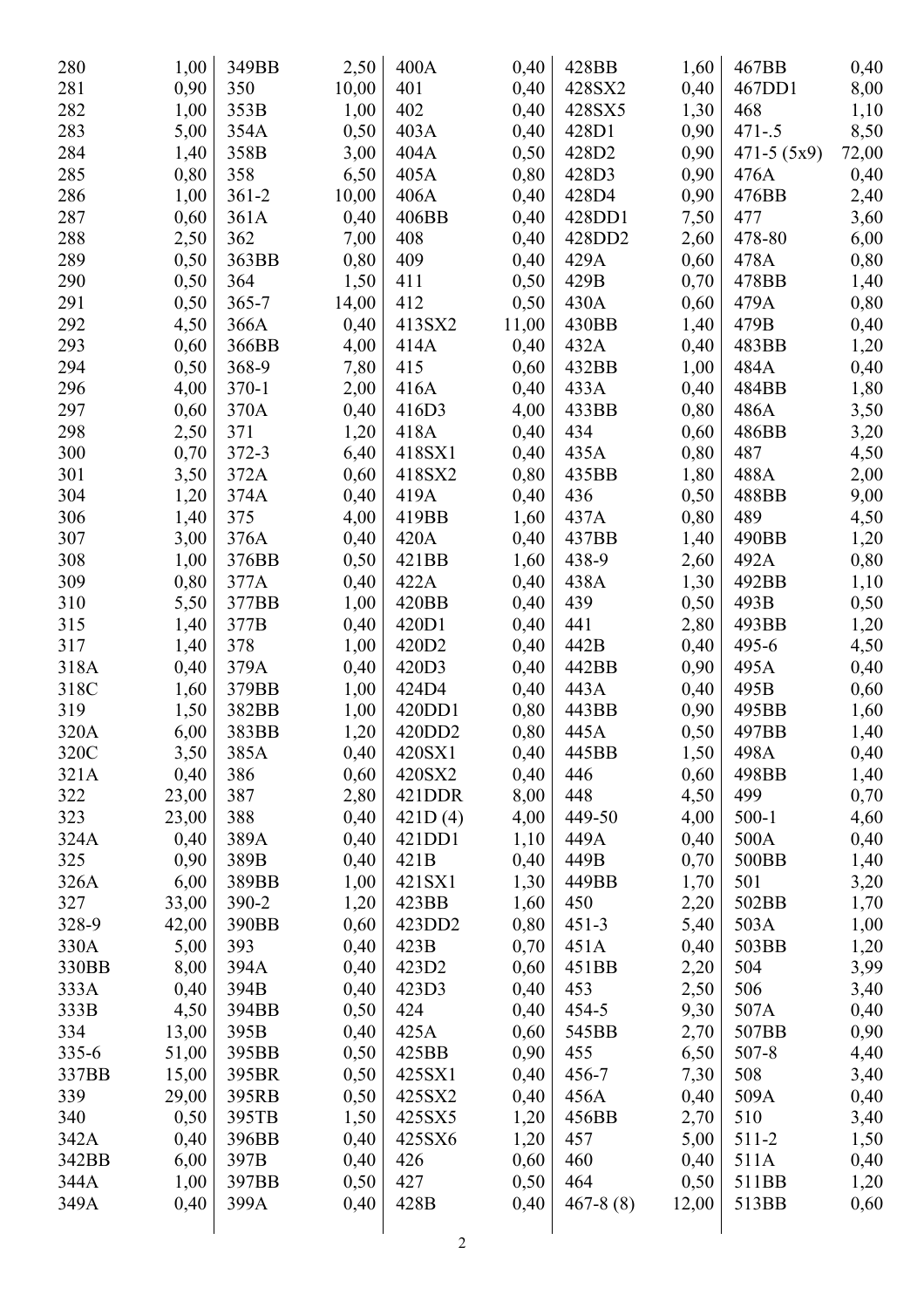| 280       | 1,00  | 349BB     | 2,50  | 400A              | 0,40  | 428BB        | 1,60  | 467BB          | 0,40  |
|-----------|-------|-----------|-------|-------------------|-------|--------------|-------|----------------|-------|
| 281       | 0,90  | 350       | 10,00 | 401               | 0,40  | 428SX2       | 0,40  | 467DD1         | 8,00  |
| 282       | 1,00  | 353B      | 1,00  | 402               | 0,40  | 428SX5       | 1,30  | 468            | 1,10  |
| 283       | 5,00  | 354A      | 0,50  | 403A              | 0,40  | 428D1        | 0,90  | $471 - .5$     | 8,50  |
| 284       | 1,40  | 358B      | 3,00  | 404A              | 0,50  | 428D2        | 0,90  | $471 - 5(5x9)$ | 72,00 |
| 285       | 0,80  | 358       | 6,50  | 405A              | 0,80  | 428D3        | 0,90  | 476A           | 0,40  |
| 286       | 1,00  | $361 - 2$ | 10,00 | 406A              | 0,40  | 428D4        | 0,90  | 476BB          | 2,40  |
| 287       | 0,60  | 361A      | 0,40  | 406BB             | 0,40  | 428DD1       | 7,50  | 477            | 3,60  |
| 288       | 2,50  | 362       | 7,00  | 408               | 0,40  | 428DD2       | 2,60  | 478-80         | 6,00  |
| 289       | 0,50  | 363BB     | 0,80  | 409               | 0,40  | 429A         | 0,60  | 478A           | 0,80  |
| 290       | 0,50  | 364       | 1,50  | 411               | 0,50  | 429B         | 0,70  | 478BB          | 1,40  |
| 291       | 0,50  | $365 - 7$ | 14,00 | 412               | 0,50  | 430A         | 0,60  | 479A           | 0,80  |
| 292       | 4,50  | 366A      | 0,40  | 413SX2            | 11,00 | 430BB        | 1,40  | 479B           | 0,40  |
| 293       | 0,60  | 366BB     | 4,00  | 414A              | 0,40  | 432A         | 0,40  | 483BB          | 1,20  |
| 294       | 0,50  | 368-9     | 7,80  | 415               |       | 432BB        | 1,00  | 484A           |       |
|           |       |           |       |                   | 0,60  |              |       |                | 0,40  |
| 296       | 4,00  | $370-1$   | 2,00  | 416A              | 0,40  | 433A         | 0,40  | 484BB          | 1,80  |
| 297       | 0,60  | 370A      | 0,40  | 416D3             | 4,00  | 433BB        | 0,80  | 486A           | 3,50  |
| 298       | 2,50  | 371       | 1,20  | 418A              | 0,40  | 434          | 0,60  | 486BB          | 3,20  |
| 300       | 0,70  | 372-3     | 6,40  | 418SX1            | 0,40  | 435A         | 0,80  | 487            | 4,50  |
| 301       | 3,50  | 372A      | 0,60  | 418SX2            | 0,80  | 435BB        | 1,80  | 488A           | 2,00  |
| 304       | 1,20  | 374A      | 0,40  | 419A              | 0,40  | 436          | 0,50  | 488BB          | 9,00  |
| 306       | 1,40  | 375       | 4,00  | 419BB             | 1,60  | 437A         | 0,80  | 489            | 4,50  |
| 307       | 3,00  | 376A      | 0,40  | 420A              | 0,40  | 437BB        | 1,40  | 490BB          | 1,20  |
| 308       | 1,00  | 376BB     | 0,50  | 421BB             | 1,60  | 438-9        | 2,60  | 492A           | 0,80  |
| 309       | 0,80  | 377A      | 0,40  | 422A              | 0,40  | 438A         | 1,30  | 492BB          | 1,10  |
| 310       | 5,50  | 377BB     | 1,00  | 420BB             | 0,40  | 439          | 0,50  | 493B           | 0,50  |
| 315       | 1,40  | 377B      | 0,40  | 420D1             | 0,40  | 441          | 2,80  | 493BB          | 1,20  |
| 317       | 1,40  | 378       | 1,00  | 420D <sub>2</sub> | 0,40  | 442B         | 0,40  | 495-6          | 4,50  |
| 318A      | 0,40  | 379A      | 0,40  | 420D3             | 0,40  | 442BB        | 0,90  | 495A           | 0,40  |
| 318C      | 1,60  | 379BB     | 1,00  | 424D4             | 0,40  | 443A         | 0,40  | 495B           | 0,60  |
| 319       | 1,50  | 382BB     | 1,00  | 420DD1            | 0,80  | 443BB        | 0,90  | 495BB          | 1,60  |
| 320A      | 6,00  | 383BB     | 1,20  | 420DD2            | 0,80  | 445A         | 0,50  | 497BB          | 1,40  |
| 320C      | 3,50  | 385A      | 0,40  | 420SX1            | 0,40  | 445BB        | 1,50  | 498A           | 0,40  |
| 321A      | 0,40  | 386       | 0,60  | 420SX2            | 0,40  | 446          | 0,60  | 498BB          | 1,40  |
| 322       | 23,00 | 387       | 2,80  | 421DDR            | 8,00  | 448          | 4,50  | 499            | 0,70  |
| 323       | 23,00 | 388       | 0,40  | 421D(4)           | 4,00  | 449-50       | 4,00  | $500-1$        | 4,60  |
| 324A      | 0,40  | 389A      | 0,40  | 421DD1            | 1,10  | 449A         | 0,40  | 500A           | 0,40  |
| 325       | 0,90  | 389B      | 0,40  | 421B              | 0,40  | 449B         | 0,70  | 500BB          | 1,40  |
| 326A      | 6,00  | 389BB     | 1,00  | 421SX1            | 1,30  | 449BB        | 1,70  | 501            | 3,20  |
| 327       | 33,00 | 390-2     | 1,20  | 423BB             | 1,60  | 450          | 2,20  | 502BB          | 1,70  |
| 328-9     | 42,00 | 390BB     | 0,60  | 423DD2            | 0,80  | $451 - 3$    | 5,40  | 503A           | 1,00  |
| 330A      | 5,00  | 393       | 0,40  | 423B              | 0,70  | 451A         | 0,40  | 503BB          | 1,20  |
| 330BB     | 8,00  | 394A      | 0,40  | 423D2             | 0,60  | 451BB        | 2,20  | 504            | 3,99  |
| 333A      | 0,40  | 394B      | 0,40  | 423D3             | 0,40  | 453          | 2,50  | 506            | 3,40  |
| 333B      | 4,50  | 394BB     | 0,50  | 424               | 0,40  | 454-5        | 9,30  | 507A           | 0,40  |
| 334       | 13,00 | 395B      | 0,40  | 425A              | 0,60  | 545BB        | 2,70  | 507BB          | 0,90  |
| $335 - 6$ | 51,00 | 395BB     | 0,50  | 425BB             | 0,90  | 455          | 6,50  | $507 - 8$      | 4,40  |
| 337BB     | 15,00 | 395BR     | 0,50  | 425SX1            | 0,40  | 456-7        | 7,30  | 508            | 3,40  |
| 339       | 29,00 | 395RB     | 0,50  | 425SX2            | 0,40  | 456A         | 0,40  | 509A           | 0,40  |
| 340       | 0,50  | 395TB     | 1,50  | 425SX5            | 1,20  | 456BB        | 2,70  | 510            | 3,40  |
| 342A      | 0,40  | 396BB     | 0,40  | 425SX6            | 1,20  | 457          | 5,00  | 511-2          | 1,50  |
| 342BB     | 6,00  | 397B      | 0,40  | 426               | 0,60  | 460          | 0,40  | 511A           | 0,40  |
| 344A      |       | 397BB     | 0,50  | 427               | 0,50  | 464          |       | 511BB          |       |
|           | 1,00  |           |       |                   |       |              | 0,50  |                | 1,20  |
| 349A      | 0,40  | 399A      | 0,40  | 428B              | 0,40  | $467 - 8(8)$ | 12,00 | 513BB          | 0,60  |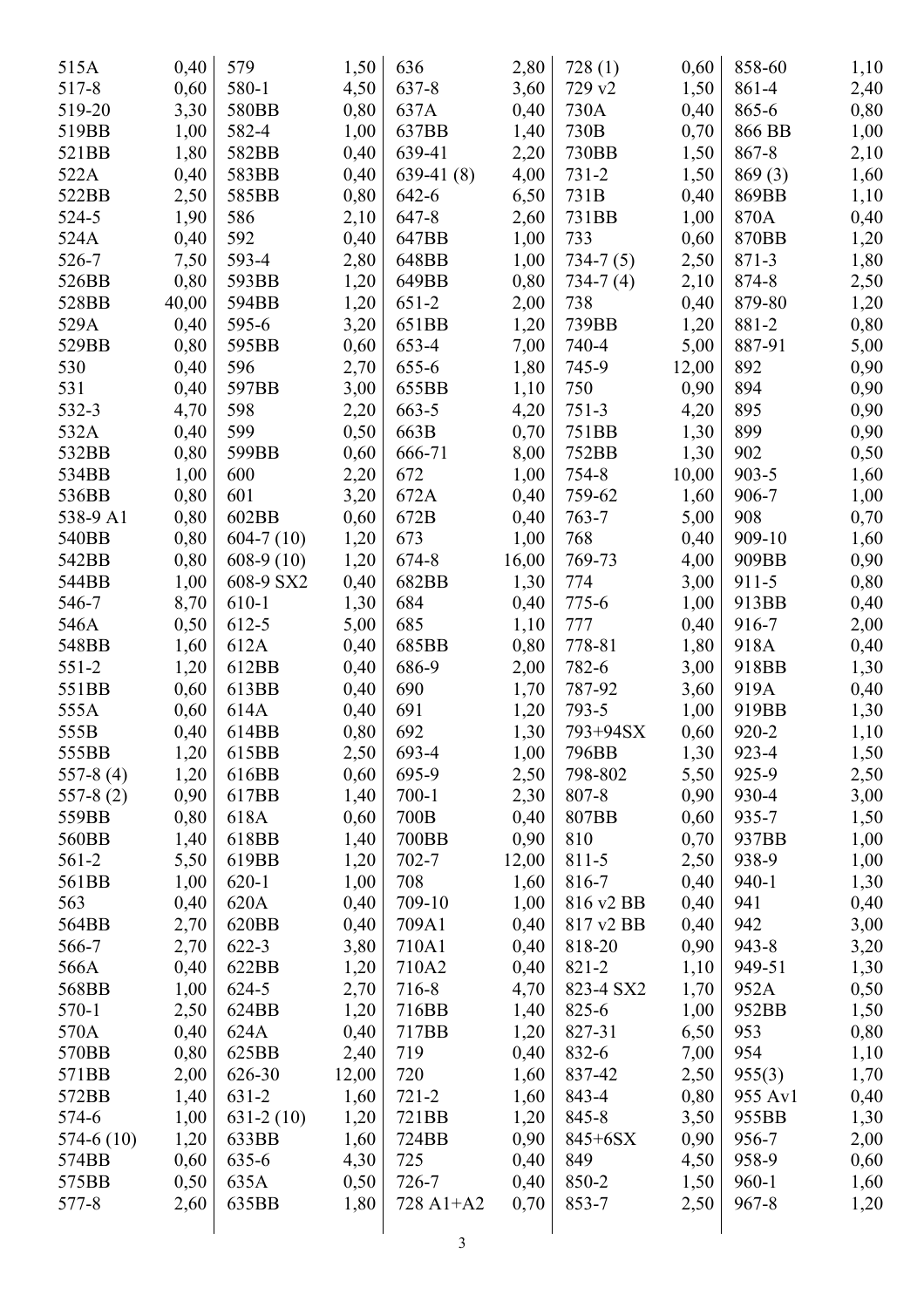| 515A        | 0,40  | 579         | 1,50  | 636         | 2,80  | 728(1)     | 0,60  | 858-60    | 1,10 |
|-------------|-------|-------------|-------|-------------|-------|------------|-------|-----------|------|
| 517-8       | 0,60  | 580-1       | 4,50  | 637-8       | 3,60  | 729 v2     | 1,50  | 861-4     | 2,40 |
| 519-20      | 3,30  | 580BB       | 0,80  | 637A        | 0,40  | 730A       | 0,40  | 865-6     | 0,80 |
| 519BB       | 1,00  | 582-4       | 1,00  | 637BB       | 1,40  | 730B       | 0,70  | 866 BB    | 1,00 |
| 521BB       | 1,80  | 582BB       | 0,40  | 639-41      | 2,20  | 730BB      | 1,50  | 867-8     | 2,10 |
| 522A        | 0,40  | 583BB       | 0,40  | $639-41(8)$ | 4,00  | $731 - 2$  | 1,50  | 869(3)    | 1,60 |
| 522BB       | 2,50  | 585BB       | 0,80  | 642-6       | 6,50  | 731B       | 0,40  | 869BB     | 1,10 |
| 524-5       | 1,90  | 586         | 2,10  | 647-8       | 2,60  | 731BB      | 1,00  | 870A      | 0,40 |
| 524A        | 0,40  | 592         | 0,40  | 647BB       | 1,00  | 733        | 0,60  | 870BB     | 1,20 |
| 526-7       | 7,50  | 593-4       | 2,80  | 648BB       | 1,00  | $734-7(5)$ | 2,50  | 871-3     | 1,80 |
| 526BB       | 0,80  | 593BB       | 1,20  | 649BB       | 0,80  | $734-7(4)$ | 2,10  | 874-8     | 2,50 |
| 528BB       | 40,00 | 594BB       | 1,20  | $651-2$     | 2,00  | 738        | 0,40  | 879-80    | 1,20 |
| 529A        | 0,40  | 595-6       | 3,20  | 651BB       | 1,20  | 739BB      | 1,20  | 881-2     | 0,80 |
| 529BB       | 0,80  | 595BB       | 0,60  | 653-4       | 7,00  | 740-4      | 5,00  | 887-91    | 5,00 |
| 530         | 0,40  | 596         | 2,70  | 655-6       | 1,80  | 745-9      | 12,00 | 892       | 0,90 |
| 531         | 0,40  | 597BB       | 3,00  | 655BB       | 1,10  | 750        | 0,90  | 894       | 0,90 |
|             |       | 598         |       |             |       |            |       | 895       |      |
| 532-3       | 4,70  |             | 2,20  | 663-5       | 4,20  | $751-3$    | 4,20  |           | 0,90 |
| 532A        | 0,40  | 599         | 0,50  | 663B        | 0,70  | 751BB      | 1,30  | 899       | 0,90 |
| 532BB       | 0,80  | 599BB       | 0,60  | 666-71      | 8,00  | 752BB      | 1,30  | 902       | 0,50 |
| 534BB       | 1,00  | 600         | 2,20  | 672         | 1,00  | 754-8      | 10,00 | $903 - 5$ | 1,60 |
| 536BB       | 0,80  | 601         | 3,20  | 672A        | 0,40  | 759-62     | 1,60  | 906-7     | 1,00 |
| 538-9 A1    | 0,80  | 602BB       | 0,60  | 672B        | 0,40  | $763 - 7$  | 5,00  | 908       | 0,70 |
| 540BB       | 0,80  | $604-7(10)$ | 1,20  | 673         | 1,00  | 768        | 0,40  | 909-10    | 1,60 |
| 542BB       | 0,80  | $608-9(10)$ | 1,20  | 674-8       | 16,00 | 769-73     | 4,00  | 909BB     | 0,90 |
| 544BB       | 1,00  | 608-9 SX2   | 0,40  | 682BB       | 1,30  | 774        | 3,00  | $911 - 5$ | 0,80 |
| 546-7       | 8,70  | 610-1       | 1,30  | 684         | 0,40  | 775-6      | 1,00  | 913BB     | 0,40 |
| 546A        | 0,50  | 612-5       | 5,00  | 685         | 1,10  | 777        | 0,40  | 916-7     | 2,00 |
| 548BB       | 1,60  | 612A        | 0,40  | 685BB       | 0,80  | 778-81     | 1,80  | 918A      | 0,40 |
| $551 - 2$   | 1,20  | 612BB       | 0,40  | 686-9       | 2,00  | 782-6      | 3,00  | 918BB     | 1,30 |
| 551BB       | 0,60  | 613BB       | 0,40  | 690         | 1,70  | 787-92     | 3,60  | 919A      | 0,40 |
| 555A        | 0,60  | 614A        | 0,40  | 691         | 1,20  | 793-5      | 1,00  | 919BB     | 1,30 |
| 555B        | 0,40  | 614BB       | 0,80  | 692         | 1,30  | 793+94SX   | 0,60  | 920-2     | 1,10 |
| 555BB       | 1,20  | 615BB       | 2,50  | 693-4       | 1,00  | 796BB      | 1,30  | 923-4     | 1,50 |
| $557-8(4)$  | 1,20  | 616BB       | 0,60  | 695-9       | 2,50  | 798-802    | 5,50  | 925-9     | 2,50 |
| $557-8(2)$  | 0,90  | 617BB       | 1,40  | $700-1$     | 2,30  | 807-8      | 0,90  | 930-4     | 3,00 |
| 559BB       | 0,80  | 618A        | 0,60  | 700B        | 0,40  | 807BB      | 0,60  | 935-7     | 1,50 |
| 560BB       | 1,40  | 618BB       | 1,40  | 700BB       | 0,90  | 810        | 0,70  | 937BB     | 1,00 |
| $561-2$     | 5,50  | 619BB       | 1,20  | $702 - 7$   | 12,00 | $811 - 5$  | 2,50  | 938-9     | 1,00 |
| 561BB       | 1,00  | $620-1$     | 1,00  | 708         | 1,60  | 816-7      | 0,40  | $940 - 1$ | 1,30 |
| 563         | 0,40  | 620A        | 0,40  | 709-10      | 1,00  | 816 v2 BB  | 0,40  | 941       | 0,40 |
| 564BB       | 2,70  | 620BB       | 0,40  | 709A1       | 0,40  | 817 v2 BB  | 0,40  | 942       | 3,00 |
| 566-7       | 2,70  | $622 - 3$   | 3,80  | 710A1       | 0,40  | 818-20     | 0,90  | $943 - 8$ | 3,20 |
| 566A        | 0,40  | 622BB       | 1,20  | 710A2       | 0,40  | 821-2      | 1,10  | 949-51    | 1,30 |
| 568BB       | 1,00  | 624-5       | 2,70  | 716-8       | 4,70  | 823-4 SX2  | 1,70  | 952A      | 0,50 |
| 570-1       | 2,50  | 624BB       | 1,20  | 716BB       | 1,40  | $825 - 6$  | 1,00  | 952BB     | 1,50 |
| 570A        | 0,40  | 624A        | 0,40  | 717BB       | 1,20  | 827-31     | 6,50  | 953       | 0,80 |
| 570BB       | 0,80  | 625BB       | 2,40  | 719         | 0,40  | 832-6      | 7,00  | 954       | 1,10 |
| 571BB       |       | 626-30      |       | 720         |       | 837-42     |       |           |      |
|             | 2,00  | $631 - 2$   | 12,00 | $721 - 2$   | 1,60  | 843-4      | 2,50  | 955(3)    | 1,70 |
| 572BB       | 1,40  |             | 1,60  |             | 1,60  |            | 0,80  | 955 Av1   | 0,40 |
| 574-6       | 1,00  | $631-2(10)$ | 1,20  | 721BB       | 1,20  | 845-8      | 3,50  | 955BB     | 1,30 |
| $574-6(10)$ | 1,20  | 633BB       | 1,60  | 724BB       | 0,90  | 845+6SX    | 0,90  | 956-7     | 2,00 |
| 574BB       | 0,60  | 635-6       | 4,30  | 725         | 0,40  | 849        | 4,50  | 958-9     | 0,60 |
| 575BB       | 0,50  | 635A        | 0,50  | 726-7       | 0,40  | 850-2      | 1,50  | $960 - 1$ | 1,60 |
| 577-8       | 2,60  | 635BB       | 1,80  | 728 A1+A2   | 0,70  | 853-7      | 2,50  | $967 - 8$ | 1,20 |
|             |       |             |       |             |       |            |       |           |      |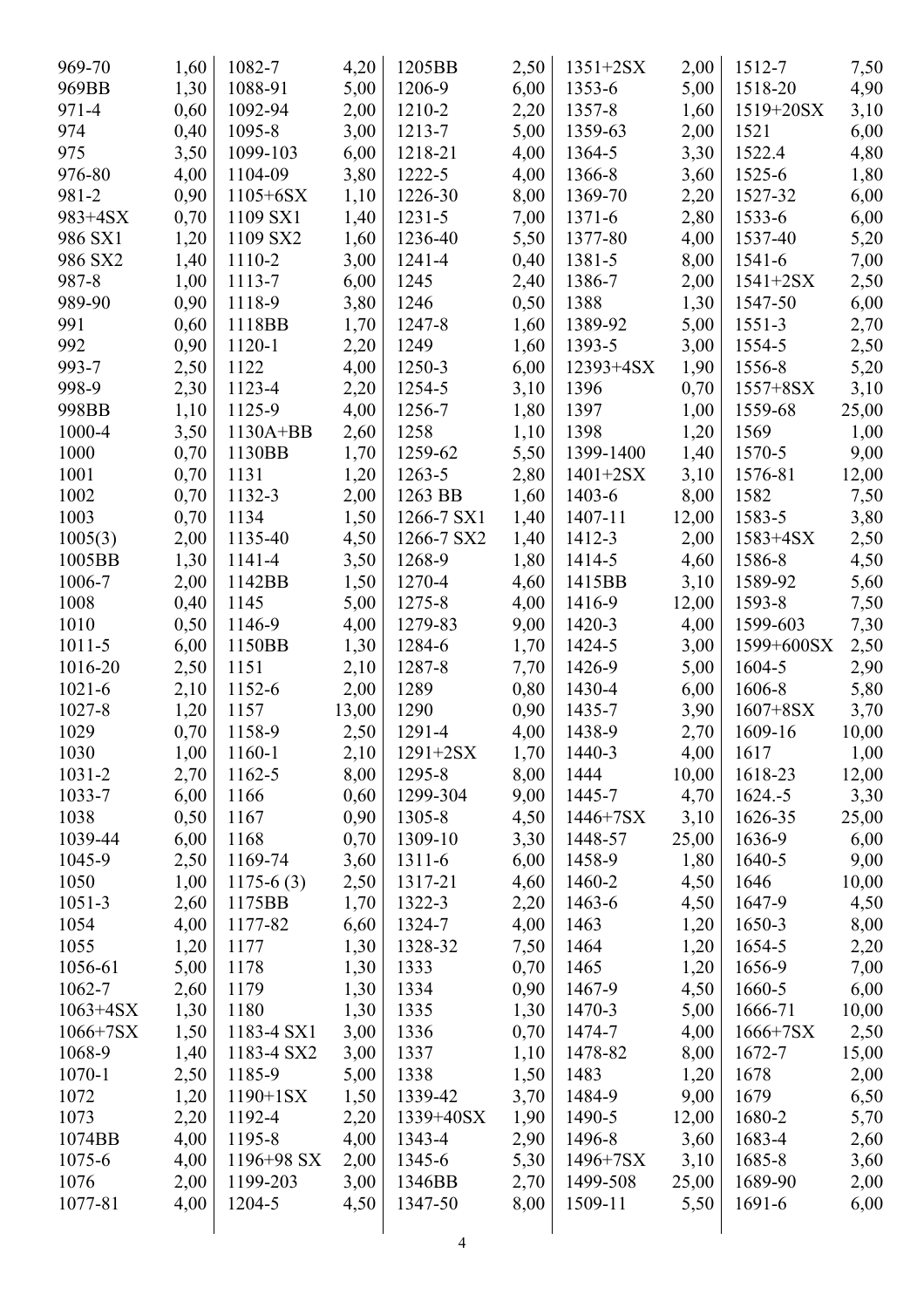| 969-70       | 1,60 | 1082-7         | 4,20  | 1205BB       | 2,50         | $1351 + 2SX$  | 2,00  | 1512-7        | 7,50  |
|--------------|------|----------------|-------|--------------|--------------|---------------|-------|---------------|-------|
| 969BB        | 1,30 | 1088-91        | 5,00  | 1206-9       | 6,00         | 1353-6        | 5,00  | 1518-20       | 4,90  |
| 971-4        | 0,60 | 1092-94        | 2,00  | 1210-2       | 2,20         | 1357-8        | 1,60  | $1519 + 20SX$ | 3,10  |
| 974          | 0,40 | 1095-8         | 3,00  | 1213-7       | 5,00         | 1359-63       | 2,00  | 1521          | 6,00  |
| 975          | 3,50 | 1099-103       | 6,00  | 1218-21      | 4,00         | 1364-5        | 3,30  | 1522.4        | 4,80  |
| 976-80       | 4,00 | 1104-09        | 3,80  | 1222-5       | 4,00         | 1366-8        | 3,60  | $1525 - 6$    | 1,80  |
| 981-2        | 0,90 | $1105 + 6SX$   | 1,10  | 1226-30      | 8,00         | 1369-70       | 2,20  | 1527-32       | 6,00  |
| 983+4SX      | 0,70 | 1109 SX1       | 1,40  | $1231 - 5$   | 7,00         | $1371 - 6$    | 2,80  | 1533-6        | 6,00  |
| 986 SX1      | 1,20 | 1109 SX2       | 1,60  | 1236-40      | 5,50         | 1377-80       | 4,00  | 1537-40       | 5,20  |
| 986 SX2      | 1,40 | 1110-2         | 3,00  | 1241-4       | 0,40         | 1381-5        | 8,00  | 1541-6        | 7,00  |
| 987-8        | 1,00 | 1113-7         | 6,00  | 1245         | 2,40         | 1386-7        | 2,00  | $1541 + 2SX$  | 2,50  |
| 989-90       | 0,90 | 1118-9         | 3,80  | 1246         | 0,50         | 1388          | 1,30  | 1547-50       | 6,00  |
| 991          | 0,60 | 1118BB         | 1,70  | 1247-8       |              | 1389-92       | 5,00  | $1551 - 3$    |       |
| 992          | 0,90 | 1120-1         | 2,20  | 1249         | 1,60<br>1,60 | 1393-5        | 3,00  | 1554-5        | 2,70  |
| 993-7        |      |                |       | 1250-3       |              |               |       |               | 2,50  |
| 998-9        | 2,50 | 1122<br>1123-4 | 4,00  |              | 6,00         | $12393 + 4SX$ | 1,90  | 1556-8        | 5,20  |
|              | 2,30 |                | 2,20  | 1254-5       | 3,10         | 1396          | 0,70  | $1557 + 8SX$  | 3,10  |
| 998BB        | 1,10 | 1125-9         | 4,00  | 1256-7       | 1,80         | 1397          | 1,00  | 1559-68       | 25,00 |
| 1000-4       | 3,50 | $1130A+BB$     | 2,60  | 1258         | 1,10         | 1398          | 1,20  | 1569          | 1,00  |
| 1000         | 0,70 | 1130BB         | 1,70  | 1259-62      | 5,50         | 1399-1400     | 1,40  | 1570-5        | 9,00  |
| 1001         | 0,70 | 1131           | 1,20  | 1263-5       | 2,80         | $1401 + 2SX$  | 3,10  | 1576-81       | 12,00 |
| 1002         | 0,70 | 1132-3         | 2,00  | 1263 BB      | 1,60         | 1403-6        | 8,00  | 1582          | 7,50  |
| 1003         | 0,70 | 1134           | 1,50  | 1266-7 SX1   | 1,40         | 1407-11       | 12,00 | 1583-5        | 3,80  |
| 1005(3)      | 2,00 | 1135-40        | 4,50  | 1266-7 SX2   | 1,40         | 1412-3        | 2,00  | $1583 + 4SX$  | 2,50  |
| 1005BB       | 1,30 | 1141-4         | 3,50  | 1268-9       | 1,80         | 1414-5        | 4,60  | 1586-8        | 4,50  |
| 1006-7       | 2,00 | 1142BB         | 1,50  | 1270-4       | 4,60         | 1415BB        | 3,10  | 1589-92       | 5,60  |
| 1008         | 0,40 | 1145           | 5,00  | 1275-8       | 4,00         | 1416-9        | 12,00 | 1593-8        | 7,50  |
| 1010         | 0,50 | 1146-9         | 4,00  | 1279-83      | 9,00         | 1420-3        | 4,00  | 1599-603      | 7,30  |
| $1011 - 5$   | 6,00 | 1150BB         | 1,30  | 1284-6       | 1,70         | 1424-5        | 3,00  | 1599+600SX    | 2,50  |
| 1016-20      | 2,50 | 1151           | 2,10  | 1287-8       | 7,70         | 1426-9        | 5,00  | 1604-5        | 2,90  |
| $1021 - 6$   | 2,10 | 1152-6         | 2,00  | 1289         | 0,80         | 1430-4        | 6,00  | 1606-8        | 5,80  |
| 1027-8       | 1,20 | 1157           | 13,00 | 1290         | 0,90         | 1435-7        | 3,90  | $1607 + 8SX$  | 3,70  |
| 1029         | 0,70 | 1158-9         | 2,50  | 1291-4       | 4,00         | 1438-9        | 2,70  | 1609-16       | 10,00 |
| 1030         | 1,00 | 1160-1         | 2,10  | $1291 + 2SX$ | 1,70         | 1440-3        | 4,00  | 1617          | 1,00  |
| $1031 - 2$   | 2,70 | 1162-5         | 8,00  | 1295-8       | 8,00         | 1444          | 10,00 | 1618-23       | 12,00 |
| 1033-7       | 6,00 | 1166           | 0,60  | 1299-304     | 9,00         | 1445-7        | 4,70  | $1624.-5$     | 3,30  |
| 1038         | 0,50 | 1167           | 0,90  | 1305-8       | 4,50         | 1446+7SX      | 3,10  | 1626-35       | 25,00 |
| 1039-44      | 6,00 | 1168           | 0,70  | 1309-10      | 3,30         | 1448-57       | 25,00 | 1636-9        | 6,00  |
| 1045-9       | 2,50 | 1169-74        | 3,60  | $1311 - 6$   | 6,00         | 1458-9        | 1,80  | 1640-5        | 9,00  |
| 1050         | 1,00 | $1175-6(3)$    | 2,50  | 1317-21      | 4,60         | 1460-2        | 4,50  | 1646          | 10,00 |
| $1051 - 3$   | 2,60 | 1175BB         | 1,70  | 1322-3       | 2,20         | 1463-6        | 4,50  | 1647-9        | 4,50  |
| 1054         | 4,00 | 1177-82        | 6,60  | 1324-7       | 4,00         | 1463          | 1,20  | 1650-3        | 8,00  |
| 1055         | 1,20 | 1177           | 1,30  | 1328-32      | 7,50         | 1464          | 1,20  | 1654-5        | 2,20  |
| 1056-61      | 5,00 | 1178           | 1,30  | 1333         | 0,70         | 1465          | 1,20  | 1656-9        | 7,00  |
| 1062-7       | 2,60 | 1179           | 1,30  | 1334         | 0,90         | 1467-9        | 4,50  | 1660-5        | 6,00  |
| $1063 + 4SX$ | 1,30 | 1180           | 1,30  | 1335         | 1,30         | 1470-3        | 5,00  | 1666-71       | 10,00 |
| $1066 + 7SX$ | 1,50 | 1183-4 SX1     | 3,00  | 1336         | 0,70         | 1474-7        | 4,00  | $1666+7SX$    | 2,50  |
| 1068-9       | 1,40 | 1183-4 SX2     | 3,00  | 1337         | 1,10         | 1478-82       | 8,00  | 1672-7        | 15,00 |
| $1070 - 1$   | 2,50 | 1185-9         | 5,00  | 1338         | 1,50         | 1483          | 1,20  | 1678          | 2,00  |
| 1072         | 1,20 | $1190 + 1SX$   | 1,50  | 1339-42      | 3,70         | 1484-9        | 9,00  | 1679          | 6,50  |
| 1073         | 2,20 | 1192-4         | 2,20  | 1339+40SX    | 1,90         | 1490-5        | 12,00 | 1680-2        | 5,70  |
| 1074BB       | 4,00 | 1195-8         | 4,00  | 1343-4       | 2,90         | 1496-8        | 3,60  | 1683-4        | 2,60  |
| 1075-6       | 4,00 | $1196 + 98$ SX | 2,00  | 1345-6       | 5,30         | $1496 + 7SX$  | 3,10  | 1685-8        | 3,60  |
| 1076         | 2,00 | 1199-203       | 3,00  | 1346BB       | 2,70         | 1499-508      | 25,00 | 1689-90       | 2,00  |
| 1077-81      | 4,00 | 1204-5         | 4,50  | 1347-50      | 8,00         | 1509-11       | 5,50  | 1691-6        | 6,00  |
|              |      |                |       |              |              |               |       |               |       |
|              |      |                |       | 4            |              |               |       |               |       |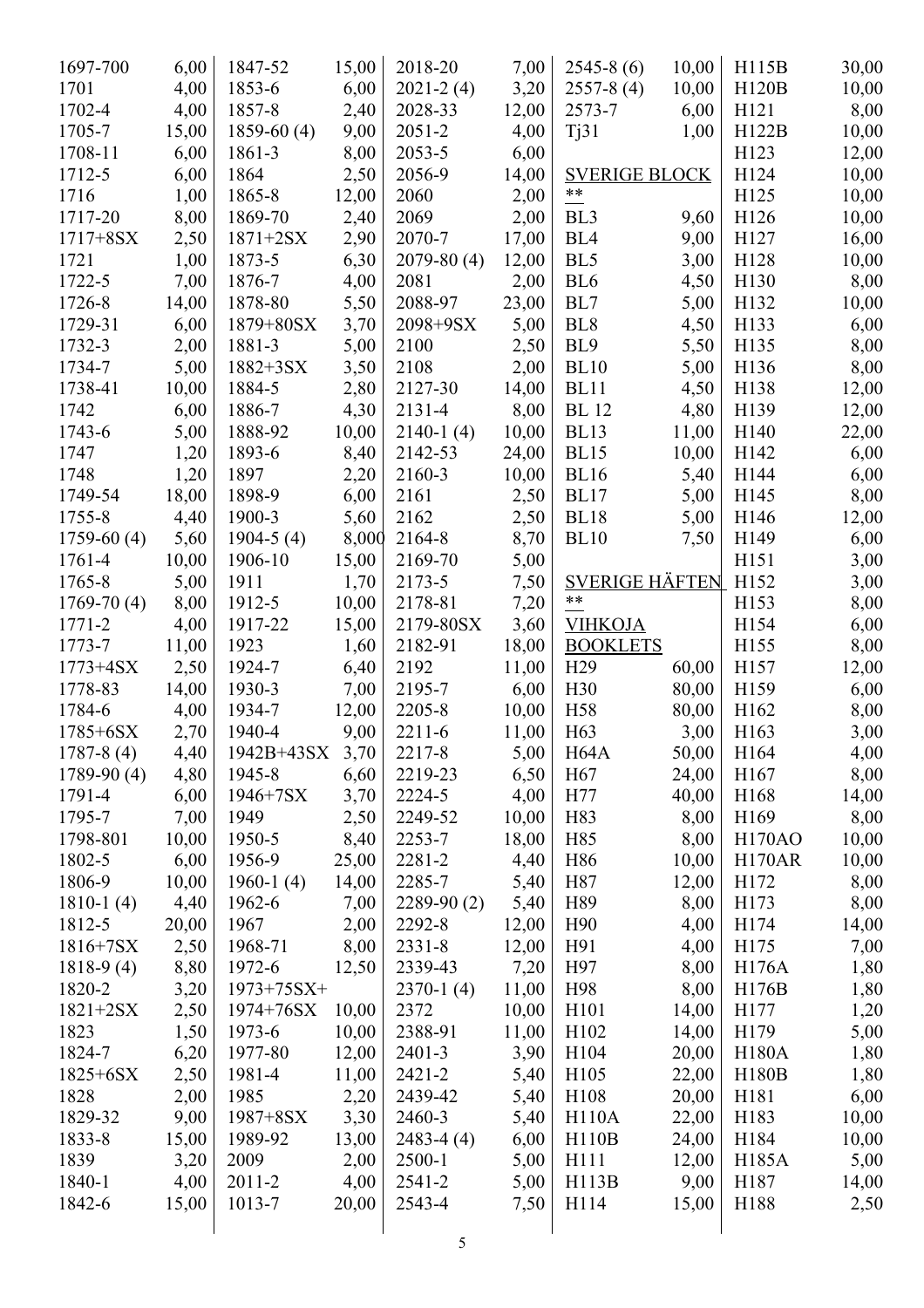| 1697-700     | 6,00  | 1847-52           | 15,00 | 2018-20         | 7,00  | $2545-8(6)$           | 10,00 | H115B            | 30,00 |
|--------------|-------|-------------------|-------|-----------------|-------|-----------------------|-------|------------------|-------|
| 1701         | 4,00  | 1853-6            | 6,00  | $2021 - 2(4)$   | 3,20  | $2557-8(4)$           | 10,00 | <b>H120B</b>     | 10,00 |
| 1702-4       | 4,00  | 1857-8            | 2,40  | 2028-33         | 12,00 | 2573-7                | 6,00  | H121             | 8,00  |
| 1705-7       | 15,00 | $1859-60(4)$      | 9,00  | $2051 - 2$      | 4,00  | Tj31                  | 1,00  | H122B            | 10,00 |
| 1708-11      | 6,00  | 1861-3            | 8,00  | $2053 - 5$      | 6,00  |                       |       | H123             | 12,00 |
| 1712-5       | 6,00  | 1864              | 2,50  | 2056-9          | 14,00 | <b>SVERIGE BLOCK</b>  |       | H124             | 10,00 |
| 1716         | 1,00  | 1865-8            | 12,00 | 2060            | 2,00  | $***$                 |       | H125             | 10,00 |
| 1717-20      | 8,00  | 1869-70           | 2,40  | 2069            | 2,00  | BL <sub>3</sub>       | 9,60  | H126             | 10,00 |
| $1717 + 8SX$ | 2,50  | $1871 + 2SX$      | 2,90  | 2070-7          | 17,00 | BL <sub>4</sub>       | 9,00  | H127             | 16,00 |
| 1721         | 1,00  | 1873-5            | 6,30  | $2079 - 80(4)$  | 12,00 | BL5                   | 3,00  | H128             | 10,00 |
| 1722-5       | 7,00  | 1876-7            | 4,00  | 2081            | 2,00  | BL <sub>6</sub>       | 4,50  | H130             | 8,00  |
| 1726-8       | 14,00 | 1878-80           | 5,50  | 2088-97         | 23,00 | BL7                   | 5,00  | H132             | 10,00 |
| 1729-31      | 6,00  | $1879 + 80SX$     | 3,70  | 2098+9SX        | 5,00  | BL <sub>8</sub>       | 4,50  | H133             | 6,00  |
| 1732-3       | 2,00  | 1881-3            | 5,00  | 2100            | 2,50  | BL <sub>9</sub>       | 5,50  | H135             | 8,00  |
| 1734-7       | 5,00  | $1882 + 3SX$      | 3,50  | 2108            | 2,00  | <b>BL10</b>           | 5,00  | H136             | 8,00  |
| 1738-41      | 10,00 | 1884-5            | 2,80  | 2127-30         | 14,00 | <b>BL11</b>           | 4,50  | H138             | 12,00 |
| 1742         | 6,00  | 1886-7            | 4,30  | 2131-4          | 8,00  | <b>BL</b> 12          | 4,80  | H139             | 12,00 |
| 1743-6       | 5,00  | 1888-92           | 10,00 | $2140-1(4)$     | 10,00 | <b>BL13</b>           | 11,00 | H140             | 22,00 |
| 1747         | 1,20  | 1893-6            | 8,40  | 2142-53         | 24,00 | <b>BL15</b>           | 10,00 | H142             | 6,00  |
| 1748         | 1,20  | 1897              | 2,20  | 2160-3          | 10,00 | <b>BL16</b>           | 5,40  | H144             | 6,00  |
| 1749-54      | 18,00 | 1898-9            | 6,00  | 2161            | 2,50  | <b>BL17</b>           | 5,00  | H145             | 8,00  |
| 1755-8       | 4,40  | 1900-3            | 5,60  | 2162            | 2,50  | <b>BL18</b>           | 5,00  | H146             | 12,00 |
| $1759-60(4)$ | 5,60  | $1904-5(4)$       | 8,000 | 2164-8          | 8,70  | <b>BL10</b>           | 7,50  | H149             | 6,00  |
| 1761-4       | 10,00 | 1906-10           | 15,00 | 2169-70         | 5,00  |                       |       | H151             | 3,00  |
| 1765-8       | 5,00  | 1911              | 1,70  | 2173-5          | 7,50  | <b>SVERIGE HÄFTEN</b> |       | H152             | 3,00  |
| $1769-70(4)$ | 8,00  | 1912-5            | 10,00 | 2178-81         | 7,20  | **                    |       | H153             | 8,00  |
| $1771 - 2$   | 4,00  | 1917-22           | 15,00 | 2179-80SX       | 3,60  | <b>VIHKOJA</b>        |       | H <sub>154</sub> | 6,00  |
| 1773-7       | 11,00 | 1923              | 1,60  | 2182-91         | 18,00 | <b>BOOKLETS</b>       |       | H155             | 8,00  |
| $1773 + 4SX$ | 2,50  | 1924-7            | 6,40  | 2192            | 11,00 | H <sub>29</sub>       | 60,00 | H157             | 12,00 |
| 1778-83      | 14,00 | 1930-3            | 7,00  | 2195-7          | 6,00  | H30                   | 80,00 | H159             | 6,00  |
| 1784-6       | 4,00  | 1934-7            | 12,00 | 2205-8          | 10,00 | H <sub>58</sub>       | 80,00 | H162             | 8,00  |
| $1785 + 6SX$ | 2,70  | 1940-4            | 9,00  | $2211 - 6$      | 11,00 | H <sub>63</sub>       | 3,00  | H163             | 3,00  |
| $1787-8(4)$  | 4,40  | $1942B+43SX$ 3,70 |       | 2217-8          | 5,00  | H <sub>64</sub> A     | 50,00 | H164             | 4,00  |
| $1789-90(4)$ | 4,80  | 1945-8            | 6,60  | 2219-23         | 6,50  | H <sub>67</sub>       | 24,00 | H167             | 8,00  |
| 1791-4       | 6,00  | $1946 + 7SX$      | 3,70  | 2224-5          | 4,00  | H77                   | 40,00 | H168             | 14,00 |
| 1795-7       | 7,00  | 1949              | 2,50  | 2249-52         | 10,00 | H83                   | 8,00  | H169             | 8,00  |
| 1798-801     | 10,00 | 1950-5            | 8,40  | 2253-7          | 18,00 | H85                   | 8,00  | <b>H170AO</b>    | 10,00 |
| 1802-5       | 6,00  | 1956-9            | 25,00 | 2281-2          | 4,40  | H86                   | 10,00 | <b>H170AR</b>    | 10,00 |
| 1806-9       | 10,00 | 1960-1 $(4)$      | 14,00 | 2285-7          | 5,40  | H87                   | 12,00 | H172             | 8,00  |
| $1810-1(4)$  | 4,40  | 1962-6            | 7,00  | $2289-90(2)$    | 5,40  | H89                   | 8,00  | H173             | 8,00  |
| 1812-5       | 20,00 | 1967              | 2,00  | 2292-8          | 12,00 | H <sub>90</sub>       | 4,00  | H174             | 14,00 |
| $1816+7SX$   | 2,50  | 1968-71           | 8,00  | $2331 - 8$      | 12,00 | H91                   | 4,00  | H175             | 7,00  |
| $1818-9(4)$  | 8,80  | 1972-6            | 12,50 | 2339-43         | 7,20  | H97                   | 8,00  | H176A            | 1,80  |
| 1820-2       |       | $1973+75SX+$      |       |                 | 11,00 | H98                   | 8,00  | H176B            |       |
|              | 3,20  |                   |       | $2370-1(4)$     |       |                       |       |                  | 1,80  |
| $1821 + 2SX$ | 2,50  | 1974+76SX         | 10,00 | 2372<br>2388-91 | 10,00 | H101                  | 14,00 | H177             | 1,20  |
| 1823         | 1,50  | 1973-6            | 10,00 |                 | 11,00 | H <sub>1</sub> 02     | 14,00 | H179             | 5,00  |
| 1824-7       | 6,20  | 1977-80           | 12,00 | $2401 - 3$      | 3,90  | H104                  | 20,00 | <b>H180A</b>     | 1,80  |
| $1825 + 6SX$ | 2,50  | 1981-4            | 11,00 | $2421 - 2$      | 5,40  | H105                  | 22,00 | <b>H180B</b>     | 1,80  |
| 1828         | 2,00  | 1985              | 2,20  | 2439-42         | 5,40  | H108                  | 20,00 | H181             | 6,00  |
| 1829-32      | 9,00  | 1987+8SX          | 3,30  | 2460-3          | 5,40  | H110A                 | 22,00 | H183             | 10,00 |
| 1833-8       | 15,00 | 1989-92           | 13,00 | $2483-4(4)$     | 6,00  | H110B                 | 24,00 | H184             | 10,00 |
| 1839         | 3,20  | 2009              | 2,00  | 2500-1          | 5,00  | H111                  | 12,00 | H185A            | 5,00  |
| 1840-1       | 4,00  | $2011 - 2$        | 4,00  | 2541-2          | 5,00  | H113B                 | 9,00  | H187             | 14,00 |
| 1842-6       | 15,00 | 1013-7            | 20,00 | 2543-4          | 7,50  | H114                  | 15,00 | H188             | 2,50  |
|              |       |                   |       |                 |       |                       |       |                  |       |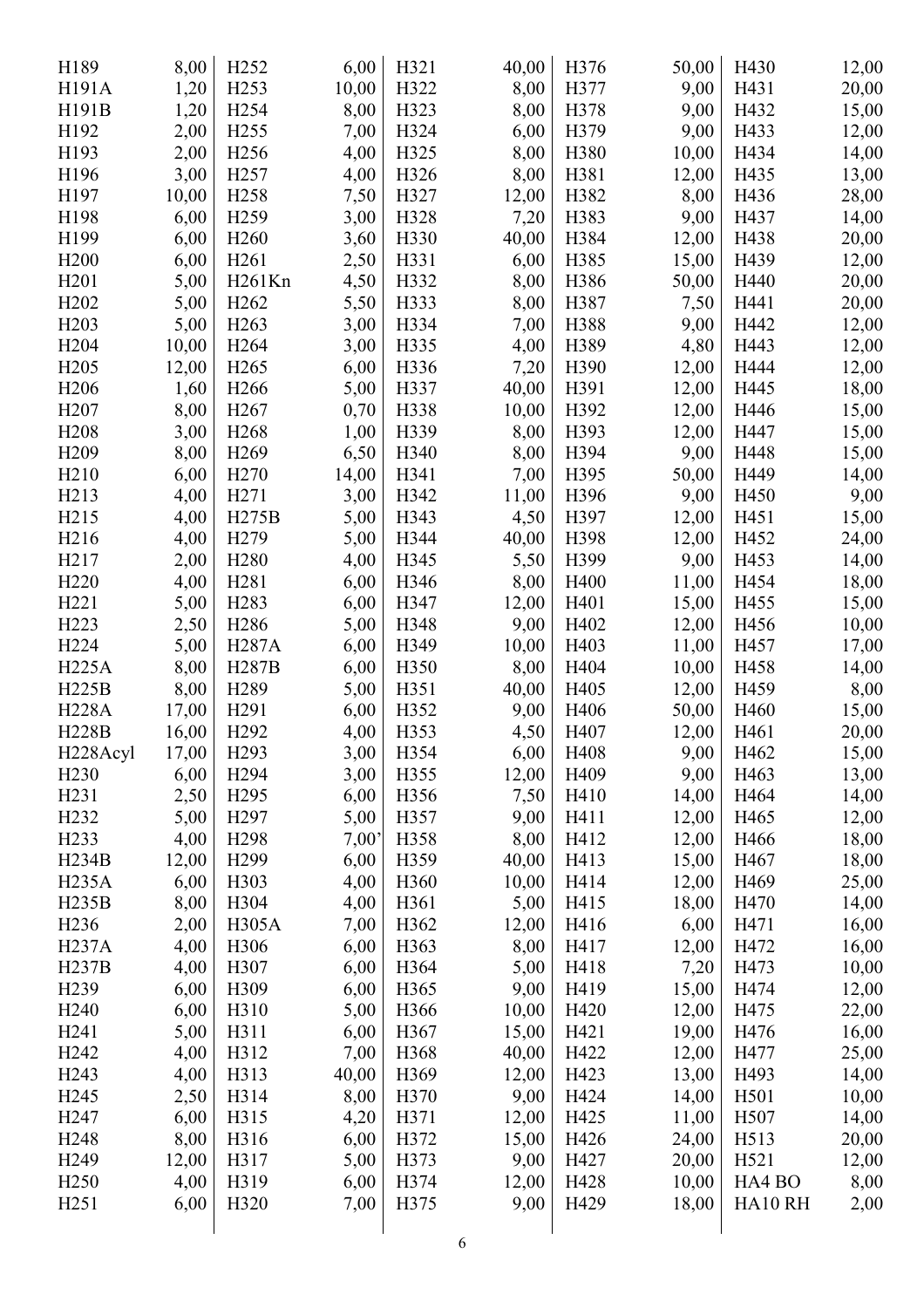| H189              | 8,00  | H <sub>252</sub>  | 6,00  | H321 | 40,00 | H376 | 50,00 | H430             | 12,00 |
|-------------------|-------|-------------------|-------|------|-------|------|-------|------------------|-------|
| H191A             | 1,20  | H <sub>253</sub>  | 10,00 | H322 | 8,00  | H377 | 9,00  | H431             | 20,00 |
| H191B             | 1,20  | H <sub>254</sub>  | 8,00  | H323 | 8,00  | H378 | 9,00  | H432             | 15,00 |
| H192              | 2,00  | H <sub>255</sub>  | 7,00  | H324 | 6,00  | H379 | 9,00  | H433             | 12,00 |
| H193              | 2,00  | H <sub>256</sub>  | 4,00  | H325 | 8,00  | H380 | 10,00 | H434             | 14,00 |
| H196              | 3,00  | H <sub>257</sub>  | 4,00  | H326 | 8,00  | H381 | 12,00 | H435             | 13,00 |
| H197              | 10,00 | H <sub>258</sub>  | 7,50  | H327 | 12,00 | H382 | 8,00  | H436             | 28,00 |
| H198              | 6,00  | H <sub>259</sub>  | 3,00  | H328 | 7,20  | H383 | 9,00  | H437             | 14,00 |
| H199              | 6,00  | H <sub>260</sub>  | 3,60  | H330 | 40,00 | H384 | 12,00 | H438             | 20,00 |
| H <sub>200</sub>  | 6,00  | H <sub>261</sub>  | 2,50  | H331 | 6,00  | H385 | 15,00 | H439             | 12,00 |
| H <sub>201</sub>  | 5,00  | H261Kn            | 4,50  | H332 | 8,00  | H386 | 50,00 | H440             | 20,00 |
| H <sub>2</sub> 02 | 5,00  | H <sub>262</sub>  | 5,50  | H333 | 8,00  | H387 | 7,50  | H441             | 20,00 |
| H <sub>203</sub>  | 5,00  | H <sub>263</sub>  | 3,00  | H334 | 7,00  | H388 | 9,00  | H442             | 12,00 |
| H <sub>204</sub>  | 10,00 | H <sub>264</sub>  | 3,00  | H335 | 4,00  | H389 | 4,80  | H443             | 12,00 |
| H <sub>205</sub>  | 12,00 | H <sub>265</sub>  | 6,00  | H336 | 7,20  | H390 | 12,00 | H444             | 12,00 |
| H <sub>206</sub>  | 1,60  | H <sub>266</sub>  | 5,00  | H337 | 40,00 | H391 | 12,00 | H445             | 18,00 |
| H <sub>207</sub>  | 8,00  | H <sub>267</sub>  | 0,70  | H338 | 10,00 | H392 | 12,00 | H446             | 15,00 |
| H <sub>208</sub>  | 3,00  | H <sub>268</sub>  | 1,00  | H339 | 8,00  | H393 | 12,00 | H447             | 15,00 |
| H <sub>209</sub>  | 8,00  | H <sub>269</sub>  | 6,50  | H340 | 8,00  | H394 | 9,00  | H448             | 15,00 |
| H <sub>2</sub> 10 | 6,00  | H <sub>270</sub>  | 14,00 | H341 | 7,00  | H395 | 50,00 | H449             | 14,00 |
| H <sub>2</sub> 13 | 4,00  | H <sub>271</sub>  |       | H342 | 11,00 | H396 | 9,00  | H450             |       |
| H <sub>215</sub>  | 4,00  | H275B             | 3,00  | H343 |       | H397 |       |                  | 9,00  |
|                   |       |                   | 5,00  |      | 4,50  |      | 12,00 | H451             | 15,00 |
| H <sub>216</sub>  | 4,00  | H <sub>279</sub>  | 5,00  | H344 | 40,00 | H398 | 12,00 | H452             | 24,00 |
| H <sub>217</sub>  | 2,00  | H <sub>280</sub>  | 4,00  | H345 | 5,50  | H399 | 9,00  | H453             | 14,00 |
| H <sub>220</sub>  | 4,00  | H <sub>281</sub>  | 6,00  | H346 | 8,00  | H400 | 11,00 | H454             | 18,00 |
| H <sub>221</sub>  | 5,00  | H <sub>2</sub> 83 | 6,00  | H347 | 12,00 | H401 | 15,00 | H455             | 15,00 |
| H <sub>223</sub>  | 2,50  | H <sub>286</sub>  | 5,00  | H348 | 9,00  | H402 | 12,00 | H456             | 10,00 |
| H <sub>224</sub>  | 5,00  | <b>H287A</b>      | 6,00  | H349 | 10,00 | H403 | 11,00 | H457             | 17,00 |
| <b>H225A</b>      | 8,00  | H287B             | 6,00  | H350 | 8,00  | H404 | 10,00 | H458             | 14,00 |
| <b>H225B</b>      | 8,00  | H <sub>2</sub> 89 | 5,00  | H351 | 40,00 | H405 | 12,00 | H459             | 8,00  |
| <b>H228A</b>      | 17,00 | H <sub>291</sub>  | 6,00  | H352 | 9,00  | H406 | 50,00 | H460             | 15,00 |
| <b>H228B</b>      | 16,00 | H <sub>292</sub>  | 4,00  | H353 | 4,50  | H407 | 12,00 | H461             | 20,00 |
| H228Acyl          | 17,00 | H <sub>293</sub>  | 3,00  | H354 | 6,00  | H408 | 9,00  | H462             | 15,00 |
| H <sub>230</sub>  | 6,00  | H <sub>294</sub>  | 3,00  | H355 | 12,00 | H409 | 9,00  | H463             | 13,00 |
| H <sub>231</sub>  | 2,50  | H <sub>295</sub>  | 6,00  | H356 | 7,50  | H410 | 14,00 | H464             | 14,00 |
| H <sub>2</sub> 32 | 5,00  | H <sub>297</sub>  | 5,00  | H357 | 9,00  | H411 | 12,00 | H465             | 12,00 |
| H <sub>233</sub>  | 4,00  | H <sub>298</sub>  | 7,00' | H358 | 8,00  | H412 | 12,00 | H466             | 18,00 |
| H234B             | 12,00 | H <sub>299</sub>  | 6,00  | H359 | 40,00 | H413 | 15,00 | H467             | 18,00 |
| <b>H235A</b>      | 6,00  | H303              | 4,00  | H360 | 10,00 | H414 | 12,00 | H469             | 25,00 |
| H235B             | 8,00  | H304              | 4,00  | H361 | 5,00  | H415 | 18,00 | H470             | 14,00 |
| H <sub>236</sub>  | 2,00  | H305A             | 7,00  | H362 | 12,00 | H416 | 6,00  | H471             | 16,00 |
| <b>H237A</b>      | 4,00  | H306              | 6,00  | H363 | 8,00  | H417 | 12,00 | H472             | 16,00 |
| H237B             | 4,00  | H307              | 6,00  | H364 | 5,00  | H418 | 7,20  | H473             | 10,00 |
| H239              | 6,00  | H309              | 6,00  | H365 | 9,00  | H419 | 15,00 | H474             | 12,00 |
| H <sub>240</sub>  | 6,00  | H310              | 5,00  | H366 | 10,00 | H420 | 12,00 | H475             | 22,00 |
| H <sub>241</sub>  | 5,00  | H311              | 6,00  | H367 | 15,00 | H421 | 19,00 | H476             | 16,00 |
| H <sub>242</sub>  | 4,00  | H312              | 7,00  | H368 | 40,00 | H422 | 12,00 | H477             | 25,00 |
| H <sub>243</sub>  | 4,00  | H313              | 40,00 | H369 | 12,00 | H423 | 13,00 | H493             | 14,00 |
| H <sub>245</sub>  | 2,50  | H314              | 8,00  | H370 | 9,00  | H424 | 14,00 | H501             | 10,00 |
| H <sub>247</sub>  | 6,00  | H315              | 4,20  | H371 | 12,00 | H425 | 11,00 | H507             | 14,00 |
| H <sub>248</sub>  | 8,00  | H316              | 6,00  | H372 | 15,00 | H426 | 24,00 | H513             | 20,00 |
| H <sub>249</sub>  | 12,00 | H317              | 5,00  | H373 | 9,00  | H427 | 20,00 | H <sub>521</sub> | 12,00 |
| H <sub>250</sub>  | 4,00  | H319              | 6,00  | H374 | 12,00 | H428 | 10,00 | HA4 BO           | 8,00  |
| H <sub>251</sub>  | 6,00  | H320              | 7,00  | H375 | 9,00  | H429 | 18,00 | HA10RH           | 2,00  |
|                   |       |                   |       |      |       |      |       |                  |       |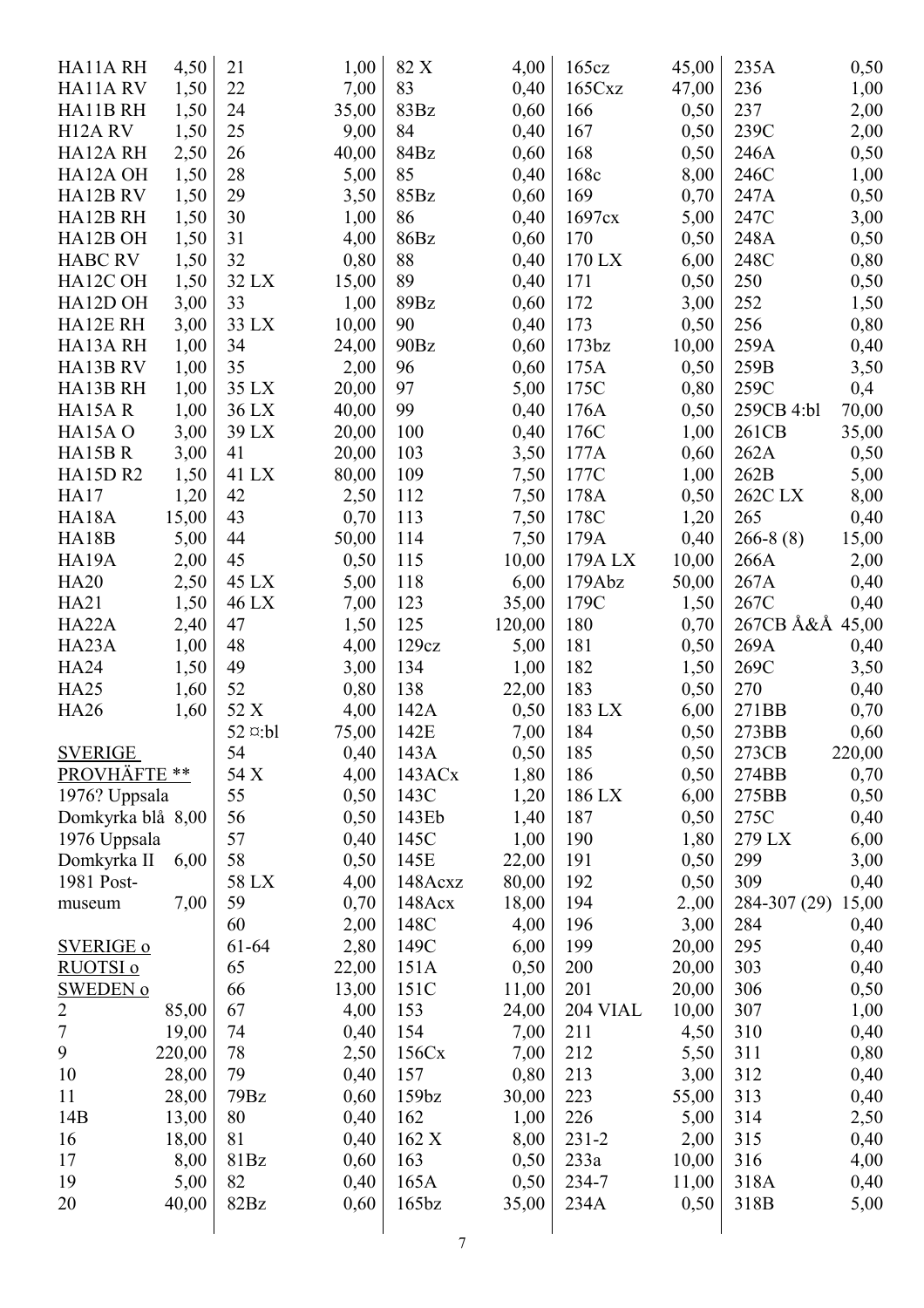| HA11ARH                         | 4,50   | 21                | 1,00  | 82 X              | 4,00   | 165cz             | 45,00 | 235A         | 0,50   |
|---------------------------------|--------|-------------------|-------|-------------------|--------|-------------------|-------|--------------|--------|
| HA11ARV                         | 1,50   | 22                | 7,00  | 83                | 0,40   | 165Cxz            | 47,00 | 236          | 1,00   |
| HA11B RH                        | 1,50   | 24                | 35,00 | 83Bz              | 0,60   | 166               | 0,50  | 237          | 2,00   |
| H <sub>12</sub> A <sub>RV</sub> | 1,50   | 25                | 9,00  | 84                | 0,40   | 167               | 0,50  | 239C         | 2,00   |
| HA12A RH                        | 2,50   | 26                | 40,00 | 84Bz              | 0,60   | 168               | 0,50  | 246A         | 0,50   |
| HA12A OH                        | 1,50   | 28                | 5,00  | 85                | 0,40   | 168c              | 8,00  | 246C         | 1,00   |
| HA12B RV                        | 1,50   | 29                | 3,50  | 85Bz              | 0,60   | 169               | 0,70  | 247A         | 0,50   |
| HA12B RH                        | 1,50   | 30                | 1,00  | 86                | 0,40   | 1697cx            | 5,00  | 247C         | 3,00   |
| HA12B OH                        | 1,50   | 31                | 4,00  | 86Bz              | 0,60   | 170               | 0,50  | 248A         | 0,50   |
| <b>HABC RV</b>                  | 1,50   | 32                | 0,80  | 88                | 0,40   | 170 LX            | 6,00  | 248C         | 0,80   |
| HA12C OH                        | 1,50   | 32 LX             | 15,00 | 89                | 0,40   | 171               | 0,50  | 250          | 0,50   |
| HA12D OH                        | 3,00   | 33                | 1,00  | 89Bz              | 0,60   | 172               | 3,00  | 252          | 1,50   |
| HA12E RH                        | 3,00   | 33 LX             | 10,00 | 90                | 0,40   | 173               | 0,50  | 256          | 0,80   |
| HA13A RH                        | 1,00   | 34                | 24,00 | 90Bz              | 0,60   | 173 <sub>bz</sub> | 10,00 | 259A         | 0,40   |
| HA13B RV                        | 1,00   | 35                | 2,00  | 96                | 0,60   | 175A              | 0,50  | 259B         | 3,50   |
| HA13B RH                        | 1,00   | 35 LX             | 20,00 | 97                | 5,00   | 175C              | 0,80  | 259C         | 0,4    |
| HA15AR                          | 1,00   | 36 LX             | 40,00 | 99                | 0,40   | 176A              | 0,50  | 259CB 4:bl   | 70,00  |
| HA15A O                         | 3,00   |                   | 20,00 | 100               |        | 176C              | 1,00  | 261CB        |        |
|                                 |        | 39 LX             |       |                   | 0,40   |                   |       |              | 35,00  |
| HA15BR                          | 3,00   | 41                | 20,00 | 103               | 3,50   | 177A              | 0,60  | 262A         | 0,50   |
| <b>HA15D R2</b>                 | 1,50   | 41 LX             | 80,00 | 109               | 7,50   | 177C              | 1,00  | 262B         | 5,00   |
| <b>HA17</b>                     | 1,20   | 42                | 2,50  | 112               | 7,50   | 178A              | 0,50  | 262C LX      | 8,00   |
| HA18A                           | 15,00  | 43                | 0,70  | 113               | 7,50   | 178C              | 1,20  | 265          | 0,40   |
| HA18B                           | 5,00   | 44                | 50,00 | 114               | 7,50   | 179A              | 0,40  | $266-8(8)$   | 15,00  |
| HA19A                           | 2,00   | 45                | 0,50  | 115               | 10,00  | 179A LX           | 10,00 | 266A         | 2,00   |
| <b>HA20</b>                     | 2,50   | 45 LX             | 5,00  | 118               | 6,00   | 179Abz            | 50,00 | 267A         | 0,40   |
| <b>HA21</b>                     | 1,50   | 46 LX             | 7,00  | 123               | 35,00  | 179C              | 1,50  | 267C         | 0,40   |
| HA22A                           | 2,40   | 47                | 1,50  | 125               | 120,00 | 180               | 0,70  | 267CB Å&Å    | 45,00  |
| HA23A                           | 1,00   | 48                | 4,00  | 129cz             | 5,00   | 181               | 0,50  | 269A         | 0,40   |
| <b>HA24</b>                     | 1,50   | 49                | 3,00  | 134               | 1,00   | 182               | 1,50  | 269C         | 3,50   |
| <b>HA25</b>                     | 1,60   | 52                | 0,80  | 138               | 22,00  | 183               | 0,50  | 270          | 0,40   |
| <b>HA26</b>                     | 1,60   | 52 X              | 4,00  | 142A              | 0,50   | 183 LX            | 6,00  | 271BB        | 0,70   |
|                                 |        | $52$ $\alpha$ :bl | 75,00 | 142E              | 7,00   | 184               | 0,50  | 273BB        | 0,60   |
| <b>SVERIGE</b>                  |        | 54                | 0,40  | 143A              | 0,50   | 185               | 0,50  | 273CB        | 220,00 |
| PROVHÄFTE **                    |        | 54 X              | 4,00  | 143ACx            | 1,80   | 186               | 0,50  | 274BB        | 0,70   |
| 1976? Uppsala                   |        | 55                | 0,50  | 143C              | 1,20   | 186 LX            | 6,00  | 275BB        | 0,50   |
| Domkyrka blå 8,00               |        | 56                | 0,50  | 143Eb             | 1,40   | 187               | 0,50  | 275C         | 0,40   |
| 1976 Uppsala                    |        | 57                | 0,40  | 145C              | 1,00   | 190               | 1,80  | 279 LX       | 6,00   |
| Domkyrka II                     | 6,00   | 58                | 0,50  | 145E              | 22,00  | 191               | 0,50  | 299          | 3,00   |
| 1981 Post-                      |        | 58 LX             | 4,00  | 148Acxz           | 80,00  | 192               | 0,50  | 309          | 0,40   |
| museum                          | 7,00   | 59                | 0,70  | 148Acx            | 18,00  | 194               | 2.,00 | 284-307 (29) | 15,00  |
|                                 |        | 60                | 2,00  | 148C              | 4,00   | 196               | 3,00  | 284          | 0,40   |
| <b>SVERIGE o</b>                |        | 61-64             | 2,80  | 149C              | 6,00   | 199               | 20,00 | 295          | 0,40   |
| <u>RUOTSI o</u>                 |        | 65                | 22,00 | 151A              | 0,50   | 200               | 20,00 | 303          | 0,40   |
| <b>SWEDEN o</b>                 |        | 66                | 13,00 | 151C              | 11,00  | 201               | 20,00 | 306          | 0,50   |
| $\overline{2}$                  | 85,00  | 67                | 4,00  | 153               | 24,00  | <b>204 VIAL</b>   | 10,00 | 307          | 1,00   |
| $\boldsymbol{7}$                | 19,00  | 74                | 0,40  | 154               | 7,00   | 211               | 4,50  | 310          | 0,40   |
| 9                               | 220,00 | 78                | 2,50  | 156Cx             | 7,00   | 212               | 5,50  | 311          | 0,80   |
| 10                              | 28,00  | 79                | 0,40  | 157               | 0,80   | 213               | 3,00  | 312          | 0,40   |
| 11                              | 28,00  | 79Bz              | 0,60  | 159 <sub>bz</sub> | 30,00  | 223               | 55,00 | 313          | 0,40   |
| 14B                             | 13,00  | 80                | 0,40  | 162               | 1,00   | 226               | 5,00  | 314          | 2,50   |
| 16                              | 18,00  | 81                | 0,40  | 162 X             | 8,00   | $231 - 2$         | 2,00  | 315          | 0,40   |
| 17                              | 8,00   | 81Bz              |       | 163               |        | 233a              | 10,00 | 316          |        |
| 19                              |        | 82                | 0,60  |                   | 0,50   |                   |       |              | 4,00   |
|                                 | 5,00   | 82Bz              | 0,40  | 165A              | 0,50   | 234-7             | 11,00 | 318A         | 0,40   |
| 20                              | 40,00  |                   | 0,60  | 165 <sub>bz</sub> | 35,00  | 234A              | 0,50  | 318B         | 5,00   |
|                                 |        |                   |       |                   |        |                   |       |              |        |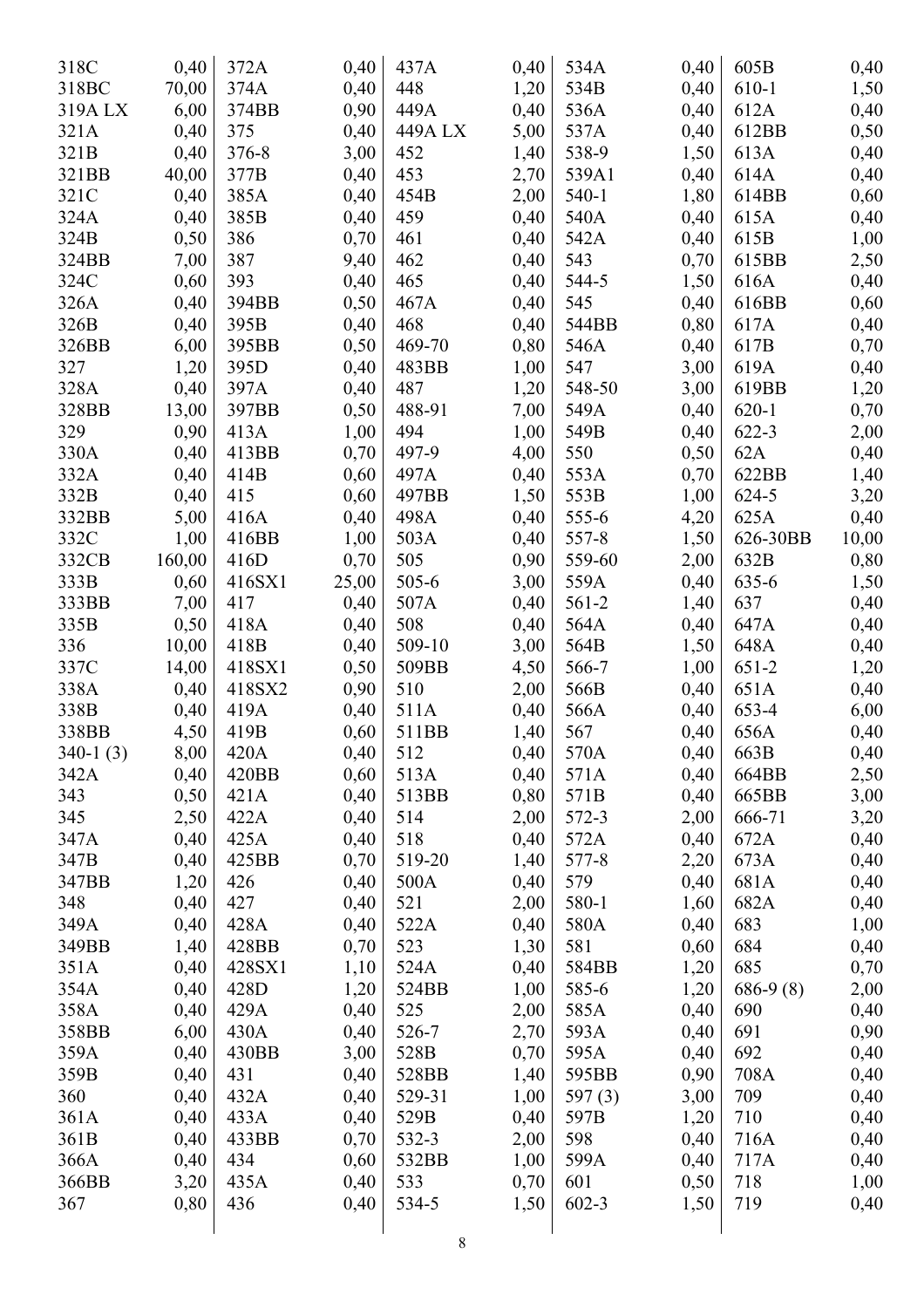| 318C       | 0,40   | 372A      | 0,40  | 437A      | 0,40 | 534A      | 0,40 | 605B       | 0,40         |
|------------|--------|-----------|-------|-----------|------|-----------|------|------------|--------------|
| 318BC      | 70,00  | 374A      | 0,40  | 448       | 1,20 | 534B      | 0,40 | 610-1      | 1,50         |
| 319A LX    | 6,00   | 374BB     | 0,90  | 449A      | 0,40 | 536A      | 0,40 | 612A       | 0,40         |
| 321A       | 0,40   | 375       | 0,40  | 449A LX   | 5,00 | 537A      | 0,40 | 612BB      | 0,50         |
| 321B       | 0,40   | $376 - 8$ | 3,00  | 452       | 1,40 | 538-9     | 1,50 | 613A       | 0,40         |
| 321BB      | 40,00  | 377B      | 0,40  | 453       | 2,70 | 539A1     | 0,40 | 614A       | 0,40         |
| 321C       | 0,40   | 385A      | 0,40  | 454B      | 2,00 | $540-1$   | 1,80 | 614BB      | 0,60         |
| 324A       | 0,40   | 385B      | 0,40  | 459       | 0,40 | 540A      | 0,40 | 615A       | 0,40         |
| 324B       | 0,50   | 386       | 0,70  | 461       | 0,40 | 542A      | 0,40 | 615B       | 1,00         |
| 324BB      | 7,00   | 387       | 9,40  | 462       | 0,40 | 543       | 0,70 | 615BB      | 2,50         |
| 324C       | 0,60   | 393       | 0,40  | 465       | 0,40 | 544-5     | 1,50 | 616A       | 0,40         |
| 326A       | 0,40   | 394BB     | 0,50  | 467A      | 0,40 | 545       | 0,40 | 616BB      | 0,60         |
| 326B       | 0,40   | 395B      | 0,40  | 468       | 0,40 | 544BB     | 0,80 | 617A       | 0,40         |
| 326BB      | 6,00   | 395BB     | 0,50  | 469-70    | 0,80 | 546A      | 0,40 | 617B       | 0,70         |
| 327        | 1,20   | 395D      | 0,40  | 483BB     | 1,00 | 547       | 3,00 | 619A       | 0,40         |
| 328A       | 0,40   | 397A      | 0,40  | 487       | 1,20 | 548-50    | 3,00 | 619BB      |              |
| 328BB      | 13,00  | 397BB     | 0,50  | 488-91    | 7,00 | 549A      | 0,40 | $620 - 1$  | 1,20<br>0,70 |
|            |        |           |       |           |      |           |      |            |              |
| 329        | 0,90   | 413A      | 1,00  | 494       | 1,00 | 549B      | 0,40 | 622-3      | 2,00         |
| 330A       | 0,40   | 413BB     | 0,70  | 497-9     | 4,00 | 550       | 0,50 | 62A        | 0,40         |
| 332A       | 0,40   | 414B      | 0,60  | 497A      | 0,40 | 553A      | 0,70 | 622BB      | 1,40         |
| 332B       | 0,40   | 415       | 0,60  | 497BB     | 1,50 | 553B      | 1,00 | 624-5      | 3,20         |
| 332BB      | 5,00   | 416A      | 0,40  | 498A      | 0,40 | 555-6     | 4,20 | 625A       | 0,40         |
| 332C       | 1,00   | 416BB     | 1,00  | 503A      | 0,40 | 557-8     | 1,50 | 626-30BB   | 10,00        |
| 332CB      | 160,00 | 416D      | 0,70  | 505       | 0,90 | 559-60    | 2,00 | 632B       | 0,80         |
| 333B       | 0,60   | 416SX1    | 25,00 | $505 - 6$ | 3,00 | 559A      | 0,40 | 635-6      | 1,50         |
| 333BB      | 7,00   | 417       | 0,40  | 507A      | 0,40 | $561 - 2$ | 1,40 | 637        | 0,40         |
| 335B       | 0,50   | 418A      | 0,40  | 508       | 0,40 | 564A      | 0,40 | 647A       | 0,40         |
| 336        | 10,00  | 418B      | 0,40  | 509-10    | 3,00 | 564B      | 1,50 | 648A       | 0,40         |
| 337C       | 14,00  | 418SX1    | 0,50  | 509BB     | 4,50 | 566-7     | 1,00 | $651 - 2$  | 1,20         |
| 338A       | 0,40   | 418SX2    | 0,90  | 510       | 2,00 | 566B      | 0,40 | 651A       | 0,40         |
| 338B       | 0,40   | 419A      | 0,40  | 511A      | 0,40 | 566A      | 0,40 | 653-4      | 6,00         |
| 338BB      | 4,50   | 419B      | 0,60  | 511BB     | 1,40 | 567       | 0,40 | 656A       | 0,40         |
| $340-1(3)$ | 8,00   | 420A      | 0,40  | 512       | 0,40 | 570A      | 0,40 | 663B       | 0,40         |
| 342A       | 0,40   | 420BB     | 0,60  | 513A      | 0,40 | 571A      | 0,40 | 664BB      | 2,50         |
| 343        | 0,50   | 421A      | 0,40  | 513BB     | 0,80 | 571B      | 0,40 | 665BB      | 3,00         |
| 345        | 2,50   | 422A      | 0,40  | 514       | 2,00 | 572-3     | 2,00 | 666-71     | 3,20         |
| 347A       | 0,40   | 425A      | 0,40  | 518       | 0,40 | 572A      | 0,40 | 672A       | 0,40         |
| 347B       | 0,40   | 425BB     | 0,70  | 519-20    | 1,40 | 577-8     | 2,20 | 673A       | 0,40         |
| 347BB      | 1,20   | 426       | 0,40  | 500A      | 0,40 | 579       | 0,40 | 681A       | 0,40         |
| 348        | 0,40   | 427       | 0,40  | 521       | 2,00 | 580-1     | 1,60 | 682A       | 0,40         |
| 349A       | 0,40   | 428A      | 0,40  | 522A      | 0,40 | 580A      | 0,40 | 683        | 1,00         |
| 349BB      | 1,40   | 428BB     | 0,70  | 523       | 1,30 | 581       | 0,60 | 684        | 0,40         |
| 351A       | 0,40   | 428SX1    | 1,10  | 524A      | 0,40 | 584BB     | 1,20 | 685        | 0,70         |
| 354A       | 0,40   | 428D      | 1,20  | 524BB     | 1,00 | 585-6     | 1,20 | $686-9(8)$ | 2,00         |
| 358A       | 0,40   | 429A      | 0,40  | 525       | 2,00 | 585A      | 0,40 | 690        | 0,40         |
| 358BB      | 6,00   | 430A      | 0,40  | 526-7     | 2,70 | 593A      | 0,40 | 691        | 0,90         |
| 359A       | 0,40   | 430BB     | 3,00  | 528B      | 0,70 | 595A      | 0,40 | 692        | 0,40         |
| 359B       | 0,40   | 431       | 0,40  | 528BB     | 1,40 | 595BB     | 0,90 | 708A       | 0,40         |
| 360        | 0,40   | 432A      | 0,40  | 529-31    | 1,00 | 597 $(3)$ | 3,00 | 709        | 0,40         |
| 361A       | 0,40   | 433A      | 0,40  | 529B      | 0,40 | 597B      | 1,20 | 710        | 0,40         |
| 361B       | 0,40   | 433BB     | 0,70  | 532-3     | 2,00 | 598       | 0,40 | 716A       | 0,40         |
| 366A       | 0,40   | 434       | 0,60  | 532BB     | 1,00 | 599A      | 0,40 | 717A       | 0,40         |
| 366BB      | 3,20   | 435A      | 0,40  | 533       | 0,70 | 601       | 0,50 | 718        | 1,00         |
| 367        | 0,80   | 436       | 0,40  | 534-5     | 1,50 | $602 - 3$ | 1,50 | 719        | 0,40         |
|            |        |           |       |           |      |           |      |            |              |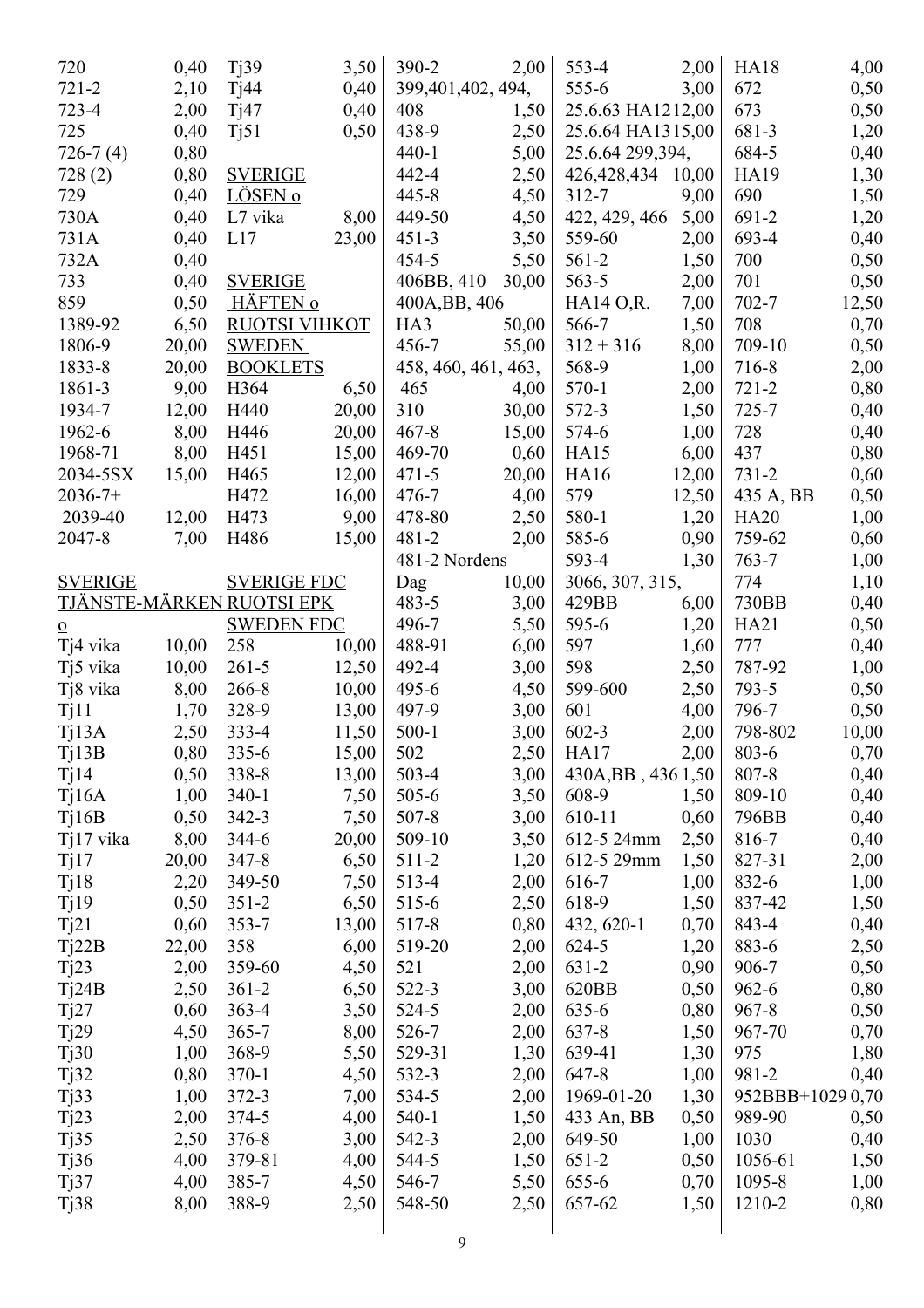| 720               | 0,40  | Tj39                      | 3,50         | $390 - 2$           | 2,00  | 553-4               | 2,00         | <b>HA18</b>      | 4,00  |
|-------------------|-------|---------------------------|--------------|---------------------|-------|---------------------|--------------|------------------|-------|
| $721 - 2$         | 2,10  | Tj44                      | 0,40         | 399,401,402, 494,   |       | $555 - 6$           | 3,00         | 672              | 0,50  |
| $723 - 4$         | 2,00  | Tj47                      | 0,40         | 408                 | 1,50  | 25.6.63 HA1212,00   |              | 673              | 0,50  |
| 725               | 0,40  | T <sub>j</sub> 51         | 0,50         | 438-9               | 2,50  | 25.6.64 HA1315,00   |              | 681-3            | 1,20  |
| $726-7(4)$        | 0,80  |                           |              | $440 - 1$           | 5,00  | 25.6.64 299,394,    |              | 684-5            | 0,40  |
| 728(2)            | 0,80  | <b>SVERIGE</b>            |              | 442-4               | 2,50  | 426,428,434         | 10,00        | HA19             | 1,30  |
| 729               | 0,40  | LÖSEN o                   |              | $445 - 8$           | 4,50  | $312 - 7$           | 9,00         | 690              | 1,50  |
| 730A              | 0,40  | L7 vika                   | 8,00         | 449-50              | 4,50  | 422, 429, 466       | 5,00         | 691-2            | 1,20  |
| 731A              | 0,40  | L17                       | 23,00        | $451 - 3$           | 3,50  | 559-60              | 2,00         | 693-4            | 0,40  |
| 732A              | 0,40  |                           |              | 454-5               | 5,50  | $561-2$             | 1,50         | 700              | 0,50  |
| 733               | 0,40  | <b>SVERIGE</b>            |              | 406BB, 410          | 30,00 | $563 - 5$           | 2,00         | 701              | 0,50  |
| 859               | 0,50  | <b>HÄFTEN 0</b>           |              | 400A, BB, 406       |       | HA14 O,R.           | 7,00         | $702 - 7$        | 12,50 |
| 1389-92           | 6,50  | RUOTSI VIHKOT             |              | HA3                 | 50,00 | 566-7               | 1,50         | 708              | 0,70  |
| 1806-9            | 20,00 | <b>SWEDEN</b>             |              | 456-7               | 55,00 | $312 + 316$         | 8,00         | 709-10           | 0,50  |
| 1833-8            | 20,00 | <b>BOOKLETS</b>           |              | 458, 460, 461, 463, |       | 568-9               | 1,00         | 716-8            | 2,00  |
| 1861-3            | 9,00  | H364                      | 6,50         | 465                 | 4,00  | $570-1$             | 2,00         | $721 - 2$        | 0,80  |
| 1934-7            | 12,00 | H440                      | 20,00        | 310                 | 30,00 | 572-3               | 1,50         | $725 - 7$        | 0,40  |
| 1962-6            | 8,00  | H446                      | 20,00        | $467 - 8$           | 15,00 | 574-6               | 1,00         | 728              | 0,40  |
| 1968-71           | 8,00  | H451                      | 15,00        | 469-70              | 0,60  | HA15                | 6,00         | 437              | 0,80  |
| 2034-5SX          | 15,00 | H465                      | 12,00        | $471 - 5$           | 20,00 | <b>HA16</b>         | 12,00        | $731 - 2$        | 0,60  |
| $2036 - 7 +$      |       | H472                      | 16,00        | $476 - 7$           | 4,00  | 579                 | 12,50        | 435 A, BB        | 0,50  |
| 2039-40           | 12,00 | H473                      | 9,00         | 478-80              | 2,50  | 580-1               | 1,20         | <b>HA20</b>      | 1,00  |
| 2047-8            | 7,00  | H486                      | 15,00        | $481 - 2$           | 2,00  | 585-6               | 0,90         | 759-62           | 0,60  |
|                   |       |                           |              | 481-2 Nordens       |       | 593-4               | 1,30         | $763 - 7$        | 1,00  |
| <b>SVERIGE</b>    |       | <b>SVERIGE FDC</b>        |              | Dag                 | 10,00 | 3066, 307, 315,     |              | 774              | 1,10  |
|                   |       | TJÄNSTE-MÄRKEN RUOTSI EPK |              | $483 - 5$           | 3,00  | 429BB               | 6,00         | 730BB            | 0,40  |
| $\overline{o}$    |       | <b>SWEDEN FDC</b>         |              | 496-7               | 5,50  | 595-6               | 1,20         | <b>HA21</b>      | 0,50  |
| Tj4 vika          | 10,00 | 258                       | 10,00        | 488-91              | 6,00  | 597                 | 1,60         | 777              | 0,40  |
| Tj5 vika          | 10,00 | $261 - 5$                 | 12,50        | 492-4               | 3,00  | 598                 | 2,50         | 787-92           | 1,00  |
| Tj8 vika          | 8,00  | 266-8                     | 10,00        | 495-6               | 4,50  | 599-600             | 2,50         | $793-5$          | 0,50  |
| Tj11              | 1,70  | 328-9                     | 13,00        | 497-9               | 3,00  | 601                 | 4,00         | 796-7            | 0,50  |
| Tj13A             | 2,50  | 333-4                     | 11,50        | $500-1$             | 3,00  | $602 - 3$           | 2,00         | 798-802          | 10,00 |
| Tj13B             | 0,80  | $335 - 6$                 | 15,00        | 502                 | 2,50  | <b>HA17</b>         | 2,00         | 803-6            | 0,70  |
| T <sub>1</sub> 14 | 0,50  | 338-8                     | 13,00        | $503 - 4$           | 3,00  | 430A, BB, 436 1, 50 |              | 807-8            | 0,40  |
| Tj16A             | 1,00  | $340-1$                   | 7,50         | $505 - 6$           | 3,50  | 608-9               | 1,50         | 809-10           | 0,40  |
| Tj16B             | 0,50  | $342 - 3$                 | 7,50         | $507 - 8$           | 3,00  | 610-11              | 0,60         | 796BB            | 0,40  |
| Tj17 vika         | 8,00  | 344-6                     | 20,00        | 509-10              | 3,50  | 612-5 24mm          | 2,50         | 816-7            | 0,40  |
| Tj17              | 20,00 | $347 - 8$                 | 6,50         | 511-2               | 1,20  | 612-5 29mm          | 1,50         | 827-31           | 2,00  |
| Tj18              | 2,20  | 349-50                    | 7,50         | 513-4               | 2,00  | 616-7               | 1,00         | 832-6            | 1,00  |
| Tj19              | 0,50  | $351 - 2$                 | 6,50         | 515-6               | 2,50  | 618-9               | 1,50         | 837-42           | 1,50  |
| Tj21              | 0,60  | 353-7                     | 13,00        | 517-8               | 0,80  | 432, 620-1          | 0,70         | 843-4            | 0,40  |
| Tj22B             | 22,00 | 358                       | 6,00         | 519-20              | 2,00  | 624-5               | 1,20         | 883-6            | 2,50  |
| Tj23              | 2,00  | 359-60                    | 4,50         | 521                 | 2,00  | $631 - 2$           | 0,90         | 906-7            | 0,50  |
| Tj24B             | 2,50  | $361 - 2$                 | 6,50         | 522-3               | 3,00  | 620BB               | 0,50         | 962-6            | 0,80  |
| Tj27              | 0,60  | $363 - 4$                 | 3,50         | $524 - 5$           | 2,00  | 635-6               | 0,80         | $967 - 8$        | 0,50  |
| Tj29              | 4,50  | $365 - 7$                 | 8,00         | 526-7               | 2,00  | $637 - 8$           | 1,50         | 967-70           | 0,70  |
| Tj30              | 1,00  | 368-9                     | 5,50         | 529-31              | 1,30  | 639-41              | 1,30         | 975              | 1,80  |
|                   | 0,80  | $370-1$                   |              | 532-3               |       | 647-8               |              | 981-2            |       |
| Tj32              | 1,00  | $372 - 3$                 | 4,50<br>7,00 | 534-5               | 2,00  | 1969-01-20          | 1,00<br>1,30 | 952BBB+10290,70  | 0,40  |
| Tj33              |       | 374-5                     | 4,00         | $540-1$             | 2,00  | 433 An, BB          | 0,50         | 989-90           |       |
| Tj23              | 2,00  | $376 - 8$                 | 3,00         | 542-3               | 1,50  | 649-50              | 1,00         | 1030             | 0,50  |
| T <sub>j</sub> 35 | 2,50  |                           |              | 544-5               | 2,00  |                     |              |                  | 0,40  |
| Tj36              | 4,00  | 379-81                    | 4,00         |                     | 1,50  | $651-2$             | 0,50         | 1056-61          | 1,50  |
| Tj37              | 4,00  | 385-7<br>388-9            | 4,50         | 546-7<br>548-50     | 5,50  | $655 - 6$<br>657-62 | 0,70         | 1095-8<br>1210-2 | 1,00  |
| T <sub>j</sub> 38 | 8,00  |                           | 2,50         |                     | 2,50  |                     | 1,50         |                  | 0,80  |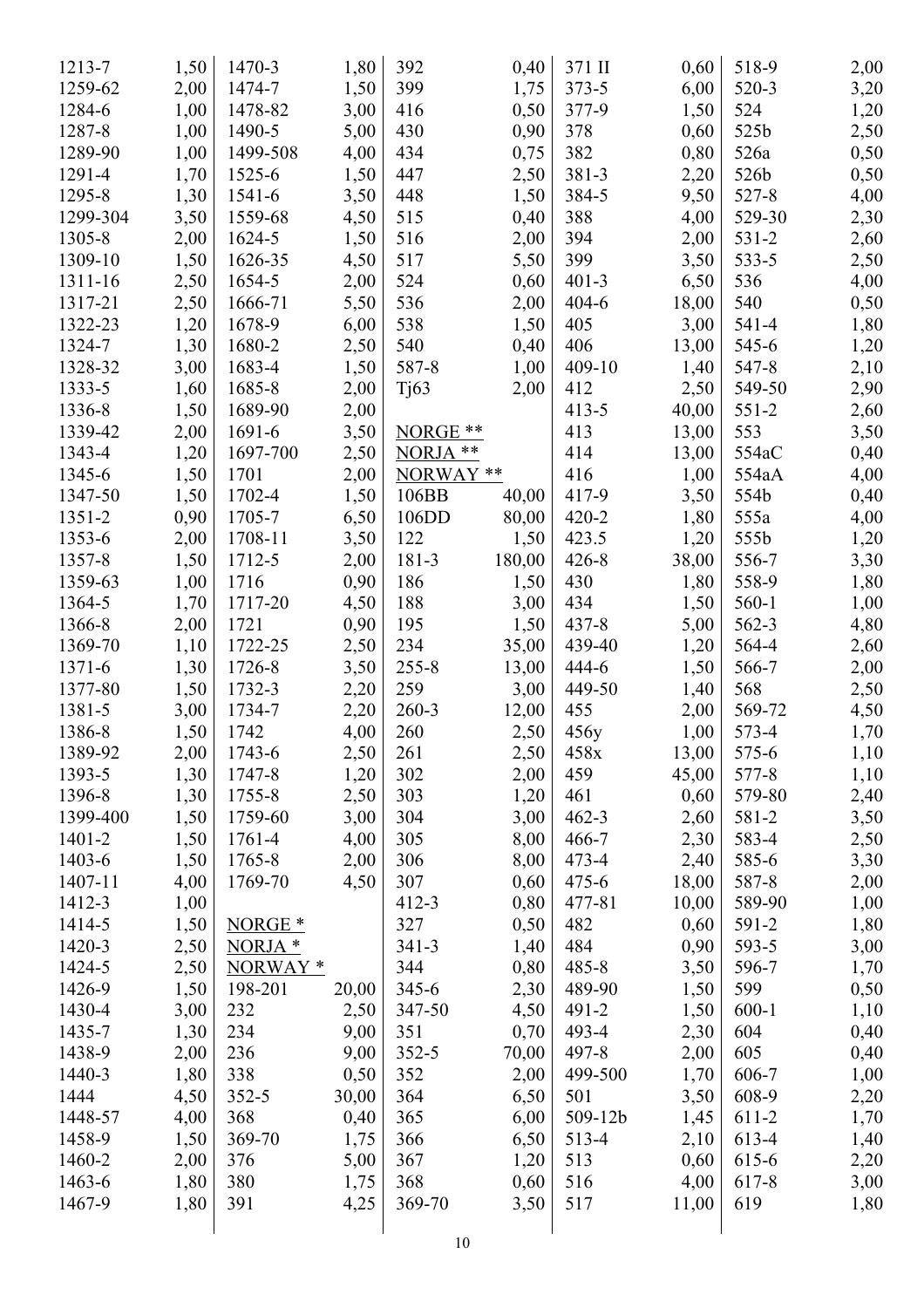| 1213-7   | 1,50 | 1470-3              | 1,80  | 392            | 0,40   | 371 II    | 0,60          | 518-9     | 2,00 |
|----------|------|---------------------|-------|----------------|--------|-----------|---------------|-----------|------|
| 1259-62  | 2,00 | 1474-7              | 1,50  | 399            | 1,75   | $373 - 5$ | 6,00          | 520-3     | 3,20 |
| 1284-6   | 1,00 | 1478-82             | 3,00  | 416            | 0,50   | 377-9     | 1,50          | 524       | 1,20 |
| 1287-8   | 1,00 | 1490-5              | 5,00  | 430            | 0,90   | 378       | 0,60          | 525b      | 2,50 |
| 1289-90  | 1,00 | 1499-508            | 4,00  | 434            | 0,75   | 382       | 0,80          | 526a      | 0,50 |
| 1291-4   | 1,70 | 1525-6              | 1,50  | 447            | 2,50   | 381-3     | 2,20          | 526b      | 0,50 |
| 1295-8   | 1,30 | 1541-6              | 3,50  | 448            | 1,50   | 384-5     | 9,50          | 527-8     | 4,00 |
| 1299-304 | 3,50 | 1559-68             | 4,50  | 515            | 0,40   | 388       | 4,00          | 529-30    | 2,30 |
| 1305-8   | 2,00 | 1624-5              | 1,50  | 516            | 2,00   | 394       | 2,00          | $531 - 2$ | 2,60 |
| 1309-10  | 1,50 | 1626-35             | 4,50  | 517            | 5,50   | 399       | 3,50          | 533-5     | 2,50 |
| 1311-16  | 2,50 | 1654-5              | 2,00  | 524            | 0,60   | $401 - 3$ | 6,50          | 536       | 4,00 |
| 1317-21  | 2,50 | 1666-71             | 5,50  | 536            | 2,00   | $404 - 6$ | 18,00         | 540       | 0,50 |
| 1322-23  | 1,20 | 1678-9              | 6,00  | 538            | 1,50   | 405       | 3,00          | 541-4     | 1,80 |
| 1324-7   | 1,30 | 1680-2              | 2,50  | 540            | 0,40   | 406       | 13,00         | 545-6     | 1,20 |
| 1328-32  | 3,00 | 1683-4              | 1,50  | 587-8          | 1,00   | 409-10    | 1,40          | 547-8     | 2,10 |
| 1333-5   | 1,60 | 1685-8              | 2,00  | Tj63           | 2,00   | 412       | 2,50          | 549-50    | 2,90 |
| 1336-8   | 1,50 | 1689-90             | 2,00  |                |        | $413 - 5$ | 40,00         | $551 - 2$ | 2,60 |
| 1339-42  | 2,00 | 1691-6              | 3,50  | NORGE **       |        | 413       | 13,00         | 553       | 3,50 |
| 1343-4   | 1,20 | 1697-700            | 2,50  | NORJA **       |        | 414       | 13,00         | 554aC     | 0,40 |
| 1345-6   | 1,50 | 1701                | 2,00  | NORWAY **      |        | 416       | 1,00          | 554aA     | 4,00 |
| 1347-50  | 1,50 | 1702-4              | 1,50  | 106BB          | 40,00  | 417-9     | 3,50          | 554b      | 0,40 |
| 1351-2   | 0,90 | 1705-7              | 6,50  | 106DD          | 80,00  | $420 - 2$ | 1,80          | 555a      | 4,00 |
| 1353-6   | 2,00 | 1708-11             | 3,50  | 122            | 1,50   | 423.5     | 1,20          | 555b      |      |
| 1357-8   |      | 1712-5              | 2,00  | 181-3          |        | $426 - 8$ |               | 556-7     | 1,20 |
| 1359-63  | 1,50 | 1716                |       | 186            | 180,00 | 430       | 38,00<br>1,80 | 558-9     | 3,30 |
| 1364-5   | 1,00 |                     | 0,90  | 188            | 1,50   | 434       |               | $560 - 1$ | 1,80 |
|          | 1,70 | 1717-20             | 4,50  |                | 3,00   |           | 1,50          |           | 1,00 |
| 1366-8   | 2,00 | 1721                | 0,90  | 195            | 1,50   | $437 - 8$ | 5,00          | 562-3     | 4,80 |
| 1369-70  | 1,10 | 1722-25             | 2,50  | 234            | 35,00  | 439-40    | 1,20          | 564-4     | 2,60 |
| 1371-6   | 1,30 | 1726-8              | 3,50  | $255 - 8$      | 13,00  | 444-6     | 1,50          | 566-7     | 2,00 |
| 1377-80  | 1,50 | 1732-3              | 2,20  | 259            | 3,00   | 449-50    | 1,40          | 568       | 2,50 |
| 1381-5   | 3,00 | 1734-7              | 2,20  | $260 - 3$      | 12,00  | 455       | 2,00          | 569-72    | 4,50 |
| 1386-8   | 1,50 | 1742                | 4,00  | 260            | 2,50   | 456y      | 1,00          | 573-4     | 1,70 |
| 1389-92  | 2,00 | 1743-6              | 2,50  | 261            | 2,50   | 458x      | 13,00         | 575-6     | 1,10 |
| 1393-5   | 1,30 | 1747-8              | 1,20  | 302            | 2,00   | 459       | 45,00         | 577-8     | 1,10 |
| 1396-8   | 1,30 | 1755-8              | 2,50  | 303            | 1,20   | 461       | 0,60          | 579-80    | 2,40 |
| 1399-400 | 1,50 | 1759-60             | 3,00  | 304            | 3,00   | $462 - 3$ | 2,60          | 581-2     | 3,50 |
| 1401-2   | 1,50 | 1761-4              | 4,00  | 305            | 8,00   | 466-7     | 2,30          | 583-4     | 2,50 |
| 1403-6   | 1,50 | 1765-8              | 2,00  | 306            | 8,00   | 473-4     | 2,40          | 585-6     | 3,30 |
| 1407-11  | 4,00 | 1769-70             | 4,50  | 307            | 0,60   | $475 - 6$ | 18,00         | 587-8     | 2,00 |
| 1412-3   | 1,00 |                     |       | $412 - 3$      | 0,80   | 477-81    | 10,00         | 589-90    | 1,00 |
| 1414-5   | 1,50 | NORGE <sup>*</sup>  |       | 327            | 0,50   | 482       | 0,60          | 591-2     | 1,80 |
| 1420-3   | 2,50 | NORJA *             |       | $341 - 3$      | 1,40   | 484       | 0,90          | 593-5     | 3,00 |
| 1424-5   | 2,50 | NORWAY <sup>*</sup> |       | 344            | 0,80   | $485 - 8$ | 3,50          | 596-7     | 1,70 |
| 1426-9   | 1,50 | 198-201             | 20,00 | $345 - 6$      | 2,30   | 489-90    | 1,50          | 599       | 0,50 |
| 1430-4   | 3,00 | 232                 | 2,50  | 347-50         | 4,50   | 491-2     | 1,50          | $600 - 1$ | 1,10 |
| 1435-7   | 1,30 | 234                 | 9,00  | 351            | 0,70   | 493-4     | 2,30          | 604       | 0,40 |
| 1438-9   | 2,00 | 236                 | 9,00  | $352 - 5$      | 70,00  | 497-8     | 2,00          | 605       | 0,40 |
| 1440-3   | 1,80 | 338                 | 0,50  | 352            | 2,00   | 499-500   | 1,70          | 606-7     | 1,00 |
| 1444     | 4,50 | $352 - 5$           | 30,00 | 364            | 6,50   | 501       | 3,50          | 608-9     | 2,20 |
| 1448-57  | 4,00 | 368                 | 0,40  | 365            | 6,00   | 509-12b   | 1,45          | 611-2     | 1,70 |
| 1458-9   | 1,50 | 369-70              | 1,75  | 366            | 6,50   | 513-4     | 2,10          | 613-4     | 1,40 |
| 1460-2   | 2,00 | 376                 | 5,00  | 367            | 1,20   | 513       | 0,60          | 615-6     | 2,20 |
| 1463-6   | 1,80 | 380                 | 1,75  | 368            | 0,60   | 516       | 4,00          | 617-8     | 3,00 |
| 1467-9   | 1,80 | 391                 | 4,25  | 369-70         | 3,50   | 517       | 11,00         | 619       | 1,80 |
|          |      |                     |       |                |        |           |               |           |      |
|          |      |                     |       | 1 <sub>0</sub> |        |           |               |           |      |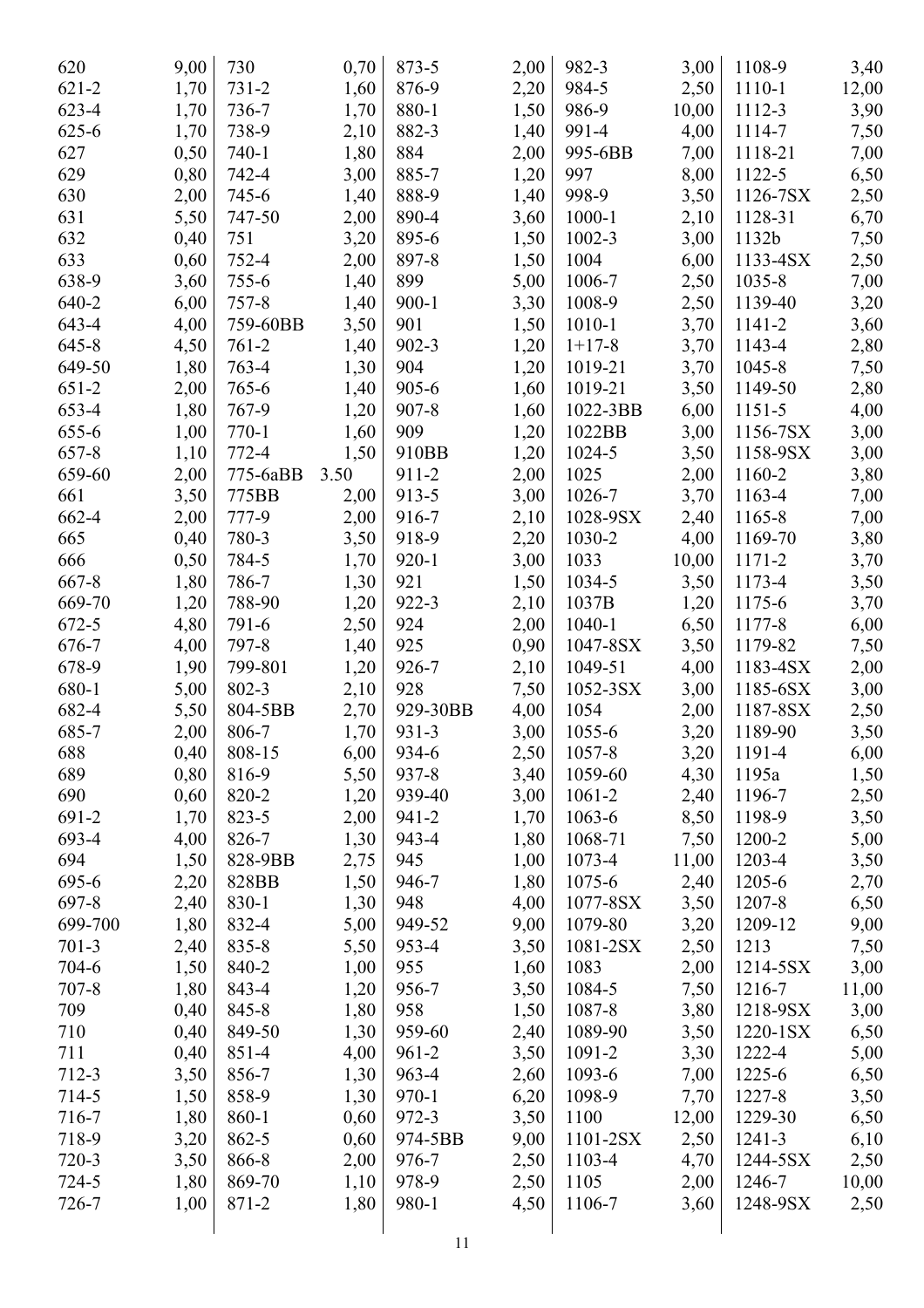| 620       | 9,00 | 730       | 0,70 | 873-5     | 2,00 | 982-3      | 3,00  | 1108-9   | 3,40         |
|-----------|------|-----------|------|-----------|------|------------|-------|----------|--------------|
| $621 - 2$ | 1,70 | $731 - 2$ | 1,60 | 876-9     | 2,20 | 984-5      | 2,50  | 1110-1   | 12,00        |
| 623-4     | 1,70 | 736-7     | 1,70 | 880-1     | 1,50 | 986-9      | 10,00 | 1112-3   | 3,90         |
| $625 - 6$ | 1,70 | 738-9     | 2,10 | 882-3     | 1,40 | 991-4      | 4,00  | 1114-7   | 7,50         |
| 627       | 0,50 | $740 - 1$ | 1,80 | 884       | 2,00 | 995-6BB    | 7,00  | 1118-21  | 7,00         |
| 629       | 0,80 | 742-4     | 3,00 | 885-7     | 1,20 | 997        | 8,00  | 1122-5   | 6,50         |
| 630       | 2,00 | 745-6     | 1,40 | 888-9     | 1,40 | 998-9      | 3,50  | 1126-7SX | 2,50         |
| 631       | 5,50 | 747-50    | 2,00 | 890-4     | 3,60 | $1000 - 1$ | 2,10  | 1128-31  | 6,70         |
| 632       | 0,40 | 751       | 3,20 | 895-6     | 1,50 | $1002 - 3$ | 3,00  | 1132b    | 7,50         |
| 633       | 0,60 | 752-4     | 2,00 | 897-8     | 1,50 | 1004       | 6,00  | 1133-4SX | 2,50         |
| 638-9     | 3,60 | 755-6     | 1,40 | 899       | 5,00 | 1006-7     | 2,50  | 1035-8   | 7,00         |
| 640-2     | 6,00 | $757 - 8$ | 1,40 | $900 - 1$ | 3,30 | 1008-9     | 2,50  | 1139-40  | 3,20         |
| 643-4     | 4,00 | 759-60BB  | 3,50 | 901       | 1,50 | $1010 - 1$ | 3,70  | 1141-2   | 3,60         |
| $645 - 8$ | 4,50 | $761 - 2$ | 1,40 | $902 - 3$ | 1,20 | $1+17-8$   | 3,70  | 1143-4   | 2,80         |
| 649-50    | 1,80 | 763-4     | 1,30 | 904       | 1,20 | 1019-21    | 3,70  | 1045-8   | 7,50         |
| $651-2$   | 2,00 | 765-6     | 1,40 | $905 - 6$ | 1,60 | 1019-21    | 3,50  | 1149-50  | 2,80         |
| 653-4     | 1,80 | 767-9     | 1,20 | $907 - 8$ | 1,60 | 1022-3BB   | 6,00  | 1151-5   | 4,00         |
| 655-6     | 1,00 | $770-1$   | 1,60 | 909       | 1,20 | 1022BB     | 3,00  | 1156-7SX | 3,00         |
| 657-8     | 1,10 | 772-4     | 1,50 | 910BB     | 1,20 | 1024-5     | 3,50  | 1158-9SX | 3,00         |
| 659-60    | 2,00 | 775-6aBB  | 3.50 | 911-2     | 2,00 | 1025       | 2,00  | 1160-2   | 3,80         |
| 661       | 3,50 | 775BB     | 2,00 | 913-5     | 3,00 | 1026-7     | 3,70  | 1163-4   | 7,00         |
| 662-4     | 2,00 | 777-9     | 2,00 | 916-7     | 2,10 | 1028-9SX   | 2,40  | 1165-8   | 7,00         |
| 665       | 0,40 | 780-3     | 3,50 | 918-9     | 2,20 | 1030-2     | 4,00  | 1169-70  | 3,80         |
| 666       | 0,50 | 784-5     | 1,70 | $920 - 1$ | 3,00 | 1033       | 10,00 | 1171-2   | 3,70         |
| $667 - 8$ | 1,80 | 786-7     | 1,30 | 921       | 1,50 | 1034-5     | 3,50  | 1173-4   | 3,50         |
| 669-70    | 1,20 | 788-90    | 1,20 | 922-3     | 2,10 | 1037B      | 1,20  | 1175-6   | 3,70         |
| 672-5     | 4,80 | 791-6     | 2,50 | 924       | 2,00 | $1040 - 1$ | 6,50  | 1177-8   | 6,00         |
| 676-7     | 4,00 | 797-8     | 1,40 | 925       | 0,90 | 1047-8SX   | 3,50  | 1179-82  | 7,50         |
| 678-9     | 1,90 | 799-801   | 1,20 | 926-7     | 2,10 | 1049-51    | 4,00  | 1183-4SX | 2,00         |
| 680-1     | 5,00 | 802-3     | 2,10 | 928       | 7,50 | 1052-3SX   | 3,00  | 1185-6SX | 3,00         |
| 682-4     | 5,50 | 804-5BB   | 2,70 | 929-30BB  | 4,00 | 1054       | 2,00  | 1187-8SX | 2,50         |
| 685-7     | 2,00 | 806-7     | 1,70 | 931-3     | 3,00 | 1055-6     | 3,20  | 1189-90  | 3,50         |
| 688       | 0,40 | 808-15    | 6,00 | 934-6     | 2,50 | 1057-8     | 3,20  | 1191-4   | 6,00         |
| 689       | 0,80 | 816-9     | 5,50 | 937-8     | 3,40 | 1059-60    | 4,30  | 1195a    | 1,50         |
| 690       | 0,60 | 820-2     | 1,20 | 939-40    | 3,00 | 1061-2     | 2,40  | 1196-7   | 2,50         |
| 691-2     | 1,70 | 823-5     | 2,00 | 941-2     | 1,70 | 1063-6     | 8,50  | 1198-9   | 3,50         |
| 693-4     | 4,00 | 826-7     | 1,30 | 943-4     | 1,80 | 1068-71    | 7,50  | 1200-2   | 5,00         |
| 694       | 1,50 | 828-9BB   | 2,75 | 945       | 1,00 | 1073-4     | 11,00 | 1203-4   | 3,50         |
| 695-6     | 2,20 | 828BB     | 1,50 | 946-7     | 1,80 | 1075-6     | 2,40  | 1205-6   |              |
| 697-8     | 2,40 | 830-1     | 1,30 | 948       | 4,00 | 1077-8SX   | 3,50  | 1207-8   | 2,70<br>6,50 |
| 699-700   | 1,80 | 832-4     | 5,00 | 949-52    | 9,00 | 1079-80    | 3,20  | 1209-12  | 9,00         |
| $701-3$   | 2,40 | 835-8     | 5,50 | 953-4     | 3,50 | 1081-2SX   | 2,50  | 1213     | 7,50         |
| 704-6     |      | 840-2     |      | 955       |      | 1083       | 2,00  | 1214-5SX |              |
| $707 - 8$ | 1,50 |           | 1,00 |           | 1,60 |            |       |          | 3,00         |
|           | 1,80 | 843-4     | 1,20 | 956-7     | 3,50 | 1084-5     | 7,50  | 1216-7   | 11,00        |
| 709       | 0,40 | 845-8     | 1,80 | 958       | 1,50 | 1087-8     | 3,80  | 1218-9SX | 3,00         |
| 710       | 0,40 | 849-50    | 1,30 | 959-60    | 2,40 | 1089-90    | 3,50  | 1220-1SX | 6,50         |
| 711       | 0,40 | 851-4     | 4,00 | $961 - 2$ | 3,50 | 1091-2     | 3,30  | 1222-4   | 5,00         |
| 712-3     | 3,50 | 856-7     | 1,30 | 963-4     | 2,60 | 1093-6     | 7,00  | 1225-6   | 6,50         |
| 714-5     | 1,50 | 858-9     | 1,30 | $970 - 1$ | 6,20 | 1098-9     | 7,70  | 1227-8   | 3,50         |
| 716-7     | 1,80 | 860-1     | 0,60 | 972-3     | 3,50 | 1100       | 12,00 | 1229-30  | 6,50         |
| 718-9     | 3,20 | 862-5     | 0,60 | 974-5BB   | 9,00 | 1101-2SX   | 2,50  | 1241-3   | 6,10         |
| $720-3$   | 3,50 | 866-8     | 2,00 | 976-7     | 2,50 | 1103-4     | 4,70  | 1244-5SX | 2,50         |
| $724 - 5$ | 1,80 | 869-70    | 1,10 | 978-9     | 2,50 | 1105       | 2,00  | 1246-7   | 10,00        |
| 726-7     | 1,00 | 871-2     | 1,80 | 980-1     | 4,50 | 1106-7     | 3,60  | 1248-9SX | 2,50         |
|           |      |           |      |           |      |            |       |          |              |
|           |      |           |      | 11        |      |            |       |          |              |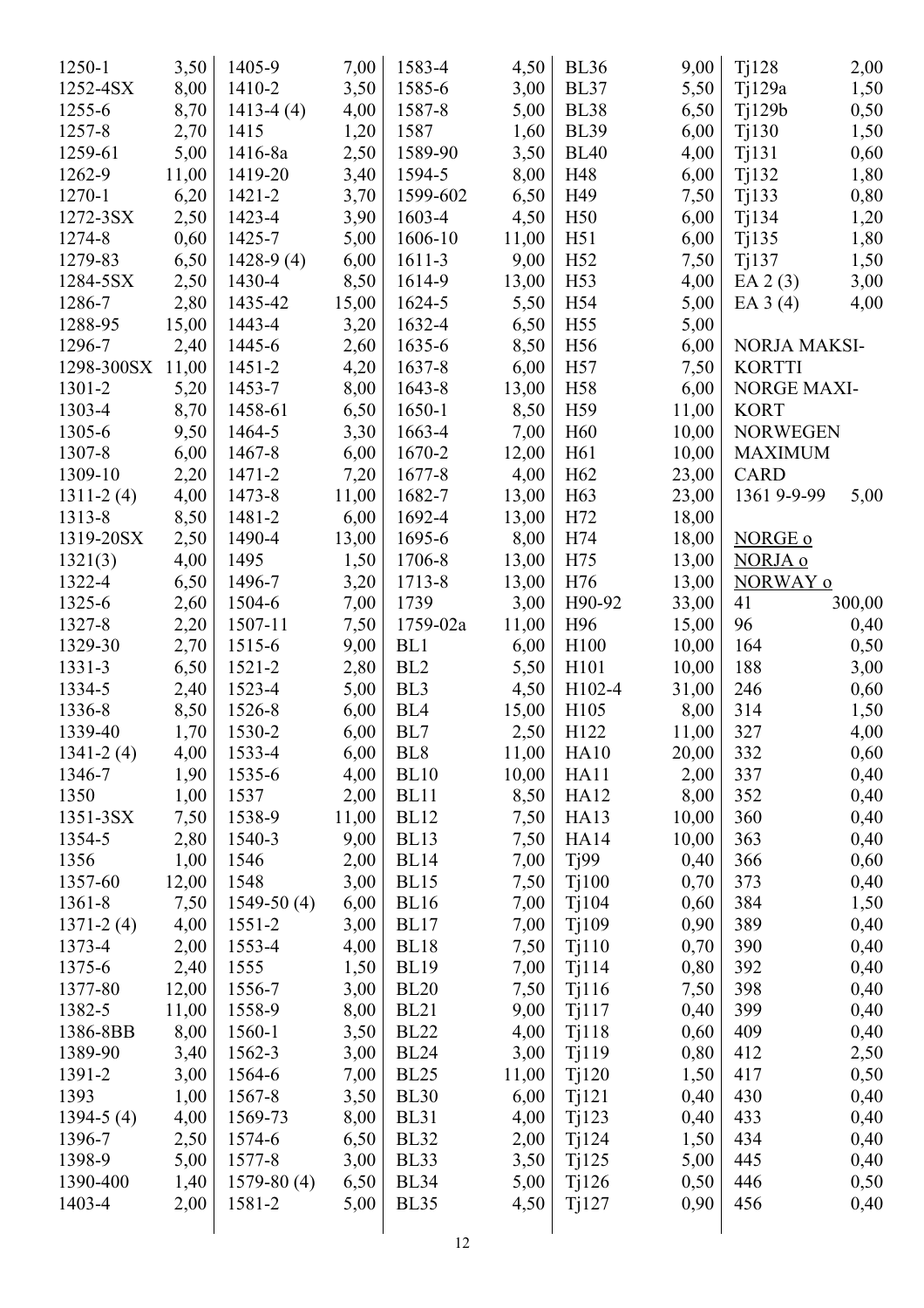| 1250-1           | 3,50         | 1405-9               | 7,00  | 1583-4          | 4,50  | <b>BL36</b>      | 9,00  | Ti128               | 2,00   |
|------------------|--------------|----------------------|-------|-----------------|-------|------------------|-------|---------------------|--------|
| 1252-4SX         | 8,00         | 1410-2               | 3,50  | 1585-6          | 3,00  | <b>BL37</b>      | 5,50  | T <sub>1</sub> 129a | 1,50   |
| 1255-6           | 8,70         | $1413-4(4)$          | 4,00  | 1587-8          | 5,00  | <b>BL38</b>      | 6,50  | $T_1129b$           | 0,50   |
| 1257-8           | 2,70         | 1415                 | 1,20  | 1587            | 1,60  | <b>BL39</b>      | 6,00  | Tj130               | 1,50   |
| 1259-61          | 5,00         | 1416-8a              | 2,50  | 1589-90         | 3,50  | <b>BL40</b>      | 4,00  | Tj131               | 0,60   |
| 1262-9           | 11,00        | 1419-20              | 3,40  | 1594-5          | 8,00  | H48              | 6,00  | Tj132               | 1,80   |
| 1270-1           | 6,20         | 1421-2               | 3,70  | 1599-602        | 6,50  | H49              | 7,50  | Tj133               | 0,80   |
| 1272-3SX         | 2,50         | 1423-4               | 3,90  | 1603-4          | 4,50  | H <sub>50</sub>  | 6,00  | Tj134               | 1,20   |
| 1274-8           | 0,60         | 1425-7               | 5,00  | 1606-10         | 11,00 | H51              | 6,00  | Tj135               | 1,80   |
| 1279-83          | 6,50         | $1428-9(4)$          | 6,00  | 1611-3          | 9,00  | H <sub>52</sub>  | 7,50  | Ti137               | 1,50   |
| 1284-5SX         | 2,50         | 1430-4               | 8,50  | 1614-9          | 13,00 | H <sub>53</sub>  | 4,00  | EA $2(3)$           | 3,00   |
| 1286-7           | 2,80         | 1435-42              | 15,00 | 1624-5          | 5,50  | H <sub>54</sub>  | 5,00  | EA $3(4)$           | 4,00   |
| 1288-95          | 15,00        | 1443-4               | 3,20  | 1632-4          | 6,50  | H <sub>55</sub>  | 5,00  |                     |        |
| 1296-7           | 2,40         | 1445-6               | 2,60  | 1635-6          | 8,50  | H56              | 6,00  | NORJA MAKSI-        |        |
| 1298-300SX 11,00 |              | $1451 - 2$           | 4,20  | 1637-8          | 6,00  | H <sub>57</sub>  | 7,50  | <b>KORTTI</b>       |        |
| 1301-2           | 5,20         | 1453-7               | 8,00  | 1643-8          | 13,00 | H <sub>58</sub>  | 6,00  | <b>NORGE MAXI-</b>  |        |
| 1303-4           | 8,70         | 1458-61              | 6,50  | 1650-1          | 8,50  | H <sub>59</sub>  | 11,00 | <b>KORT</b>         |        |
| 1305-6           | 9,50         | 1464-5               | 3,30  | 1663-4          | 7,00  | H <sub>60</sub>  | 10,00 | <b>NORWEGEN</b>     |        |
| 1307-8           | 6,00         | 1467-8               | 6,00  | 1670-2          | 12,00 | H <sub>61</sub>  | 10,00 | <b>MAXIMUM</b>      |        |
| 1309-10          | 2,20         | 1471-2               | 7,20  | 1677-8          | 4,00  | H <sub>62</sub>  | 23,00 | <b>CARD</b>         |        |
| $1311 - 2(4)$    | 4,00         | 1473-8               | 11,00 | 1682-7          | 13,00 | H <sub>63</sub>  | 23,00 | 1361 9-9-99         | 5,00   |
| 1313-8           | 8,50         | 1481-2               | 6,00  | 1692-4          | 13,00 | H72              | 18,00 |                     |        |
| 1319-20SX        | 2,50         | 1490-4               | 13,00 | 1695-6          | 8,00  | H74              | 18,00 | NORGE o             |        |
| 1321(3)          | 4,00         | 1495                 | 1,50  | 1706-8          | 13,00 | H75              | 13,00 | NORJA o             |        |
| 1322-4           | 6,50         | 1496-7               | 3,20  | 1713-8          | 13,00 | H76              | 13,00 | NORWAY o            |        |
| 1325-6           | 2,60         | 1504-6               | 7,00  | 1739            | 3,00  | H90-92           | 33,00 | 41                  | 300,00 |
| 1327-8           |              | 1507-11              | 7,50  | 1759-02a        | 11,00 | H96              | 15,00 | 96                  |        |
| 1329-30          | 2,20<br>2,70 | 1515-6               | 9,00  | BL1             |       | H <sub>100</sub> | 10,00 | 164                 | 0,40   |
| 1331-3           |              |                      |       | BL <sub>2</sub> | 6,00  |                  |       | 188                 | 0,50   |
| 1334-5           | 6,50         | $1521 - 2$<br>1523-4 | 2,80  | BL <sub>3</sub> | 5,50  | H101<br>H102-4   | 10,00 | 246                 | 3,00   |
| 1336-8           | 2,40         |                      | 5,00  | BL <sub>4</sub> | 4,50  |                  | 31,00 |                     | 0,60   |
| 1339-40          | 8,50         | 1526-8               | 6,00  | BL7             | 15,00 | H105<br>H122     | 8,00  | 314                 | 1,50   |
|                  | 1,70         | 1530-2               | 6,00  |                 | 2,50  |                  | 11,00 | 327                 | 4,00   |
| $1341 - 2(4)$    | 4,00         | 1533-4               | 6,00  | BL <sub>8</sub> | 11,00 | HA10             | 20,00 | 332                 | 0,60   |
| 1346-7           | 1,90         | 1535-6               | 4,00  | <b>BL10</b>     | 10,00 | HA11             | 2,00  | 337                 | 0,40   |
| 1350             | 1,00         | 1537                 | 2,00  | BL11            | 8,50  | HA12             | 8,00  | 352                 | 0,40   |
| 1351-3SX         | 7,50         | 1538-9               | 11,00 | <b>BL12</b>     | 7,50  | HA13             | 10,00 | 360                 | 0,40   |
| 1354-5           | 2,80         | 1540-3               | 9,00  | <b>BL13</b>     | 7,50  | <b>HA14</b>      | 10,00 | 363                 | 0,40   |
| 1356             | 1,00         | 1546                 | 2,00  | <b>BL14</b>     | 7,00  | Tj99             | 0,40  | 366                 | 0,60   |
| 1357-60          | 12,00        | 1548                 | 3,00  | <b>BL15</b>     | 7,50  | Tj100            | 0,70  | 373                 | 0,40   |
| 1361-8           | 7,50         | $1549-50(4)$         | 6,00  | <b>BL16</b>     | 7,00  | Ti104            | 0,60  | 384                 | 1,50   |
| $1371 - 2(4)$    | 4,00         | 1551-2               | 3,00  | BL17            | 7,00  | Tj109            | 0,90  | 389                 | 0,40   |
| 1373-4           | 2,00         | 1553-4               | 4,00  | <b>BL18</b>     | 7,50  | Tj110            | 0,70  | 390                 | 0,40   |
| 1375-6           | 2,40         | 1555                 | 1,50  | <b>BL19</b>     | 7,00  | Tj114            | 0,80  | 392                 | 0,40   |
| 1377-80          | 12,00        | 1556-7               | 3,00  | <b>BL20</b>     | 7,50  | Tj116            | 7,50  | 398                 | 0,40   |
| 1382-5           | 11,00        | 1558-9               | 8,00  | <b>BL21</b>     | 9,00  | Tj117            | 0,40  | 399                 | 0,40   |
| 1386-8BB         | 8,00         | 1560-1               | 3,50  | <b>BL22</b>     | 4,00  | Tj118            | 0,60  | 409                 | 0,40   |
| 1389-90          | 3,40         | 1562-3               | 3,00  | <b>BL24</b>     | 3,00  | Tj119            | 0,80  | 412                 | 2,50   |
| 1391-2           | 3,00         | 1564-6               | 7,00  | <b>BL25</b>     | 11,00 | Tj120            | 1,50  | 417                 | 0,50   |
| 1393             | 1,00         | 1567-8               | 3,50  | <b>BL30</b>     | 6,00  | Tj121            | 0,40  | 430                 | 0,40   |
| $1394-5(4)$      | 4,00         | 1569-73              | 8,00  | <b>BL31</b>     | 4,00  | Tj123            | 0,40  | 433                 | 0,40   |
| 1396-7           | 2,50         | 1574-6               | 6,50  | <b>BL32</b>     | 2,00  | Tj124            | 1,50  | 434                 | 0,40   |
| 1398-9           | 5,00         | 1577-8               | 3,00  | <b>BL33</b>     | 3,50  | Tj125            | 5,00  | 445                 | 0,40   |
| 1390-400         | 1,40         | $1579-80(4)$         | 6,50  | <b>BL34</b>     | 5,00  | Ti126            | 0,50  | 446                 | 0,50   |
| 1403-4           | 2,00         | 1581-2               | 5,00  | <b>BL35</b>     | 4,50  | Ti127            | 0,90  | 456                 | 0,40   |
|                  |              |                      |       | 12              |       |                  |       |                     |        |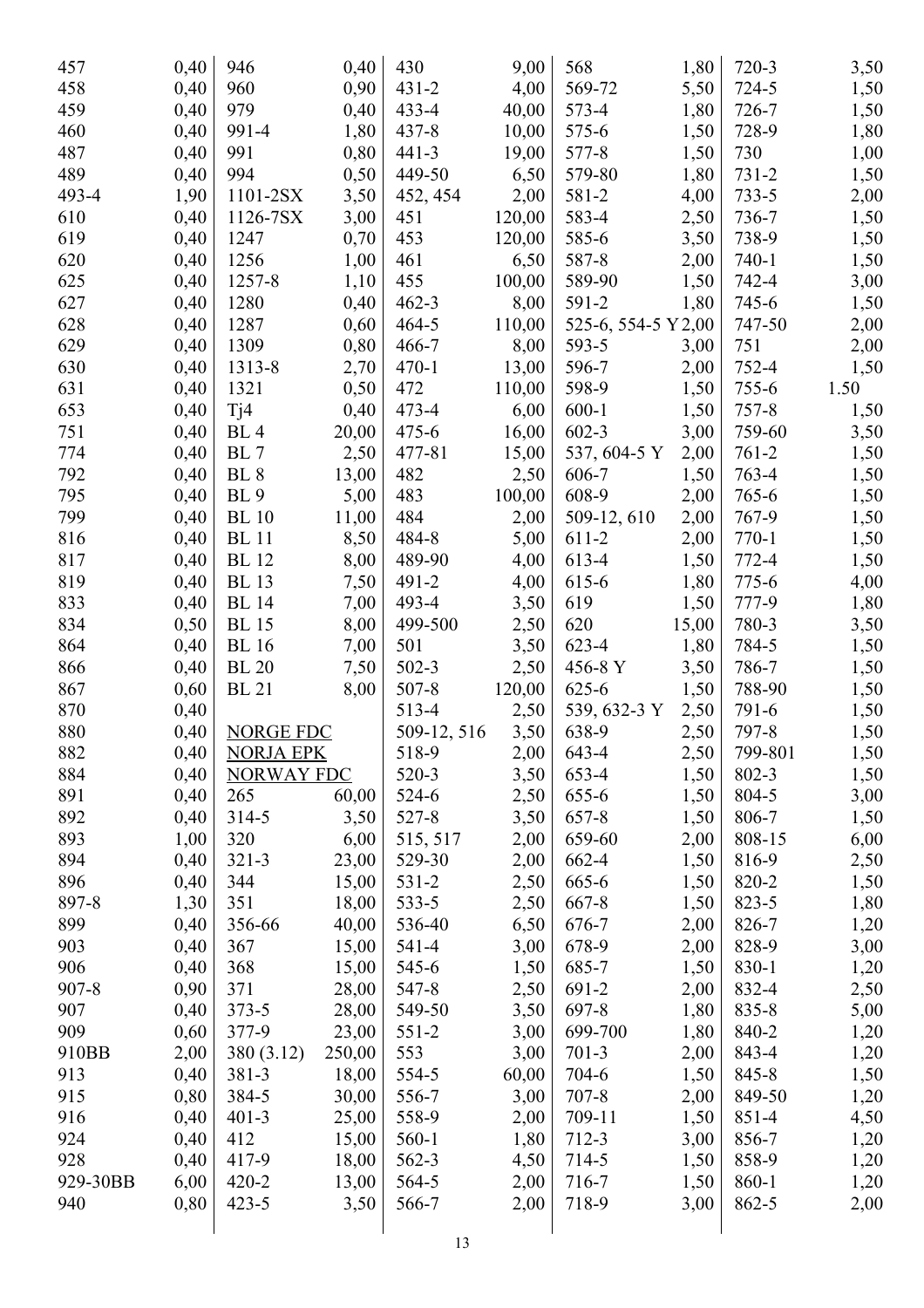| 457       | 0,40 | 946                    | 0,40   | 430         | 9,00   | 568                 | 1,80  | 720-3     | 3,50 |
|-----------|------|------------------------|--------|-------------|--------|---------------------|-------|-----------|------|
| 458       | 0,40 | 960                    | 0,90   | $431 - 2$   | 4,00   | 569-72              | 5,50  | 724-5     | 1,50 |
| 459       | 0,40 | 979                    | 0,40   | $433 - 4$   | 40,00  | 573-4               | 1,80  | 726-7     | 1,50 |
| 460       | 0,40 | 991-4                  | 1,80   | 437-8       | 10,00  | 575-6               | 1,50  | 728-9     | 1,80 |
| 487       | 0,40 | 991                    | 0,80   | $441 - 3$   | 19,00  | 577-8               | 1,50  | 730       | 1,00 |
| 489       | 0,40 | 994                    | 0,50   | 449-50      | 6,50   | 579-80              | 1,80  | $731 - 2$ | 1,50 |
| 493-4     | 1,90 | 1101-2SX               | 3,50   | 452, 454    | 2,00   | 581-2               | 4,00  | $733 - 5$ | 2,00 |
| 610       | 0,40 | 1126-7SX               | 3,00   | 451         | 120,00 | 583-4               | 2,50  | 736-7     | 1,50 |
| 619       | 0,40 | 1247                   | 0,70   | 453         | 120,00 | 585-6               | 3,50  | 738-9     |      |
|           |      |                        |        |             |        | 587-8               |       | $740 - 1$ | 1,50 |
| 620       | 0,40 | 1256                   | 1,00   | 461         | 6,50   |                     | 2,00  |           | 1,50 |
| 625       | 0,40 | 1257-8                 | 1,10   | 455         | 100,00 | 589-90              | 1,50  | 742-4     | 3,00 |
| 627       | 0,40 | 1280                   | 0,40   | $462 - 3$   | 8,00   | 591-2               | 1,80  | 745-6     | 1,50 |
| 628       | 0,40 | 1287                   | 0,60   | $464 - 5$   | 110,00 | 525-6, 554-5 Y 2,00 |       | 747-50    | 2,00 |
| 629       | 0,40 | 1309                   | 0,80   | 466-7       | 8,00   | 593-5               | 3,00  | 751       | 2,00 |
| 630       | 0,40 | 1313-8                 | 2,70   | $470-1$     | 13,00  | 596-7               | 2,00  | 752-4     | 1,50 |
| 631       | 0,40 | 1321                   | 0,50   | 472         | 110,00 | 598-9               | 1,50  | $755 - 6$ | 1.50 |
| 653       | 0,40 | Ti4                    | 0,40   | $473 - 4$   | 6,00   | $600-1$             | 1,50  | 757-8     | 1,50 |
| 751       | 0,40 | BL <sub>4</sub>        | 20,00  | $475 - 6$   | 16,00  | $602 - 3$           | 3,00  | 759-60    | 3,50 |
| 774       | 0,40 | BL 7                   | 2,50   | 477-81      | 15,00  | 537, 604-5 Y        | 2,00  | $761 - 2$ | 1,50 |
| 792       | 0,40 | BL <sub>8</sub>        | 13,00  | 482         | 2,50   | 606-7               | 1,50  | 763-4     | 1,50 |
| 795       | 0,40 | <b>BL</b> <sub>9</sub> | 5,00   | 483         | 100,00 | 608-9               | 2,00  | 765-6     | 1,50 |
| 799       | 0,40 | <b>BL</b> 10           | 11,00  | 484         | 2,00   | 509-12, 610         | 2,00  | 767-9     | 1,50 |
| 816       | 0,40 | <b>BL</b> 11           | 8,50   | 484-8       | 5,00   | 611-2               | 2,00  | $770 - 1$ | 1,50 |
| 817       | 0,40 | <b>BL</b> 12           | 8,00   | 489-90      | 4,00   | 613-4               | 1,50  | 772-4     | 1,50 |
| 819       | 0,40 | <b>BL</b> 13           | 7,50   | 491-2       | 4,00   | 615-6               | 1,80  | 775-6     | 4,00 |
| 833       | 0,40 | <b>BL</b> 14           | 7,00   | 493-4       | 3,50   | 619                 | 1,50  | 777-9     | 1,80 |
| 834       | 0,50 | <b>BL</b> 15           | 8,00   | 499-500     | 2,50   | 620                 | 15,00 | 780-3     | 3,50 |
| 864       | 0,40 | <b>BL</b> 16           | 7,00   | 501         | 3,50   | 623-4               | 1,80  | 784-5     | 1,50 |
| 866       | 0,40 | <b>BL</b> 20           | 7,50   | $502-3$     | 2,50   | 456-8 Y             | 3,50  | 786-7     | 1,50 |
| 867       | 0,60 | <b>BL</b> 21           | 8,00   | $507 - 8$   | 120,00 | 625-6               | 1,50  | 788-90    | 1,50 |
| 870       | 0,40 |                        |        | 513-4       | 2,50   | 539, 632-3 Y        | 2,50  | 791-6     | 1,50 |
| 880       | 0,40 | <b>NORGE FDC</b>       |        | 509-12, 516 | 3,50   | 638-9               | 2,50  | 797-8     | 1,50 |
| 882       | 0,40 | <b>NORJA EPK</b>       |        | 518-9       | 2,00   | 643-4               | 2,50  | 799-801   | 1,50 |
| 884       | 0,40 | <b>NORWAY FDC</b>      |        | 520-3       | 3,50   | 653-4               | 1,50  | 802-3     | 1,50 |
| 891       | 0,40 | 265                    | 60,00  | 524-6       | 2,50   | 655-6               | 1,50  | 804-5     | 3,00 |
| 892       | 0,40 | $314 - 5$              | 3,50   | 527-8       | 3,50   | 657-8               | 1,50  | 806-7     | 1,50 |
| 893       | 1,00 | 320                    | 6,00   | 515, 517    | 2,00   | 659-60              | 2,00  | 808-15    | 6,00 |
| 894       |      |                        |        | 529-30      |        |                     |       |           |      |
|           | 0,40 | $321 - 3$              | 23,00  |             | 2,00   | 662-4               | 1,50  | 816-9     | 2,50 |
| 896       | 0,40 | 344                    | 15,00  | $531 - 2$   | 2,50   | 665-6               | 1,50  | 820-2     | 1,50 |
| 897-8     | 1,30 | 351                    | 18,00  | 533-5       | 2,50   | 667-8               | 1,50  | 823-5     | 1,80 |
| 899       | 0,40 | 356-66                 | 40,00  | 536-40      | 6,50   | 676-7               | 2,00  | 826-7     | 1,20 |
| 903       | 0,40 | 367                    | 15,00  | 541-4       | 3,00   | 678-9               | 2,00  | 828-9     | 3,00 |
| 906       | 0,40 | 368                    | 15,00  | 545-6       | 1,50   | 685-7               | 1,50  | 830-1     | 1,20 |
| $907 - 8$ | 0,90 | 371                    | 28,00  | 547-8       | 2,50   | 691-2               | 2,00  | 832-4     | 2,50 |
| 907       | 0,40 | $373 - 5$              | 28,00  | 549-50      | 3,50   | 697-8               | 1,80  | $835 - 8$ | 5,00 |
| 909       | 0,60 | 377-9                  | 23,00  | $551-2$     | 3,00   | 699-700             | 1,80  | 840-2     | 1,20 |
| 910BB     | 2,00 | 380 (3.12)             | 250,00 | 553         | 3,00   | $701-3$             | 2,00  | 843-4     | 1,20 |
| 913       | 0,40 | 381-3                  | 18,00  | 554-5       | 60,00  | 704-6               | 1,50  | 845-8     | 1,50 |
| 915       | 0,80 | 384-5                  | 30,00  | 556-7       | 3,00   | $707 - 8$           | 2,00  | 849-50    | 1,20 |
| 916       | 0,40 | $401 - 3$              | 25,00  | 558-9       | 2,00   | 709-11              | 1,50  | 851-4     | 4,50 |
| 924       | 0,40 | 412                    | 15,00  | 560-1       | 1,80   | 712-3               | 3,00  | 856-7     | 1,20 |
| 928       | 0,40 | 417-9                  | 18,00  | 562-3       | 4,50   | 714-5               | 1,50  | 858-9     | 1,20 |
| 929-30BB  | 6,00 | $420 - 2$              | 13,00  | 564-5       | 2,00   | 716-7               | 1,50  | 860-1     | 1,20 |
| 940       | 0,80 | $423 - 5$              | 3,50   | 566-7       | 2,00   | 718-9               | 3,00  | 862-5     | 2,00 |
|           |      |                        |        |             |        |                     |       |           |      |
|           |      |                        |        | 12          |        |                     |       |           |      |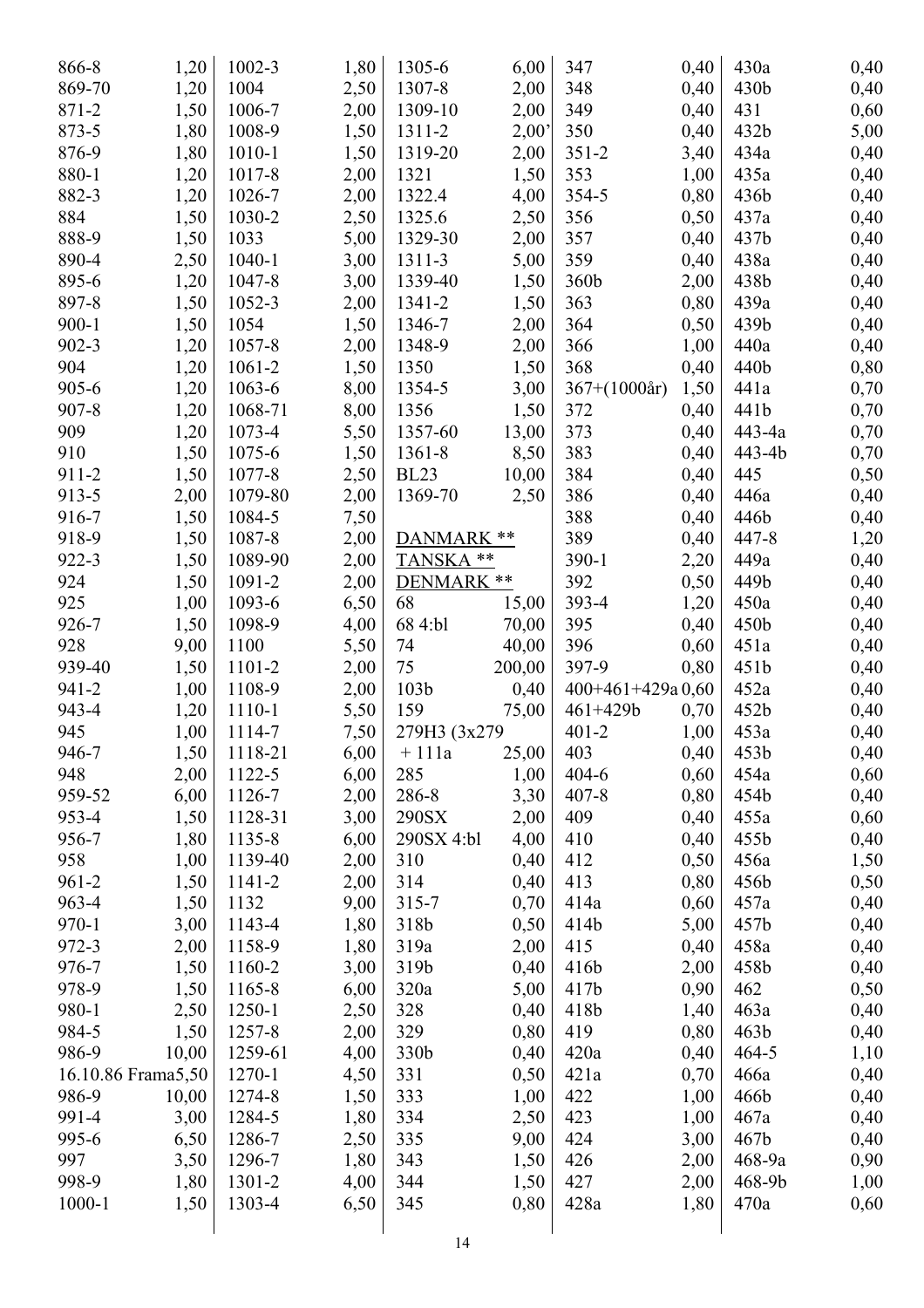| 866-8              | 1,20  | 1002-3  | 1,80 | 1305-6           | 6,00   | 347                   | 0,40 | 430a             | 0,40 |
|--------------------|-------|---------|------|------------------|--------|-----------------------|------|------------------|------|
| 869-70             | 1,20  | 1004    | 2,50 | 1307-8           | 2,00   | 348                   | 0,40 | 430b             | 0,40 |
| 871-2              | 1,50  | 1006-7  | 2,00 | 1309-10          | 2,00   | 349                   | 0,40 | 431              | 0,60 |
| 873-5              | 1,80  | 1008-9  | 1,50 | 1311-2           | 2,00'  | 350                   | 0,40 | 432b             | 5,00 |
| 876-9              | 1,80  | 1010-1  | 1,50 | 1319-20          | 2,00   | $351 - 2$             | 3,40 | 434a             | 0,40 |
| 880-1              | 1,20  | 1017-8  | 2,00 | 1321             | 1,50   | 353                   | 1,00 | 435a             | 0,40 |
| 882-3              | 1,20  | 1026-7  | 2,00 | 1322.4           | 4,00   | 354-5                 | 0,80 | 436b             | 0,40 |
| 884                | 1,50  | 1030-2  | 2,50 | 1325.6           | 2,50   | 356                   | 0,50 | 437a             | 0,40 |
| 888-9              | 1,50  | 1033    | 5,00 | 1329-30          | 2,00   | 357                   | 0,40 | 437b             | 0,40 |
| 890-4              | 2,50  | 1040-1  | 3,00 | 1311-3           | 5,00   | 359                   | 0,40 | 438a             | 0,40 |
| 895-6              | 1,20  | 1047-8  | 3,00 | 1339-40          | 1,50   | 360b                  | 2,00 | 438b             | 0,40 |
| 897-8              | 1,50  | 1052-3  | 2,00 | 1341-2           | 1,50   | 363                   | 0,80 | 439a             | 0,40 |
| $900 - 1$          | 1,50  | 1054    | 1,50 | 1346-7           | 2,00   | 364                   | 0,50 | 439b             | 0,40 |
| $902 - 3$          | 1,20  | 1057-8  | 2,00 | 1348-9           | 2,00   | 366                   | 1,00 | 440a             | 0,40 |
| 904                | 1,20  | 1061-2  | 1,50 | 1350             | 1,50   | 368                   | 0,40 | 440b             | 0,80 |
| 905-6              | 1,20  | 1063-6  | 8,00 | 1354-5           | 3,00   | $367+(1000\text{ar})$ | 1,50 | 441a             | 0,70 |
| $907 - 8$          | 1,20  | 1068-71 | 8,00 | 1356             | 1,50   | 372                   | 0,40 | 441b             | 0,70 |
| 909                | 1,20  | 1073-4  | 5,50 | 1357-60          | 13,00  | 373                   | 0,40 | 443-4a           | 0,70 |
| 910                | 1,50  | 1075-6  | 1,50 | 1361-8           | 8,50   | 383                   | 0,40 | 443-4b           | 0,70 |
| 911-2              | 1,50  | 1077-8  | 2,50 | <b>BL23</b>      | 10,00  | 384                   | 0,40 | 445              | 0,50 |
| 913-5              | 2,00  | 1079-80 | 2,00 | 1369-70          | 2,50   | 386                   | 0,40 | 446a             | 0,40 |
| 916-7              | 1,50  | 1084-5  | 7,50 |                  |        | 388                   | 0,40 | 446b             | 0,40 |
| 918-9              | 1,50  | 1087-8  | 2,00 | DANMARK **       |        | 389                   | 0,40 | 447-8            | 1,20 |
| 922-3              | 1,50  | 1089-90 | 2,00 | TANSKA**         |        | $390 - 1$             | 2,20 | 449a             | 0,40 |
| 924                | 1,50  | 1091-2  | 2,00 | DENMARK **       |        | 392                   | 0,50 | 449b             | 0,40 |
| 925                | 1,00  | 1093-6  | 6,50 | 68               | 15,00  | 393-4                 | 1,20 | 450a             | 0,40 |
| 926-7              | 1,50  | 1098-9  | 4,00 | 68 4:bl          | 70,00  | 395                   | 0,40 | 450b             | 0,40 |
| 928                | 9,00  | 1100    | 5,50 | 74               | 40,00  | 396                   | 0,60 | 451a             | 0,40 |
| 939-40             | 1,50  | 1101-2  | 2,00 | 75               | 200,00 | 397-9                 | 0,80 | 451b             | 0,40 |
| 941-2              | 1,00  | 1108-9  | 2,00 | 103 <sub>b</sub> | 0,40   | $400+461+429a0,60$    |      | 452a             | 0,40 |
| 943-4              | 1,20  | 1110-1  | 5,50 | 159              | 75,00  | $461 + 429b$          | 0,70 | 452b             | 0,40 |
| 945                | 1,00  | 1114-7  | 7,50 | 279H3 (3x279)    |        | $401 - 2$             | 1,00 | 453a             | 0,40 |
| 946-7              | 1,50  | 1118-21 | 6,00 | $+111a$          | 25,00  | 403                   | 0,40 | 453b             | 0,40 |
| 948                | 2,00  | 1122-5  | 6,00 | 285              | 1,00   | $404 - 6$             | 0,60 | 454a             | 0,60 |
| 959-52             | 6,00  | 1126-7  | 2,00 | 286-8            | 3,30   | $407 - 8$             | 0,80 | 454b             | 0,40 |
| 953-4              | 1,50  | 1128-31 | 3,00 | 290SX            | 2,00   | 409                   | 0,40 | 455a             | 0,60 |
| 956-7              | 1,80  | 1135-8  | 6,00 | 290SX 4:bl       | 4,00   | 410                   | 0,40 | 455b             | 0,40 |
| 958                | 1,00  | 1139-40 | 2,00 | 310              | 0,40   | 412                   | 0,50 | 456a             | 1,50 |
| $961 - 2$          | 1,50  | 1141-2  | 2,00 | 314              | 0,40   | 413                   | 0,80 | 456b             | 0,50 |
| 963-4              | 1,50  | 1132    | 9,00 | $315 - 7$        | 0,70   | 414a                  | 0,60 | 457a             | 0,40 |
| $970 - 1$          | 3,00  | 1143-4  | 1,80 | 318b             | 0,50   | 414b                  | 5,00 | 457b             | 0,40 |
| 972-3              | 2,00  | 1158-9  | 1,80 | 319a             | 2,00   | 415                   | 0,40 | 458a             | 0,40 |
| 976-7              | 1,50  | 1160-2  | 3,00 | 319b             | 0,40   | 416b                  | 2,00 | 458b             | 0,40 |
| 978-9              | 1,50  | 1165-8  | 6,00 | 320a             | 5,00   | 417 <sub>b</sub>      | 0,90 | 462              | 0,50 |
| 980-1              | 2,50  | 1250-1  | 2,50 | 328              | 0,40   | 418b                  | 1,40 | 463a             | 0,40 |
| 984-5              | 1,50  | 1257-8  | 2,00 | 329              | 0,80   | 419                   | 0,80 | 463 <sub>b</sub> | 0,40 |
| 986-9              | 10,00 | 1259-61 | 4,00 | 330b             | 0,40   | 420a                  | 0,40 | $464 - 5$        | 1,10 |
| 16.10.86 Frama5,50 |       | 1270-1  | 4,50 | 331              | 0,50   | 421a                  | 0,70 | 466a             | 0,40 |
| 986-9              | 10,00 | 1274-8  | 1,50 | 333              | 1,00   | 422                   | 1,00 | 466b             | 0,40 |
| 991-4              | 3,00  | 1284-5  | 1,80 | 334              | 2,50   | 423                   | 1,00 | 467a             | 0,40 |
| 995-6              | 6,50  | 1286-7  | 2,50 | 335              | 9,00   | 424                   | 3,00 | 467b             | 0,40 |
| 997                | 3,50  | 1296-7  | 1,80 | 343              | 1,50   | 426                   | 2,00 | 468-9a           | 0,90 |
| 998-9              | 1,80  | 1301-2  | 4,00 | 344              | 1,50   | 427                   | 2,00 | 468-9b           | 1,00 |
| $1000 - 1$         | 1,50  | 1303-4  | 6,50 | 345              | 0,80   | 428a                  | 1,80 | 470a             | 0,60 |
|                    |       |         |      |                  |        |                       |      |                  |      |
|                    |       |         |      | 14               |        |                       |      |                  |      |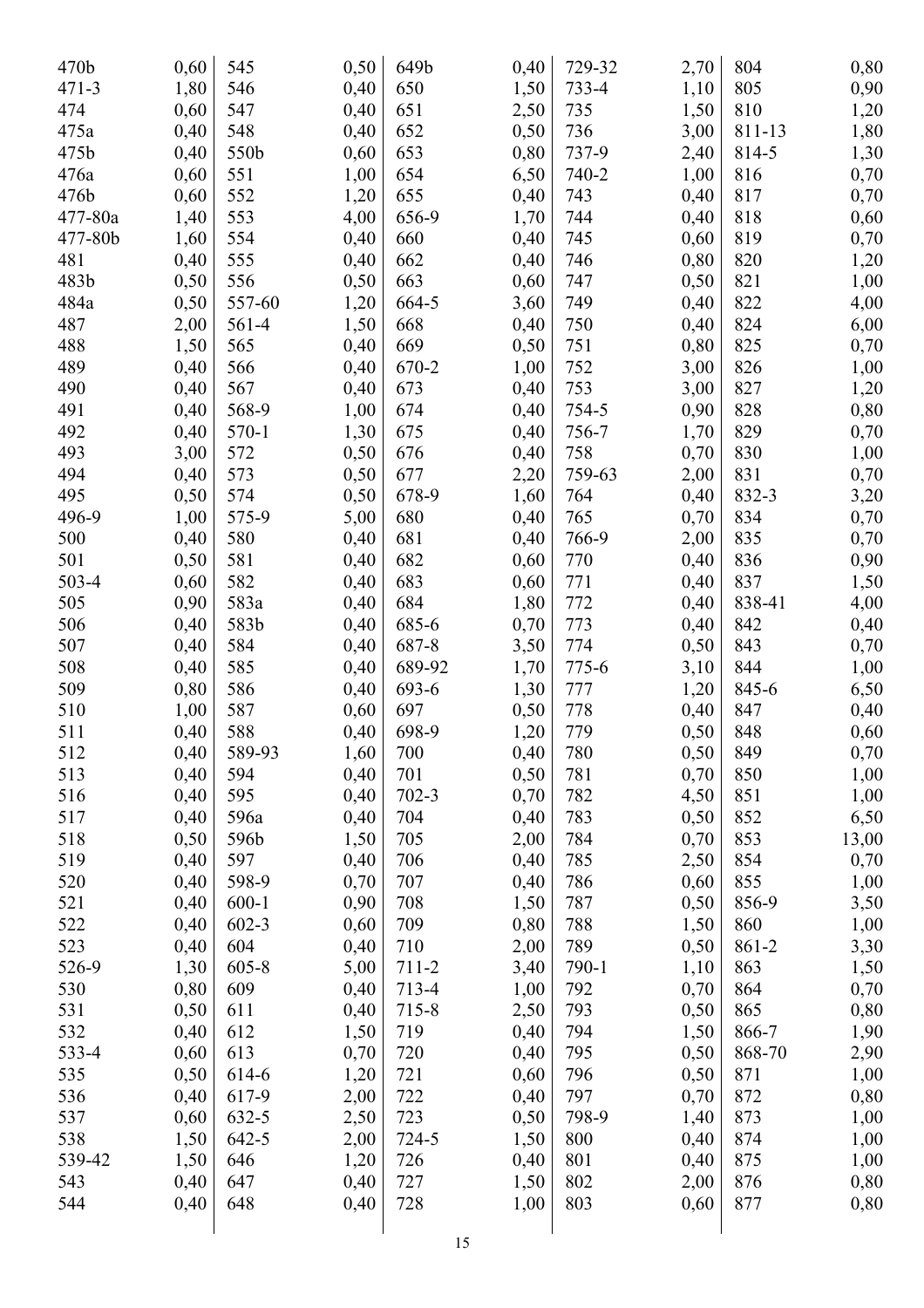| 470b      | 0,60 | 545       | 0,50 | 649b      | 0,40 | 729-32 | 2,70 | 804    | 0,80  |
|-----------|------|-----------|------|-----------|------|--------|------|--------|-------|
| $471 - 3$ | 1,80 | 546       | 0,40 | 650       | 1,50 | 733-4  | 1,10 | 805    | 0,90  |
| 474       | 0,60 | 547       | 0,40 | 651       | 2,50 | 735    | 1,50 | 810    | 1,20  |
| 475a      | 0,40 | 548       | 0,40 | 652       | 0,50 | 736    | 3,00 | 811-13 | 1,80  |
| 475b      | 0,40 | 550b      | 0,60 | 653       | 0,80 | 737-9  | 2,40 | 814-5  | 1,30  |
| 476a      | 0,60 | 551       | 1,00 | 654       | 6,50 | 740-2  | 1,00 | 816    | 0,70  |
| 476b      | 0,60 | 552       | 1,20 | 655       | 0,40 | 743    | 0,40 | 817    | 0,70  |
| 477-80a   | 1,40 | 553       | 4,00 | 656-9     | 1,70 | 744    | 0,40 | 818    | 0,60  |
| 477-80b   | 1,60 | 554       | 0,40 | 660       | 0,40 | 745    | 0,60 | 819    | 0,70  |
| 481       | 0,40 | 555       | 0,40 | 662       | 0,40 | 746    | 0,80 | 820    | 1,20  |
| 483b      | 0,50 | 556       | 0,50 | 663       | 0,60 | 747    | 0,50 | 821    | 1,00  |
| 484a      | 0,50 | 557-60    | 1,20 | 664-5     | 3,60 | 749    | 0,40 | 822    | 4,00  |
| 487       | 2,00 | 561-4     | 1,50 | 668       | 0,40 | 750    | 0,40 | 824    | 6,00  |
| 488       | 1,50 | 565       | 0,40 | 669       | 0,50 | 751    | 0,80 | 825    | 0,70  |
| 489       | 0,40 | 566       | 0,40 | 670-2     | 1,00 | 752    | 3,00 | 826    | 1,00  |
| 490       | 0,40 | 567       | 0,40 | 673       | 0,40 | 753    | 3,00 | 827    | 1,20  |
| 491       | 0,40 | 568-9     | 1,00 | 674       | 0,40 | 754-5  | 0,90 | 828    | 0,80  |
| 492       | 0,40 |           |      | 675       |      | 756-7  |      | 829    |       |
|           |      | 570-1     | 1,30 |           | 0,40 |        | 1,70 |        | 0,70  |
| 493       | 3,00 | 572       | 0,50 | 676       | 0,40 | 758    | 0,70 | 830    | 1,00  |
| 494       | 0,40 | 573       | 0,50 | 677       | 2,20 | 759-63 | 2,00 | 831    | 0,70  |
| 495       | 0,50 | 574       | 0,50 | 678-9     | 1,60 | 764    | 0,40 | 832-3  | 3,20  |
| 496-9     | 1,00 | 575-9     | 5,00 | 680       | 0,40 | 765    | 0,70 | 834    | 0,70  |
| 500       | 0,40 | 580       | 0,40 | 681       | 0,40 | 766-9  | 2,00 | 835    | 0,70  |
| 501       | 0,50 | 581       | 0,40 | 682       | 0,60 | 770    | 0,40 | 836    | 0,90  |
| 503-4     | 0,60 | 582       | 0,40 | 683       | 0,60 | 771    | 0,40 | 837    | 1,50  |
| 505       | 0,90 | 583a      | 0,40 | 684       | 1,80 | 772    | 0,40 | 838-41 | 4,00  |
| 506       | 0,40 | 583b      | 0,40 | 685-6     | 0,70 | 773    | 0,40 | 842    | 0,40  |
| 507       | 0,40 | 584       | 0,40 | 687-8     | 3,50 | 774    | 0,50 | 843    | 0,70  |
| 508       | 0,40 | 585       | 0,40 | 689-92    | 1,70 | 775-6  | 3,10 | 844    | 1,00  |
| 509       | 0,80 | 586       | 0,40 | 693-6     | 1,30 | 777    | 1,20 | 845-6  | 6,50  |
| 510       | 1,00 | 587       | 0,60 | 697       | 0,50 | 778    | 0,40 | 847    | 0,40  |
| 511       | 0,40 | 588       | 0,40 | 698-9     | 1,20 | 779    | 0,50 | 848    | 0,60  |
| 512       | 0,40 | 589-93    | 1,60 | 700       | 0,40 | 780    | 0,50 | 849    | 0,70  |
| 513       | 0,40 | 594       | 0,40 | 701       | 0,50 | 781    | 0,70 | 850    | 1,00  |
| 516       | 0,40 | 595       | 0,40 | $702 - 3$ | 0,70 | 782    | 4,50 | 851    | 1,00  |
| 517       | 0,40 | 596a      | 0,40 | 704       | 0,40 | 783    | 0,50 | 852    | 6,50  |
| 518       | 0,50 | 596b      | 1,50 | 705       | 2,00 | 784    | 0,70 | 853    | 13,00 |
| 519       | 0,40 | 597       | 0,40 | 706       | 0,40 | 785    | 2,50 | 854    | 0,70  |
| 520       | 0,40 | 598-9     | 0,70 | 707       | 0,40 | 786    | 0,60 | 855    | 1,00  |
| 521       | 0,40 | $600 - 1$ | 0,90 | 708       | 1,50 | 787    | 0,50 | 856-9  | 3,50  |
| 522       | 0,40 | $602 - 3$ | 0,60 | 709       | 0,80 | 788    | 1,50 | 860    | 1,00  |
| 523       | 0,40 | 604       | 0,40 | 710       | 2,00 | 789    | 0,50 | 861-2  | 3,30  |
| 526-9     | 1,30 | $605 - 8$ | 5,00 | $711 - 2$ | 3,40 | 790-1  | 1,10 | 863    | 1,50  |
| 530       | 0,80 | 609       | 0,40 | 713-4     | 1,00 | 792    | 0,70 | 864    | 0,70  |
| 531       | 0,50 | 611       | 0,40 | 715-8     | 2,50 | 793    | 0,50 | 865    | 0,80  |
| 532       | 0,40 | 612       | 1,50 | 719       | 0,40 | 794    | 1,50 | 866-7  | 1,90  |
| 533-4     | 0,60 | 613       | 0,70 | 720       | 0,40 | 795    | 0,50 | 868-70 | 2,90  |
| 535       | 0,50 | 614-6     | 1,20 | 721       | 0,60 | 796    | 0,50 | 871    | 1,00  |
| 536       | 0,40 | 617-9     | 2,00 | 722       | 0,40 | 797    | 0,70 | 872    | 0,80  |
| 537       | 0,60 | 632-5     | 2,50 | 723       | 0,50 | 798-9  | 1,40 | 873    | 1,00  |
| 538       | 1,50 | $642 - 5$ | 2,00 | 724-5     | 1,50 | 800    | 0,40 | 874    | 1,00  |
| 539-42    | 1,50 | 646       | 1,20 | 726       | 0,40 | 801    | 0,40 | 875    | 1,00  |
| 543       | 0,40 | 647       | 0,40 | 727       | 1,50 | 802    | 2,00 | 876    | 0,80  |
| 544       | 0,40 | 648       | 0,40 | 728       | 1,00 | 803    | 0,60 | 877    | 0,80  |
|           |      |           |      |           |      |        |      |        |       |
|           |      |           |      | 15        |      |        |      |        |       |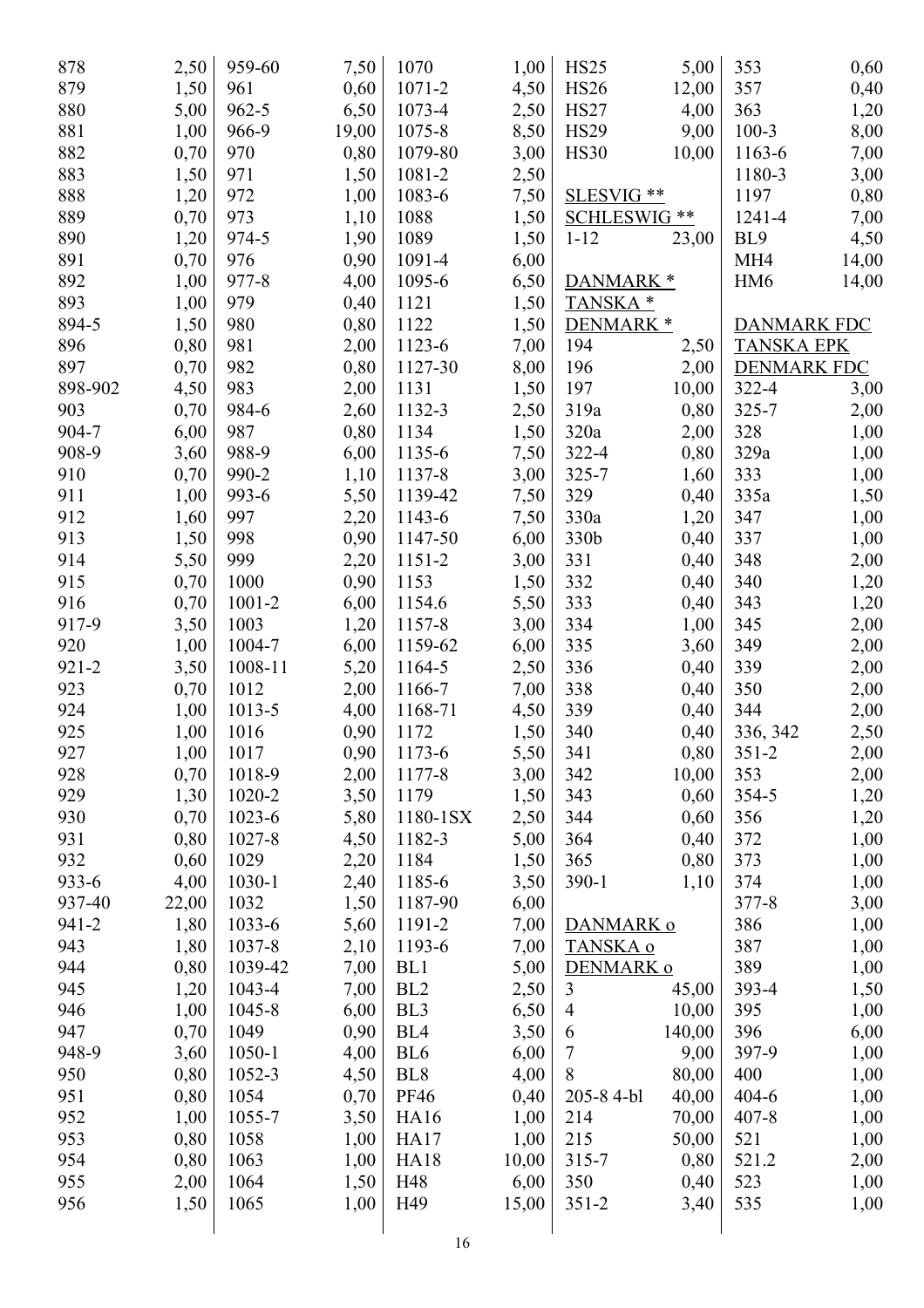| 878       | 2,50         | 959-60     | 7,50  | 1070            | 1,00  | <b>HS25</b>          | 5,00   | 353                | 0,60  |
|-----------|--------------|------------|-------|-----------------|-------|----------------------|--------|--------------------|-------|
| 879       | 1,50         | 961        | 0,60  | 1071-2          | 4,50  | <b>HS26</b>          | 12,00  | 357                | 0,40  |
| 880       | 5,00         | $962 - 5$  | 6,50  | 1073-4          | 2,50  | <b>HS27</b>          | 4,00   | 363                | 1,20  |
| 881       | 1,00         | 966-9      | 19,00 | 1075-8          | 8,50  | <b>HS29</b>          | 9,00   | $100 - 3$          | 8,00  |
| 882       | 0,70         | 970        | 0,80  | 1079-80         | 3,00  | <b>HS30</b>          | 10,00  | 1163-6             | 7,00  |
| 883       | 1,50         | 971        | 1,50  | 1081-2          | 2,50  |                      |        | 1180-3             | 3,00  |
| 888       | 1,20         | 972        | 1,00  | 1083-6          | 7,50  | SLESVIG **           |        | 1197               | 0,80  |
| 889       | 0,70         | 973        | 1,10  | 1088            | 1,50  | SCHLESWIG **         |        | 1241-4             | 7,00  |
| 890       | 1,20         | 974-5      | 1,90  | 1089            | 1,50  | $1 - 12$             | 23,00  | BL9                | 4,50  |
| 891       | 0,70         | 976        | 0,90  | 1091-4          | 6,00  |                      |        | MH <sub>4</sub>    | 14,00 |
| 892       | 1,00         | 977-8      | 4,00  | 1095-6          | 6,50  | DANMARK <sup>*</sup> |        | HM <sub>6</sub>    | 14,00 |
| 893       | 1,00         | 979        | 0,40  | 1121            | 1,50  | TANSKA <sup>*</sup>  |        |                    |       |
| 894-5     | 1,50         | 980        | 0,80  | 1122            | 1,50  | DENMARK <sup>*</sup> |        | <b>DANMARK FDC</b> |       |
| 896       | 0,80         | 981        | 2,00  | 1123-6          | 7,00  | 194                  | 2,50   | <b>TANSKA EPK</b>  |       |
| 897       | 0,70         | 982        | 0,80  | 1127-30         | 8,00  | 196                  | 2,00   | <b>DENMARK FDC</b> |       |
| 898-902   | 4,50         | 983        | 2,00  | 1131            | 1,50  | 197                  | 10,00  | $322 - 4$          | 3,00  |
| 903       | 0,70         | 984-6      | 2,60  | 1132-3          | 2,50  | 319a                 | 0,80   | 325-7              | 2,00  |
| 904-7     | 6,00         | 987        | 0,80  | 1134            | 1,50  | 320a                 | 2,00   | 328                | 1,00  |
| 908-9     | 3,60         | 988-9      | 6,00  | 1135-6          | 7,50  | 322-4                | 0,80   | 329a               |       |
| 910       | 0,70         | 990-2      | 1,10  | 1137-8          | 3,00  | $325 - 7$            | 1,60   | 333                | 1,00  |
| 911       |              | 993-6      |       | 1139-42         |       | 329                  | 0,40   | 335a               | 1,00  |
| 912       | 1,00<br>1,60 | 997        | 5,50  |                 | 7,50  |                      |        |                    | 1,50  |
|           |              |            | 2,20  | 1143-6          | 7,50  | 330a                 | 1,20   | 347                | 1,00  |
| 913       | 1,50         | 998        | 0,90  | 1147-50         | 6,00  | 330b                 | 0,40   | 337                | 1,00  |
| 914       | 5,50         | 999        | 2,20  | 1151-2          | 3,00  | 331                  | 0,40   | 348                | 2,00  |
| 915       | 0,70         | 1000       | 0,90  | 1153            | 1,50  | 332                  | 0,40   | 340                | 1,20  |
| 916       | 0,70         | 1001-2     | 6,00  | 1154.6          | 5,50  | 333                  | 0,40   | 343                | 1,20  |
| 917-9     | 3,50         | 1003       | 1,20  | 1157-8          | 3,00  | 334                  | 1,00   | 345                | 2,00  |
| 920       | 1,00         | 1004-7     | 6,00  | 1159-62         | 6,00  | 335                  | 3,60   | 349                | 2,00  |
| $921 - 2$ | 3,50         | 1008-11    | 5,20  | 1164-5          | 2,50  | 336                  | 0,40   | 339                | 2,00  |
| 923       | 0,70         | 1012       | 2,00  | 1166-7          | 7,00  | 338                  | 0,40   | 350                | 2,00  |
| 924       | 1,00         | 1013-5     | 4,00  | 1168-71         | 4,50  | 339                  | 0,40   | 344                | 2,00  |
| 925       | 1,00         | 1016       | 0,90  | 1172            | 1,50  | 340                  | 0,40   | 336, 342           | 2,50  |
| 927       | 1,00         | 1017       | 0,90  | 1173-6          | 5,50  | 341                  | 0,80   | $351 - 2$          | 2,00  |
| 928       | 0,70         | 1018-9     | 2,00  | 1177-8          | 3,00  | 342                  | 10,00  | 353                | 2,00  |
| 929       | 1,30         | 1020-2     | 3,50  | 1179            | 1,50  | 343                  | 0,60   | 354-5              | 1,20  |
| 930       | 0,70         | $1023 - 6$ | 5,80  | 1180-1SX        | 2,50  | 344                  | 0,60   | 356                | 1,20  |
| 931       | 0,80         | 1027-8     | 4,50  | 1182-3          | 5,00  | 364                  | 0,40   | 372                | 1,00  |
| 932       | 0,60         | 1029       | 2,20  | 1184            | 1,50  | 365                  | 0,80   | 373                | 1,00  |
| 933-6     | 4,00         | $1030 - 1$ | 2,40  | 1185-6          | 3,50  | $390 - 1$            | 1,10   | 374                | 1,00  |
| 937-40    | 22,00        | 1032       | 1,50  | 1187-90         | 6,00  |                      |        | 377-8              | 3,00  |
| 941-2     | 1,80         | 1033-6     | 5,60  | 1191-2          | 7,00  | DANMARK o            |        | 386                | 1,00  |
| 943       | 1,80         | 1037-8     | 2,10  | 1193-6          | 7,00  | TANSKA o             |        | 387                | 1,00  |
| 944       | 0,80         | 1039-42    | 7,00  | BL1             | 5,00  | DENMARK o            |        | 389                | 1,00  |
| 945       | 1,20         | 1043-4     | 7,00  | BL <sub>2</sub> | 2,50  | 3                    | 45,00  | 393-4              | 1,50  |
| 946       | 1,00         | 1045-8     | 6,00  | BL <sub>3</sub> | 6,50  | $\overline{4}$       | 10,00  | 395                | 1,00  |
| 947       | 0,70         | 1049       | 0,90  | BL <sub>4</sub> | 3,50  | 6                    | 140,00 | 396                | 6,00  |
| 948-9     | 3,60         | 1050-1     | 4,00  | BL <sub>6</sub> | 6,00  | $\tau$               | 9,00   | 397-9              | 1,00  |
| 950       | 0,80         | 1052-3     | 4,50  | BL <sub>8</sub> | 4,00  | 8                    | 80,00  | 400                | 1,00  |
| 951       | 0,80         | 1054       | 0,70  | <b>PF46</b>     | 0,40  | 205-8 4-bl           | 40,00  | $404 - 6$          | 1,00  |
| 952       | 1,00         | 1055-7     | 3,50  | <b>HA16</b>     | 1,00  | 214                  | 70,00  | $407 - 8$          | 1,00  |
| 953       | 0,80         | 1058       | 1,00  | <b>HA17</b>     | 1,00  | 215                  | 50,00  | 521                | 1,00  |
| 954       | 0,80         | 1063       | 1,00  | <b>HA18</b>     | 10,00 | $315 - 7$            | 0,80   | 521.2              | 2,00  |
| 955       | 2,00         | 1064       | 1,50  | H48             | 6,00  | 350                  | 0,40   | 523                | 1,00  |
| 956       | 1,50         | 1065       | 1,00  | H49             | 15,00 | $351 - 2$            | 3,40   | 535                | 1,00  |
|           |              |            |       |                 |       |                      |        |                    |       |
|           |              |            |       | 16              |       |                      |        |                    |       |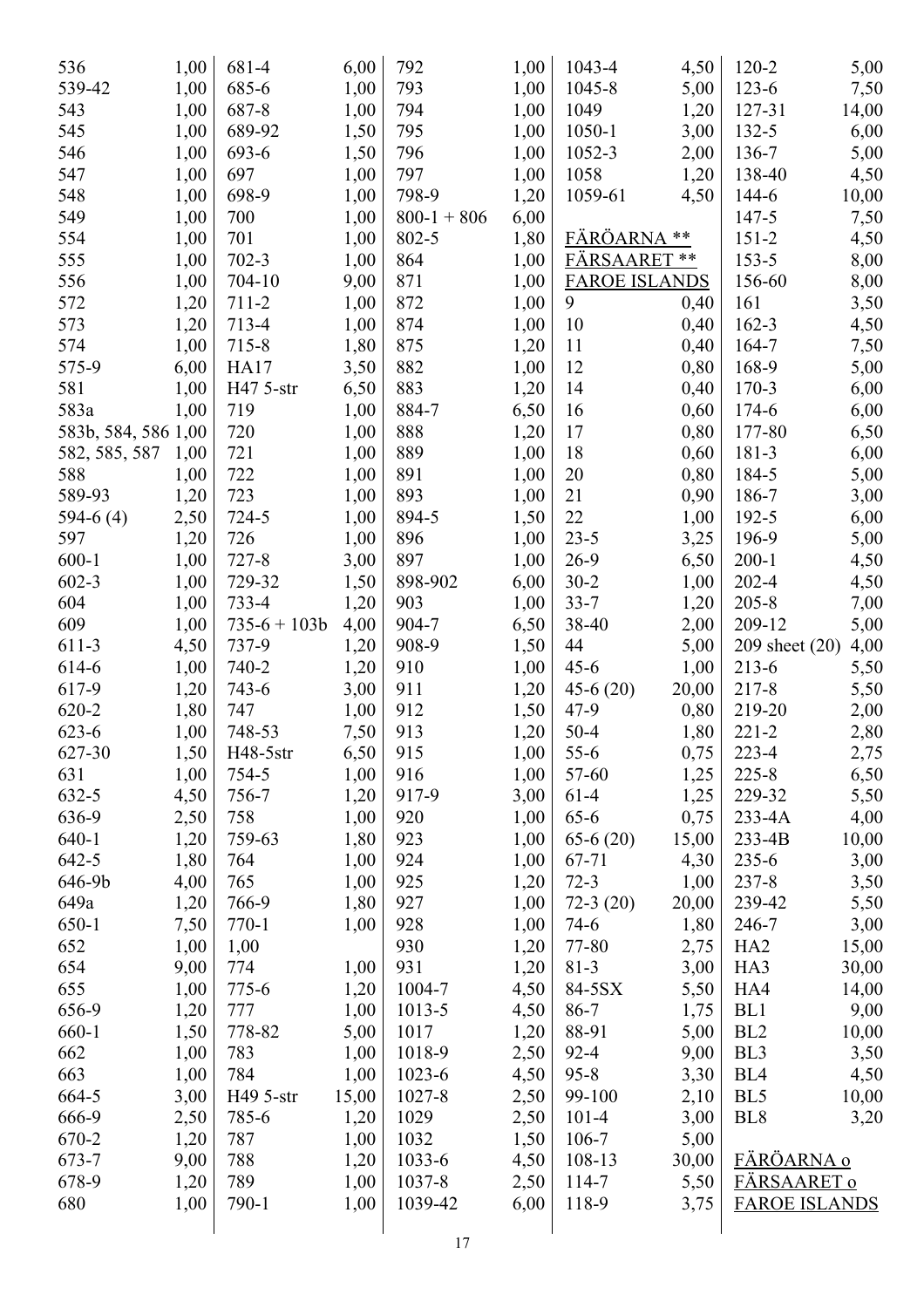| 536                 | 1,00         | 681-4        | 6,00  | 792           | 1,00 | 1043-4               | 4,50  | $120 - 2$       | 5,00                 |
|---------------------|--------------|--------------|-------|---------------|------|----------------------|-------|-----------------|----------------------|
| 539-42              | 1,00         | 685-6        | 1,00  | 793           | 1,00 | 1045-8               | 5,00  | 123-6           | 7,50                 |
| 543                 | 1,00         | 687-8        | 1,00  | 794           | 1,00 | 1049                 | 1,20  | 127-31          | 14,00                |
| 545                 | 1,00         | 689-92       | 1,50  | 795           | 1,00 | $1050 - 1$           | 3,00  | 132-5           | 6,00                 |
| 546                 | 1,00         | 693-6        | 1,50  | 796           | 1,00 | 1052-3               | 2,00  | 136-7           | 5,00                 |
| 547                 | 1,00         | 697          | 1,00  | 797           | 1,00 | 1058                 | 1,20  | 138-40          | 4,50                 |
| 548                 | 1,00         | 698-9        | 1,00  | 798-9         | 1,20 | 1059-61              | 4,50  | 144-6           | 10,00                |
| 549                 | 1,00         | 700          | 1,00  | $800-1 + 806$ | 6,00 |                      |       | $147 - 5$       | 7,50                 |
| 554                 | 1,00         | 701          | 1,00  | 802-5         | 1,80 | FÄRÖARNA             | **    | $151 - 2$       | 4,50                 |
| 555                 | 1,00         | $702 - 3$    | 1,00  | 864           | 1,00 | <b>FÄRSAARET**</b>   |       | $153 - 5$       | 8,00                 |
| 556                 | 1,00         | 704-10       | 9,00  | 871           | 1,00 | <b>FAROE ISLANDS</b> |       | 156-60          | 8,00                 |
| 572                 | 1,20         | 711-2        | 1,00  | 872           | 1,00 | 9                    | 0,40  | 161             | 3,50                 |
| 573                 | 1,20         | 713-4        | 1,00  | 874           | 1,00 | 10                   | 0,40  | $162 - 3$       | 4,50                 |
| 574                 | 1,00         | 715-8        | 1,80  | 875           | 1,20 | 11                   | 0,40  | 164-7           | 7,50                 |
| 575-9               | 6,00         | <b>HA17</b>  | 3,50  | 882           | 1,00 | 12                   | 0,80  | 168-9           | 5,00                 |
| 581                 | 1,00         | H47 5-str    | 6,50  | 883           | 1,20 | 14                   | 0,40  | 170-3           | 6,00                 |
| 583a                | 1,00         | 719          | 1,00  | 884-7         | 6,50 | 16                   | 0,60  | 174-6           | 6,00                 |
| 583b, 584, 586 1,00 |              | 720          | 1,00  | 888           | 1,20 | 17                   | 0,80  | 177-80          | 6,50                 |
| 582, 585, 587       | 1,00         | 721          | 1,00  | 889           | 1,00 | 18                   | 0,60  | 181-3           | 6,00                 |
| 588                 | 1,00         | 722          | 1,00  | 891           | 1,00 | 20                   | 0,80  | 184-5           | 5,00                 |
| 589-93              | 1,20         | 723          | 1,00  | 893           | 1,00 | 21                   | 0,90  | 186-7           | 3,00                 |
| $594-6(4)$          | 2,50         | 724-5        | 1,00  | 894-5         | 1,50 | 22                   | 1,00  | 192-5           | 6,00                 |
| 597                 | 1,20         | 726          | 1,00  | 896           | 1,00 | $23 - 5$             | 3,25  | 196-9           | 5,00                 |
| $600 - 1$           | 1,00         | $727 - 8$    | 3,00  | 897           | 1,00 | $26-9$               | 6,50  | $200 - 1$       | 4,50                 |
| $602 - 3$           | 1,00         | 729-32       | 1,50  | 898-902       | 6,00 | $30-2$               | 1,00  | 202-4           | 4,50                 |
| 604                 | 1,00         | 733-4        | 1,20  | 903           | 1,00 | $33 - 7$             | 1,20  | $205 - 8$       | 7,00                 |
| 609                 | 1,00         | $735-6+103b$ | 4,00  | 904-7         | 6,50 | 38-40                | 2,00  | 209-12          | 5,00                 |
| 611-3               | 4,50         | 737-9        | 1,20  | 908-9         | 1,50 | 44                   | 5,00  | 209 sheet (20)  | 4,00                 |
| 614-6               | 1,00         | 740-2        | 1,20  | 910           | 1,00 | $45 - 6$             | 1,00  | $213 - 6$       | 5,50                 |
| 617-9               | 1,20         | 743-6        | 3,00  | 911           | 1,20 | $45-6(20)$           | 20,00 | 217-8           | 5,50                 |
| 620-2               | 1,80         | 747          | 1,00  | 912           | 1,50 | $47-9$               | 0,80  | 219-20          | 2,00                 |
| 623-6               | 1,00         | 748-53       | 7,50  | 913           | 1,20 | $50 - 4$             | 1,80  | $221 - 2$       | 2,80                 |
| 627-30              | 1,50         | H48-5str     | 6,50  | 915           | 1,00 | $55-6$               | 0,75  | 223-4           | 2,75                 |
| 631                 | 1,00         | 754-5        | 1,00  | 916           | 1,00 | 57-60                | 1,25  | $225 - 8$       | 6,50                 |
| 632-5               | 4,50         | 756-7        | 1,20  | 917-9         | 3,00 | $61-4$               | 1,25  | 229-32          | 5,50                 |
| 636-9               | 2,50         | 758          | 1,00  | 920           | 1,00 | $65-6$               | 0,75  | 233-4A          | 4,00                 |
| $640 - 1$           | 1,20         | 759-63       | 1,80  | 923           | 1,00 | $65-6(20)$           | 15,00 | 233-4B          | 10,00                |
| $642 - 5$           | 1,80         | 764          | 1,00  | 924           | 1,00 | 67-71                | 4,30  | $235 - 6$       | 3,00                 |
| 646-9b              | 4,00         | 765          | 1,00  | 925           | 1,20 | $72-3$               | 1,00  | $237 - 8$       | 3,50                 |
| 649a                |              | 766-9        | 1,80  | 927           | 1,00 | $72-3(20)$           | 20,00 | 239-42          |                      |
| $650 - 1$           | 1,20<br>7,50 | $770-1$      | 1,00  | 928           | 1,00 | $74-6$               | 1,80  | 246-7           | 5,50                 |
| 652                 | 1,00         |              |       | 930           |      | 77-80                |       | HA <sub>2</sub> | 3,00                 |
|                     |              | 1,00         |       | 931           | 1,20 |                      | 2,75  |                 | 15,00                |
| 654                 | 9,00         | 774          | 1,00  |               | 1,20 | $81 - 3$             | 3,00  | HA3             | 30,00                |
| 655                 | 1,00         | $775 - 6$    | 1,20  | 1004-7        | 4,50 | 84-5SX               | 5,50  | HA4             | 14,00                |
| 656-9               | 1,20         | 777          | 1,00  | 1013-5        | 4,50 | $86 - 7$             | 1,75  | BL1             | 9,00                 |
| 660-1               | 1,50         | 778-82       | 5,00  | 1017          | 1,20 | 88-91                | 5,00  | BL <sub>2</sub> | 10,00                |
| 662                 | 1,00         | 783          | 1,00  | 1018-9        | 2,50 | $92 - 4$             | 9,00  | BL <sub>3</sub> | 3,50                 |
| 663                 | 1,00         | 784          | 1,00  | $1023-6$      | 4,50 | $95 - 8$             | 3,30  | BL <sub>4</sub> | 4,50                 |
| 664-5               | 3,00         | H49 5-str    | 15,00 | 1027-8        | 2,50 | 99-100               | 2,10  | BL5             | 10,00                |
| 666-9               | 2,50         | 785-6        | 1,20  | 1029          | 2,50 | $101 - 4$            | 3,00  | BL <sub>8</sub> | 3,20                 |
| 670-2               | 1,20         | 787          | 1,00  | 1032          | 1,50 | 106-7                | 5,00  |                 |                      |
| 673-7               | 9,00         | 788          | 1,20  | $1033 - 6$    | 4,50 | 108-13               | 30,00 | FÄRÖARNA o      |                      |
| 678-9               | 1,20         | 789          | 1,00  | 1037-8        | 2,50 | 114-7                | 5,50  | FÄRSAARET o     |                      |
| 680                 | 1,00         | 790-1        | 1,00  | 1039-42       | 6,00 | 118-9                | 3,75  |                 | <b>FAROE ISLANDS</b> |
|                     |              |              |       | 17            |      |                      |       |                 |                      |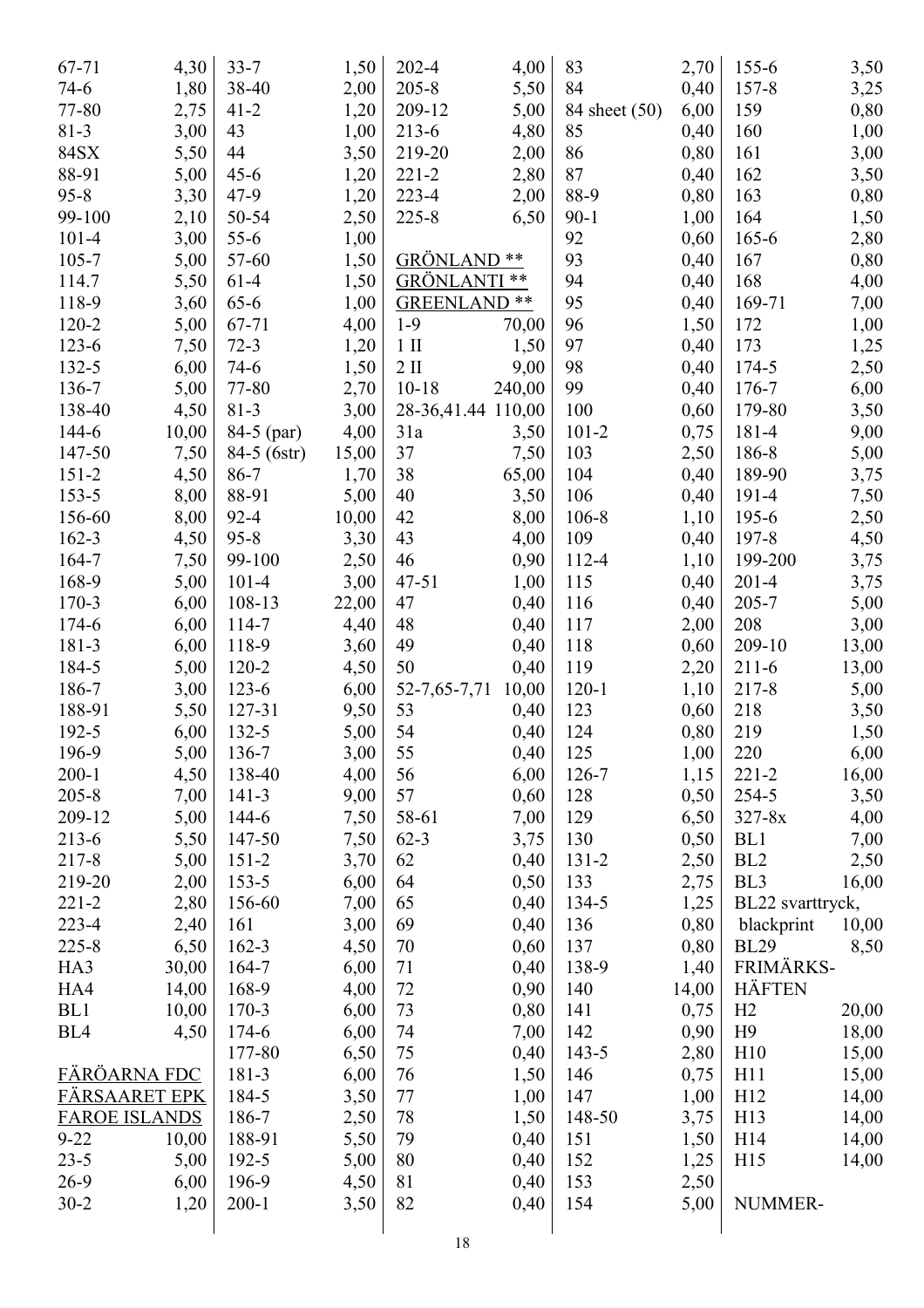| 67-71                | 4,30         | $33 - 7$    | 1,50         | 202-4               | 4,00   | 83            | 2,70  | $155 - 6$        | 3,50  |
|----------------------|--------------|-------------|--------------|---------------------|--------|---------------|-------|------------------|-------|
| $74-6$               | 1,80         | 38-40       | 2,00         | $205 - 8$           | 5,50   | 84            | 0,40  | $157 - 8$        | 3,25  |
| 77-80                | 2,75         | $41 - 2$    | 1,20         | 209-12              | 5,00   | 84 sheet (50) | 6,00  | 159              | 0,80  |
| $81-3$               | 3,00         | 43          | 1,00         | 213-6               | 4,80   | 85            | 0,40  | 160              | 1,00  |
| 84SX                 | 5,50         | 44          | 3,50         | 219-20              | 2,00   | 86            | 0,80  | 161              | 3,00  |
| 88-91                | 5,00         | $45 - 6$    | 1,20         | $221 - 2$           | 2,80   | 87            | 0,40  | 162              | 3,50  |
| $95 - 8$             | 3,30         | $47-9$      | 1,20         | 223-4               | 2,00   | 88-9          | 0,80  | 163              | 0,80  |
| 99-100               | 2,10         | 50-54       | 2,50         | $225 - 8$           | 6,50   | $90 - 1$      | 1,00  | 164              | 1,50  |
| $101 - 4$            | 3,00         | $55-6$      | 1,00         |                     |        | 92            | 0,60  | $165 - 6$        | 2,80  |
| $105 - 7$            | 5,00         | 57-60       | 1,50         | <b>GRÖNLAND</b>     | **     | 93            | 0,40  | 167              | 0,80  |
| 114.7                | 5,50         | $61-4$      | 1,50         | <b>GRÖNLANTI</b>    | **     | 94            | 0,40  | 168              | 4,00  |
| 118-9                | 3,60         | $65 - 6$    | 1,00         | <b>GREENLAND **</b> |        | 95            | 0,40  | 169-71           | 7,00  |
| 120-2                | 5,00         | 67-71       | 4,00         | $1-9$               | 70,00  | 96            | 1,50  | 172              | 1,00  |
| 123-6                | 7,50         | $72-3$      | 1,20         | $1$ II              | 1,50   | 97            | 0,40  | 173              | 1,25  |
| 132-5                | 6,00         | $74-6$      | 1,50         | $2 \text{ II}$      | 9,00   | 98            | 0,40  | 174-5            | 2,50  |
| 136-7                | 5,00         | 77-80       | 2,70         | $10-18$             | 240,00 | 99            | 0,40  | 176-7            | 6,00  |
| 138-40               | 4,50         | $81 - 3$    | 3,00         | 28-36,41.44 110,00  |        | 100           | 0,60  | 179-80           | 3,50  |
| 144-6                | 10,00        | 84-5 (par)  | 4,00         | 31a                 | 3,50   | $101 - 2$     | 0,75  | 181-4            | 9,00  |
| 147-50               | 7,50         | 84-5 (6str) | 15,00        | 37                  | 7,50   | 103           | 2,50  | 186-8            | 5,00  |
| $151 - 2$            | 4,50         | 86-7        | 1,70         | 38                  | 65,00  | 104           | 0,40  | 189-90           | 3,75  |
| $153 - 5$            | 8,00         | 88-91       | 5,00         | 40                  | 3,50   | 106           | 0,40  | 191-4            | 7,50  |
| 156-60               | 8,00         | $92 - 4$    | 10,00        | 42                  | 8,00   | $106 - 8$     | 1,10  | 195-6            | 2,50  |
| 162-3                | 4,50         | $95 - 8$    | 3,30         | 43                  | 4,00   | 109           | 0,40  | 197-8            |       |
| 164-7                |              | 99-100      |              | 46                  | 0,90   | 112-4         |       | 199-200          | 4,50  |
| 168-9                | 7,50<br>5,00 | $101 - 4$   | 2,50<br>3,00 | $47 - 51$           |        | 115           | 1,10  | $201 - 4$        | 3,75  |
|                      |              |             |              | 47                  | 1,00   |               | 0,40  |                  | 3,75  |
| 170-3                | 6,00         | 108-13      | 22,00        |                     | 0,40   | 116           | 0,40  | 205-7            | 5,00  |
| 174-6                | 6,00         | 114-7       | 4,40         | 48                  | 0,40   | 117           | 2,00  | 208              | 3,00  |
| 181-3                | 6,00         | 118-9       | 3,60         | 49                  | 0,40   | 118           | 0,60  | 209-10           | 13,00 |
| 184-5                | 5,00         | $120 - 2$   | 4,50         | 50                  | 0,40   | 119           | 2,20  | $211-6$          | 13,00 |
| 186-7                | 3,00         | $123-6$     | 6,00         | 52-7,65-7,71        | 10,00  | $120-1$       | 1,10  | 217-8            | 5,00  |
| 188-91               | 5,50         | 127-31      | 9,50         | 53                  | 0,40   | 123           | 0,60  | 218              | 3,50  |
| 192-5                | 6,00         | 132-5       | 5,00         | 54                  | 0,40   | 124           | 0,80  | 219              | 1,50  |
| 196-9                | 5,00         | 136-7       | 3,00         | 55                  | 0,40   | 125           | 1,00  | 220              | 6,00  |
| $200 - 1$            | 4,50         | 138-40      | 4,00         | 56                  | 6,00   | $126 - 7$     | 1,15  | $221 - 2$        | 16,00 |
| $205 - 8$            | 7,00         | $141 - 3$   | 9,00         | 57                  | 0,60   | 128           | 0,50  | 254-5            | 3,50  |
| 209-12               | 5,00         | 144-6       | 7,50         | 58-61               | 7,00   | 129           | 6,50  | $327 - 8x$       | 4,00  |
| 213-6                | 5,50         | 147-50      | 7,50         | $62 - 3$            | 3,75   | 130           | 0,50  | BL1              | 7,00  |
| 217-8                | 5,00         | $151 - 2$   | 3,70         | 62                  | 0,40   | 131-2         | 2,50  | BL <sub>2</sub>  | 2,50  |
| 219-20               | 2,00         | $153 - 5$   | 6,00         | 64                  | 0,50   | 133           | 2,75  | BL <sub>3</sub>  | 16,00 |
| $221 - 2$            | 2,80         | 156-60      | 7,00         | 65                  | 0,40   | 134-5         | 1,25  | BL22 svarttryck, |       |
| 223-4                | 2,40         | 161         | 3,00         | 69                  | 0,40   | 136           | 0,80  | blackprint       | 10,00 |
| $225 - 8$            | 6,50         | $162 - 3$   | 4,50         | 70                  | 0,60   | 137           | 0,80  | <b>BL29</b>      | 8,50  |
| HA3                  | 30,00        | 164-7       | 6,00         | 71                  | 0,40   | 138-9         | 1,40  | FRIMÄRKS-        |       |
| HA4                  | 14,00        | 168-9       | 4,00         | 72                  | 0,90   | 140           | 14,00 | <b>HÄFTEN</b>    |       |
| BL1                  | 10,00        | $170-3$     | 6,00         | 73                  | 0,80   | 141           | 0,75  | H2               | 20,00 |
| BL <sub>4</sub>      | 4,50         | 174-6       | 6,00         | 74                  | 7,00   | 142           | 0,90  | H9               | 18,00 |
|                      |              | 177-80      | 6,50         | 75                  | 0,40   | 143-5         | 2,80  | H10              | 15,00 |
| FÄRÖARNA FDC         |              | 181-3       | 6,00         | 76                  | 1,50   | 146           | 0,75  | H11              | 15,00 |
| FÄRSAARET EPK        |              | 184-5       | 3,50         | 77                  | 1,00   | 147           | 1,00  | H12              | 14,00 |
| <b>FAROE ISLANDS</b> |              | 186-7       | 2,50         | 78                  | 1,50   | 148-50        | 3,75  | H13              | 14,00 |
| $9 - 22$             | 10,00        | 188-91      | 5,50         | 79                  | 0,40   | 151           | 1,50  | H <sub>14</sub>  | 14,00 |
| $23 - 5$             | 5,00         | 192-5       | 5,00         | 80                  | 0,40   | 152           | 1,25  | H15              | 14,00 |
| $26-9$               | 6,00         | 196-9       | 4,50         | 81                  | 0,40   | 153           | 2,50  |                  |       |
| $30 - 2$             | 1,20         | $200 - 1$   | 3,50         | 82                  | 0,40   | 154           | 5,00  | NUMMER-          |       |
|                      |              |             |              |                     |        |               |       |                  |       |
|                      |              |             |              | 1 <sup>Q</sup>      |        |               |       |                  |       |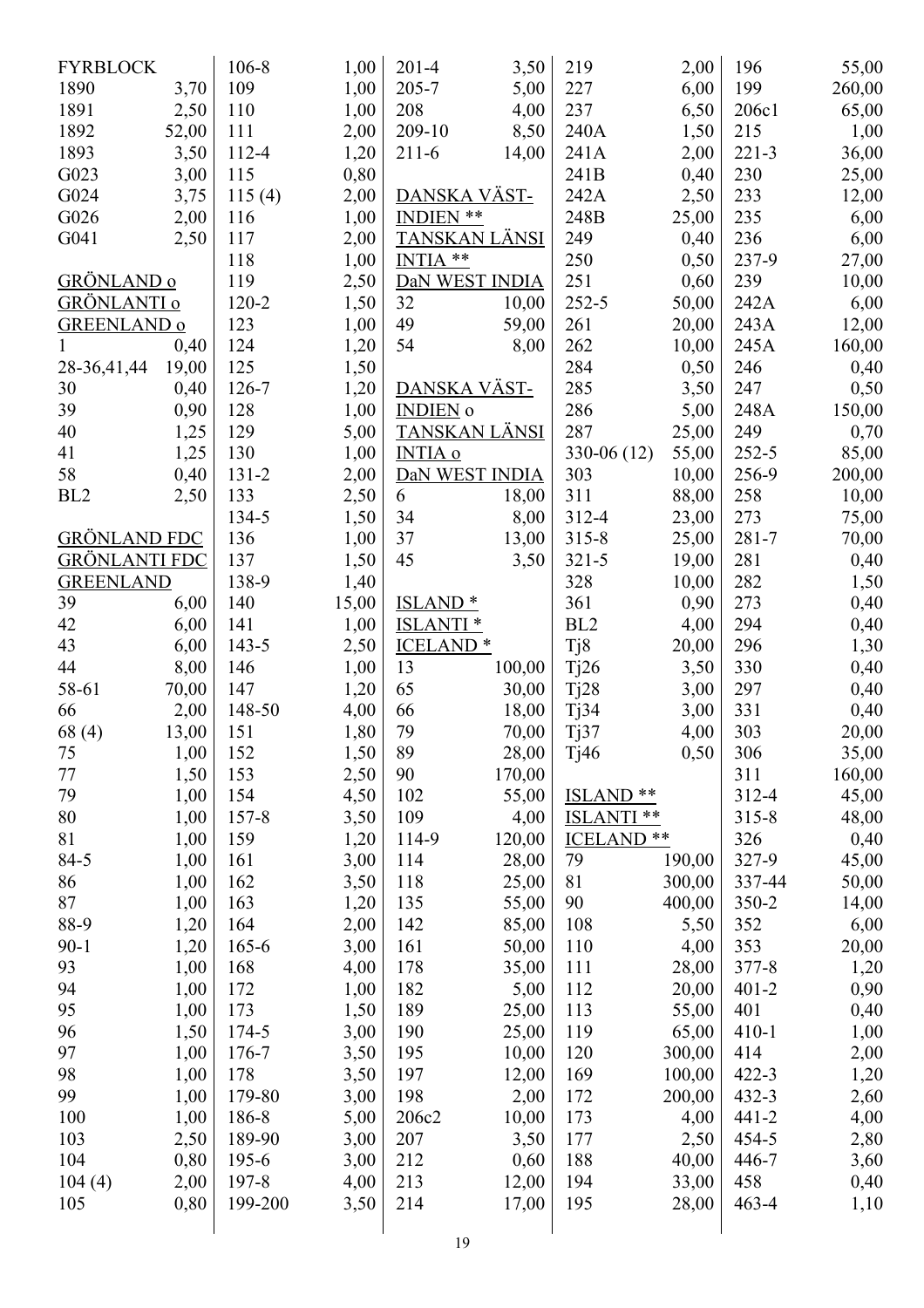| <b>FYRBLOCK</b>      |       | 106-8     | 1,00  | $201 - 4$            | 3,50   | 219                   | 2,00   | 196       | 55,00  |
|----------------------|-------|-----------|-------|----------------------|--------|-----------------------|--------|-----------|--------|
| 1890                 | 3,70  | 109       | 1,00  | 205-7                | 5,00   | 227                   | 6,00   | 199       | 260,00 |
| 1891                 | 2,50  | 110       | 1,00  | 208                  | 4,00   | 237                   | 6,50   | 206c1     | 65,00  |
| 1892                 | 52,00 | 111       | 2,00  | 209-10               | 8,50   | 240A                  | 1,50   | 215       | 1,00   |
| 1893                 | 3,50  | 112-4     | 1,20  | $211-6$              | 14,00  | 241A                  | 2,00   | $221 - 3$ | 36,00  |
| G023                 | 3,00  | 115       | 0,80  |                      |        | 241B                  | 0,40   | 230       | 25,00  |
| G024                 | 3,75  | 115(4)    | 2,00  | <u>DANSKA VÄST-</u>  |        | 242A                  | 2,50   | 233       | 12,00  |
| G026                 | 2,00  | 116       | 1,00  | <b>INDIEN **</b>     |        | 248B                  | 25,00  | 235       | 6,00   |
| G041                 | 2,50  | 117       | 2,00  | TANSKAN LÄNSI        |        | 249                   | 0,40   | 236       | 6,00   |
|                      |       | 118       | 1,00  | INTIA <sup>**</sup>  |        | 250                   | 0,50   | 237-9     | 27,00  |
| GRÖNLAND o           |       | 119       | 2,50  | DaN WEST INDIA       |        | 251                   | 0,60   | 239       | 10,00  |
| <b>GRÖNLANTI</b> o   |       | 120-2     | 1,50  | 32                   | 10,00  | $252 - 5$             | 50,00  | 242A      | 6,00   |
| <b>GREENLAND o</b>   |       | 123       | 1,00  | 49                   | 59,00  | 261                   | 20,00  | 243A      | 12,00  |
| 1                    | 0,40  | 124       | 1,20  | 54                   | 8,00   | 262                   | 10,00  | 245A      | 160,00 |
| 28-36,41,44          | 19,00 | 125       | 1,50  |                      |        | 284                   | 0,50   | 246       | 0,40   |
| 30                   | 0,40  | 126-7     | 1,20  | <u>DANSKA VÄST-</u>  |        | 285                   | 3,50   | 247       | 0,50   |
| 39                   | 0,90  | 128       | 1,00  | <b>INDIEN</b> o      |        | 286                   | 5,00   | 248A      | 150,00 |
| 40                   | 1,25  | 129       | 5,00  | <u>TANSKAN LÄNSI</u> |        | 287                   | 25,00  | 249       | 0,70   |
| 41                   | 1,25  | 130       | 1,00  | <b>INTIA o</b>       |        | $330-06(12)$          | 55,00  | 252-5     | 85,00  |
| 58                   | 0,40  | $131 - 2$ | 2,00  | DaN WEST INDIA       |        | 303                   | 10,00  | 256-9     | 200,00 |
| BL <sub>2</sub>      | 2,50  | 133       | 2,50  | 6                    | 18,00  | 311                   | 88,00  | 258       | 10,00  |
|                      |       | 134-5     | 1,50  | 34                   | 8,00   | 312-4                 | 23,00  | 273       | 75,00  |
| <b>GRÖNLAND FDC</b>  |       | 136       | 1,00  | 37                   | 13,00  | $315 - 8$             | 25,00  | $281 - 7$ | 70,00  |
| <u>GRÖNLANTI FDC</u> |       | 137       | 1,50  | 45                   | 3,50   | $321 - 5$             | 19,00  | 281       | 0,40   |
| <b>GREENLAND</b>     |       | 138-9     | 1,40  |                      |        | 328                   | 10,00  | 282       | 1,50   |
| 39                   | 6,00  | 140       | 15,00 | <u>ISLAND *</u>      |        | 361                   | 0,90   | 273       | 0,40   |
| 42                   | 6,00  | 141       | 1,00  | <b>ISLANTI</b> *     |        | BL <sub>2</sub>       | 4,00   | 294       | 0,40   |
| 43                   | 6,00  | $143 - 5$ | 2,50  | <b>ICELAND*</b>      |        | Tj8                   | 20,00  | 296       | 1,30   |
| 44                   | 8,00  | 146       | 1,00  | 13                   | 100,00 | Tj26                  | 3,50   | 330       | 0,40   |
| 58-61                | 70,00 | 147       | 1,20  | 65                   | 30,00  | Tj28                  | 3,00   | 297       | 0,40   |
| 66                   | 2,00  | 148-50    | 4,00  | 66                   | 18,00  | Tj34                  | 3,00   | 331       | 0,40   |
|                      |       | 151       | 1,80  | 79                   |        |                       | 4,00   | 303       |        |
| 68 (4)               | 13,00 |           |       | 89                   | 70,00  | Tj37                  |        |           | 20,00  |
| 75                   | 1,00  | 152       | 1,50  |                      | 28,00  | Tj46                  | 0,50   | 306       | 35,00  |
| 77                   | 1,50  | 153       | 2,50  | 90                   | 170,00 | $***$                 |        | 311       | 160,00 |
| 79                   | 1,00  | 154       | 4,50  | 102                  | 55,00  | <b>ISLAND</b>         |        | 312-4     | 45,00  |
| 80                   | 1,00  | $157 - 8$ | 3,50  | 109                  | 4,00   | <b>ISLANTI</b> **     |        | $315 - 8$ | 48,00  |
| 81                   | 1,00  | 159       | 1,20  | 114-9                | 120,00 | ICELAND <sup>**</sup> |        | 326       | 0,40   |
| 84-5                 | 1,00  | 161       | 3,00  | 114                  | 28,00  | 79                    | 190,00 | 327-9     | 45,00  |
| 86                   | 1,00  | 162       | 3,50  | 118                  | 25,00  | 81                    | 300,00 | 337-44    | 50,00  |
| 87                   | 1,00  | 163       | 1,20  | 135                  | 55,00  | 90                    | 400,00 | 350-2     | 14,00  |
| 88-9                 | 1,20  | 164       | 2,00  | 142                  | 85,00  | 108                   | 5,50   | 352       | 6,00   |
| $90 - 1$             | 1,20  | $165 - 6$ | 3,00  | 161                  | 50,00  | 110                   | 4,00   | 353       | 20,00  |
| 93                   | 1,00  | 168       | 4,00  | 178                  | 35,00  | 111                   | 28,00  | 377-8     | 1,20   |
| 94                   | 1,00  | 172       | 1,00  | 182                  | 5,00   | 112                   | 20,00  | $401 - 2$ | 0,90   |
| 95                   | 1,00  | 173       | 1,50  | 189                  | 25,00  | 113                   | 55,00  | 401       | 0,40   |
| 96                   | 1,50  | 174-5     | 3,00  | 190                  | 25,00  | 119                   | 65,00  | $410 - 1$ | 1,00   |
| 97                   | 1,00  | 176-7     | 3,50  | 195                  | 10,00  | 120                   | 300,00 | 414       | 2,00   |
| 98                   | 1,00  | 178       | 3,50  | 197                  | 12,00  | 169                   | 100,00 | $422 - 3$ | 1,20   |
| 99                   | 1,00  | 179-80    | 3,00  | 198                  | 2,00   | 172                   | 200,00 | 432-3     | 2,60   |
| 100                  | 1,00  | 186-8     | 5,00  | 206c2                | 10,00  | 173                   | 4,00   | $441 - 2$ | 4,00   |
| 103                  | 2,50  | 189-90    | 3,00  | 207                  | 3,50   | 177                   | 2,50   | 454-5     | 2,80   |
| 104                  | 0,80  | $195-6$   | 3,00  | 212                  | 0,60   | 188                   | 40,00  | 446-7     | 3,60   |
| 104(4)               | 2,00  | 197-8     | 4,00  | 213                  | 12,00  | 194                   | 33,00  | 458       | 0,40   |
| 105                  | 0,80  | 199-200   | 3,50  | 214                  | 17,00  | 195                   | 28,00  | $463 - 4$ | 1,10   |
|                      |       |           |       | 19                   |        |                       |        |           |        |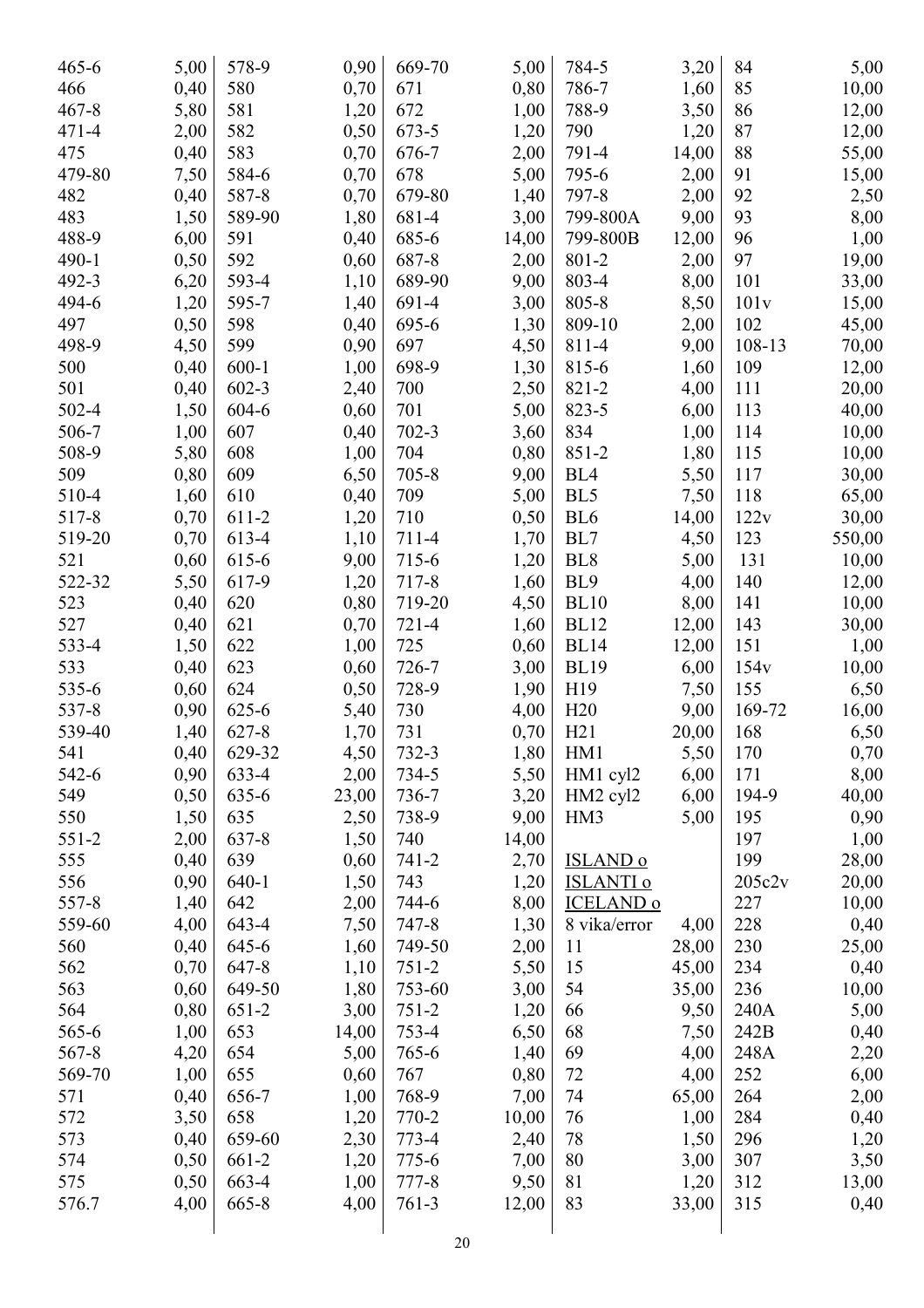| $465 - 6$ | 5,00 | 578-9     | 0,90  | 669-70    | 5,00  | 784-5                      | 3,20  | 84     | 5,00   |
|-----------|------|-----------|-------|-----------|-------|----------------------------|-------|--------|--------|
| 466       | 0,40 | 580       | 0,70  | 671       | 0,80  | 786-7                      | 1,60  | 85     | 10,00  |
| $467 - 8$ | 5,80 | 581       | 1,20  | 672       | 1,00  | 788-9                      | 3,50  | 86     | 12,00  |
| $471 - 4$ | 2,00 | 582       | 0,50  | 673-5     | 1,20  | 790                        | 1,20  | 87     | 12,00  |
| 475       | 0,40 | 583       | 0,70  | 676-7     | 2,00  | 791-4                      | 14,00 | 88     | 55,00  |
| 479-80    | 7,50 | 584-6     | 0,70  | 678       | 5,00  | 795-6                      | 2,00  | 91     | 15,00  |
| 482       | 0,40 | 587-8     | 0,70  | 679-80    | 1,40  | 797-8                      | 2,00  | 92     | 2,50   |
| 483       | 1,50 | 589-90    | 1,80  | 681-4     | 3,00  | 799-800A                   | 9,00  | 93     | 8,00   |
| 488-9     | 6,00 | 591       | 0,40  | 685-6     | 14,00 | 799-800B                   | 12,00 | 96     | 1,00   |
| 490-1     | 0,50 | 592       | 0,60  | 687-8     | 2,00  | 801-2                      | 2,00  | 97     | 19,00  |
| 492-3     | 6,20 | 593-4     | 1,10  | 689-90    | 9,00  | 803-4                      | 8,00  | 101    | 33,00  |
| 494-6     | 1,20 | 595-7     | 1,40  | 691-4     | 3,00  | 805-8                      | 8,50  | 101v   | 15,00  |
| 497       | 0,50 | 598       | 0,40  | 695-6     | 1,30  | 809-10                     | 2,00  | 102    | 45,00  |
| 498-9     | 4,50 | 599       | 0,90  | 697       | 4,50  | 811-4                      | 9,00  | 108-13 | 70,00  |
| 500       | 0,40 | $600 - 1$ | 1,00  | 698-9     | 1,30  | 815-6                      | 1,60  | 109    | 12,00  |
| 501       | 0,40 | $602 - 3$ | 2,40  | 700       | 2,50  | 821-2                      | 4,00  | 111    | 20,00  |
| 502-4     | 1,50 | 604-6     | 0,60  | 701       | 5,00  | 823-5                      | 6,00  | 113    | 40,00  |
| 506-7     | 1,00 | 607       | 0,40  | $702 - 3$ | 3,60  | 834                        | 1,00  | 114    | 10,00  |
| 508-9     | 5,80 | 608       | 1,00  | 704       | 0,80  | 851-2                      | 1,80  | 115    | 10,00  |
| 509       | 0,80 | 609       | 6,50  | $705 - 8$ | 9,00  | BL <sub>4</sub>            | 5,50  | 117    | 30,00  |
| 510-4     | 1,60 | 610       | 0,40  | 709       | 5,00  | BL5                        | 7,50  | 118    | 65,00  |
| 517-8     | 0,70 | 611-2     | 1,20  | 710       | 0,50  | BL <sub>6</sub>            | 14,00 | 122v   | 30,00  |
| 519-20    | 0,70 | 613-4     | 1,10  | 711-4     | 1,70  | BL7                        | 4,50  | 123    | 550,00 |
| 521       | 0,60 | 615-6     | 9,00  | 715-6     | 1,20  | BL <sub>8</sub>            | 5,00  | 131    | 10,00  |
| 522-32    | 5,50 | 617-9     | 1,20  | 717-8     | 1,60  | BL <sub>9</sub>            | 4,00  | 140    | 12,00  |
| 523       | 0,40 | 620       | 0,80  | 719-20    | 4,50  | <b>BL10</b>                | 8,00  | 141    | 10,00  |
| 527       | 0,40 | 621       | 0,70  | $721 - 4$ | 1,60  | <b>BL12</b>                | 12,00 | 143    | 30,00  |
| 533-4     | 1,50 | 622       | 1,00  | 725       | 0,60  | <b>BL14</b>                | 12,00 | 151    | 1,00   |
| 533       | 0,40 | 623       | 0,60  | 726-7     | 3,00  | <b>BL19</b>                | 6,00  | 154v   | 10,00  |
| 535-6     | 0,60 | 624       | 0,50  | 728-9     | 1,90  | H19                        | 7,50  | 155    | 6,50   |
| 537-8     | 0,90 | 625-6     | 5,40  | 730       | 4,00  | H20                        | 9,00  | 169-72 | 16,00  |
| 539-40    | 1,40 | $627 - 8$ | 1,70  | 731       | 0,70  | H21                        | 20,00 | 168    | 6,50   |
| 541       | 0,40 | 629-32    | 4,50  | 732-3     | 1,80  | HM1                        | 5,50  | 170    | 0,70   |
| 542-6     | 0,90 | 633-4     | 2,00  | 734-5     | 5,50  | HM1 cyl2                   | 6,00  | 171    | 8,00   |
| 549       | 0,50 | 635-6     | 23,00 | 736-7     | 3,20  | HM2 cyl2                   | 6,00  | 194-9  | 40,00  |
| 550       | 1,50 | 635       | 2,50  | 738-9     | 9,00  | HM <sub>3</sub>            | 5,00  | 195    | 0,90   |
| $551 - 2$ | 2,00 | 637-8     | 1,50  | 740       | 14,00 |                            |       | 197    | 1,00   |
| 555       | 0,40 | 639       | 0,60  | 741-2     | 2,70  | <b>ISLAND</b> <sub>o</sub> |       | 199    | 28,00  |
| 556       | 0,90 | $640-1$   | 1,50  | 743       | 1,20  | <b>ISLANTI o</b>           |       | 205c2v | 20,00  |
| 557-8     | 1,40 | 642       | 2,00  | 744-6     | 8,00  | <b>ICELAND o</b>           |       | 227    | 10,00  |
| 559-60    | 4,00 | 643-4     | 7,50  | 747-8     | 1,30  | 8 vika/error               | 4,00  | 228    | 0,40   |
| 560       | 0,40 | 645-6     | 1,60  | 749-50    | 2,00  | 11                         | 28,00 | 230    | 25,00  |
| 562       | 0,70 | 647-8     | 1,10  | $751 - 2$ | 5,50  | 15                         | 45,00 | 234    | 0,40   |
| 563       | 0,60 | 649-50    | 1,80  | 753-60    | 3,00  | 54                         | 35,00 | 236    | 10,00  |
| 564       | 0,80 | $651-2$   | 3,00  | $751 - 2$ | 1,20  | 66                         | 9,50  | 240A   | 5,00   |
| 565-6     | 1,00 | 653       | 14,00 | 753-4     | 6,50  | 68                         | 7,50  | 242B   | 0,40   |
| 567-8     | 4,20 | 654       | 5,00  | 765-6     | 1,40  | 69                         | 4,00  | 248A   | 2,20   |
| 569-70    | 1,00 | 655       | 0,60  | 767       | 0,80  | 72                         | 4,00  | 252    | 6,00   |
| 571       | 0,40 | 656-7     | 1,00  | 768-9     | 7,00  | 74                         | 65,00 | 264    | 2,00   |
| 572       | 3,50 | 658       | 1,20  | 770-2     | 10,00 | 76                         | 1,00  | 284    | 0,40   |
| 573       | 0,40 | 659-60    | 2,30  | 773-4     | 2,40  | 78                         | 1,50  | 296    | 1,20   |
| 574       | 0,50 | 661-2     | 1,20  | 775-6     | 7,00  | 80                         | 3,00  | 307    | 3,50   |
| 575       | 0,50 | 663-4     | 1,00  | 777-8     | 9,50  | 81                         | 1,20  | 312    | 13,00  |
| 576.7     | 4,00 | $665 - 8$ | 4,00  | $761-3$   | 12,00 | 83                         | 33,00 | 315    | 0,40   |
|           |      |           |       |           |       |                            |       |        |        |
|           |      |           |       |           |       |                            |       |        |        |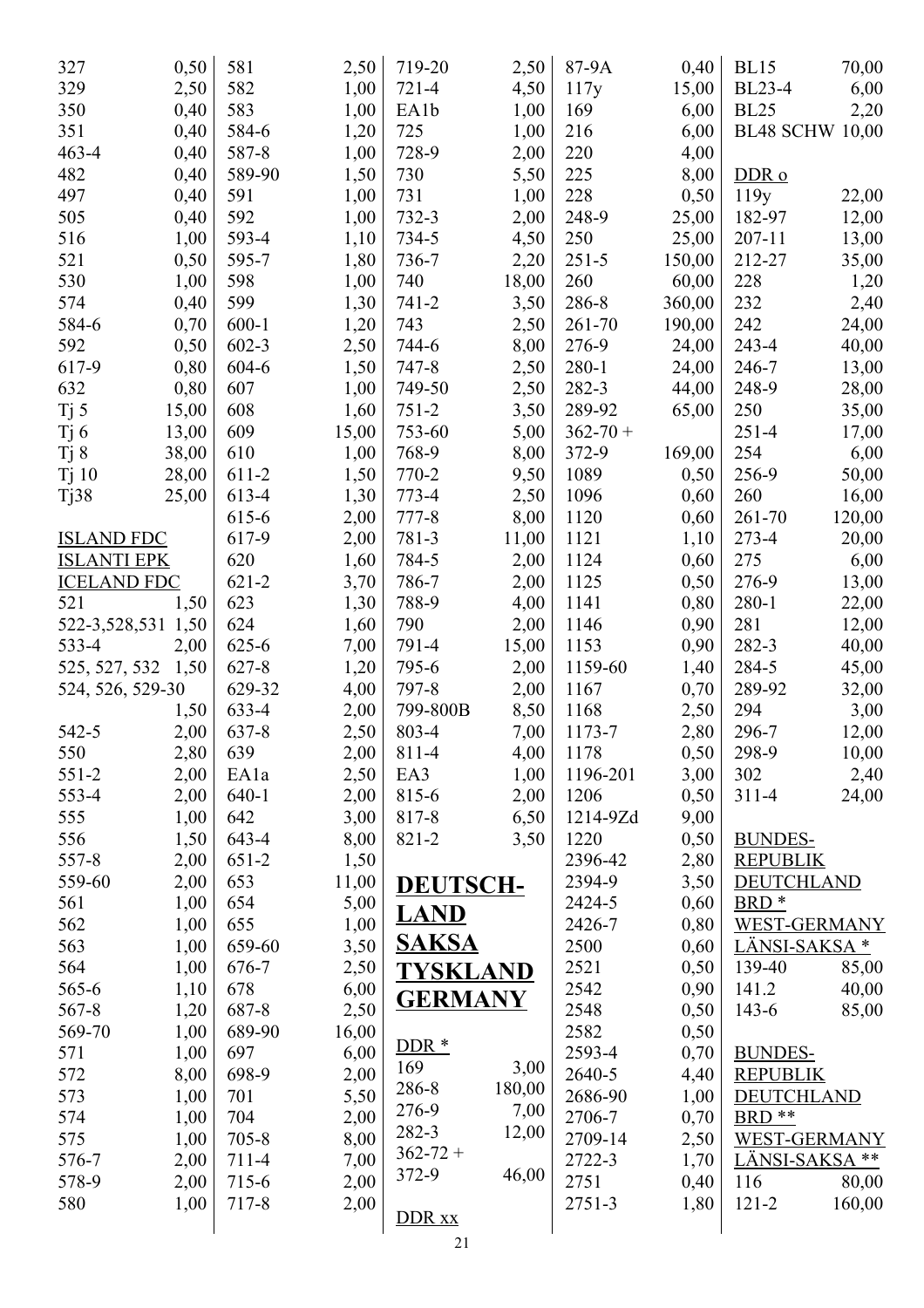| 327                | 0,50  | 581       | 2,50  | 719-20          | 2,50   | 87-9A        | 0,40   | <b>BL15</b>               | 70,00  |
|--------------------|-------|-----------|-------|-----------------|--------|--------------|--------|---------------------------|--------|
| 329                | 2,50  | 582       | 1,00  | $721 - 4$       | 4,50   | 117y         | 15,00  | <b>BL23-4</b>             | 6,00   |
| 350                | 0,40  | 583       | 1,00  | EA1b            | 1,00   | 169          | 6,00   | <b>BL25</b>               | 2,20   |
| 351                | 0,40  | 584-6     | 1,20  | 725             | 1,00   | 216          | 6,00   | <b>BL48 SCHW 10,00</b>    |        |
| $463 - 4$          | 0,40  | 587-8     | 1,00  | 728-9           | 2,00   | 220          | 4,00   |                           |        |
| 482                | 0,40  | 589-90    | 1,50  | 730             | 5,50   | 225          | 8,00   | DDR <sub>o</sub>          |        |
| 497                | 0,40  | 591       | 1,00  | 731             | 1,00   | 228          | 0,50   | 119y                      | 22,00  |
| 505                | 0,40  | 592       | 1,00  | $732 - 3$       | 2,00   | 248-9        | 25,00  | 182-97                    | 12,00  |
| 516                | 1,00  | 593-4     | 1,10  | 734-5           | 4,50   | 250          | 25,00  | 207-11                    | 13,00  |
| 521                | 0,50  | 595-7     | 1,80  | 736-7           | 2,20   | $251 - 5$    | 150,00 | 212-27                    | 35,00  |
| 530                | 1,00  | 598       | 1,00  | 740             | 18,00  | 260          | 60,00  | 228                       | 1,20   |
| 574                | 0,40  | 599       | 1,30  | $741 - 2$       | 3,50   | 286-8        | 360,00 | 232                       | 2,40   |
| 584-6              | 0,70  | $600-1$   | 1,20  | 743             | 2,50   | 261-70       | 190,00 | 242                       | 24,00  |
| 592                | 0,50  | $602 - 3$ | 2,50  | 744-6           | 8,00   | 276-9        | 24,00  | $243 - 4$                 | 40,00  |
| 617-9              | 0,80  | 604-6     | 1,50  | $747 - 8$       | 2,50   | $280-1$      | 24,00  | 246-7                     | 13,00  |
| 632                | 0,80  | 607       | 1,00  | 749-50          | 2,50   | 282-3        | 44,00  | 248-9                     | 28,00  |
|                    |       | 608       | 1,60  | $751 - 2$       |        | 289-92       |        | 250                       |        |
| Tj 5               | 15,00 |           |       |                 | 3,50   |              | 65,00  |                           | 35,00  |
| $Tj$ 6             | 13,00 | 609       | 15,00 | 753-60          | 5,00   | $362 - 70 +$ |        | $251 - 4$                 | 17,00  |
| Tj 8               | 38,00 | 610       | 1,00  | 768-9           | 8,00   | 372-9        | 169,00 | 254                       | 6,00   |
| Tj10               | 28,00 | 611-2     | 1,50  | 770-2           | 9,50   | 1089         | 0,50   | 256-9                     | 50,00  |
| T <sub>j</sub> 38  | 25,00 | 613-4     | 1,30  | 773-4           | 2,50   | 1096         | 0,60   | 260                       | 16,00  |
|                    |       | 615-6     | 2,00  | $777 - 8$       | 8,00   | 1120         | 0,60   | 261-70                    | 120,00 |
| <b>ISLAND FDC</b>  |       | 617-9     | 2,00  | 781-3           | 11,00  | 1121         | 1,10   | 273-4                     | 20,00  |
| <b>ISLANTI EPK</b> |       | 620       | 1,60  | 784-5           | 2,00   | 1124         | 0,60   | 275                       | 6,00   |
| <b>ICELAND FDC</b> |       | $621 - 2$ | 3,70  | 786-7           | 2,00   | 1125         | 0,50   | 276-9                     | 13,00  |
| 521                | 1,50  | 623       | 1,30  | 788-9           | 4,00   | 1141         | 0,80   | $280 - 1$                 | 22,00  |
| 522-3,528,531      | 1,50  | 624       | 1,60  | 790             | 2,00   | 1146         | 0,90   | 281                       | 12,00  |
| 533-4              | 2,00  | $625 - 6$ | 7,00  | 791-4           | 15,00  | 1153         | 0,90   | 282-3                     | 40,00  |
| 525, 527, 532 1,50 |       | $627 - 8$ | 1,20  | 795-6           | 2,00   | 1159-60      | 1,40   | 284-5                     | 45,00  |
| 524, 526, 529-30   |       | 629-32    | 4,00  | 797-8           | 2,00   | 1167         | 0,70   | 289-92                    | 32,00  |
|                    | 1,50  | 633-4     | 2,00  | 799-800B        | 8,50   | 1168         | 2,50   | 294                       | 3,00   |
| 542-5              | 2,00  | 637-8     | 2,50  | 803-4           | 7,00   | 1173-7       | 2,80   | 296-7                     | 12,00  |
| 550                | 2,80  | 639       | 2,00  | 811-4           | 4,00   | 1178         | 0,50   | 298-9                     | 10,00  |
| $551 - 2$          | 2,00  | EA1a      | 2,50  | EA3             | 1,00   | 1196-201     | 3,00   | 302                       | 2,40   |
| 553-4              | 2,00  | $640-1$   | 2,00  | 815-6           | 2,00   | 1206         | 0,50   | $311 - 4$                 | 24,00  |
| 555                | 1,00  | 642       | 3,00  | 817-8           | 6,50   | 1214-9Zd     | 9,00   |                           |        |
| 556                | 1,50  | 643-4     | 8,00  | 821-2           | 3,50   | 1220         | 0,50   | <b>BUNDES-</b>            |        |
| 557-8              | 2,00  | $651-2$   | 1,50  |                 |        | 2396-42      | 2,80   | <b>REPUBLIK</b>           |        |
| 559-60             | 2,00  | 653       | 11,00 | <b>DEUTSCH-</b> |        | 2394-9       | 3,50   | <b>DEUTCHLAND</b>         |        |
| 561                | 1,00  | 654       | 5,00  |                 |        | 2424-5       | 0,60   | BRD <sup>*</sup>          |        |
| 562                | 1,00  | 655       | 1,00  | <b>LAND</b>     |        | 2426-7       | 0,80   | <b>WEST-GERMANY</b>       |        |
| 563                | 1,00  | 659-60    | 3,50  | <b>SAKSA</b>    |        | 2500         | 0,60   | LÄNSI-SAKSA <sup>*</sup>  |        |
| 564                | 1,00  | 676-7     | 2,50  | <b>TYSKLAND</b> |        | 2521         | 0,50   | 139-40                    | 85,00  |
| 565-6              | 1,10  | 678       | 6,00  |                 |        | 2542         | 0,90   | 141.2                     | 40,00  |
| $567 - 8$          | 1,20  | 687-8     | 2,50  | <b>GERMANY</b>  |        | 2548         | 0,50   | $143 - 6$                 | 85,00  |
| 569-70             | 1,00  | 689-90    | 16,00 |                 |        | 2582         | 0,50   |                           |        |
| 571                | 1,00  | 697       | 6,00  | $DDR*$          |        | 2593-4       | 0,70   | <b>BUNDES-</b>            |        |
| 572                | 8,00  | 698-9     | 2,00  | 169             | 3,00   | 2640-5       | 4,40   | <b>REPUBLIK</b>           |        |
|                    |       | 701       |       | 286-8           | 180,00 | 2686-90      |        | <b>DEUTCHLAND</b>         |        |
| 573                | 1,00  |           | 5,50  | 276-9           | 7,00   |              | 1,00   |                           |        |
| 574                | 1,00  | 704       | 2,00  | 282-3           | 12,00  | 2706-7       | 0,70   | BRD <sup>**</sup>         |        |
| 575                | 1,00  | $705 - 8$ | 8,00  | $362 - 72 +$    |        | 2709-14      | 2,50   | <b>WEST-GERMANY</b>       |        |
| 576-7              | 2,00  | 711-4     | 7,00  | 372-9           | 46,00  | 2722-3       | 1,70   | LÄNSI-SAKSA <sup>**</sup> |        |
| 578-9              | 2,00  | 715-6     | 2,00  |                 |        | 2751         | 0,40   | 116                       | 80,00  |
| 580                | 1,00  | 717-8     | 2,00  | DDR xx          |        | 2751-3       | 1,80   | $121 - 2$                 | 160,00 |
|                    |       |           |       |                 |        |              |        |                           |        |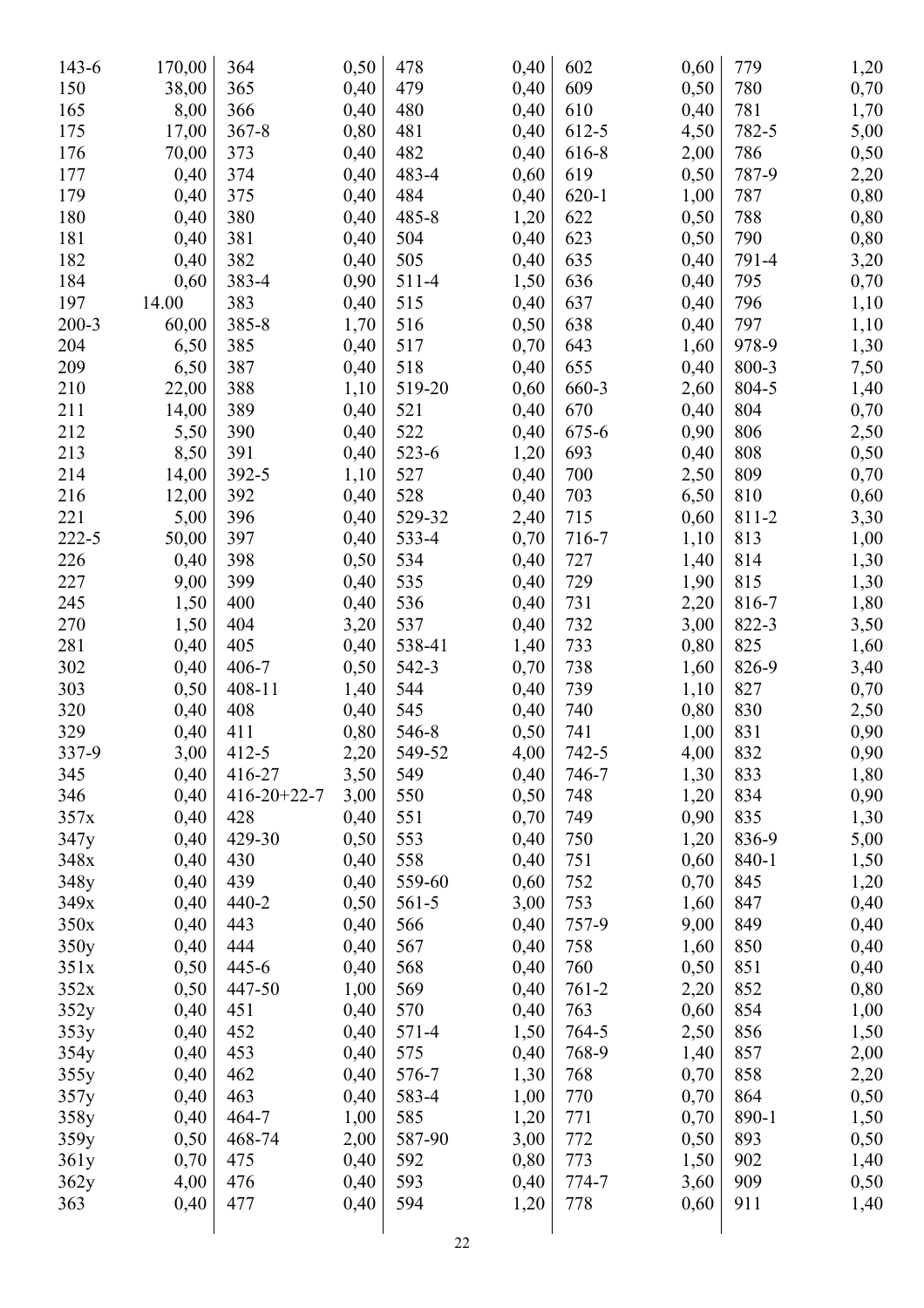| 143-6     | 170,00 | 364                 | 0,50 | 478    | 0,40 | 602       | 0,60 | 779   | 1,20 |
|-----------|--------|---------------------|------|--------|------|-----------|------|-------|------|
| 150       | 38,00  | 365                 | 0,40 | 479    | 0,40 | 609       | 0,50 | 780   | 0,70 |
| 165       | 8,00   | 366                 | 0,40 | 480    | 0,40 | 610       | 0,40 | 781   | 1,70 |
| 175       | 17,00  | $367 - 8$           | 0,80 | 481    | 0,40 | 612-5     | 4,50 | 782-5 | 5,00 |
| 176       | 70,00  | 373                 | 0,40 | 482    | 0,40 | 616-8     | 2,00 | 786   | 0,50 |
| 177       | 0,40   | 374                 | 0,40 | 483-4  | 0,60 | 619       | 0,50 | 787-9 | 2,20 |
| 179       | 0,40   | 375                 | 0,40 | 484    | 0,40 | $620 - 1$ | 1,00 | 787   | 0,80 |
| 180       | 0,40   | 380                 | 0,40 | 485-8  | 1,20 | 622       | 0,50 | 788   | 0,80 |
| 181       | 0,40   | 381                 | 0,40 | 504    | 0,40 | 623       | 0,50 | 790   | 0,80 |
| 182       | 0,40   | 382                 | 0,40 | 505    | 0,40 | 635       | 0,40 | 791-4 | 3,20 |
| 184       | 0,60   | 383-4               | 0,90 | 511-4  | 1,50 | 636       | 0,40 | 795   | 0,70 |
| 197       | 14.00  | 383                 | 0,40 | 515    | 0,40 | 637       | 0,40 | 796   | 1,10 |
| $200 - 3$ | 60,00  | 385-8               | 1,70 | 516    | 0,50 | 638       | 0,40 | 797   | 1,10 |
| 204       | 6,50   | 385                 | 0,40 | 517    | 0,70 | 643       | 1,60 | 978-9 | 1,30 |
| 209       | 6,50   | 387                 | 0,40 | 518    | 0,40 | 655       | 0,40 | 800-3 | 7,50 |
| 210       | 22,00  | 388                 |      | 519-20 | 0,60 | 660-3     |      | 804-5 |      |
|           |        | 389                 | 1,10 |        |      | 670       | 2,60 | 804   | 1,40 |
| 211       | 14,00  |                     | 0,40 | 521    | 0,40 |           | 0,40 |       | 0,70 |
| 212       | 5,50   | 390                 | 0,40 | 522    | 0,40 | 675-6     | 0,90 | 806   | 2,50 |
| 213       | 8,50   | 391                 | 0,40 | 523-6  | 1,20 | 693       | 0,40 | 808   | 0,50 |
| 214       | 14,00  | 392-5               | 1,10 | 527    | 0,40 | 700       | 2,50 | 809   | 0,70 |
| 216       | 12,00  | 392                 | 0,40 | 528    | 0,40 | 703       | 6,50 | 810   | 0,60 |
| 221       | 5,00   | 396                 | 0,40 | 529-32 | 2,40 | 715       | 0,60 | 811-2 | 3,30 |
| $222 - 5$ | 50,00  | 397                 | 0,40 | 533-4  | 0,70 | 716-7     | 1,10 | 813   | 1,00 |
| 226       | 0,40   | 398                 | 0,50 | 534    | 0,40 | 727       | 1,40 | 814   | 1,30 |
| 227       | 9,00   | 399                 | 0,40 | 535    | 0,40 | 729       | 1,90 | 815   | 1,30 |
| 245       | 1,50   | 400                 | 0,40 | 536    | 0,40 | 731       | 2,20 | 816-7 | 1,80 |
| 270       | 1,50   | 404                 | 3,20 | 537    | 0,40 | 732       | 3,00 | 822-3 | 3,50 |
| 281       | 0,40   | 405                 | 0,40 | 538-41 | 1,40 | 733       | 0,80 | 825   | 1,60 |
| 302       | 0,40   | 406-7               | 0,50 | 542-3  | 0,70 | 738       | 1,60 | 826-9 | 3,40 |
| 303       | 0,50   | 408-11              | 1,40 | 544    | 0,40 | 739       | 1,10 | 827   | 0,70 |
| 320       | 0,40   | 408                 | 0,40 | 545    | 0,40 | 740       | 0,80 | 830   | 2,50 |
| 329       | 0,40   | 411                 | 0,80 | 546-8  | 0,50 | 741       | 1,00 | 831   | 0,90 |
| 337-9     | 3,00   | $412 - 5$           | 2,20 | 549-52 | 4,00 | $742 - 5$ | 4,00 | 832   | 0,90 |
| 345       | 0,40   | 416-27              | 3,50 | 549    | 0,40 | 746-7     | 1,30 | 833   | 1,80 |
| 346       | 0,40   | $416 - 20 + 22 - 7$ | 3,00 | 550    | 0,50 | 748       | 1,20 | 834   | 0,90 |
| 357x      | 0,40   | 428                 | 0,40 | 551    | 0,70 | 749       | 0,90 | 835   | 1,30 |
| 347y      | 0,40   | 429-30              | 0,50 | 553    | 0,40 | 750       | 1,20 | 836-9 | 5,00 |
| 348x      | 0,40   | 430                 | 0,40 | 558    | 0,40 | 751       | 0,60 | 840-1 | 1,50 |
| 348y      | 0,40   | 439                 | 0,40 | 559-60 | 0,60 | 752       | 0,70 | 845   | 1,20 |
| 349x      | 0,40   | $440 - 2$           | 0,50 | 561-5  | 3,00 | 753       | 1,60 | 847   | 0,40 |
| 350x      | 0,40   | 443                 | 0,40 | 566    | 0,40 | 757-9     | 9,00 | 849   | 0,40 |
| 350y      | 0,40   | 444                 | 0,40 | 567    | 0,40 | 758       | 1,60 | 850   | 0,40 |
| 351x      | 0,50   | 445-6               | 0,40 | 568    | 0,40 | 760       | 0,50 | 851   | 0,40 |
| 352x      | 0,50   | 447-50              | 1,00 | 569    | 0,40 | $761 - 2$ | 2,20 | 852   | 0,80 |
| 352y      | 0,40   | 451                 | 0,40 | 570    | 0,40 | 763       | 0,60 | 854   | 1,00 |
| 353y      | 0,40   | 452                 | 0,40 | 571-4  | 1,50 | 764-5     | 2,50 | 856   | 1,50 |
| 354y      | 0,40   | 453                 | 0,40 | 575    | 0,40 | 768-9     | 1,40 | 857   | 2,00 |
| 355y      | 0,40   | 462                 | 0,40 | 576-7  | 1,30 | 768       | 0,70 | 858   | 2,20 |
| 357y      | 0,40   | 463                 | 0,40 | 583-4  | 1,00 | 770       | 0,70 | 864   | 0,50 |
| 358y      | 0,40   | 464-7               | 1,00 | 585    | 1,20 | 771       | 0,70 | 890-1 | 1,50 |
| 359y      | 0,50   | 468-74              | 2,00 | 587-90 | 3,00 | 772       | 0,50 | 893   | 0,50 |
| 361y      | 0,70   | 475                 | 0,40 | 592    | 0,80 | 773       | 1,50 | 902   | 1,40 |
| 362y      | 4,00   | 476                 | 0,40 | 593    | 0,40 | 774-7     | 3,60 | 909   | 0,50 |
| 363       | 0,40   | 477                 | 0,40 | 594    |      | 778       | 0,60 | 911   |      |
|           |        |                     |      |        | 1,20 |           |      |       | 1,40 |
|           |        |                     |      |        |      |           |      |       |      |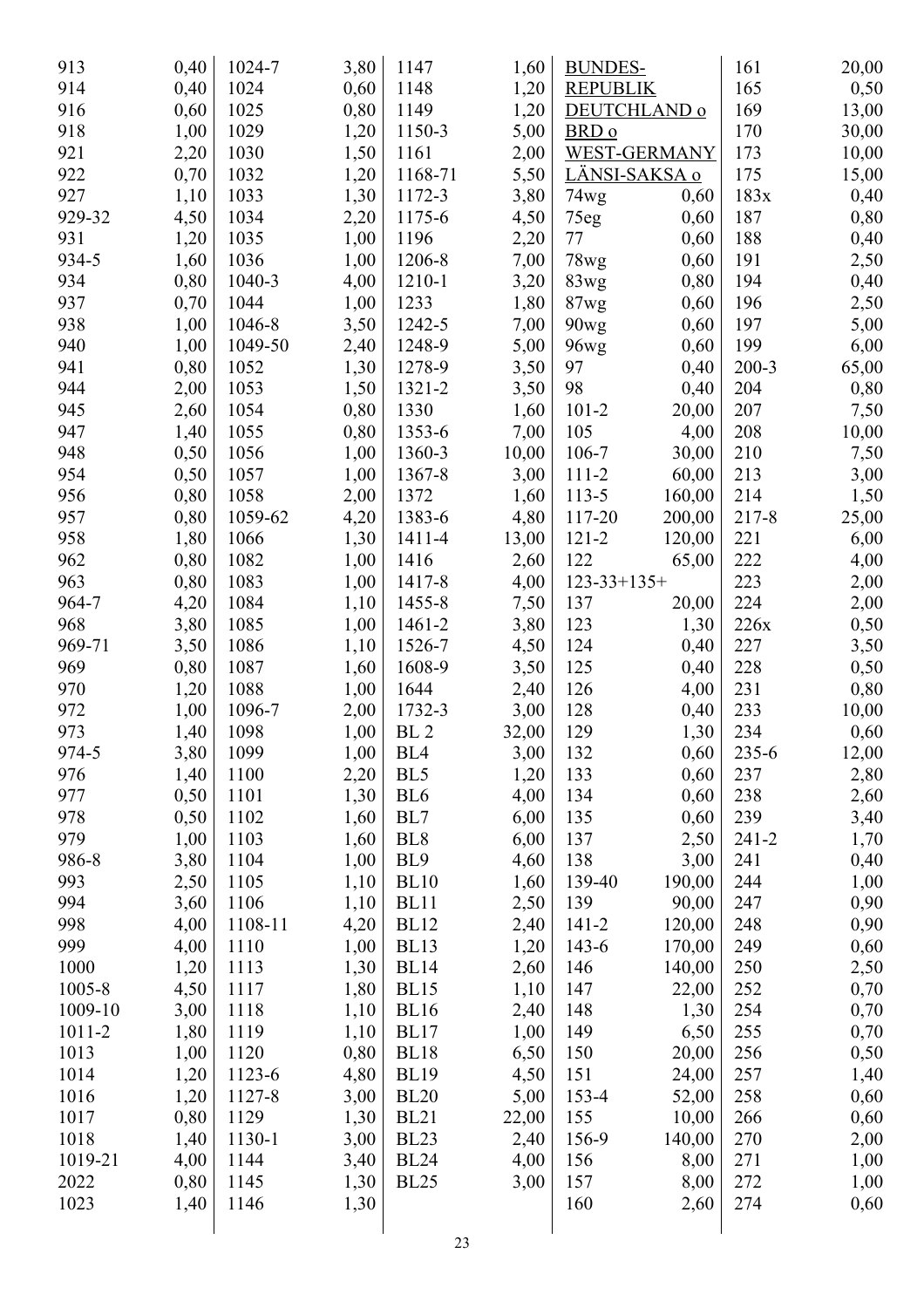| 913     | 0,40 | 1024-7  | 3,80 | 1147            | 1,60         | <b>BUNDES-</b>     |                      | 161       | 20,00 |
|---------|------|---------|------|-----------------|--------------|--------------------|----------------------|-----------|-------|
| 914     | 0,40 | 1024    | 0,60 | 1148            | 1,20         | <b>REPUBLIK</b>    |                      | 165       | 0,50  |
| 916     | 0,60 | 1025    | 0,80 | 1149            | 1,20         |                    | DEUTCHLAND o         | 169       | 13,00 |
| 918     | 1,00 | 1029    | 1,20 | 1150-3          | 5,00         | BRD o              |                      | 170       | 30,00 |
| 921     | 2,20 | 1030    | 1,50 | 1161            | 2,00         |                    | WEST-GERMANY         | 173       | 10,00 |
| 922     | 0,70 | 1032    | 1,20 | 1168-71         | 5,50         |                    | <u>LÄNSI-SAKSA o</u> | 175       | 15,00 |
| 927     | 1,10 | 1033    | 1,30 | 1172-3          | 3,80         | 74wg               | 0,60                 | 183x      | 0,40  |
| 929-32  | 4,50 | 1034    | 2,20 | 1175-6          | 4,50         | 75eg               | 0,60                 | 187       | 0,80  |
| 931     | 1,20 | 1035    | 1,00 | 1196            | 2,20         | 77                 | 0,60                 | 188       | 0,40  |
| 934-5   | 1,60 | 1036    | 1,00 | 1206-8          | 7,00         | 78wg               | 0,60                 | 191       | 2,50  |
| 934     | 0,80 | 1040-3  | 4,00 | 1210-1          | 3,20         | 83wg               | 0,80                 | 194       | 0,40  |
| 937     | 0,70 | 1044    | 1,00 | 1233            | 1,80         | 87wg               | 0,60                 | 196       | 2,50  |
| 938     | 1,00 | 1046-8  | 3,50 | 1242-5          | 7,00         | 90wg               | 0,60                 | 197       | 5,00  |
| 940     | 1,00 | 1049-50 | 2,40 | 1248-9          | 5,00         | 96wg               | 0,60                 | 199       | 6,00  |
| 941     | 0,80 | 1052    | 1,30 | 1278-9          | 3,50         | 97                 | 0,40                 | $200 - 3$ | 65,00 |
| 944     | 2,00 | 1053    | 1,50 | 1321-2          | 3,50         | 98                 | 0,40                 | 204       | 0,80  |
| 945     | 2,60 | 1054    | 0,80 | 1330            | 1,60         | $101 - 2$          | 20,00                | 207       | 7,50  |
| 947     | 1,40 | 1055    | 0,80 | 1353-6          | 7,00         | 105                | 4,00                 | 208       | 10,00 |
| 948     | 0,50 | 1056    | 1,00 | 1360-3          | 10,00        | 106-7              | 30,00                | 210       | 7,50  |
| 954     | 0,50 | 1057    | 1,00 | 1367-8          | 3,00         | $111 - 2$          | 60,00                | 213       | 3,00  |
| 956     | 0,80 | 1058    | 2,00 | 1372            | 1,60         | $113 - 5$          | 160,00               | 214       | 1,50  |
| 957     | 0,80 | 1059-62 | 4,20 | 1383-6          | 4,80         | 117-20             | 200,00               | 217-8     | 25,00 |
| 958     | 1,80 | 1066    | 1,30 | 1411-4          | 13,00        | $121 - 2$          | 120,00               | 221       | 6,00  |
| 962     | 0,80 | 1082    | 1,00 | 1416            |              | 122                |                      | 222       |       |
| 963     | 0,80 | 1083    | 1,00 | 1417-8          | 2,60<br>4,00 | $123 - 33 + 135 +$ | 65,00                | 223       | 4,00  |
| 964-7   |      | 1084    |      | 1455-8          |              | 137                |                      | 224       | 2,00  |
| 968     | 4,20 | 1085    | 1,10 |                 | 7,50         | 123                | 20,00                | 226x      | 2,00  |
|         | 3,80 |         | 1,00 | 1461-2          | 3,80         |                    | 1,30                 |           | 0,50  |
| 969-71  | 3,50 | 1086    | 1,10 | 1526-7          | 4,50         | 124                | 0,40                 | 227       | 3,50  |
| 969     | 0,80 | 1087    | 1,60 | 1608-9          | 3,50         | 125                | 0,40                 | 228       | 0,50  |
| 970     | 1,20 | 1088    | 1,00 | 1644            | 2,40         | 126                | 4,00                 | 231       | 0,80  |
| 972     | 1,00 | 1096-7  | 2,00 | 1732-3          | 3,00         | 128                | 0,40                 | 233       | 10,00 |
| 973     | 1,40 | 1098    | 1,00 | BL <sub>2</sub> | 32,00        | 129                | 1,30                 | 234       | 0,60  |
| 974-5   | 3,80 | 1099    | 1,00 | BL <sub>4</sub> | 3,00         | 132                | 0,60                 | 235-6     | 12,00 |
| 976     | 1,40 | 1100    | 2,20 | BL <sub>5</sub> | 1,20         | 133                | 0,60                 | 237       | 2,80  |
| 977     | 0,50 | 1101    | 1,30 | BL <sub>6</sub> | 4,00         | 134                | 0,60                 | 238       | 2,60  |
| 978     | 0,50 | 1102    | 1,60 | BL7             | 6,00         | 135                | 0,60                 | 239       | 3,40  |
| 979     | 1,00 | 1103    | 1,60 | BL <sub>8</sub> | 6,00         | 137                | 2,50                 | $241 - 2$ | 1,70  |
| 986-8   | 3,80 | 1104    | 1,00 | BL <sub>9</sub> | 4,60         | 138                | 3,00                 | 241       | 0,40  |
| 993     | 2,50 | 1105    | 1,10 | <b>BL10</b>     | 1,60         | 139-40             | 190,00               | 244       | 1,00  |
| 994     | 3,60 | 1106    | 1,10 | <b>BL11</b>     | 2,50         | 139                | 90,00                | 247       | 0,90  |
| 998     | 4,00 | 1108-11 | 4,20 | <b>BL12</b>     | 2,40         | $141 - 2$          | 120,00               | 248       | 0,90  |
| 999     | 4,00 | 1110    | 1,00 | <b>BL13</b>     | 1,20         | $143-6$            | 170,00               | 249       | 0,60  |
| 1000    | 1,20 | 1113    | 1,30 | <b>BL14</b>     | 2,60         | 146                | 140,00               | 250       | 2,50  |
| 1005-8  | 4,50 | 1117    | 1,80 | <b>BL15</b>     | 1,10         | 147                | 22,00                | 252       | 0,70  |
| 1009-10 | 3,00 | 1118    | 1,10 | <b>BL16</b>     | 2,40         | 148                | 1,30                 | 254       | 0,70  |
| 1011-2  | 1,80 | 1119    | 1,10 | BL17            | 1,00         | 149                | 6,50                 | 255       | 0,70  |
| 1013    | 1,00 | 1120    | 0,80 | <b>BL18</b>     | 6,50         | 150                | 20,00                | 256       | 0,50  |
| 1014    | 1,20 | 1123-6  | 4,80 | <b>BL19</b>     | 4,50         | 151                | 24,00                | 257       | 1,40  |
| 1016    | 1,20 | 1127-8  | 3,00 | <b>BL20</b>     | 5,00         | 153-4              | 52,00                | 258       | 0,60  |
| 1017    | 0,80 | 1129    | 1,30 | <b>BL21</b>     | 22,00        | 155                | 10,00                | 266       | 0,60  |
| 1018    | 1,40 | 1130-1  | 3,00 | <b>BL23</b>     | 2,40         | 156-9              | 140,00               | 270       | 2,00  |
| 1019-21 | 4,00 | 1144    | 3,40 | <b>BL24</b>     | 4,00         | 156                | 8,00                 | 271       | 1,00  |
| 2022    | 0,80 | 1145    | 1,30 | <b>BL25</b>     | 3,00         | 157                | 8,00                 | 272       | 1,00  |
| 1023    | 1,40 | 1146    | 1,30 |                 |              | 160                | 2,60                 | 274       | 0,60  |
|         |      |         |      |                 |              |                    |                      |           |       |
|         |      |         |      | $\mathcal{L}$   |              |                    |                      |           |       |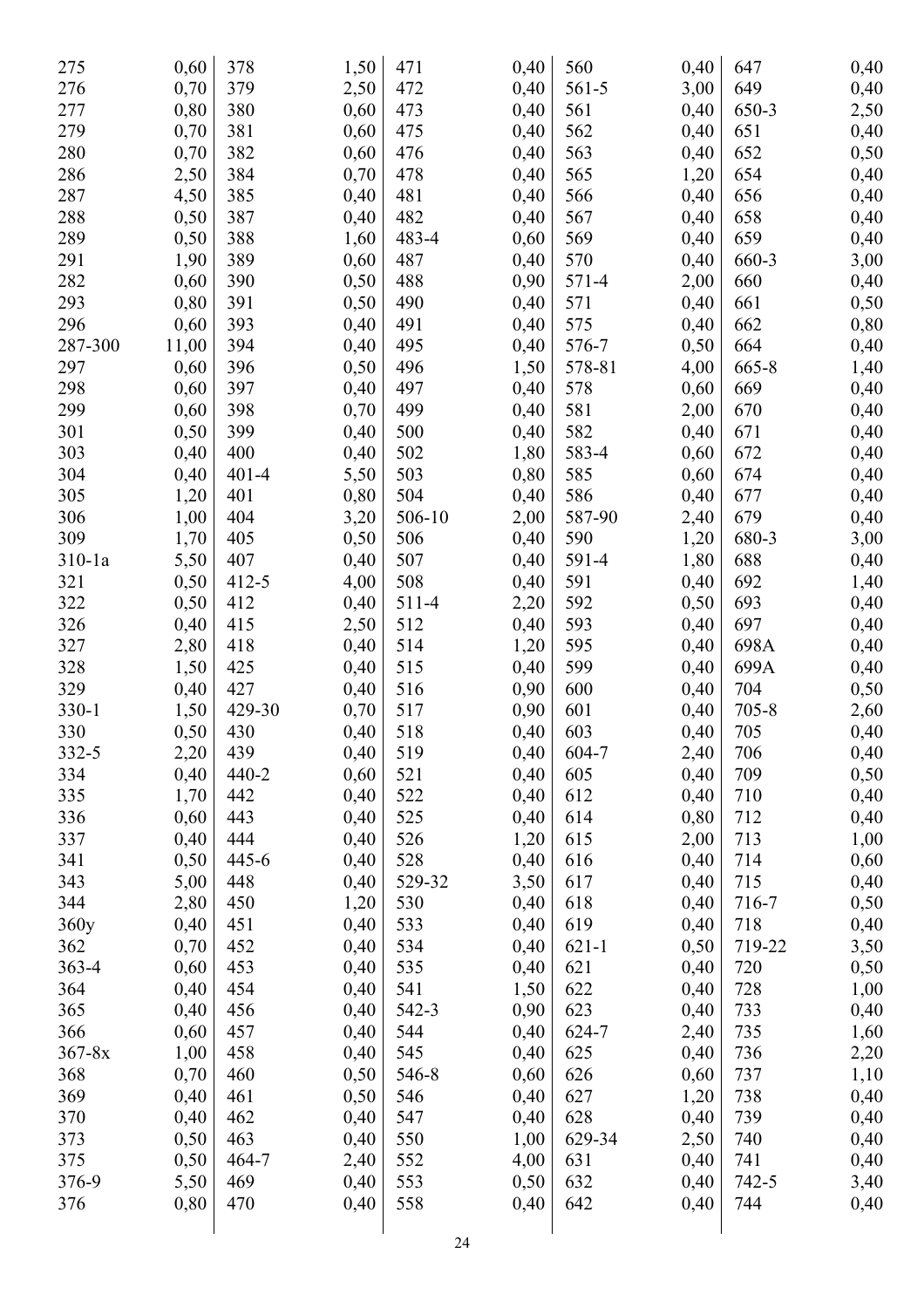| 275        | 0,60         | 378       | 1,50 | 471    | 0,40         | 560       | 0,40         | 647       | 0,40         |
|------------|--------------|-----------|------|--------|--------------|-----------|--------------|-----------|--------------|
| 276        | 0,70         | 379       | 2,50 | 472    | 0,40         | 561-5     | 3,00         | 649       | 0,40         |
| 277        | 0,80         | 380       | 0,60 | 473    | 0,40         | 561       | 0,40         | 650-3     | 2,50         |
| 279        | 0,70         | 381       | 0,60 | 475    | 0,40         | 562       | 0,40         | 651       | 0,40         |
| 280        | 0,70         | 382       | 0,60 | 476    | 0,40         | 563       | 0,40         | 652       | 0,50         |
| 286        | 2,50         | 384       | 0,70 | 478    | 0,40         | 565       | 1,20         | 654       | 0,40         |
| 287        | 4,50         | 385       | 0,40 | 481    | 0,40         | 566       | 0,40         | 656       | 0,40         |
| 288        | 0,50         | 387       | 0,40 | 482    | 0,40         | 567       | 0,40         | 658       | 0,40         |
| 289        | 0,50         | 388       | 1,60 | 483-4  | 0,60         | 569       | 0,40         | 659       | 0,40         |
| 291        | 1,90         | 389       | 0,60 | 487    | 0,40         | 570       | 0,40         | 660-3     | 3,00         |
| 282        | 0,60         | 390       | 0,50 | 488    | 0,90         | 571-4     | 2,00         | 660       | 0,40         |
| 293        | 0,80         | 391       | 0,50 | 490    | 0,40         | 571       | 0,40         | 661       | 0,50         |
| 296        | 0,60         | 393       | 0,40 | 491    | 0,40         | 575       | 0,40         | 662       | 0,80         |
| 287-300    | 11,00        | 394       | 0,40 | 495    | 0,40         | 576-7     | 0,50         | 664       | 0,40         |
| 297        | 0,60         | 396       | 0,50 | 496    | 1,50         | 578-81    | 4,00         | $665 - 8$ | 1,40         |
| 298        | 0,60         | 397       | 0,40 | 497    | 0,40         | 578       | 0,60         | 669       | 0,40         |
| 299        | 0,60         | 398       | 0,70 | 499    | 0,40         | 581       | 2,00         | 670       | 0,40         |
| 301        | 0,50         | 399       | 0,40 | 500    | 0,40         | 582       | 0,40         | 671       | 0,40         |
| 303        | 0,40         | 400       | 0,40 | 502    | 1,80         | 583-4     | 0,60         | 672       | 0,40         |
| 304        | 0,40         | $401 - 4$ | 5,50 | 503    | 0,80         | 585       | 0,60         | 674       | 0,40         |
| 305        | 1,20         | 401       | 0,80 | 504    | 0,40         | 586       | 0,40         | 677       | 0,40         |
| 306        | 1,00         | 404       | 3,20 | 506-10 | 2,00         | 587-90    | 2,40         | 679       | 0,40         |
| 309        | 1,70         | 405       | 0,50 | 506    | 0,40         | 590       | 1,20         | 680-3     | 3,00         |
| $310-1a$   | 5,50         | 407       | 0,40 | 507    | 0,40         | 591-4     | 1,80         | 688       | 0,40         |
| 321        | 0,50         | $412 - 5$ | 4,00 | 508    | 0,40         | 591       | 0,40         | 692       | 1,40         |
| 322        | 0,50         | 412       | 0,40 | 511-4  | 2,20         | 592       | 0,50         | 693       | 0,40         |
| 326        | 0,40         | 415       | 2,50 | 512    | 0,40         | 593       | 0,40         | 697       | 0,40         |
| 327        | 2,80         | 418       | 0,40 | 514    | 1,20         | 595       | 0,40         | 698A      | 0,40         |
| 328        | 1,50         | 425       | 0,40 | 515    | 0,40         | 599       | 0,40         | 699A      |              |
| 329        | 0,40         | 427       | 0,40 | 516    | 0,90         | 600       | 0,40         | 704       | 0,40<br>0,50 |
| 330-1      | 1,50         | 429-30    | 0,70 | 517    | 0,90         | 601       | 0,40         | $705 - 8$ |              |
| 330        | 0,50         | 430       | 0,40 | 518    | 0,40         | 603       | 0,40         | 705       | 2,60<br>0,40 |
| 332-5      | 2,20         | 439       | 0,40 | 519    | 0,40         | 604-7     | 2,40         | 706       | 0,40         |
| 334        | 0,40         | $440 - 2$ | 0,60 | 521    | 0,40         | 605       | 0,40         | 709       | 0,50         |
| 335        | 1,70         | 442       | 0,40 | 522    | 0,40         | 612       | 0,40         | 710       | 0,40         |
| 336        | 0,60         | 443       | 0,40 | 525    | 0,40         | 614       | 0,80         | 712       |              |
| 337        | 0,40         | 444       | 0,40 | 526    |              | 615       |              | 713       | 0,40         |
| 341        | 0,50         | $445 - 6$ | 0,40 | 528    | 1,20         | 616       | 2,00         | 714       | 1,00         |
| 343        |              | 448       | 0,40 | 529-32 | 0,40         | 617       | 0,40<br>0,40 | 715       | 0,60         |
| 344        | 5,00<br>2,80 | 450       | 1,20 | 530    | 3,50<br>0,40 | 618       | 0,40         | 716-7     | 0,40         |
|            | 0,40         | 451       | 0,40 | 533    | 0,40         | 619       | 0,40         | 718       | 0,50         |
| 360y       |              |           |      |        |              |           |              |           | 0,40         |
| 362        | 0,70         | 452       | 0,40 | 534    | 0,40         | $621 - 1$ | 0,50         | 719-22    | 3,50         |
| 363-4      | 0,60         | 453       | 0,40 | 535    | 0,40         | 621       | 0,40         | 720       | 0,50         |
| 364        | 0,40         | 454       | 0,40 | 541    | 1,50         | 622       | 0,40         | 728       | 1,00         |
| 365        | 0,40         | 456       | 0,40 | 542-3  | 0,90         | 623       | 0,40         | 733       | 0,40         |
| 366        | 0,60         | 457       | 0,40 | 544    | 0,40         | 624-7     | 2,40         | 735       | 1,60         |
| $367 - 8x$ | 1,00         | 458       | 0,40 | 545    | 0,40         | 625       | 0,40         | 736       | 2,20         |
| 368        | 0,70         | 460       | 0,50 | 546-8  | 0,60         | 626       | 0,60         | 737       | 1,10         |
| 369        | 0,40         | 461       | 0,50 | 546    | 0,40         | 627       | 1,20         | 738       | 0,40         |
| 370        | 0,40         | 462       | 0,40 | 547    | 0,40         | 628       | 0,40         | 739       | 0,40         |
| 373        | 0,50         | 463       | 0,40 | 550    | 1,00         | 629-34    | 2,50         | 740       | 0,40         |
| 375        | 0,50         | 464-7     | 2,40 | 552    | 4,00         | 631       | 0,40         | 741       | 0,40         |
| 376-9      | 5,50         | 469       | 0,40 | 553    | 0,50         | 632       | 0,40         | 742-5     | 3,40         |
| 376        | 0,80         | 470       | 0,40 | 558    | 0,40         | 642       | 0,40         | 744       | 0,40         |
|            |              |           |      |        |              |           |              |           |              |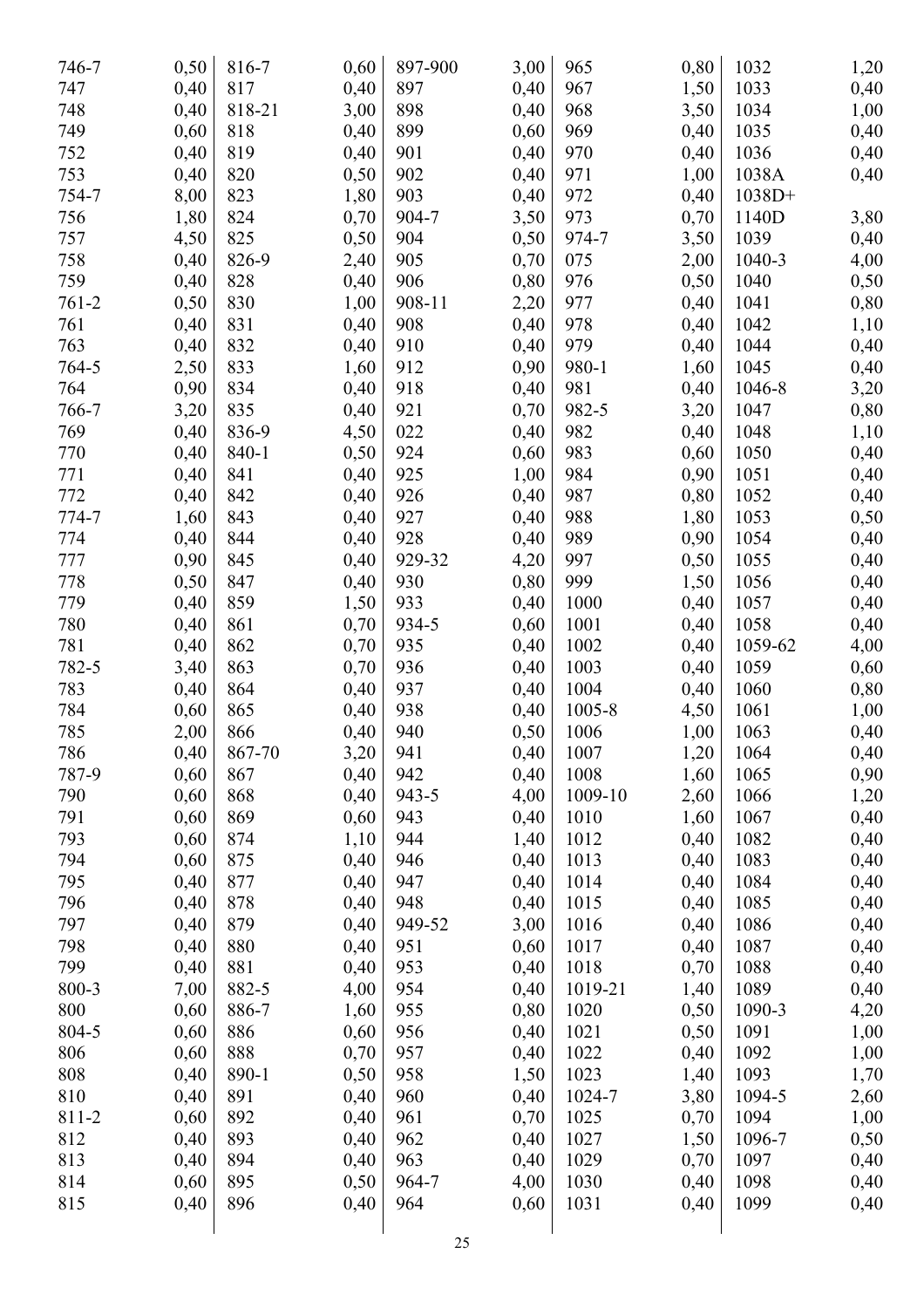| 746-7     | 0,50 | 816-7  | 0,60 | 897-900 | 3,00 | 965     | 0,80 | 1032     | 1,20 |
|-----------|------|--------|------|---------|------|---------|------|----------|------|
| 747       | 0,40 | 817    | 0,40 | 897     | 0,40 | 967     | 1,50 | 1033     | 0,40 |
| 748       | 0,40 | 818-21 | 3,00 | 898     | 0,40 | 968     | 3,50 | 1034     | 1,00 |
| 749       | 0,60 | 818    | 0,40 | 899     | 0,60 | 969     | 0,40 | 1035     | 0,40 |
| 752       | 0,40 | 819    | 0,40 | 901     | 0,40 | 970     | 0,40 | 1036     | 0,40 |
| 753       | 0,40 | 820    | 0,50 | 902     | 0,40 | 971     | 1,00 | 1038A    | 0,40 |
| 754-7     | 8,00 | 823    | 1,80 | 903     | 0,40 | 972     | 0,40 | $1038D+$ |      |
| 756       | 1,80 | 824    | 0,70 | 904-7   | 3,50 | 973     | 0,70 | 1140D    | 3,80 |
| 757       | 4,50 | 825    | 0,50 | 904     | 0,50 | 974-7   | 3,50 | 1039     | 0,40 |
| 758       | 0,40 | 826-9  | 2,40 | 905     | 0,70 | 075     | 2,00 | 1040-3   | 4,00 |
| 759       | 0,40 | 828    | 0,40 | 906     | 0,80 | 976     | 0,50 | 1040     | 0,50 |
| $761 - 2$ | 0,50 | 830    | 1,00 | 908-11  | 2,20 | 977     | 0,40 | 1041     | 0,80 |
| 761       | 0,40 | 831    | 0,40 | 908     | 0,40 | 978     | 0,40 | 1042     | 1,10 |
| 763       | 0,40 | 832    | 0,40 | 910     | 0,40 | 979     | 0,40 | 1044     | 0,40 |
| 764-5     | 2,50 | 833    | 1,60 | 912     | 0,90 | 980-1   | 1,60 | 1045     | 0,40 |
| 764       | 0,90 | 834    | 0,40 | 918     | 0,40 | 981     | 0,40 | 1046-8   | 3,20 |
| 766-7     | 3,20 | 835    | 0,40 | 921     | 0,70 | 982-5   | 3,20 | 1047     | 0,80 |
| 769       | 0,40 | 836-9  | 4,50 | 022     | 0,40 | 982     | 0,40 | 1048     | 1,10 |
| 770       | 0,40 | 840-1  | 0,50 | 924     | 0,60 | 983     | 0,60 | 1050     | 0,40 |
| 771       | 0,40 | 841    | 0,40 | 925     | 1,00 | 984     | 0,90 | 1051     | 0,40 |
| 772       | 0,40 | 842    |      | 926     | 0,40 | 987     |      | 1052     |      |
| 774-7     |      |        | 0,40 | 927     |      | 988     | 0,80 |          | 0,40 |
|           | 1,60 | 843    | 0,40 |         | 0,40 |         | 1,80 | 1053     | 0,50 |
| 774       | 0,40 | 844    | 0,40 | 928     | 0,40 | 989     | 0,90 | 1054     | 0,40 |
| 777       | 0,90 | 845    | 0,40 | 929-32  | 4,20 | 997     | 0,50 | 1055     | 0,40 |
| 778       | 0,50 | 847    | 0,40 | 930     | 0,80 | 999     | 1,50 | 1056     | 0,40 |
| 779       | 0,40 | 859    | 1,50 | 933     | 0,40 | 1000    | 0,40 | 1057     | 0,40 |
| 780       | 0,40 | 861    | 0,70 | 934-5   | 0,60 | 1001    | 0,40 | 1058     | 0,40 |
| 781       | 0,40 | 862    | 0,70 | 935     | 0,40 | 1002    | 0,40 | 1059-62  | 4,00 |
| 782-5     | 3,40 | 863    | 0,70 | 936     | 0,40 | 1003    | 0,40 | 1059     | 0,60 |
| 783       | 0,40 | 864    | 0,40 | 937     | 0,40 | 1004    | 0,40 | 1060     | 0,80 |
| 784       | 0,60 | 865    | 0,40 | 938     | 0,40 | 1005-8  | 4,50 | 1061     | 1,00 |
| 785       | 2,00 | 866    | 0,40 | 940     | 0,50 | 1006    | 1,00 | 1063     | 0,40 |
| 786       | 0,40 | 867-70 | 3,20 | 941     | 0,40 | 1007    | 1,20 | 1064     | 0,40 |
| 787-9     | 0,60 | 867    | 0,40 | 942     | 0,40 | 1008    | 1,60 | 1065     | 0,90 |
| 790       | 0,60 | 868    | 0,40 | 943-5   | 4,00 | 1009-10 | 2,60 | 1066     | 1,20 |
| 791       | 0,60 | 869    | 0,60 | 943     | 0,40 | 1010    | 1,60 | 1067     | 0,40 |
| 793       | 0,60 | 874    | 1,10 | 944     | 1,40 | 1012    | 0,40 | 1082     | 0,40 |
| 794       | 0,60 | 875    | 0,40 | 946     | 0,40 | 1013    | 0,40 | 1083     | 0,40 |
| 795       | 0,40 | 877    | 0,40 | 947     | 0,40 | 1014    | 0,40 | 1084     | 0,40 |
| 796       | 0,40 | 878    | 0,40 | 948     | 0,40 | 1015    | 0,40 | 1085     | 0,40 |
| 797       | 0,40 | 879    | 0,40 | 949-52  | 3,00 | 1016    | 0,40 | 1086     | 0,40 |
| 798       | 0,40 | 880    | 0,40 | 951     | 0,60 | 1017    | 0,40 | 1087     | 0,40 |
| 799       | 0,40 | 881    | 0,40 | 953     | 0,40 | 1018    | 0,70 | 1088     | 0,40 |
| 800-3     | 7,00 | 882-5  | 4,00 | 954     | 0,40 | 1019-21 | 1,40 | 1089     | 0,40 |
| 800       | 0,60 | 886-7  | 1,60 | 955     | 0,80 | 1020    | 0,50 | 1090-3   | 4,20 |
| 804-5     | 0,60 | 886    | 0,60 | 956     | 0,40 | 1021    | 0,50 | 1091     | 1,00 |
| 806       | 0,60 | 888    | 0,70 | 957     | 0,40 | 1022    | 0,40 | 1092     | 1,00 |
| 808       | 0,40 | 890-1  | 0,50 | 958     | 1,50 | 1023    | 1,40 | 1093     | 1,70 |
| 810       | 0,40 | 891    | 0,40 | 960     | 0,40 | 1024-7  | 3,80 | 1094-5   | 2,60 |
| 811-2     | 0,60 | 892    | 0,40 | 961     | 0,70 | 1025    | 0,70 | 1094     | 1,00 |
| 812       | 0,40 | 893    | 0,40 | 962     | 0,40 | 1027    | 1,50 | 1096-7   | 0,50 |
| 813       | 0,40 | 894    | 0,40 | 963     | 0,40 | 1029    | 0,70 | 1097     | 0,40 |
| 814       | 0,60 | 895    | 0,50 | 964-7   | 4,00 | 1030    | 0,40 | 1098     | 0,40 |
| 815       | 0,40 | 896    | 0,40 | 964     | 0,60 | 1031    | 0,40 | 1099     | 0,40 |
|           |      |        |      |         |      |         |      |          |      |
|           |      |        |      |         |      |         |      |          |      |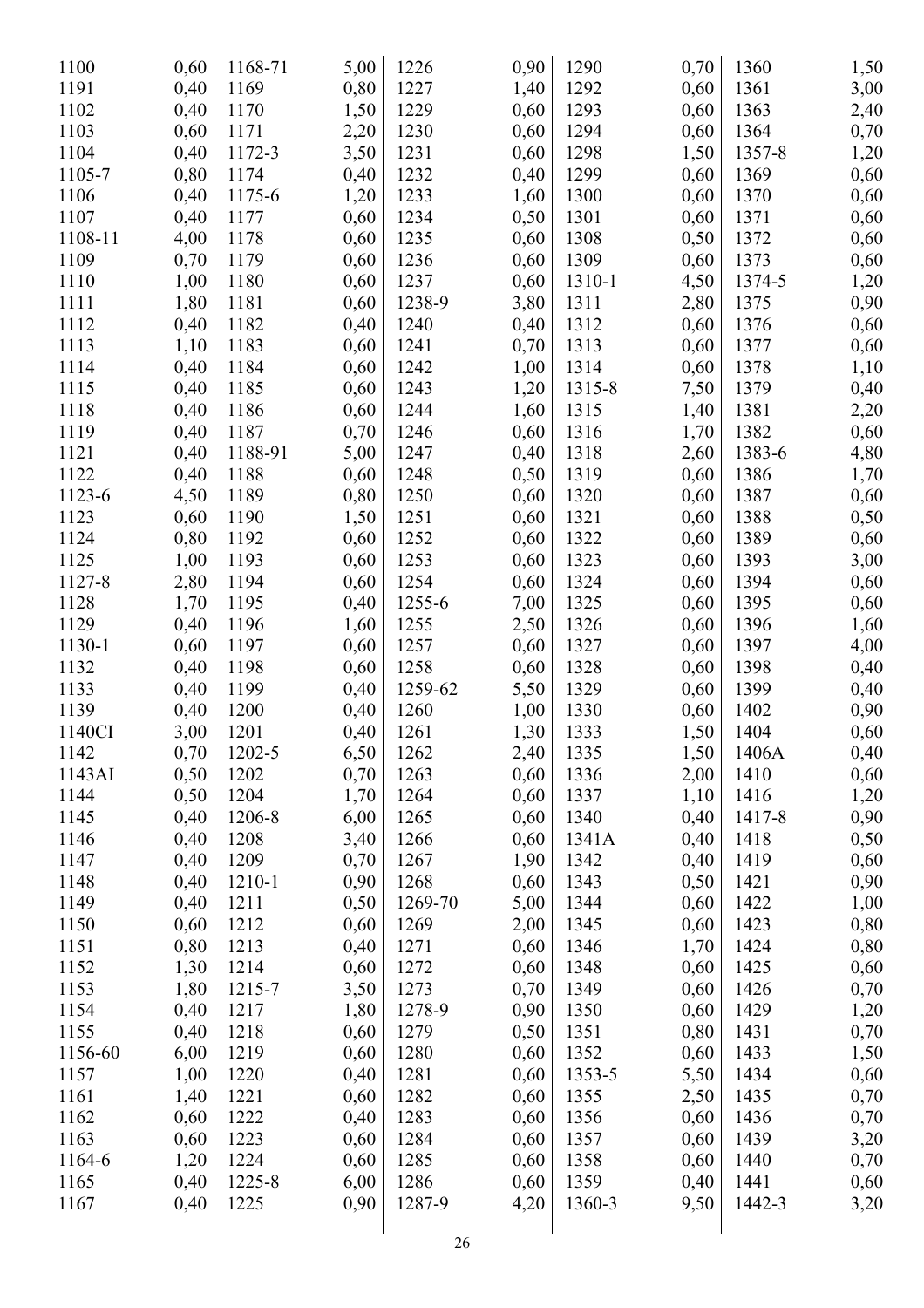| 1100    | 0,60 | 1168-71 | 5,00 | 1226    | 0,90 | 1290   | 0,70 | 1360   | 1,50 |
|---------|------|---------|------|---------|------|--------|------|--------|------|
| 1191    | 0,40 | 1169    | 0,80 | 1227    | 1,40 | 1292   | 0,60 | 1361   | 3,00 |
| 1102    | 0,40 | 1170    | 1,50 | 1229    | 0,60 | 1293   | 0,60 | 1363   | 2,40 |
| 1103    | 0,60 | 1171    | 2,20 | 1230    | 0,60 | 1294   | 0,60 | 1364   | 0,70 |
| 1104    | 0,40 | 1172-3  | 3,50 | 1231    | 0,60 | 1298   | 1,50 | 1357-8 | 1,20 |
| 1105-7  | 0,80 | 1174    | 0,40 | 1232    | 0,40 | 1299   | 0,60 | 1369   | 0,60 |
| 1106    | 0,40 | 1175-6  | 1,20 | 1233    | 1,60 | 1300   | 0,60 | 1370   | 0,60 |
| 1107    | 0,40 | 1177    | 0,60 | 1234    | 0,50 | 1301   | 0,60 | 1371   | 0,60 |
| 1108-11 | 4,00 | 1178    | 0,60 | 1235    | 0,60 | 1308   | 0,50 | 1372   | 0,60 |
| 1109    | 0,70 | 1179    | 0,60 | 1236    | 0,60 | 1309   | 0,60 | 1373   | 0,60 |
| 1110    | 1,00 | 1180    | 0,60 | 1237    | 0,60 | 1310-1 | 4,50 | 1374-5 | 1,20 |
| 1111    | 1,80 | 1181    | 0,60 | 1238-9  | 3,80 | 1311   | 2,80 | 1375   | 0,90 |
| 1112    | 0,40 | 1182    | 0,40 | 1240    | 0,40 | 1312   | 0,60 | 1376   | 0,60 |
| 1113    | 1,10 | 1183    | 0,60 | 1241    | 0,70 | 1313   | 0,60 | 1377   | 0,60 |
| 1114    | 0,40 | 1184    | 0,60 | 1242    | 1,00 | 1314   | 0,60 | 1378   | 1,10 |
| 1115    | 0,40 | 1185    | 0,60 | 1243    | 1,20 | 1315-8 | 7,50 | 1379   | 0,40 |
| 1118    | 0,40 | 1186    | 0,60 | 1244    | 1,60 | 1315   | 1,40 | 1381   | 2,20 |
| 1119    | 0,40 | 1187    | 0,70 | 1246    | 0,60 | 1316   | 1,70 | 1382   | 0,60 |
| 1121    | 0,40 | 1188-91 | 5,00 | 1247    | 0,40 | 1318   | 2,60 | 1383-6 | 4,80 |
| 1122    | 0,40 | 1188    | 0,60 | 1248    | 0,50 | 1319   | 0,60 | 1386   | 1,70 |
| 1123-6  | 4,50 | 1189    | 0,80 | 1250    | 0,60 | 1320   | 0,60 | 1387   | 0,60 |
| 1123    | 0,60 | 1190    | 1,50 | 1251    | 0,60 | 1321   | 0,60 | 1388   |      |
| 1124    | 0,80 | 1192    | 0,60 | 1252    | 0,60 | 1322   | 0,60 | 1389   | 0,50 |
| 1125    |      |         |      | 1253    |      | 1323   |      | 1393   | 0,60 |
| 1127-8  | 1,00 | 1193    | 0,60 | 1254    | 0,60 | 1324   | 0,60 | 1394   | 3,00 |
|         | 2,80 | 1194    | 0,60 |         | 0,60 |        | 0,60 |        | 0,60 |
| 1128    | 1,70 | 1195    | 0,40 | 1255-6  | 7,00 | 1325   | 0,60 | 1395   | 0,60 |
| 1129    | 0,40 | 1196    | 1,60 | 1255    | 2,50 | 1326   | 0,60 | 1396   | 1,60 |
| 1130-1  | 0,60 | 1197    | 0,60 | 1257    | 0,60 | 1327   | 0,60 | 1397   | 4,00 |
| 1132    | 0,40 | 1198    | 0,60 | 1258    | 0,60 | 1328   | 0,60 | 1398   | 0,40 |
| 1133    | 0,40 | 1199    | 0,40 | 1259-62 | 5,50 | 1329   | 0,60 | 1399   | 0,40 |
| 1139    | 0,40 | 1200    | 0,40 | 1260    | 1,00 | 1330   | 0,60 | 1402   | 0,90 |
| 1140CI  | 3,00 | 1201    | 0,40 | 1261    | 1,30 | 1333   | 1,50 | 1404   | 0,60 |
| 1142    | 0,70 | 1202-5  | 6,50 | 1262    | 2,40 | 1335   | 1,50 | 1406A  | 0,40 |
| 1143AI  | 0,50 | 1202    | 0,70 | 1263    | 0,60 | 1336   | 2,00 | 1410   | 0,60 |
| 1144    | 0,50 | 1204    | 1,70 | 1264    | 0,60 | 1337   | 1,10 | 1416   | 1,20 |
| 1145    | 0,40 | 1206-8  | 6,00 | 1265    | 0,60 | 1340   | 0,40 | 1417-8 | 0,90 |
| 1146    | 0,40 | 1208    | 3,40 | 1266    | 0,60 | 1341A  | 0,40 | 1418   | 0,50 |
| 1147    | 0,40 | 1209    | 0,70 | 1267    | 1,90 | 1342   | 0,40 | 1419   | 0,60 |
| 1148    | 0,40 | 1210-1  | 0,90 | 1268    | 0,60 | 1343   | 0,50 | 1421   | 0,90 |
| 1149    | 0,40 | 1211    | 0,50 | 1269-70 | 5,00 | 1344   | 0,60 | 1422   | 1,00 |
| 1150    | 0,60 | 1212    | 0,60 | 1269    | 2,00 | 1345   | 0,60 | 1423   | 0,80 |
| 1151    | 0,80 | 1213    | 0,40 | 1271    | 0,60 | 1346   | 1,70 | 1424   | 0,80 |
| 1152    | 1,30 | 1214    | 0,60 | 1272    | 0,60 | 1348   | 0,60 | 1425   | 0,60 |
| 1153    | 1,80 | 1215-7  | 3,50 | 1273    | 0,70 | 1349   | 0,60 | 1426   | 0,70 |
| 1154    | 0,40 | 1217    | 1,80 | 1278-9  | 0,90 | 1350   | 0,60 | 1429   | 1,20 |
| 1155    | 0,40 | 1218    | 0,60 | 1279    | 0,50 | 1351   | 0,80 | 1431   | 0,70 |
| 1156-60 | 6,00 | 1219    | 0,60 | 1280    | 0,60 | 1352   | 0,60 | 1433   | 1,50 |
| 1157    | 1,00 | 1220    | 0,40 | 1281    | 0,60 | 1353-5 | 5,50 | 1434   | 0,60 |
| 1161    | 1,40 | 1221    | 0,60 | 1282    | 0,60 | 1355   | 2,50 | 1435   | 0,70 |
| 1162    | 0,60 | 1222    | 0,40 | 1283    | 0,60 | 1356   | 0,60 | 1436   | 0,70 |
| 1163    | 0,60 | 1223    | 0,60 | 1284    | 0,60 | 1357   | 0,60 | 1439   | 3,20 |
| 1164-6  | 1,20 | 1224    | 0,60 | 1285    | 0,60 | 1358   | 0,60 | 1440   | 0,70 |
| 1165    | 0,40 | 1225-8  | 6,00 | 1286    | 0,60 | 1359   | 0,40 | 1441   | 0,60 |
| 1167    | 0,40 | 1225    | 0,90 | 1287-9  | 4,20 | 1360-3 | 9,50 | 1442-3 | 3,20 |
|         |      |         |      |         |      |        |      |        |      |
|         |      |         |      |         |      |        |      |        |      |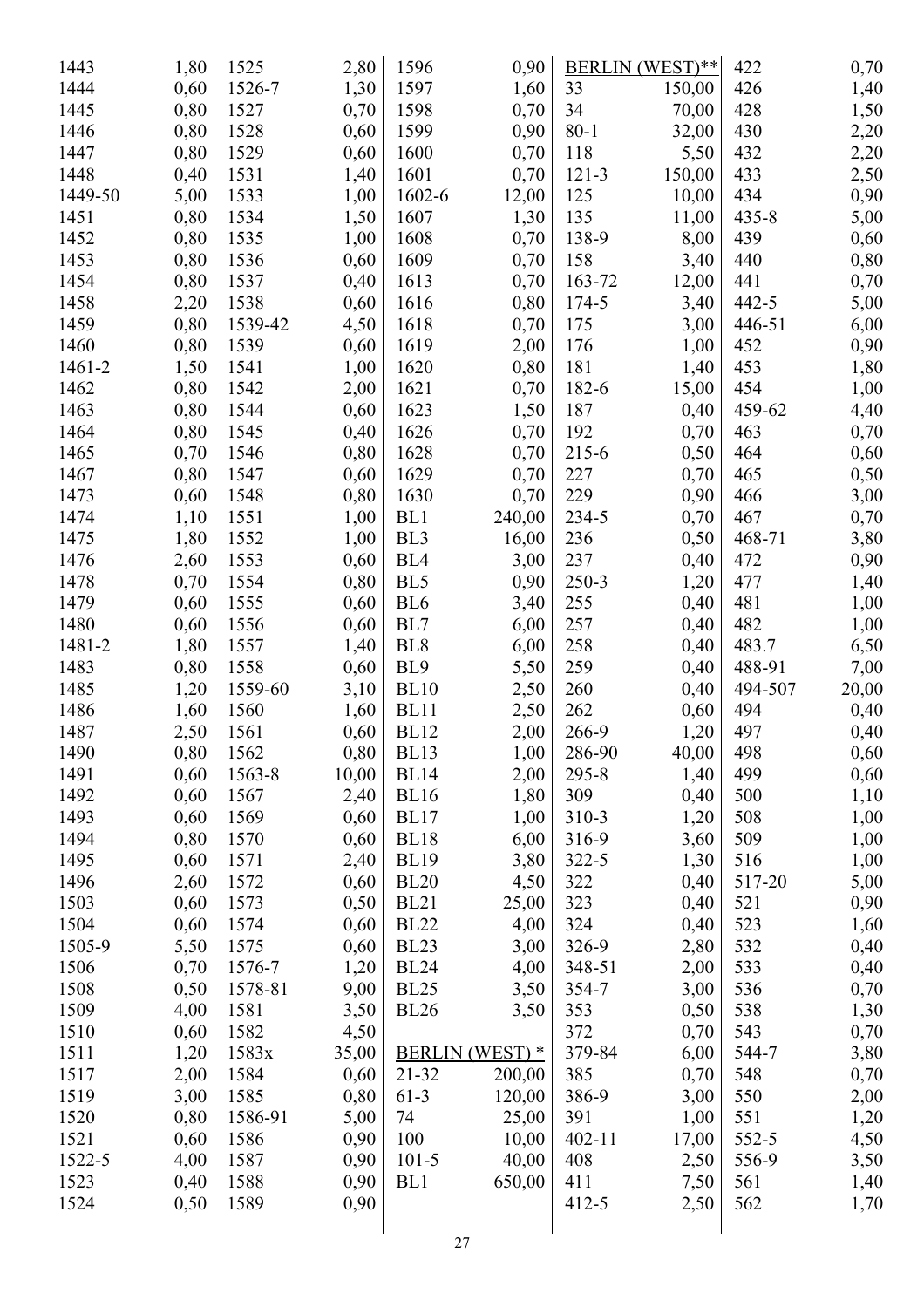| 1443    | 1,80 | 1525    | 2,80  | 1596            | 0,90                   |            | BERLIN (WEST)** | 422       | 0,70  |
|---------|------|---------|-------|-----------------|------------------------|------------|-----------------|-----------|-------|
| 1444    | 0,60 | 1526-7  | 1,30  | 1597            | 1,60                   | 33         | 150,00          | 426       | 1,40  |
| 1445    | 0,80 | 1527    | 0,70  | 1598            | 0,70                   | 34         | 70,00           | 428       | 1,50  |
| 1446    | 0,80 | 1528    | 0,60  | 1599            | 0,90                   | $80 - 1$   | 32,00           | 430       | 2,20  |
| 1447    | 0,80 | 1529    | 0,60  | 1600            | 0,70                   | 118        | 5,50            | 432       | 2,20  |
| 1448    | 0,40 | 1531    | 1,40  | 1601            | 0,70                   | $121 - 3$  | 150,00          | 433       | 2,50  |
| 1449-50 | 5,00 | 1533    | 1,00  | 1602-6          | 12,00                  | 125        | 10,00           | 434       | 0,90  |
| 1451    | 0,80 | 1534    | 1,50  | 1607            | 1,30                   | 135        | 11,00           | $435 - 8$ | 5,00  |
| 1452    | 0,80 | 1535    | 1,00  | 1608            | 0,70                   | 138-9      | 8,00            | 439       | 0,60  |
| 1453    | 0,80 | 1536    | 0,60  | 1609            | 0,70                   | 158        | 3,40            | 440       | 0,80  |
| 1454    | 0,80 | 1537    | 0,40  | 1613            | 0,70                   | 163-72     | 12,00           | 441       | 0,70  |
| 1458    | 2,20 | 1538    | 0,60  | 1616            | 0,80                   | 174-5      | 3,40            | $442 - 5$ | 5,00  |
| 1459    | 0,80 | 1539-42 | 4,50  | 1618            | 0,70                   | 175        | 3,00            | 446-51    | 6,00  |
| 1460    | 0,80 | 1539    | 0,60  | 1619            | 2,00                   | 176        | 1,00            | 452       | 0,90  |
| 1461-2  | 1,50 | 1541    | 1,00  | 1620            | 0,80                   | 181        | 1,40            | 453       | 1,80  |
| 1462    | 0,80 | 1542    | 2,00  | 1621            | 0,70                   | 182-6      | 15,00           | 454       | 1,00  |
| 1463    | 0,80 | 1544    | 0,60  | 1623            | 1,50                   | 187        | 0,40            | 459-62    | 4,40  |
| 1464    | 0,80 | 1545    | 0,40  | 1626            | 0,70                   | 192        | 0,70            | 463       | 0,70  |
| 1465    | 0,70 | 1546    | 0,80  | 1628            | 0,70                   | 215-6      | 0,50            | 464       | 0,60  |
| 1467    | 0,80 | 1547    | 0,60  | 1629            | 0,70                   | 227        | 0,70            | 465       | 0,50  |
| 1473    | 0,60 | 1548    | 0,80  | 1630            | 0,70                   | 229        | 0,90            | 466       | 3,00  |
| 1474    | 1,10 | 1551    | 1,00  | BL1             | 240,00                 | 234-5      | 0,70            | 467       | 0,70  |
| 1475    | 1,80 | 1552    | 1,00  | BL <sub>3</sub> | 16,00                  | 236        | 0,50            | 468-71    | 3,80  |
| 1476    | 2,60 | 1553    | 0,60  | BL <sub>4</sub> | 3,00                   | 237        | 0,40            | 472       | 0,90  |
| 1478    | 0,70 | 1554    | 0,80  | BL5             | 0,90                   | $250 - 3$  | 1,20            | 477       | 1,40  |
| 1479    | 0,60 | 1555    | 0,60  | BL <sub>6</sub> | 3,40                   | 255        | 0,40            | 481       | 1,00  |
| 1480    | 0,60 | 1556    | 0,60  | BL7             | 6,00                   | 257        | 0,40            | 482       | 1,00  |
| 1481-2  | 1,80 | 1557    | 1,40  | BL <sub>8</sub> | 6,00                   | 258        | 0,40            | 483.7     | 6,50  |
| 1483    | 0,80 | 1558    | 0,60  | BL9             | 5,50                   | 259        | 0,40            | 488-91    | 7,00  |
| 1485    | 1,20 | 1559-60 | 3,10  | <b>BL10</b>     | 2,50                   | 260        | 0,40            | 494-507   | 20,00 |
| 1486    | 1,60 | 1560    | 1,60  | <b>BL11</b>     | 2,50                   | 262        | 0,60            | 494       | 0,40  |
| 1487    | 2,50 | 1561    | 0,60  | <b>BL12</b>     | 2,00                   | 266-9      | 1,20            | 497       | 0,40  |
| 1490    | 0,80 | 1562    | 0,80  | BL13            | 1,00                   | 286-90     | 40,00           | 498       | 0,60  |
| 1491    | 0,60 | 1563-8  | 10,00 | <b>BL14</b>     | 2,00                   | $295 - 8$  | 1,40            | 499       | 0,60  |
| 1492    | 0,60 | 1567    | 2,40  | <b>BL16</b>     | 1,80                   | 309        | 0,40            | 500       | 1,10  |
| 1493    | 0,60 | 1569    | 0,60  | BL17            | 1,00                   | 310-3      | 1,20            | 508       | 1,00  |
| 1494    | 0,80 | 1570    | 0,60  | BL18            | 6,00                   | 316-9      | 3,60            | 509       | 1,00  |
| 1495    | 0,60 | 1571    | 2,40  | <b>BL19</b>     | 3,80                   | $322 - 5$  | 1,30            | 516       | 1,00  |
| 1496    | 2,60 | 1572    | 0,60  | <b>BL20</b>     | 4,50                   | 322        | 0,40            | 517-20    | 5,00  |
| 1503    | 0,60 | 1573    | 0,50  | <b>BL21</b>     | 25,00                  | 323        | 0,40            | 521       | 0,90  |
| 1504    | 0,60 | 1574    | 0,60  | <b>BL22</b>     | 4,00                   | 324        | 0,40            | 523       | 1,60  |
| 1505-9  | 5,50 | 1575    | 0,60  | <b>BL23</b>     | 3,00                   | 326-9      | 2,80            | 532       | 0,40  |
| 1506    | 0,70 | 1576-7  | 1,20  | <b>BL24</b>     | 4,00                   | 348-51     | 2,00            | 533       | 0,40  |
| 1508    | 0,50 | 1578-81 | 9,00  | <b>BL25</b>     | 3,50                   | 354-7      | 3,00            | 536       | 0,70  |
| 1509    | 4,00 | 1581    | 3,50  | <b>BL26</b>     | 3,50                   | 353        | 0,50            | 538       | 1,30  |
| 1510    | 0,60 | 1582    | 4,50  |                 |                        | 372        | 0,70            | 543       | 0,70  |
| 1511    | 1,20 | 1583x   | 35,00 |                 | <b>BERLIN</b> (WEST) * | 379-84     | 6,00            | 544-7     | 3,80  |
| 1517    | 2,00 | 1584    | 0,60  | $21 - 32$       | 200,00                 | 385        | 0,70            | 548       | 0,70  |
| 1519    | 3,00 | 1585    | 0,80  | $61-3$          | 120,00                 | 386-9      | 3,00            | 550       | 2,00  |
| 1520    | 0,80 | 1586-91 | 5,00  | 74              | 25,00                  | 391        | 1,00            | 551       | 1,20  |
| 1521    | 0,60 | 1586    | 0,90  | 100             | 10,00                  | $402 - 11$ | 17,00           | 552-5     | 4,50  |
| 1522-5  | 4,00 | 1587    | 0,90  | $101 - 5$       | 40,00                  | 408        | 2,50            | 556-9     | 3,50  |
| 1523    | 0,40 | 1588    | 0,90  | BL1             | 650,00                 | 411        | 7,50            | 561       | 1,40  |
| 1524    | 0,50 | 1589    | 0,90  |                 |                        | $412 - 5$  | 2,50            | 562       | 1,70  |
|         |      |         |       |                 |                        |            |                 |           |       |
|         |      |         |       |                 | 27                     |            |                 |           |       |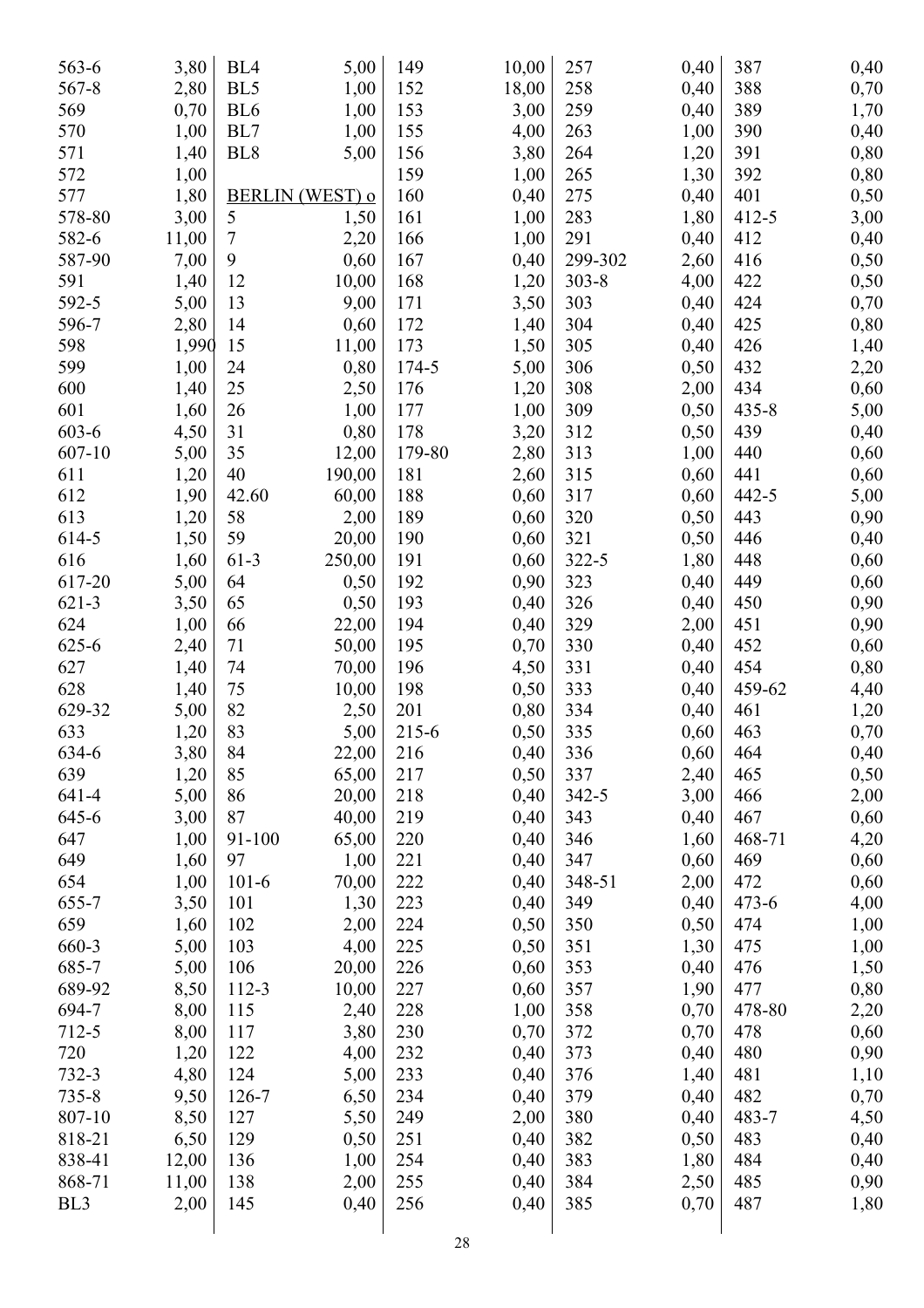| 563-6           | 3,80  | BL <sub>4</sub> | 5,00            | 149        | 10,00 | 257       | 0,40         | 387       | 0,40 |
|-----------------|-------|-----------------|-----------------|------------|-------|-----------|--------------|-----------|------|
| 567-8           | 2,80  | BL <sub>5</sub> | 1,00            | 152        | 18,00 | 258       | 0,40         | 388       | 0,70 |
| 569             | 0,70  | BL <sub>6</sub> | 1,00            | 153        | 3,00  | 259       | 0,40         | 389       | 1,70 |
| 570             | 1,00  | BL7             | 1,00            | 155        | 4,00  | 263       | 1,00         | 390       | 0,40 |
| 571             | 1,40  | BL <sub>8</sub> | 5,00            | 156        | 3,80  | 264       | 1,20         | 391       | 0,80 |
| 572             | 1,00  |                 |                 | 159        | 1,00  | 265       | 1,30         | 392       | 0,80 |
| 577             | 1,80  |                 | BERLIN (WEST) o | 160        | 0,40  | 275       | 0,40         | 401       | 0,50 |
| 578-80          | 3,00  | 5               | 1,50            | 161        | 1,00  | 283       | 1,80         | $412 - 5$ | 3,00 |
| 582-6           | 11,00 | 7               | 2,20            | 166        | 1,00  | 291       | 0,40         | 412       | 0,40 |
| 587-90          | 7,00  | 9               | 0,60            | 167        | 0,40  | 299-302   | 2,60         | 416       | 0,50 |
| 591             | 1,40  | 12              | 10,00           | 168        | 1,20  | $303 - 8$ | 4,00         | 422       | 0,50 |
| 592-5           | 5,00  | 13              | 9,00            | 171        | 3,50  | 303       | 0,40         | 424       | 0,70 |
| 596-7           | 2,80  | 14              | 0,60            | 172        | 1,40  | 304       | 0,40         | 425       | 0,80 |
| 598             | 1,990 | 15              | 11,00           | 173        | 1,50  | 305       | 0,40         | 426       | 1,40 |
| 599             | 1,00  | 24              | 0,80            | 174-5      | 5,00  | 306       | 0,50         | 432       | 2,20 |
| 600             | 1,40  | 25              | 2,50            | 176        | 1,20  | 308       | 2,00         | 434       | 0,60 |
| 601             | 1,60  | 26              | 1,00            | 177        | 1,00  | 309       | 0,50         | $435 - 8$ | 5,00 |
| 603-6           | 4,50  | 31              | 0,80            | 178        | 3,20  | 312       | 0,50         | 439       | 0,40 |
| 607-10          | 5,00  | 35              | 12,00           | 179-80     | 2,80  | 313       | 1,00         | 440       | 0,60 |
| 611             | 1,20  | 40              | 190,00          | 181        | 2,60  | 315       | 0,60         | 441       | 0,60 |
| 612             | 1,90  | 42.60           | 60,00           | 188        | 0,60  | 317       | 0,60         | 442-5     | 5,00 |
| 613             | 1,20  | 58              | 2,00            | 189        | 0,60  | 320       | 0,50         | 443       | 0,90 |
| 614-5           | 1,50  | 59              | 20,00           | 190        | 0,60  | 321       | 0,50         | 446       | 0,40 |
| 616             | 1,60  | $61-3$          | 250,00          | 191        | 0,60  | 322-5     | 1,80         | 448       | 0,60 |
| 617-20          | 5,00  | 64              | 0,50            | 192        | 0,90  | 323       | 0,40         | 449       | 0,60 |
| $621 - 3$       | 3,50  | 65              | 0,50            | 193        | 0,40  | 326       | 0,40         | 450       | 0,90 |
| 624             | 1,00  | 66              | 22,00           | 194        | 0,40  | 329       | 2,00         | 451       | 0,90 |
| $625 - 6$       | 2,40  | 71              | 50,00           | 195        | 0,70  | 330       | 0,40         | 452       | 0,60 |
| 627             | 1,40  | 74              | 70,00           | 196        | 4,50  | 331       | 0,40         | 454       | 0,80 |
| 628             | 1,40  | 75              | 10,00           | 198        | 0,50  | 333       | 0,40         | 459-62    | 4,40 |
| 629-32          | 5,00  | 82              | 2,50            | 201        | 0,80  | 334       | 0,40         | 461       | 1,20 |
| 633             | 1,20  | 83              | 5,00            | 215-6      | 0,50  | 335       | 0,60         | 463       | 0,70 |
| 634-6           | 3,80  | 84              | 22,00           | 216        | 0,40  | 336       | 0,60         | 464       | 0,40 |
| 639             | 1,20  | 85              | 65,00           | 217        | 0,50  | 337       | 2,40         | 465       |      |
| 641-4           | 5,00  | 86              | 20,00           | 218        | 0,40  | $342 - 5$ | 3,00         | 466       | 0,50 |
| 645-6           | 3,00  | 87              | 40,00           | 219        | 0,40  | 343       | 0,40         | 467       | 2,00 |
| 647             | 1,00  | 91-100          |                 | 220        |       | 346       | 1,60         | 468-71    | 0,60 |
| 649             |       |                 | 65,00           |            | 0,40  | 347       |              | 469       | 4,20 |
| 654             | 1,60  | 97              | 1,00            | 221<br>222 | 0,40  | 348-51    | 0,60         | 472       | 0,60 |
| 655-7           | 1,00  | $101-6$         | 70,00           | 223        | 0,40  | 349       | 2,00<br>0,40 | $473 - 6$ | 0,60 |
| 659             | 3,50  | 101             | 1,30            |            | 0,40  |           |              |           | 4,00 |
|                 | 1,60  | 102             | 2,00            | 224        | 0,50  | 350       | 0,50         | 474       | 1,00 |
| 660-3           | 5,00  | 103             | 4,00            | 225        | 0,50  | 351       | 1,30         | 475       | 1,00 |
| 685-7           | 5,00  | 106             | 20,00           | 226        | 0,60  | 353       | 0,40         | 476       | 1,50 |
| 689-92          | 8,50  | 112-3           | 10,00           | 227        | 0,60  | 357       | 1,90         | 477       | 0,80 |
| 694-7           | 8,00  | 115             | 2,40            | 228        | 1,00  | 358       | 0,70         | 478-80    | 2,20 |
| 712-5           | 8,00  | 117             | 3,80            | 230        | 0,70  | 372       | 0,70         | 478       | 0,60 |
| 720             | 1,20  | 122             | 4,00            | 232        | 0,40  | 373       | 0,40         | 480       | 0,90 |
| 732-3           | 4,80  | 124             | 5,00            | 233        | 0,40  | 376       | 1,40         | 481       | 1,10 |
| $735 - 8$       | 9,50  | 126-7           | 6,50            | 234        | 0,40  | 379       | 0,40         | 482       | 0,70 |
| 807-10          | 8,50  | 127             | 5,50            | 249        | 2,00  | 380       | 0,40         | 483-7     | 4,50 |
| 818-21          | 6,50  | 129             | 0,50            | 251        | 0,40  | 382       | 0,50         | 483       | 0,40 |
| 838-41          | 12,00 | 136             | 1,00            | 254        | 0,40  | 383       | 1,80         | 484       | 0,40 |
| 868-71          | 11,00 | 138             | 2,00            | 255        | 0,40  | 384       | 2,50         | 485       | 0,90 |
| BL <sub>3</sub> | 2,00  | 145             | 0,40            | 256        | 0,40  | 385       | 0,70         | 487       | 1,80 |
|                 |       |                 |                 |            |       |           |              |           |      |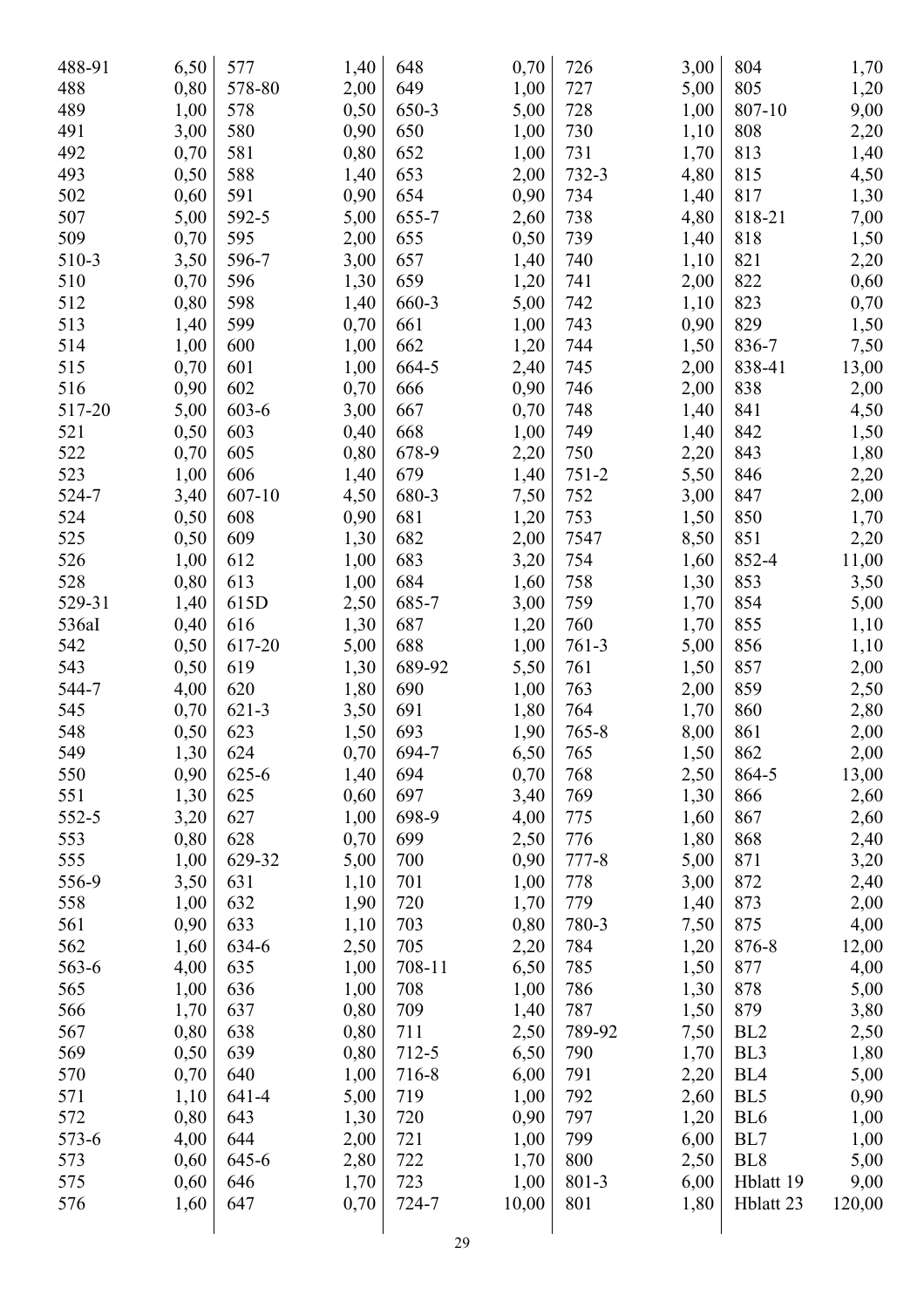| 488-91 | 6,50 | 577       | 1,40         | 648    | 0,70  | 726       | 3,00 | 804             | 1,70   |
|--------|------|-----------|--------------|--------|-------|-----------|------|-----------------|--------|
| 488    | 0,80 | 578-80    | 2,00         | 649    | 1,00  | 727       | 5,00 | 805             | 1,20   |
| 489    | 1,00 | 578       | 0,50         | 650-3  | 5,00  | 728       | 1,00 | 807-10          | 9,00   |
| 491    | 3,00 | 580       | 0,90         | 650    | 1,00  | 730       | 1,10 | 808             | 2,20   |
| 492    | 0,70 | 581       | 0,80         | 652    | 1,00  | 731       | 1,70 | 813             | 1,40   |
| 493    | 0,50 | 588       | 1,40         | 653    | 2,00  | 732-3     | 4,80 | 815             | 4,50   |
| 502    | 0,60 | 591       | 0,90         | 654    | 0,90  | 734       | 1,40 | 817             | 1,30   |
| 507    | 5,00 | 592-5     | 5,00         | 655-7  | 2,60  | 738       | 4,80 | 818-21          | 7,00   |
| 509    | 0,70 | 595       | 2,00         | 655    | 0,50  | 739       | 1,40 | 818             | 1,50   |
| 510-3  | 3,50 | 596-7     | 3,00         | 657    | 1,40  | 740       | 1,10 | 821             | 2,20   |
| 510    | 0,70 | 596       | 1,30         | 659    | 1,20  | 741       | 2,00 | 822             | 0,60   |
| 512    | 0,80 | 598       | 1,40         | 660-3  | 5,00  | 742       | 1,10 | 823             | 0,70   |
| 513    | 1,40 | 599       | 0,70         | 661    | 1,00  | 743       | 0,90 | 829             | 1,50   |
| 514    | 1,00 | 600       | 1,00         | 662    | 1,20  | 744       | 1,50 | 836-7           | 7,50   |
| 515    | 0,70 | 601       | 1,00         | 664-5  | 2,40  | 745       | 2,00 | 838-41          | 13,00  |
| 516    | 0,90 | 602       | 0,70         | 666    | 0,90  | 746       | 2,00 | 838             | 2,00   |
| 517-20 | 5,00 | 603-6     | 3,00         | 667    | 0,70  | 748       | 1,40 | 841             | 4,50   |
| 521    | 0,50 | 603       | 0,40         | 668    | 1,00  | 749       | 1,40 | 842             | 1,50   |
| 522    | 0,70 | 605       | 0,80         | 678-9  | 2,20  | 750       | 2,20 | 843             | 1,80   |
| 523    | 1,00 | 606       | 1,40         | 679    | 1,40  | $751 - 2$ | 5,50 | 846             | 2,20   |
| 524-7  | 3,40 | 607-10    | 4,50         | 680-3  | 7,50  | 752       | 3,00 | 847             | 2,00   |
| 524    | 0,50 | 608       | 0,90         | 681    | 1,20  | 753       | 1,50 | 850             | 1,70   |
| 525    | 0,50 | 609       | 1,30         | 682    | 2,00  | 7547      | 8,50 | 851             |        |
| 526    | 1,00 | 612       |              | 683    |       | 754       |      | 852-4           | 2,20   |
| 528    | 0,80 | 613       | 1,00<br>1,00 | 684    | 3,20  | 758       | 1,60 | 853             | 11,00  |
| 529-31 |      |           |              |        | 1,60  | 759       | 1,30 | 854             | 3,50   |
|        | 1,40 | 615D      | 2,50         | 685-7  | 3,00  |           | 1,70 |                 | 5,00   |
| 536aI  | 0,40 | 616       | 1,30         | 687    | 1,20  | 760       | 1,70 | 855             | 1,10   |
| 542    | 0,50 | 617-20    | 5,00         | 688    | 1,00  | $761-3$   | 5,00 | 856             | 1,10   |
| 543    | 0,50 | 619       | 1,30         | 689-92 | 5,50  | 761       | 1,50 | 857             | 2,00   |
| 544-7  | 4,00 | 620       | 1,80         | 690    | 1,00  | 763       | 2,00 | 859             | 2,50   |
| 545    | 0,70 | $621 - 3$ | 3,50         | 691    | 1,80  | 764       | 1,70 | 860             | 2,80   |
| 548    | 0,50 | 623       | 1,50         | 693    | 1,90  | $765 - 8$ | 8,00 | 861             | 2,00   |
| 549    | 1,30 | 624       | 0,70         | 694-7  | 6,50  | 765       | 1,50 | 862             | 2,00   |
| 550    | 0,90 | 625-6     | 1,40         | 694    | 0,70  | 768       | 2,50 | 864-5           | 13,00  |
| 551    | 1,30 | 625       | 0,60         | 697    | 3,40  | 769       | 1,30 | 866             | 2,60   |
| 552-5  | 3,20 | 627       | 1,00         | 698-9  | 4,00  | 775       | 1,60 | 867             | 2,60   |
| 553    | 0,80 | 628       | 0,70         | 699    | 2,50  | 776       | 1,80 | 868             | 2,40   |
| 555    | 1,00 | 629-32    | 5,00         | 700    | 0,90  | 777-8     | 5,00 | 871             | 3,20   |
| 556-9  | 3,50 | 631       | 1,10         | 701    | 1,00  | 778       | 3,00 | 872             | 2,40   |
| 558    | 1,00 | 632       | 1,90         | 720    | 1,70  | 779       | 1,40 | 873             | 2,00   |
| 561    | 0,90 | 633       | 1,10         | 703    | 0,80  | 780-3     | 7,50 | 875             | 4,00   |
| 562    | 1,60 | 634-6     | 2,50         | 705    | 2,20  | 784       | 1,20 | 876-8           | 12,00  |
| 563-6  | 4,00 | 635       | 1,00         | 708-11 | 6,50  | 785       | 1,50 | 877             | 4,00   |
| 565    | 1,00 | 636       | 1,00         | 708    | 1,00  | 786       | 1,30 | 878             | 5,00   |
| 566    | 1,70 | 637       | 0,80         | 709    | 1,40  | 787       | 1,50 | 879             | 3,80   |
| 567    | 0,80 | 638       | 0,80         | 711    | 2,50  | 789-92    | 7,50 | BL <sub>2</sub> | 2,50   |
| 569    | 0,50 | 639       | 0,80         | 712-5  | 6,50  | 790       | 1,70 | BL3             | 1,80   |
| 570    | 0,70 | 640       | 1,00         | 716-8  | 6,00  | 791       | 2,20 | BL <sub>4</sub> | 5,00   |
| 571    | 1,10 | 641-4     | 5,00         | 719    | 1,00  | 792       | 2,60 | BL5             | 0,90   |
| 572    | 0,80 | 643       | 1,30         | 720    | 0,90  | 797       | 1,20 | BL <sub>6</sub> | 1,00   |
| 573-6  | 4,00 | 644       | 2,00         | 721    | 1,00  | 799       | 6,00 | BL7             | 1,00   |
| 573    | 0,60 | 645-6     | 2,80         | 722    | 1,70  | 800       | 2,50 | BL <sub>8</sub> | 5,00   |
| 575    | 0,60 | 646       | 1,70         | 723    | 1,00  | 801-3     | 6,00 | Hblatt 19       | 9,00   |
| 576    | 1,60 | 647       | 0,70         | 724-7  | 10,00 | 801       | 1,80 | Hblatt 23       | 120,00 |
|        |      |           |              |        |       |           |      |                 |        |
|        |      |           |              |        |       |           |      |                 |        |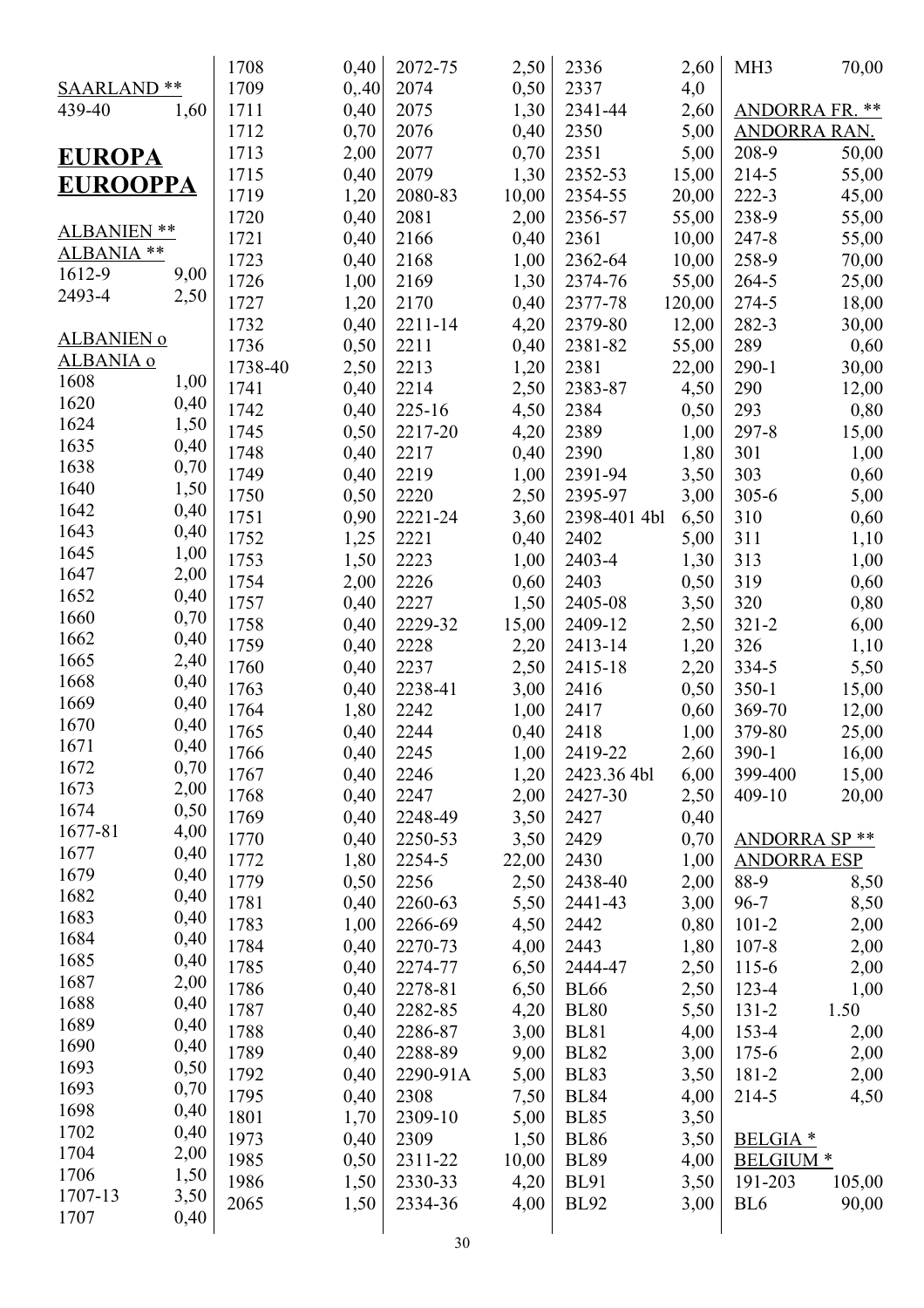|                   |      | 1708    | 0,40         | 2072-75  | 2,50         | 2336         | 2,60         | MH <sub>3</sub>       | 70,00          |
|-------------------|------|---------|--------------|----------|--------------|--------------|--------------|-----------------------|----------------|
| SAARLAND **       |      | 1709    | 0,40         | 2074     | 0,50         | 2337         | 4,0          |                       |                |
| 439-40            | 1,60 | 1711    | 0,40         | 2075     | 1,30         | 2341-44      | 2,60         | <b>ANDORRA FR. **</b> |                |
|                   |      | 1712    | 0,70         | 2076     | 0,40         | 2350         | 5,00         | <b>ANDORRA RAN.</b>   |                |
| <b>EUROPA</b>     |      | 1713    | 2,00         | 2077     | 0,70         | 2351         | 5,00         | 208-9                 | 50,00          |
|                   |      | 1715    | 0,40         | 2079     | 1,30         | 2352-53      | 15,00        | 214-5                 | 55,00          |
| <b>EUROOPPA</b>   |      | 1719    | 1,20         | 2080-83  | 10,00        | 2354-55      | 20,00        | 222-3                 | 45,00          |
|                   |      | 1720    | 0,40         | 2081     | 2,00         | 2356-57      | 55,00        | 238-9                 | 55,00          |
| ALBANIEN **       |      | 1721    | 0,40         | 2166     | 0,40         | 2361         | 10,00        | $247 - 8$             | 55,00          |
| ALBANIA **        |      | 1723    | 0,40         | 2168     | 1,00         | 2362-64      | 10,00        | 258-9                 | 70,00          |
| 1612-9            | 9,00 | 1726    | 1,00         | 2169     | 1,30         | 2374-76      | 55,00        | 264-5                 | 25,00          |
| 2493-4            | 2,50 | 1727    | 1,20         | 2170     | 0,40         | 2377-78      | 120,00       | 274-5                 | 18,00          |
|                   |      | 1732    | 0,40         | 2211-14  | 4,20         | 2379-80      | 12,00        | 282-3                 | 30,00          |
| <b>ALBANIEN o</b> |      | 1736    | 0,50         | 2211     | 0,40         | 2381-82      | 55,00        | 289                   | 0,60           |
| ALBANIA o         |      | 1738-40 | 2,50         | 2213     | 1,20         | 2381         | 22,00        | $290 - 1$             | 30,00          |
| 1608              | 1,00 | 1741    | 0,40         | 2214     | 2,50         | 2383-87      | 4,50         | 290                   | 12,00          |
| 1620              | 0,40 | 1742    | 0,40         | 225-16   | 4,50         | 2384         | 0,50         | 293                   | 0,80           |
| 1624              | 1,50 | 1745    | 0,50         | 2217-20  | 4,20         | 2389         | 1,00         | $297 - 8$             | 15,00          |
| 1635              | 0,40 | 1748    | 0,40         | 2217     | 0,40         | 2390         | 1,80         | 301                   | 1,00           |
| 1638              | 0,70 | 1749    | 0,40         | 2219     | 1,00         | 2391-94      | 3,50         | 303                   | 0,60           |
| 1640              | 1,50 | 1750    | 0,50         | 2220     | 2,50         | 2395-97      | 3,00         | $305 - 6$             | 5,00           |
| 1642              | 0,40 | 1751    | 0,90         | 2221-24  | 3,60         | 2398-401 4bl | 6,50         | 310                   | 0,60           |
| 1643              | 0,40 | 1752    | 1,25         | 2221     | 0,40         | 2402         | 5,00         | 311                   | 1,10           |
| 1645              | 1,00 | 1753    | 1,50         | 2223     | 1,00         | 2403-4       | 1,30         | 313                   | 1,00           |
| 1647              | 2,00 | 1754    | 2,00         | 2226     | 0,60         | 2403         | 0,50         | 319                   | 0,60           |
| 1652              | 0,40 | 1757    | 0,40         | 2227     | 1,50         | 2405-08      | 3,50         | 320                   | 0,80           |
| 1660              | 0,70 | 1758    | 0,40         | 2229-32  | 15,00        | 2409-12      | 2,50         | $321 - 2$             | 6,00           |
| 1662              | 0,40 | 1759    | 0,40         | 2228     | 2,20         | 2413-14      | 1,20         | 326                   | 1,10           |
| 1665              | 2,40 | 1760    | 0,40         | 2237     | 2,50         | 2415-18      | 2,20         | 334-5                 | 5,50           |
| 1668              | 0,40 | 1763    | 0,40         | 2238-41  | 3,00         | 2416         | 0,50         | $350 - 1$             | 15,00          |
| 1669              | 0,40 | 1764    | 1,80         | 2242     | 1,00         | 2417         | 0,60         | 369-70                | 12,00          |
| 1670              | 0,40 | 1765    | 0,40         | 2244     | 0,40         | 2418         | 1,00         | 379-80                | 25,00          |
| 1671              | 0,40 | 1766    |              | 2245     |              | 2419-22      |              | $390-1$               |                |
| 1672              | 0,70 | 1767    | 0,40         | 2246     | 1,00         | 2423.36 4bl  | 2,60         | 399-400               | 16,00          |
| 1673              | 2,00 | 1768    | 0,40<br>0,40 | 2247     | 1,20<br>2,00 | 2427-30      | 6,00<br>2,50 | 409-10                | 15,00<br>20,00 |
| 1674              | 0,50 | 1769    |              | 2248-49  |              | 2427         | 0,40         |                       |                |
| 1677-81           | 4,00 | 1770    | 0,40         |          | 3,50         | 2429         |              |                       |                |
| 1677              | 0,40 | 1772    | 0,40         | 2250-53  | 3,50         |              | 0,70         | <b>ANDORRA SP **</b>  |                |
| 1679              | 0,40 | 1779    | 1,80         | 2254-5   | 22,00        | 2430         | 1,00         | <b>ANDORRA ESP</b>    |                |
| 1682              | 0,40 |         | 0,50         | 2256     | 2,50         | 2438-40      | 2,00         | 88-9                  | 8,50           |
| 1683              | 0,40 | 1781    | 0,40         | 2260-63  | 5,50         | 2441-43      | 3,00         | $96 - 7$              | 8,50           |
| 1684              | 0,40 | 1783    | 1,00         | 2266-69  | 4,50         | 2442         | 0,80         | $101 - 2$             | 2,00           |
| 1685              | 0,40 | 1784    | 0,40         | 2270-73  | 4,00         | 2443         | 1,80         | $107 - 8$             | 2,00           |
| 1687              | 2,00 | 1785    | 0,40         | 2274-77  | 6,50         | 2444-47      | 2,50         | $115-6$               | 2,00           |
| 1688              | 0,40 | 1786    | 0,40         | 2278-81  | 6,50         | <b>BL66</b>  | 2,50         | $123 - 4$             | 1,00           |
| 1689              | 0,40 | 1787    | 0,40         | 2282-85  | 4,20         | <b>BL80</b>  | 5,50         | $131 - 2$             | 1.50           |
| 1690              | 0,40 | 1788    | 0,40         | 2286-87  | 3,00         | <b>BL81</b>  | 4,00         | 153-4                 | 2,00           |
| 1693              | 0,50 | 1789    | 0,40         | 2288-89  | 9,00         | <b>BL82</b>  | 3,00         | $175 - 6$             | 2,00           |
| 1693              | 0,70 | 1792    | 0,40         | 2290-91A | 5,00         | <b>BL83</b>  | 3,50         | 181-2                 | 2,00           |
| 1698              | 0,40 | 1795    | 0,40         | 2308     | 7,50         | <b>BL84</b>  | 4,00         | 214-5                 | 4,50           |
| 1702              | 0,40 | 1801    | 1,70         | 2309-10  | 5,00         | <b>BL85</b>  | 3,50         |                       |                |
| 1704              | 2,00 | 1973    | 0,40         | 2309     | 1,50         | <b>BL86</b>  | 3,50         | <b>BELGIA</b> *       |                |
| 1706              | 1,50 | 1985    | 0,50         | 2311-22  | 10,00        | <b>BL89</b>  | 4,00         | <b>BELGIUM</b> *      |                |
| 1707-13           | 3,50 | 1986    | 1,50         | 2330-33  | 4,20         | <b>BL91</b>  | 3,50         | 191-203               | 105,00         |
| 1707              | 0,40 | 2065    | 1,50         | 2334-36  | 4,00         | <b>BL92</b>  | 3,00         | BL <sub>6</sub>       | 90,00          |
|                   |      |         |              |          |              |              |              |                       |                |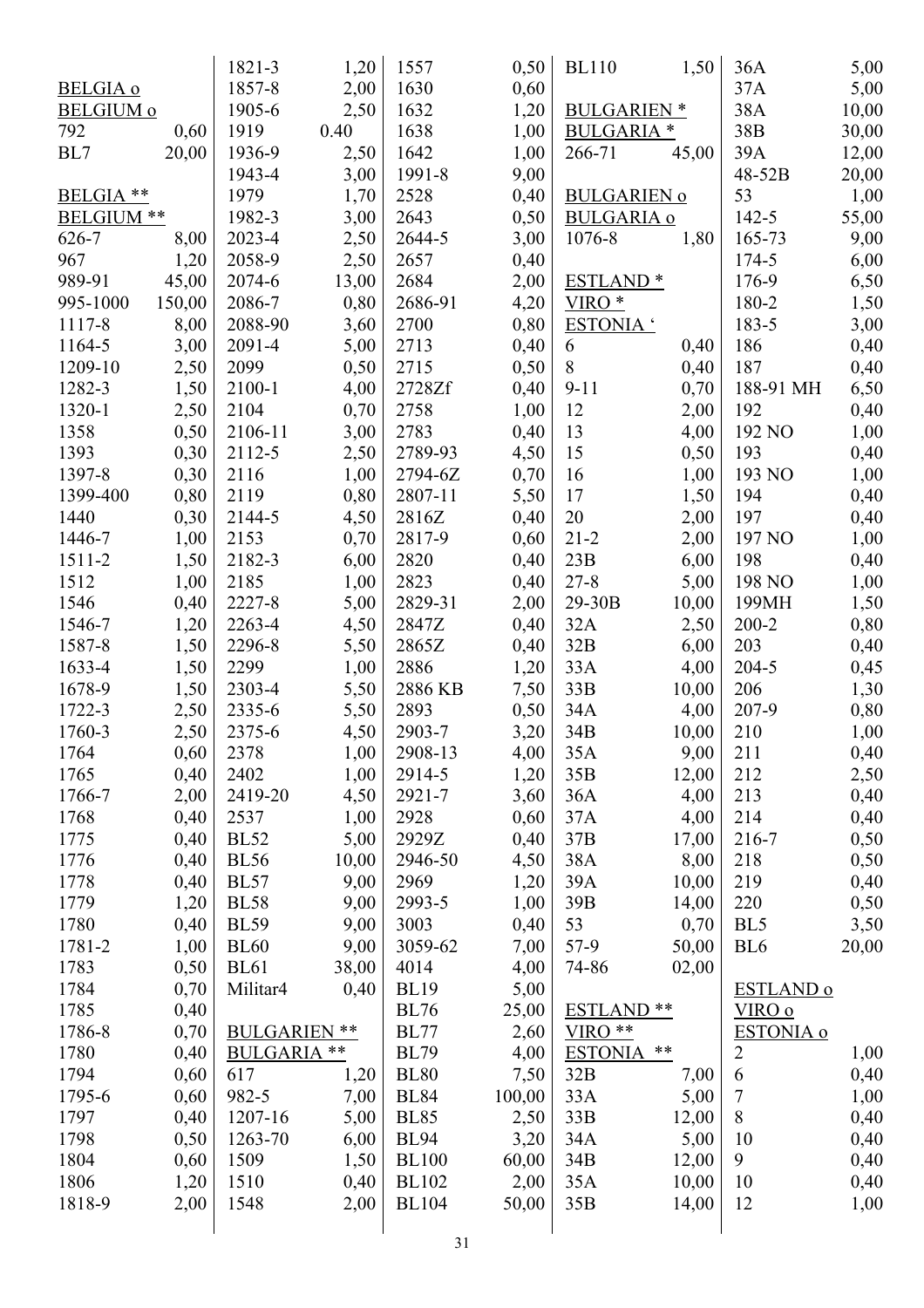|                  |        | 1821-3              | 1,20  | 1557         | 0,50   | <b>BL110</b>         | 1,50  | 36A              | 5,00  |
|------------------|--------|---------------------|-------|--------------|--------|----------------------|-------|------------------|-------|
| <b>BELGIA o</b>  |        | 1857-8              | 2,00  | 1630         | 0,60   |                      |       | 37A              | 5,00  |
| <b>BELGIUM o</b> |        | 1905-6              | 2,50  | 1632         | 1,20   | <b>BULGARIEN</b> *   |       | 38A              | 10,00 |
| 792              | 0,60   | 1919                | 0.40  | 1638         | 1,00   | <b>BULGARIA</b> *    |       | 38B              | 30,00 |
| BL7              | 20,00  | 1936-9              | 2,50  | 1642         | 1,00   | 266-71               | 45,00 | 39A              | 12,00 |
|                  |        | 1943-4              | 3,00  | 1991-8       | 9,00   |                      |       | 48-52B           | 20,00 |
| BELGIA **        |        | 1979                | 1,70  | 2528         | 0,40   | <b>BULGARIEN o</b>   |       | 53               | 1,00  |
| BELGIUM **       |        | 1982-3              | 3,00  | 2643         | 0,50   | <b>BULGARIA o</b>    |       | 142-5            | 55,00 |
| 626-7            | 8,00   | 2023-4              | 2,50  | 2644-5       | 3,00   | 1076-8               | 1,80  | 165-73           | 9,00  |
| 967              | 1,20   | 2058-9              | 2,50  | 2657         | 0,40   |                      |       | 174-5            | 6,00  |
| 989-91           | 45,00  | 2074-6              | 13,00 | 2684         | 2,00   | ESTLAND <sup>*</sup> |       | 176-9            | 6,50  |
| 995-1000         | 150,00 | 2086-7              | 0,80  | 2686-91      | 4,20   | VIRO <sup>*</sup>    |       | 180-2            |       |
|                  |        | 2088-90             |       | 2700         |        | ESTONIA '            |       | 183-5            | 1,50  |
| 1117-8           | 8,00   |                     | 3,60  |              | 0,80   |                      |       |                  | 3,00  |
| 1164-5           | 3,00   | 2091-4              | 5,00  | 2713         | 0,40   | 6                    | 0,40  | 186              | 0,40  |
| 1209-10          | 2,50   | 2099                | 0,50  | 2715         | 0,50   | $8\,$                | 0,40  | 187              | 0,40  |
| 1282-3           | 1,50   | 2100-1              | 4,00  | 2728Zf       | 0,40   | $9 - 11$             | 0,70  | 188-91 MH        | 6,50  |
| 1320-1           | 2,50   | 2104                | 0,70  | 2758         | 1,00   | 12                   | 2,00  | 192              | 0,40  |
| 1358             | 0,50   | 2106-11             | 3,00  | 2783         | 0,40   | 13                   | 4,00  | 192 NO           | 1,00  |
| 1393             | 0,30   | 2112-5              | 2,50  | 2789-93      | 4,50   | 15                   | 0,50  | 193              | 0,40  |
| 1397-8           | 0,30   | 2116                | 1,00  | 2794-6Z      | 0,70   | 16                   | 1,00  | 193 NO           | 1,00  |
| 1399-400         | 0,80   | 2119                | 0,80  | 2807-11      | 5,50   | 17                   | 1,50  | 194              | 0,40  |
| 1440             | 0,30   | 2144-5              | 4,50  | 2816Z        | 0,40   | 20                   | 2,00  | 197              | 0,40  |
| 1446-7           | 1,00   | 2153                | 0,70  | 2817-9       | 0,60   | $21 - 2$             | 2,00  | 197 NO           | 1,00  |
| 1511-2           | 1,50   | 2182-3              | 6,00  | 2820         | 0,40   | 23B                  | 6,00  | 198              | 0,40  |
| 1512             | 1,00   | 2185                | 1,00  | 2823         | 0,40   | $27 - 8$             | 5,00  | 198 NO           | 1,00  |
| 1546             | 0,40   | 2227-8              | 5,00  | 2829-31      | 2,00   | 29-30B               | 10,00 | 199MH            | 1,50  |
| 1546-7           | 1,20   | 2263-4              | 4,50  | 2847Z        | 0,40   | 32A                  | 2,50  | $200 - 2$        | 0,80  |
| 1587-8           | 1,50   | 2296-8              | 5,50  | 2865Z        | 0,40   | 32B                  | 6,00  | 203              | 0,40  |
| 1633-4           | 1,50   | 2299                | 1,00  | 2886         | 1,20   | 33A                  | 4,00  | 204-5            | 0,45  |
| 1678-9           | 1,50   | 2303-4              | 5,50  | 2886 KB      | 7,50   | 33B                  | 10,00 | 206              | 1,30  |
| 1722-3           | 2,50   | 2335-6              | 5,50  | 2893         | 0,50   | 34A                  | 4,00  | 207-9            | 0,80  |
| 1760-3           | 2,50   | 2375-6              | 4,50  | 2903-7       | 3,20   | 34B                  | 10,00 | 210              | 1,00  |
| 1764             | 0,60   | 2378                | 1,00  | 2908-13      | 4,00   | 35A                  | 9,00  | 211              | 0,40  |
| 1765             | 0,40   | 2402                | 1,00  | 2914-5       | 1,20   | 35B                  | 12,00 | 212              | 2,50  |
| 1766-7           | 2,00   | 2419-20             | 4,50  | 2921-7       | 3,60   | 36A                  | 4,00  | 213              | 0,40  |
| 1768             | 0,40   | 2537                | 1,00  | 2928         | 0,60   | 37A                  | 4,00  | 214              | 0,40  |
| 1775             | 0,40   | <b>BL52</b>         | 5,00  | 2929Z        | 0,40   | 37B                  | 17,00 | 216-7            | 0,50  |
| 1776             | 0,40   | <b>BL56</b>         | 10,00 | 2946-50      | 4,50   | 38A                  | 8,00  | 218              | 0,50  |
| 1778             | 0,40   | <b>BL57</b>         | 9,00  | 2969         | 1,20   | 39A                  | 10,00 | 219              | 0,40  |
| 1779             | 1,20   | <b>BL58</b>         | 9,00  | 2993-5       | 1,00   | 39B                  | 14,00 | 220              | 0,50  |
| 1780             | 0,40   | <b>BL59</b>         | 9,00  | 3003         | 0,40   | 53                   | 0,70  | BL5              | 3,50  |
| 1781-2           | 1,00   | <b>BL60</b>         | 9,00  | 3059-62      | 7,00   | $57-9$               | 50,00 | BL <sub>6</sub>  | 20,00 |
| 1783             | 0,50   | <b>BL61</b>         | 38,00 | 4014         | 4,00   | 74-86                | 02,00 |                  |       |
| 1784             | 0,70   | Militar4            | 0,40  | <b>BL19</b>  | 5,00   |                      |       | <b>ESTLAND o</b> |       |
| 1785             | 0,40   |                     |       | <b>BL76</b>  | 25,00  | <b>ESTLAND **</b>    |       | VIRO o           |       |
| 1786-8           | 0,70   | <b>BULGARIEN **</b> |       | <b>BL77</b>  |        | $VIRO**$             |       | <b>ESTONIA o</b> |       |
|                  |        | <b>BULGARIA **</b>  |       |              | 2,60   |                      | **    |                  |       |
| 1780             | 0,40   |                     |       | <b>BL79</b>  | 4,00   | <b>ESTONIA</b>       |       | $\overline{2}$   | 1,00  |
| 1794             | 0,60   | 617                 | 1,20  | <b>BL80</b>  | 7,50   | 32B                  | 7,00  | 6                | 0,40  |
| 1795-6           | 0,60   | 982-5               | 7,00  | <b>BL84</b>  | 100,00 | 33A                  | 5,00  | $\boldsymbol{7}$ | 1,00  |
| 1797             | 0,40   | 1207-16             | 5,00  | <b>BL85</b>  | 2,50   | 33B                  | 12,00 | 8                | 0,40  |
| 1798             | 0,50   | 1263-70             | 6,00  | <b>BL94</b>  | 3,20   | 34A                  | 5,00  | 10               | 0,40  |
| 1804             | 0,60   | 1509                | 1,50  | <b>BL100</b> | 60,00  | 34B                  | 12,00 | 9                | 0,40  |
| 1806             | 1,20   | 1510                | 0,40  | <b>BL102</b> | 2,00   | 35A                  | 10,00 | 10               | 0,40  |
| 1818-9           | 2,00   | 1548                | 2,00  | <b>BL104</b> | 50,00  | 35B                  | 14,00 | 12               | 1,00  |
|                  |        |                     |       | 31           |        |                      |       |                  |       |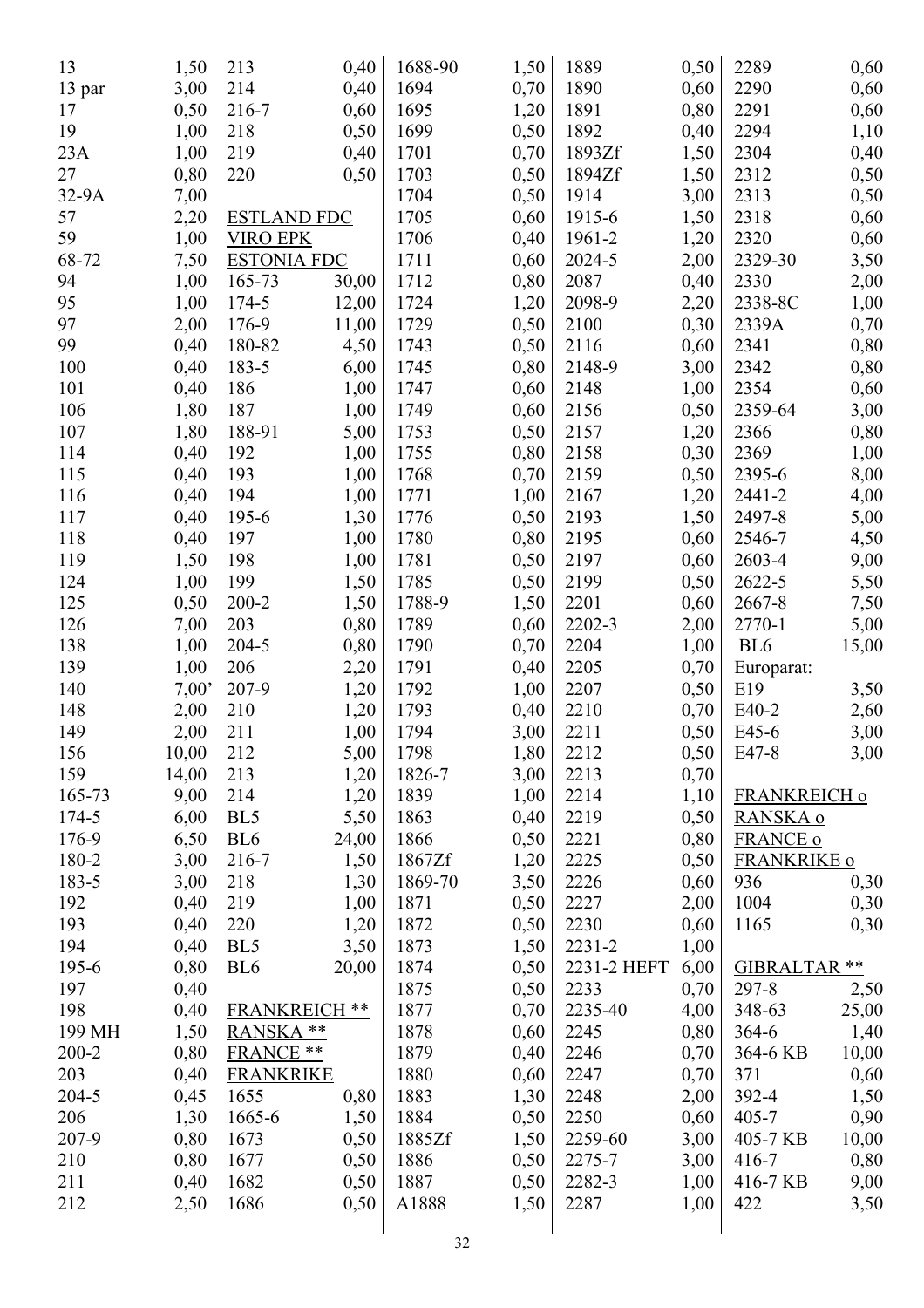| 13        | 1,50           | 213                  | 0,40  | 1688-90        | 1,50         | 1889        | 0,50         | 2289               | 0,60  |
|-----------|----------------|----------------------|-------|----------------|--------------|-------------|--------------|--------------------|-------|
| 13 par    | 3,00           | 214                  | 0,40  | 1694           | 0,70         | 1890        | 0,60         | 2290               | 0,60  |
| 17        | 0,50           | 216-7                | 0,60  | 1695           | 1,20         | 1891        | 0,80         | 2291               | 0,60  |
| 19        | 1,00           | 218                  | 0,50  | 1699           | 0,50         | 1892        | 0,40         | 2294               | 1,10  |
| 23A       | 1,00           | 219                  | 0,40  | 1701           | 0,70         | 1893Zf      | 1,50         | 2304               | 0,40  |
| 27        | 0,80           | 220                  | 0,50  | 1703           | 0,50         | 1894Zf      | 1,50         | 2312               | 0,50  |
| 32-9A     | 7,00           |                      |       | 1704           | 0,50         | 1914        | 3,00         | 2313               | 0,50  |
| 57        | 2,20           | <b>ESTLAND FDC</b>   |       | 1705           | 0,60         | 1915-6      | 1,50         | 2318               | 0,60  |
| 59        | 1,00           | <b>VIRO EPK</b>      |       | 1706           | 0,40         | 1961-2      | 1,20         | 2320               | 0,60  |
| 68-72     | 7,50           | <b>ESTONIA FDC</b>   |       | 1711           | 0,60         | 2024-5      | 2,00         | 2329-30            | 3,50  |
| 94        | 1,00           | 165-73               | 30,00 | 1712           | 0,80         | 2087        | 0,40         | 2330               | 2,00  |
| 95        | 1,00           | 174-5                | 12,00 | 1724           | 1,20         | 2098-9      | 2,20         | 2338-8C            | 1,00  |
| 97        | 2,00           | 176-9                | 11,00 | 1729           | 0,50         | 2100        | 0,30         | 2339A              | 0,70  |
| 99        | 0,40           | 180-82               | 4,50  | 1743           | 0,50         | 2116        | 0,60         | 2341               | 0,80  |
| 100       | 0,40           | 183-5                | 6,00  | 1745           | 0,80         | 2148-9      | 3,00         | 2342               | 0,80  |
| 101       | 0,40           | 186                  | 1,00  | 1747           | 0,60         | 2148        | 1,00         | 2354               | 0,60  |
| 106       | 1,80           | 187                  | 1,00  | 1749           | 0,60         | 2156        | 0,50         | 2359-64            | 3,00  |
| 107       | 1,80           | 188-91               | 5,00  | 1753           | 0,50         | 2157        | 1,20         | 2366               | 0,80  |
| 114       | 0,40           | 192                  | 1,00  | 1755           | 0,80         | 2158        | 0,30         | 2369               | 1,00  |
| 115       | 0,40           | 193                  | 1,00  | 1768           | 0,70         | 2159        | 0,50         | 2395-6             | 8,00  |
| 116       | 0,40           | 194                  | 1,00  | 1771           | 1,00         | 2167        | 1,20         | 2441-2             | 4,00  |
| 117       | 0,40           | 195-6                | 1,30  | 1776           | 0,50         | 2193        | 1,50         | 2497-8             | 5,00  |
| 118       | 0,40           | 197                  | 1,00  | 1780           | 0,80         | 2195        | 0,60         | 2546-7             | 4,50  |
| 119       | 1,50           | 198                  | 1,00  | 1781           | 0,50         | 2197        | 0,60         | 2603-4             | 9,00  |
| 124       | 1,00           | 199                  | 1,50  | 1785           | 0,50         | 2199        | 0,50         | 2622-5             | 5,50  |
| 125       | 0,50           | $200 - 2$            | 1,50  | 1788-9         | 1,50         | 2201        | 0,60         | 2667-8             | 7,50  |
| 126       | 7,00           | 203                  | 0,80  | 1789           | 0,60         | 2202-3      | 2,00         | 2770-1             | 5,00  |
| 138       | 1,00           | 204-5                | 0,80  | 1790           | 0,70         | 2204        | 1,00         | BL <sub>6</sub>    | 15,00 |
| 139       | 1,00           | 206                  | 2,20  | 1791           | 0,40         | 2205        | 0,70         |                    |       |
| 140       | $7,00^{\circ}$ | 207-9                | 1,20  | 1792           | 1,00         | 2207        | 0,50         | Europarat:<br>E19  | 3,50  |
| 148       | 2,00           | 210                  | 1,20  | 1793           | 0,40         | 2210        | 0,70         | E40-2              | 2,60  |
| 149       | 2,00           | 211                  | 1,00  | 1794           | 3,00         | 2211        | 0,50         | E45-6              | 3,00  |
| 156       | 10,00          | 212                  | 5,00  | 1798           | 1,80         | 2212        | 0,50         | E47-8              | 3,00  |
| 159       | 14,00          | 213                  | 1,20  | 1826-7         | 3,00         | 2213        | 0,70         |                    |       |
| 165-73    | 9,00           | 214                  | 1,20  | 1839           | 1,00         | 2214        | 1,10         | FRANKREICH o       |       |
| 174-5     | 6,00           | BL <sub>5</sub>      | 5,50  | 1863           | 0,40         | 2219        | 0,50         | RANSKA o           |       |
| 176-9     | 6,50           | BL <sub>6</sub>      | 24,00 | 1866           | 0,50         | 2221        | 0,80         | <b>FRANCE o</b>    |       |
| 180-2     | 3,00           | 216-7                | 1,50  | 1867Zf         |              | 2225        | 0,50         | <b>FRANKRIKE o</b> |       |
| 183-5     | 3,00           | 218                  | 1,30  | 1869-70        | 1,20<br>3,50 | 2226        | 0,60         | 936                | 0,30  |
| 192       | 0,40           | 219                  | 1,00  | 1871           | 0,50         | 2227        | 2,00         | 1004               | 0,30  |
| 193       | 0,40           | 220                  | 1,20  | 1872           | 0,50         | 2230        | 0,60         | 1165               | 0,30  |
| 194       | 0,40           | BL5                  | 3,50  | 1873           | 1,50         | $2231 - 2$  | 1,00         |                    |       |
| 195-6     | 0,80           | BL <sub>6</sub>      | 20,00 | 1874           | 0,50         | 2231-2 HEFT | 6,00         | GIBRALTAR **       |       |
| 197       | 0,40           |                      |       | 1875           | 0,50         | 2233        | 0,70         | $297 - 8$          |       |
| 198       | 0,40           | <b>FRANKREICH **</b> |       | 1877           |              | 2235-40     |              | 348-63             | 2,50  |
| 199 MH    |                | RANSKA **            |       | 1878           | 0,70         | 2245        | 4,00<br>0,80 | $364 - 6$          | 25,00 |
|           | 1,50           |                      |       |                | 0,60         |             |              |                    | 1,40  |
| $200 - 2$ | 0,80           | FRANCE **            |       | 1879           | 0,40         | 2246        | 0,70         | 364-6 KB           | 10,00 |
| 203       | 0,40           | <b>FRANKRIKE</b>     |       | 1880           | 0,60         | 2247        | 0,70         | 371                | 0,60  |
| $204 - 5$ | 0,45           | 1655                 | 0,80  | 1883           | 1,30         | 2248        | 2,00         | 392-4              | 1,50  |
| 206       | 1,30           | 1665-6               | 1,50  | 1884           | 0,50         | 2250        | 0,60         | $405 - 7$          | 0,90  |
| 207-9     | 0,80           | 1673                 | 0,50  | 1885Zf         | 1,50         | 2259-60     | 3,00         | 405-7 KB           | 10,00 |
| 210       | 0,80           | 1677                 | 0,50  | 1886           | 0,50         | 2275-7      | 3,00         | $416 - 7$          | 0,80  |
| 211       | 0,40           | 1682                 | 0,50  | 1887           | 0,50         | 2282-3      | 1,00         | 416-7 KB           | 9,00  |
| 212       | 2,50           | 1686                 | 0,50  | A1888          | 1,50         | 2287        | 1,00         | 422                | 3,50  |
|           |                |                      |       | $\mathfrak{D}$ |              |             |              |                    |       |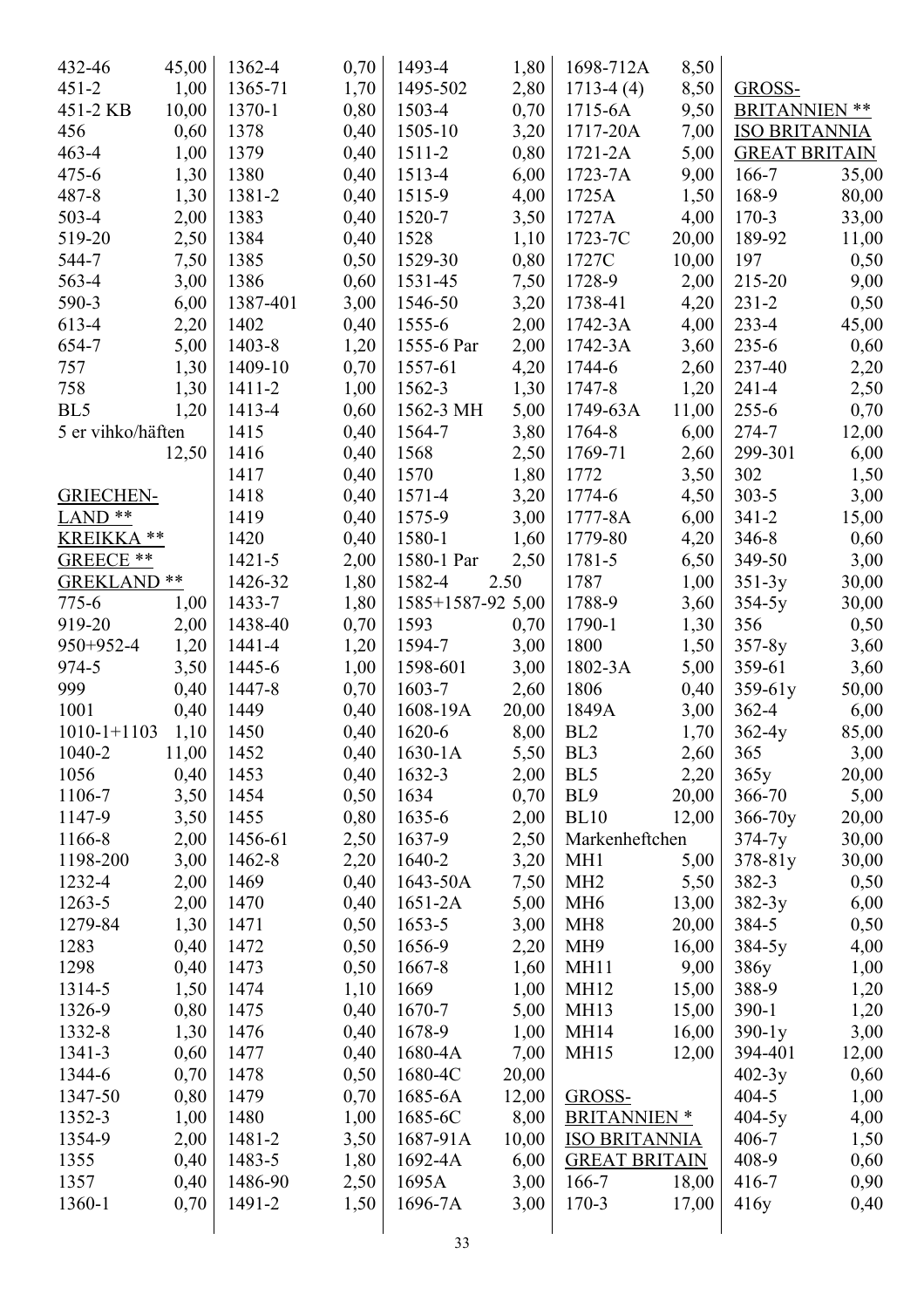| 432-46                 | 45,00 | 1362-4     | 0,70 | 1493-4                      | 1,80         | 1698-712A            | 8,50  |                      |       |
|------------------------|-------|------------|------|-----------------------------|--------------|----------------------|-------|----------------------|-------|
| $451 - 2$              | 1,00  | 1365-71    | 1,70 | 1495-502                    | 2,80         | $1713-4(4)$          | 8,50  | GROSS-               |       |
| 451-2 KB               | 10,00 | 1370-1     | 0,80 | 1503-4                      | 0,70         | $1715-6A$            | 9,50  | <b>BRITANNIEN **</b> |       |
| 456                    | 0,60  | 1378       | 0,40 | 1505-10                     | 3,20         | 1717-20A             | 7,00  | <b>ISO BRITANNIA</b> |       |
| $463 - 4$              | 1,00  | 1379       | 0,40 | 1511-2                      | 0,80         | $1721 - 2A$          | 5,00  | <b>GREAT BRITAIN</b> |       |
| $475 - 6$              | 1,30  | 1380       | 0,40 | 1513-4                      | 6,00         | $1723 - 7A$          | 9,00  | $166 - 7$            | 35,00 |
| 487-8                  | 1,30  | 1381-2     | 0,40 | 1515-9                      | 4,00         | 1725A                | 1,50  | 168-9                | 80,00 |
| $503 - 4$              | 2,00  | 1383       | 0,40 | 1520-7                      | 3,50         | 1727A                | 4,00  | $170 - 3$            | 33,00 |
| 519-20                 | 2,50  | 1384       | 0,40 | 1528                        | 1,10         | 1723-7C              | 20,00 | 189-92               | 11,00 |
| 544-7                  | 7,50  | 1385       | 0,50 | 1529-30                     | 0,80         | 1727C                | 10,00 | 197                  | 0,50  |
| 563-4                  | 3,00  | 1386       | 0,60 | 1531-45                     | 7,50         | 1728-9               | 2,00  | 215-20               | 9,00  |
| 590-3                  | 6,00  | 1387-401   | 3,00 | 1546-50                     | 3,20         | 1738-41              | 4,20  | $231 - 2$            | 0,50  |
| 613-4                  | 2,20  | 1402       | 0,40 | 1555-6                      | 2,00         | 1742-3A              | 4,00  | $233 - 4$            | 45,00 |
| 654-7                  | 5,00  | 1403-8     | 1,20 | 1555-6 Par                  | 2,00         | $1742 - 3A$          | 3,60  | $235 - 6$            | 0,60  |
| 757                    | 1,30  | 1409-10    | 0,70 | 1557-61                     | 4,20         | 1744-6               | 2,60  | 237-40               | 2,20  |
| 758                    | 1,30  | 1411-2     | 1,00 | 1562-3                      | 1,30         | 1747-8               | 1,20  | $241 - 4$            | 2,50  |
| BL5                    | 1,20  | 1413-4     | 0,60 | 1562-3 MH                   | 5,00         | 1749-63A             | 11,00 | $255 - 6$            | 0,70  |
| 5 er vihko/häften      |       | 1415       | 0,40 | 1564-7                      | 3,80         | 1764-8               | 6,00  | 274-7                | 12,00 |
|                        | 12,50 | 1416       | 0,40 | 1568                        | 2,50         | 1769-71              | 2,60  | 299-301              | 6,00  |
|                        |       | 1417       | 0,40 | 1570                        | 1,80         | 1772                 | 3,50  | 302                  | 1,50  |
| <b>GRIECHEN-</b>       |       | 1418       | 0,40 | 1571-4                      | 3,20         | 1774-6               | 4,50  | $303 - 5$            | 3,00  |
| LAND <sup>**</sup>     |       | 1419       | 0,40 | 1575-9                      | 3,00         | 1777-8A              | 6,00  | $341 - 2$            | 15,00 |
| KREIKKA **             |       | 1420       | 0,40 | 1580-1                      | 1,60         | 1779-80              | 4,20  | $346 - 8$            | 0,60  |
| GREECE **              |       | $1421 - 5$ | 2,00 | 1580-1 Par                  |              | 1781-5               | 6,50  | 349-50               | 3,00  |
| GREKLAND <sup>**</sup> |       | 1426-32    | 1,80 | 1582-4                      | 2,50<br>2.50 | 1787                 | 1,00  |                      |       |
| $775 - 6$              |       | 1433-7     |      |                             |              | 1788-9               |       | $351-3y$             | 30,00 |
|                        | 1,00  | 1438-40    | 1,80 | $1585+1587-92$ 5,00<br>1593 |              | 1790-1               | 3,60  | $354-5y$<br>356      | 30,00 |
| 919-20                 | 2,00  |            | 0,70 |                             | 0,70         |                      | 1,30  |                      | 0,50  |
| 950+952-4              | 1,20  | 1441-4     | 1,20 | 1594-7                      | 3,00         | 1800                 | 1,50  | $357-8y$             | 3,60  |
| 974-5                  | 3,50  | 1445-6     | 1,00 | 1598-601                    | 3,00         | 1802-3A              | 5,00  | 359-61               | 3,60  |
| 999                    | 0,40  | 1447-8     | 0,70 | 1603-7                      | 2,60         | 1806                 | 0,40  | 359-61y              | 50,00 |
| 1001                   | 0,40  | 1449       | 0,40 | 1608-19A                    | 20,00        | 1849A                | 3,00  | $362 - 4$            | 6,00  |
| $1010 - 1 + 1103$      | 1,10  | 1450       | 0,40 | 1620-6                      | 8,00         | BL <sub>2</sub>      | 1,70  | $362 - 4y$           | 85,00 |
| 1040-2                 | 11,00 | 1452       | 0,40 | $1630 - 1A$                 | 5,50         | BL3                  | 2,60  | 365                  | 3,00  |
| 1056                   | 0,40  | 1453       | 0,40 | 1632-3                      | 2,00         | BL5                  | 2,20  | 365y                 | 20,00 |
| 1106-7                 | 3,50  | 1454       | 0,50 | 1634                        | 0,70         | BL <sub>9</sub>      | 20,00 | 366-70               | 5,00  |
| 1147-9                 | 3,50  | 1455       | 0,80 | 1635-6                      | 2,00         | <b>BL10</b>          | 12,00 | $366 - 70y$          | 20,00 |
| 1166-8                 | 2,00  | 1456-61    | 2,50 | 1637-9                      | 2,50         | Markenheftchen       |       | $374 - 7y$           | 30,00 |
| 1198-200               | 3,00  | 1462-8     | 2,20 | 1640-2                      | 3,20         | MH <sub>1</sub>      | 5,00  | 378-81y              | 30,00 |
| 1232-4                 | 2,00  | 1469       | 0,40 | 1643-50A                    | 7,50         | MH <sub>2</sub>      | 5,50  | $382 - 3$            | 0,50  |
| 1263-5                 | 2,00  | 1470       | 0,40 | $1651-2A$                   | 5,00         | MH <sub>6</sub>      | 13,00 | $382-3y$             | 6,00  |
| 1279-84                | 1,30  | 1471       | 0,50 | 1653-5                      | 3,00         | MH <sub>8</sub>      | 20,00 | 384-5                | 0,50  |
| 1283                   | 0,40  | 1472       | 0,50 | 1656-9                      | 2,20         | MH <sub>9</sub>      | 16,00 | $384-5y$             | 4,00  |
| 1298                   | 0,40  | 1473       | 0,50 | 1667-8                      | 1,60         | MH11                 | 9,00  | 386y                 | 1,00  |
| 1314-5                 | 1,50  | 1474       | 1,10 | 1669                        | 1,00         | <b>MH12</b>          | 15,00 | 388-9                | 1,20  |
| 1326-9                 | 0,80  | 1475       | 0,40 | 1670-7                      | 5,00         | MH13                 | 15,00 | $390-1$              | 1,20  |
| 1332-8                 | 1,30  | 1476       | 0,40 | 1678-9                      | 1,00         | <b>MH14</b>          | 16,00 | $390-1y$             | 3,00  |
| 1341-3                 | 0,60  | 1477       | 0,40 | 1680-4A                     | 7,00         | <b>MH15</b>          | 12,00 | 394-401              | 12,00 |
| 1344-6                 | 0,70  | 1478       | 0,50 | 1680-4C                     | 20,00        |                      |       | $402 - 3y$           | 0,60  |
| 1347-50                | 0,80  | 1479       | 0,70 | 1685-6A                     | 12,00        | GROSS-               |       | $404 - 5$            | 1,00  |
| 1352-3                 | 1,00  | 1480       | 1,00 | 1685-6C                     | 8,00         | <b>BRITANNIEN *</b>  |       | $404-5y$             | 4,00  |
| 1354-9                 | 2,00  | 1481-2     | 3,50 | 1687-91A                    | 10,00        | <b>ISO BRITANNIA</b> |       | $406 - 7$            | 1,50  |
| 1355                   | 0,40  | 1483-5     | 1,80 | 1692-4A                     | 6,00         | <b>GREAT BRITAIN</b> |       | 408-9                | 0,60  |
| 1357                   | 0,40  | 1486-90    | 2,50 | 1695A                       | 3,00         | $166 - 7$            | 18,00 | $416 - 7$            | 0,90  |
| 1360-1                 | 0,70  | 1491-2     | 1,50 | 1696-7A                     | 3,00         | $170-3$              | 17,00 | 416y                 | 0,40  |
|                        |       |            |      |                             |              |                      |       |                      |       |
|                        |       |            |      | 22                          |              |                      |       |                      |       |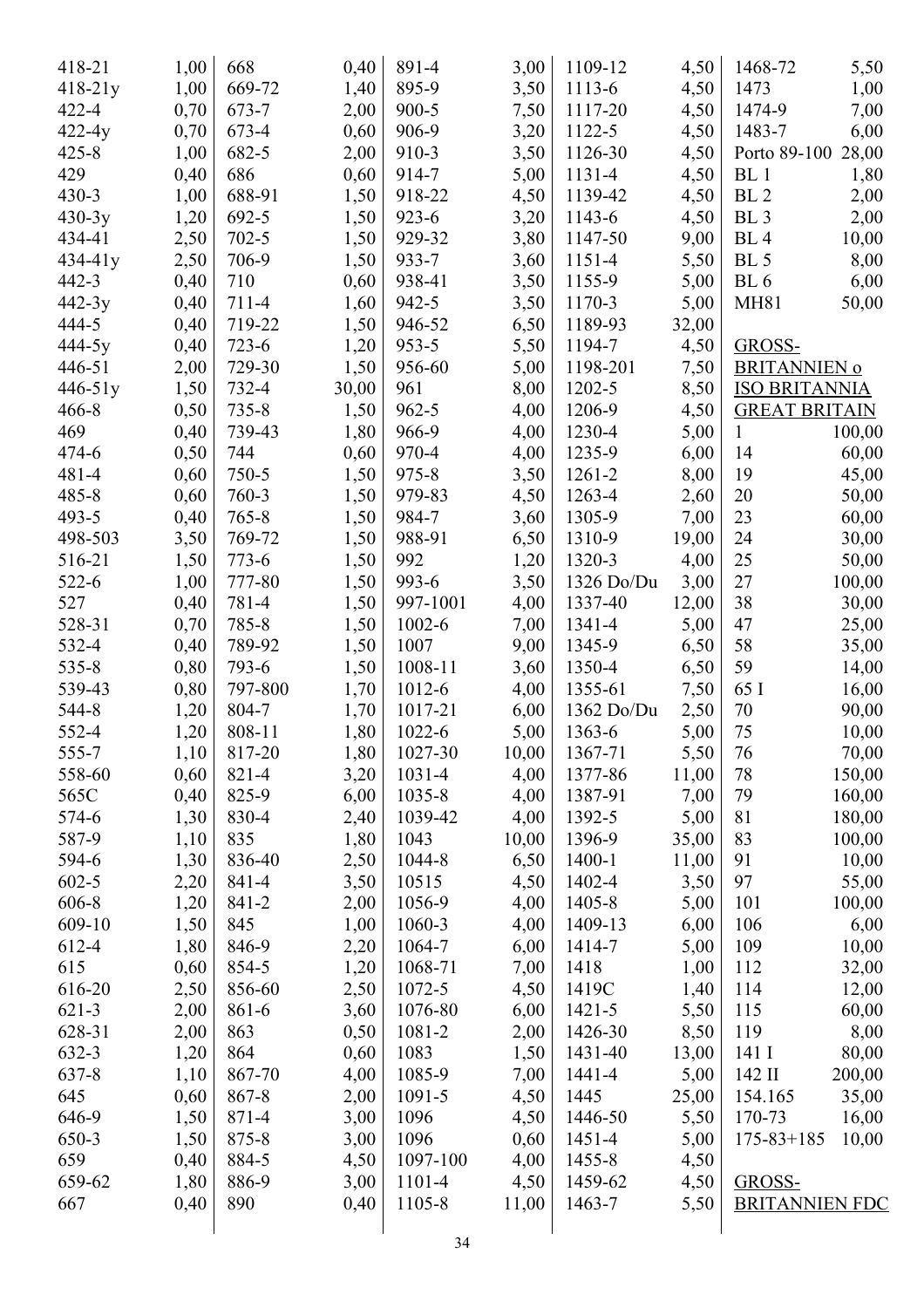| 418-21      | 1,00 | 668       | 0,40         | 891-4      | 3,00         | 1109-12    | 4,50          | 1468-72              | 5,50                  |
|-------------|------|-----------|--------------|------------|--------------|------------|---------------|----------------------|-----------------------|
| $418-21y$   | 1,00 | 669-72    | 1,40         | 895-9      | 3,50         | 1113-6     | 4,50          | 1473                 | 1,00                  |
| $422 - 4$   | 0,70 | 673-7     | 2,00         | $900 - 5$  | 7,50         | 1117-20    | 4,50          | 1474-9               | 7,00                  |
| $422-4y$    | 0,70 | 673-4     | 0,60         | 906-9      | 3,20         | 1122-5     | 4,50          | 1483-7               | 6,00                  |
| $425 - 8$   | 1,00 | 682-5     | 2,00         | 910-3      | 3,50         | 1126-30    | 4,50          | Porto 89-100         | 28,00                 |
| 429         | 0,40 | 686       | 0,60         | 914-7      | 5,00         | 1131-4     | 4,50          | BL <sub>1</sub>      | 1,80                  |
| $430 - 3$   | 1,00 | 688-91    | 1,50         | 918-22     | 4,50         | 1139-42    | 4,50          | BL <sub>2</sub>      | 2,00                  |
| $430-3y$    | 1,20 | 692-5     | 1,50         | $923 - 6$  | 3,20         | 1143-6     | 4,50          | BL <sub>3</sub>      | 2,00                  |
| 434-41      | 2,50 | $702 - 5$ | 1,50         | 929-32     | 3,80         | 1147-50    | 9,00          | BL <sub>4</sub>      | 10,00                 |
| $434 - 41y$ | 2,50 | 706-9     | 1,50         | 933-7      | 3,60         | 1151-4     | 5,50          | BL <sub>5</sub>      | 8,00                  |
| $442 - 3$   | 0,40 | 710       | 0,60         | 938-41     | 3,50         | 1155-9     | 5,00          | BL <sub>6</sub>      | 6,00                  |
| 442-3y      | 0,40 | 711-4     | 1,60         | $942 - 5$  | 3,50         | 1170-3     | 5,00          | <b>MH81</b>          | 50,00                 |
| 444-5       | 0,40 | 719-22    | 1,50         | 946-52     | 6,50         | 1189-93    | 32,00         |                      |                       |
| 444-5y      | 0,40 | $723-6$   | 1,20         | $953 - 5$  | 5,50         | 1194-7     | 4,50          | GROSS-               |                       |
| 446-51      | 2,00 | 729-30    | 1,50         | 956-60     | 5,00         | 1198-201   | 7,50          | <b>BRITANNIEN o</b>  |                       |
| 446-51y     | 1,50 | 732-4     | 30,00        | 961        | 8,00         | 1202-5     | 8,50          | <b>ISO BRITANNIA</b> |                       |
| $466 - 8$   | 0,50 | $735 - 8$ | 1,50         | $962 - 5$  | 4,00         | 1206-9     | 4,50          | <b>GREAT BRITAIN</b> |                       |
| 469         | 0,40 | 739-43    | 1,80         | 966-9      | 4,00         | 1230-4     | 5,00          | $\mathbf{1}$         | 100,00                |
| 474-6       | 0,50 | 744       | 0,60         | 970-4      | 4,00         | 1235-9     | 6,00          | 14                   | 60,00                 |
| $481 - 4$   | 0,60 | $750 - 5$ | 1,50         | 975-8      | 3,50         | 1261-2     | 8,00          | 19                   | 45,00                 |
| $485 - 8$   | 0,60 | 760-3     | 1,50         | 979-83     | 4,50         | 1263-4     | 2,60          | 20                   | 50,00                 |
| 493-5       | 0,40 | $765 - 8$ | 1,50         | 984-7      | 3,60         | 1305-9     | 7,00          | 23                   | 60,00                 |
| 498-503     | 3,50 | 769-72    | 1,50         | 988-91     | 6,50         | 1310-9     | 19,00         | 24                   | 30,00                 |
| 516-21      | 1,50 | $773 - 6$ | 1,50         | 992        | 1,20         | 1320-3     | 4,00          | 25                   | 50,00                 |
| 522-6       | 1,00 | 777-80    | 1,50         | 993-6      | 3,50         | 1326 Do/Du | 3,00          | 27                   | 100,00                |
| 527         | 0,40 | 781-4     | 1,50         | 997-1001   | 4,00         | 1337-40    | 12,00         | 38                   | 30,00                 |
| 528-31      | 0,70 | 785-8     | 1,50         | $1002 - 6$ | 7,00         | 1341-4     | 5,00          | 47                   | 25,00                 |
| 532-4       | 0,40 | 789-92    | 1,50         | 1007       | 9,00         | 1345-9     | 6,50          | 58                   | 35,00                 |
| 535-8       | 0,80 | 793-6     | 1,50         | 1008-11    | 3,60         | 1350-4     | 6,50          | 59                   | 14,00                 |
| 539-43      | 0,80 | 797-800   | 1,70         | 1012-6     | 4,00         | 1355-61    | 7,50          | 65 I                 | 16,00                 |
| 544-8       | 1,20 | 804-7     | 1,70         | 1017-21    | 6,00         | 1362 Do/Du | 2,50          | 70                   | 90,00                 |
| 552-4       | 1,20 | 808-11    | 1,80         | 1022-6     | 5,00         | 1363-6     | 5,00          | 75                   | 10,00                 |
| 555-7       | 1,10 | 817-20    | 1,80         | 1027-30    | 10,00        | 1367-71    | 5,50          | 76                   | 70,00                 |
| 558-60      | 0,60 | 821-4     |              | 1031-4     |              | 1377-86    |               | 78                   |                       |
| 565C        | 0,40 | 825-9     | 3,20<br>6,00 | 1035-8     | 4,00<br>4,00 | 1387-91    | 11,00<br>7,00 | 79                   | 150,00                |
|             |      |           |              |            |              | 1392-5     |               | 81                   | 160,00                |
| 574-6       | 1,30 | 830-4     | 2,40         | 1039-42    | 4,00         |            | 5,00          |                      | 180,00                |
| 587-9       | 1,10 | 835       | 1,80         | 1043       | 10,00        | 1396-9     | 35,00         | 83                   | 100,00                |
| 594-6       | 1,30 | 836-40    | 2,50         | 1044-8     | 6,50         | 1400-1     | 11,00         | 91                   | 10,00                 |
| $602 - 5$   | 2,20 | 841-4     | 3,50         | 10515      | 4,50         | 1402-4     | 3,50          | 97                   | 55,00                 |
| 606-8       | 1,20 | 841-2     | 2,00         | 1056-9     | 4,00         | 1405-8     | 5,00          | 101                  | 100,00                |
| 609-10      | 1,50 | 845       | 1,00         | 1060-3     | 4,00         | 1409-13    | 6,00          | 106                  | 6,00                  |
| 612-4       | 1,80 | 846-9     | 2,20         | 1064-7     | 6,00         | 1414-7     | 5,00          | 109                  | 10,00                 |
| 615         | 0,60 | 854-5     | 1,20         | 1068-71    | 7,00         | 1418       | 1,00          | 112                  | 32,00                 |
| 616-20      | 2,50 | 856-60    | 2,50         | 1072-5     | 4,50         | 1419C      | 1,40          | 114                  | 12,00                 |
| $621-3$     | 2,00 | 861-6     | 3,60         | 1076-80    | 6,00         | $1421 - 5$ | 5,50          | 115                  | 60,00                 |
| 628-31      | 2,00 | 863       | 0,50         | 1081-2     | 2,00         | 1426-30    | 8,50          | 119                  | 8,00                  |
| 632-3       | 1,20 | 864       | 0,60         | 1083       | 1,50         | 1431-40    | 13,00         | 141 I                | 80,00                 |
| 637-8       | 1,10 | 867-70    | 4,00         | 1085-9     | 7,00         | 1441-4     | 5,00          | 142 II               | 200,00                |
| 645         | 0,60 | 867-8     | 2,00         | 1091-5     | 4,50         | 1445       | 25,00         | 154.165              | 35,00                 |
| 646-9       | 1,50 | 871-4     | 3,00         | 1096       | 4,50         | 1446-50    | 5,50          | 170-73               | 16,00                 |
| 650-3       | 1,50 | 875-8     | 3,00         | 1096       | 0,60         | 1451-4     | 5,00          | $175 - 83 + 185$     | 10,00                 |
| 659         | 0,40 | 884-5     | 4,50         | 1097-100   | 4,00         | 1455-8     | 4,50          |                      |                       |
| 659-62      | 1,80 | 886-9     | 3,00         | 1101-4     | 4,50         | 1459-62    | 4,50          | GROSS-               |                       |
| 667         | 0,40 | 890       | 0,40         | 1105-8     | 11,00        | 1463-7     | 5,50          |                      | <b>BRITANNIEN FDC</b> |
|             |      |           |              |            |              |            |               |                      |                       |
|             |      |           |              |            |              |            |               |                      |                       |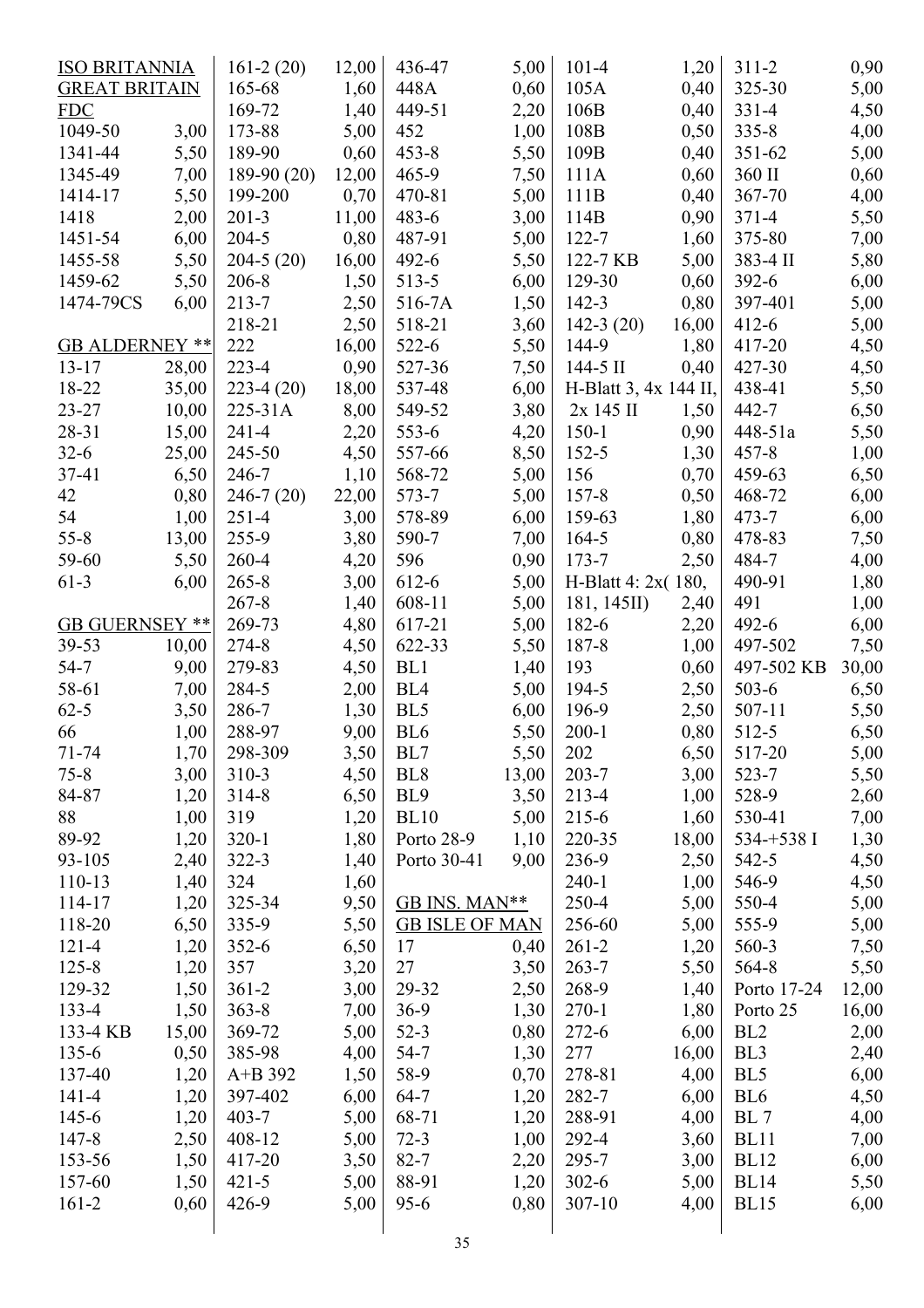| <b>ISO BRITANNIA</b>  |       | $161-2(20)$   | 12,00 | 436-47                | 5,00         | $101 - 4$             | 1,20  | $311 - 2$       | 0,90  |
|-----------------------|-------|---------------|-------|-----------------------|--------------|-----------------------|-------|-----------------|-------|
| <b>GREAT BRITAIN</b>  |       | 165-68        | 1,60  | 448A                  | 0,60         | 105A                  | 0,40  | 325-30          | 5,00  |
| <b>FDC</b>            |       | 169-72        | 1,40  | 449-51                | 2,20         | 106B                  | 0,40  | $331 - 4$       | 4,50  |
| 1049-50               | 3,00  | 173-88        | 5,00  | 452                   | 1,00         | 108B                  | 0,50  | $335 - 8$       | 4,00  |
| 1341-44               | 5,50  | 189-90        | 0,60  | $453 - 8$             | 5,50         | 109B                  | 0,40  | 351-62          | 5,00  |
| 1345-49               | 7,00  | $189-90(20)$  | 12,00 | $465 - 9$             | 7,50         | 111A                  | 0,60  | 360 II          | 0,60  |
| 1414-17               | 5,50  | 199-200       | 0,70  | 470-81                | 5,00         | 111B                  | 0,40  | 367-70          | 4,00  |
| 1418                  | 2,00  | $201 - 3$     | 11,00 | 483-6                 | 3,00         | 114B                  | 0,90  | $371 - 4$       | 5,50  |
| 1451-54               | 6,00  | $204 - 5$     | 0,80  | 487-91                | 5,00         | $122 - 7$             | 1,60  | 375-80          | 7,00  |
| 1455-58               | 5,50  | $204-5(20)$   | 16,00 | $492 - 6$             | 5,50         | 122-7 KB              | 5,00  | 383-4 II        | 5,80  |
| 1459-62               | 5,50  | $206 - 8$     | 1,50  | $513 - 5$             | 6,00         | 129-30                | 0,60  | $392 - 6$       | 6,00  |
| 1474-79CS             | 6,00  | $213 - 7$     | 2,50  | 516-7A                | 1,50         | $142 - 3$             | 0,80  | 397-401         | 5,00  |
|                       |       | 218-21        | 2,50  | 518-21                | 3,60         | $142-3(20)$           | 16,00 | $412 - 6$       | 5,00  |
| <b>GB ALDERNEY **</b> |       | 222           | 16,00 | $522 - 6$             | 5,50         | 144-9                 | 1,80  | 417-20          | 4,50  |
| $13 - 17$             | 28,00 | $223 - 4$     | 0,90  | 527-36                | 7,50         | $144-5$ II            | 0,40  | 427-30          | 4,50  |
| 18-22                 | 35,00 | $223-4(20)$   | 18,00 | 537-48                | 6,00         | H-Blatt 3, 4x 144 II, |       | 438-41          | 5,50  |
| $23 - 27$             | 10,00 | 225-31A       | 8,00  | 549-52                | 3,80         | 2x 145 II             | 1,50  | 442-7           | 6,50  |
| 28-31                 | 15,00 | $241 - 4$     | 2,20  | $553-6$               | 4,20         | $150-1$               | 0,90  | 448-51a         | 5,50  |
| $32-6$                | 25,00 | 245-50        | 4,50  | 557-66                | 8,50         | $152 - 5$             | 1,30  | $457 - 8$       | 1,00  |
| 37-41                 | 6,50  | 246-7         | 1,10  | 568-72                | 5,00         | 156                   | 0,70  | 459-63          | 6,50  |
| 42                    | 0,80  | $246 - 7(20)$ | 22,00 | 573-7                 | 5,00         | $157 - 8$             | 0,50  | 468-72          | 6,00  |
| 54                    | 1,00  | $251 - 4$     | 3,00  | 578-89                | 6,00         | 159-63                | 1,80  | 473-7           | 6,00  |
| $55 - 8$              | 13,00 | 255-9         | 3,80  | 590-7                 | 7,00         | $164 - 5$             | 0,80  | 478-83          | 7,50  |
| 59-60                 | 5,50  | 260-4         | 4,20  | 596                   | 0,90         | $173 - 7$             | 2,50  | 484-7           | 4,00  |
| $61-3$                | 6,00  | $265 - 8$     | 3,00  | 612-6                 | 5,00         | H-Blatt 4: 2x(180,    |       | 490-91          | 1,80  |
|                       |       | $267 - 8$     | 1,40  | 608-11                | 5,00         | 181, 145II)           | 2,40  | 491             | 1,00  |
| <b>GB GUERNSEY **</b> |       | 269-73        | 4,80  | 617-21                | 5,00         | 182-6                 | 2,20  | 492-6           | 6,00  |
| 39-53                 | 10,00 | 274-8         | 4,50  | 622-33                | 5,50         | 187-8                 | 1,00  | 497-502         | 7,50  |
| $54 - 7$              | 9,00  | 279-83        | 4,50  | BL1                   |              | 193                   | 0,60  | 497-502 KB      |       |
| 58-61                 | 7,00  | 284-5         | 2,00  | BL <sub>4</sub>       | 1,40<br>5,00 | 194-5                 | 2,50  | $503-6$         | 30,00 |
| $62 - 5$              |       | 286-7         | 1,30  | BL <sub>5</sub>       | 6,00         | 196-9                 |       | 507-11          | 6,50  |
|                       | 3,50  |               |       |                       |              |                       | 2,50  |                 | 5,50  |
| 66                    | 1,00  | 288-97        | 9,00  | BL <sub>6</sub>       | 5,50         | $200-1$               | 0,80  | 512-5           | 6,50  |
| $71 - 74$             | 1,70  | 298-309       | 3,50  | BL7                   | 5,50         | 202                   | 6,50  | 517-20          | 5,00  |
| $75 - 8$              | 3,00  | $310 - 3$     | 4,50  | BL <sub>8</sub>       | 13,00        | $203 - 7$             | 3,00  | 523-7           | 5,50  |
| 84-87                 | 1,20  | $314 - 8$     | 6,50  | BL <sub>9</sub>       | 3,50         | 213-4                 | 1,00  | 528-9           | 2,60  |
| 88                    | 1,00  | 319           | 1,20  | <b>BL10</b>           | 5,00         | $215 - 6$             | 1,60  | 530-41          | 7,00  |
| 89-92                 | 1,20  | $320-1$       | 1,80  | Porto 28-9            | 1,10         | 220-35                | 18,00 | 534-+538 I      | 1,30  |
| 93-105                | 2,40  | $322 - 3$     | 1,40  | Porto 30-41           | 9,00         | 236-9                 | 2,50  | 542-5           | 4,50  |
| 110-13                | 1,40  | 324           | 1,60  |                       |              | $240 - 1$             | 1,00  | 546-9           | 4,50  |
| 114-17                | 1,20  | 325-34        | 9,50  | GB INS. MAN**         |              | 250-4                 | 5,00  | 550-4           | 5,00  |
| 118-20                | 6,50  | 335-9         | 5,50  | <b>GB ISLE OF MAN</b> |              | 256-60                | 5,00  | 555-9           | 5,00  |
| $121 - 4$             | 1,20  | $352 - 6$     | 6,50  | 17                    | 0,40         | $261 - 2$             | 1,20  | 560-3           | 7,50  |
| $125 - 8$             | 1,20  | 357           | 3,20  | 27                    | 3,50         | $263 - 7$             | 5,50  | 564-8           | 5,50  |
| 129-32                | 1,50  | $361 - 2$     | 3,00  | 29-32                 | 2,50         | 268-9                 | 1,40  | Porto 17-24     | 12,00 |
| $133 - 4$             | 1,50  | $363 - 8$     | 7,00  | $36-9$                | 1,30         | $270-1$               | 1,80  | Porto 25        | 16,00 |
| 133-4 KB              | 15,00 | 369-72        | 5,00  | $52-3$                | 0,80         | $272 - 6$             | 6,00  | BL <sub>2</sub> | 2,00  |
| $135 - 6$             | 0,50  | 385-98        | 4,00  | $54 - 7$              | 1,30         | 277                   | 16,00 | BL <sub>3</sub> | 2,40  |
| 137-40                | 1,20  | $A+B392$      | 1,50  | 58-9                  | 0,70         | 278-81                | 4,00  | BL <sub>5</sub> | 6,00  |
| $141 - 4$             | 1,20  | 397-402       | 6,00  | $64 - 7$              | 1,20         | 282-7                 | 6,00  | BL <sub>6</sub> | 4,50  |
| $145 - 6$             | 1,20  | $403 - 7$     | 5,00  | 68-71                 | 1,20         | 288-91                | 4,00  | BL 7            | 4,00  |
| 147-8                 | 2,50  | 408-12        | 5,00  | $72-3$                | 1,00         | 292-4                 | 3,60  | BL11            | 7,00  |
| 153-56                | 1,50  | 417-20        | 3,50  | $82 - 7$              | 2,20         | 295-7                 | 3,00  | <b>BL12</b>     | 6,00  |
| 157-60                | 1,50  | $421 - 5$     | 5,00  | 88-91                 | 1,20         | $302 - 6$             | 5,00  | <b>BL14</b>     | 5,50  |
| $161 - 2$             | 0,60  | 426-9         | 5,00  | $95 - 6$              | 0,80         | $307 - 10$            | 4,00  | <b>BL15</b>     | 6,00  |
|                       |       |               |       |                       |              |                       |       |                 |       |
|                       |       |               |       | 25                    |              |                       |       |                 |       |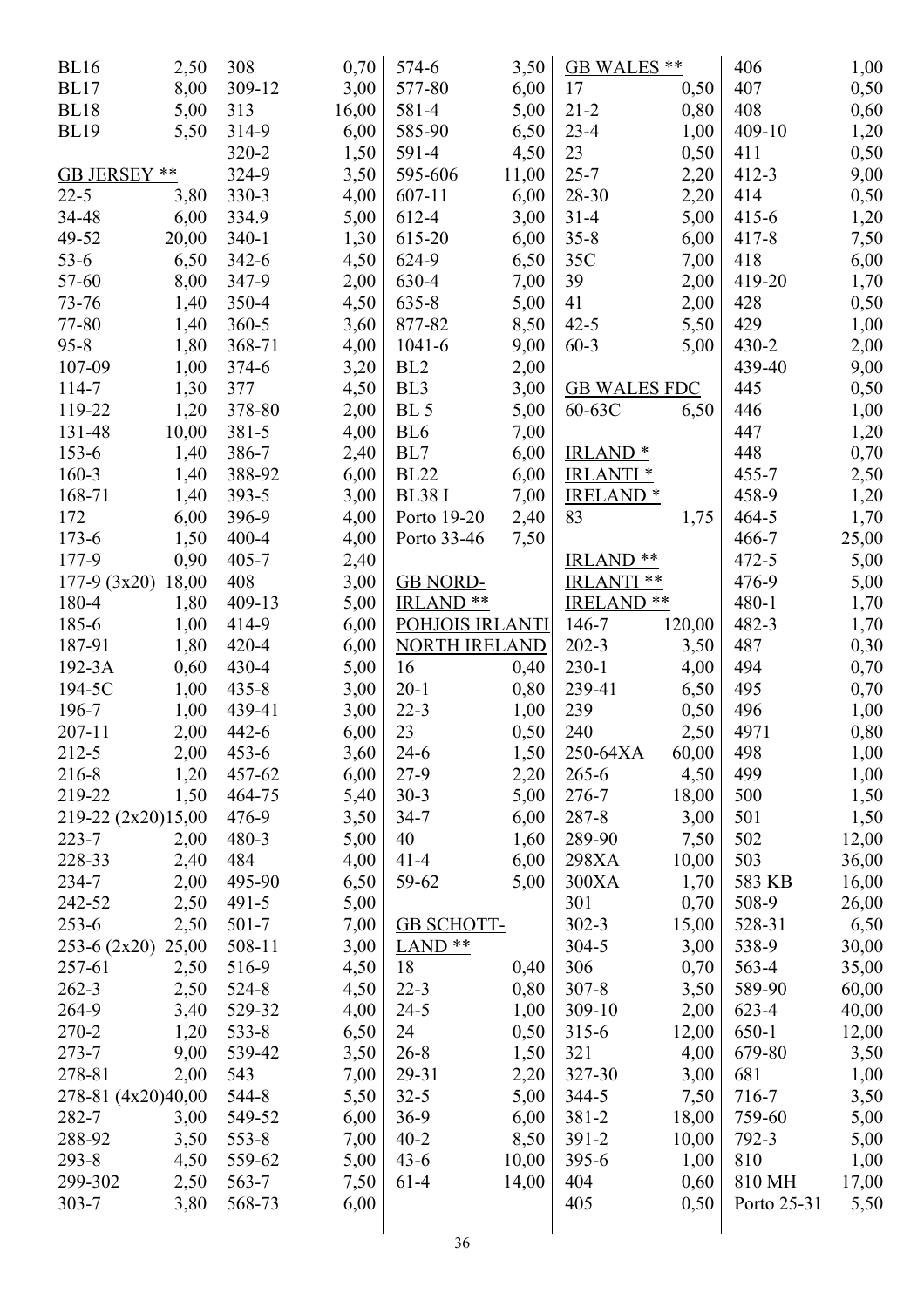| <b>BL16</b>        | 2,50  | 308       | 0,70  | 574-6                | 3,50  | GB WALES **           |        | 406         | 1,00          |
|--------------------|-------|-----------|-------|----------------------|-------|-----------------------|--------|-------------|---------------|
| <b>BL17</b>        | 8,00  | 309-12    | 3,00  | 577-80               | 6,00  | 17                    | 0,50   | 407         | 0,50          |
| <b>BL18</b>        | 5,00  | 313       | 16,00 | 581-4                | 5,00  | $21 - 2$              | 0,80   | 408         | 0,60          |
| <b>BL19</b>        | 5,50  | 314-9     | 6,00  | 585-90               | 6,50  | $23 - 4$              | 1,00   | 409-10      | 1,20          |
|                    |       | $320 - 2$ | 1,50  | 591-4                | 4,50  | 23                    | 0,50   | 411         | 0,50          |
| GB JERSEY **       |       | 324-9     | 3,50  | 595-606              | 11,00 | $25 - 7$              | 2,20   | $412 - 3$   | 9,00          |
| $22 - 5$           | 3,80  | 330-3     | 4,00  | $607 - 11$           | 6,00  | 28-30                 | 2,20   | 414         | 0,50          |
| 34-48              | 6,00  | 334.9     | 5,00  | 612-4                | 3,00  | $31 - 4$              | 5,00   | $415 - 6$   | 1,20          |
| 49-52              | 20,00 | $340 - 1$ | 1,30  | 615-20               | 6,00  | $35 - 8$              | 6,00   | $417 - 8$   | 7,50          |
| $53 - 6$           | 6,50  | $342 - 6$ | 4,50  | 624-9                | 6,50  | 35C                   | 7,00   | 418         | 6,00          |
| 57-60              | 8,00  | 347-9     | 2,00  | 630-4                | 7,00  | 39                    | 2,00   | 419-20      | 1,70          |
| 73-76              | 1,40  | 350-4     | 4,50  | 635-8                | 5,00  | 41                    | 2,00   | 428         | 0,50          |
| 77-80              | 1,40  | $360 - 5$ | 3,60  | 877-82               | 8,50  | $42 - 5$              | 5,50   | 429         | 1,00          |
| $95 - 8$           | 1,80  | 368-71    | 4,00  | $1041 - 6$           | 9,00  | $60 - 3$              | 5,00   | $430 - 2$   | 2,00          |
| 107-09             | 1,00  | $374 - 6$ | 3,20  | BL <sub>2</sub>      | 2,00  |                       |        | 439-40      | 9,00          |
| 114-7              | 1,30  | 377       | 4,50  | BL <sub>3</sub>      | 3,00  | <b>GB WALES FDC</b>   |        | 445         | 0,50          |
| 119-22             | 1,20  | 378-80    | 2,00  | BL <sub>5</sub>      | 5,00  | 60-63C                | 6,50   | 446         | 1,00          |
| 131-48             | 10,00 | $381 - 5$ | 4,00  | BL <sub>6</sub>      | 7,00  |                       |        | 447         | 1,20          |
| 153-6              | 1,40  | 386-7     | 2,40  | BL7                  | 6,00  | <b>IRLAND*</b>        |        | 448         | 0,70          |
| 160-3              | 1,40  | 388-92    | 6,00  | <b>BL22</b>          | 6,00  | <b>IRLANTI</b> *      |        | $455 - 7$   | 2,50          |
| 168-71             | 1,40  | 393-5     | 3,00  | <b>BL38 I</b>        | 7,00  | <b>IRELAND*</b>       |        | 458-9       | 1,20          |
| 172                | 6,00  | 396-9     | 4,00  | Porto 19-20          | 2,40  | 83                    | 1,75   | $464 - 5$   | 1,70          |
| $173 - 6$          | 1,50  | $400 - 4$ | 4,00  | Porto 33-46          | 7,50  |                       |        | 466-7       | 25,00         |
| 177-9              | 0,90  | $405 - 7$ | 2,40  |                      |       | IRLAND **             |        | $472 - 5$   | 5,00          |
| $177-9(3x20)$      | 18,00 | 408       | 3,00  | <b>GB NORD-</b>      |       | IRLANTI **            |        | 476-9       | 5,00          |
| 180-4              | 1,80  | 409-13    | 5,00  | IRLAND <sup>**</sup> |       | IRELAND <sup>**</sup> |        | $480 - 1$   | 1,70          |
| 185-6              | 1,00  | 414-9     | 6,00  | POHJOIS IRLANTI      |       | 146-7                 | 120,00 | 482-3       | 1,70          |
| 187-91             | 1,80  | $420 - 4$ | 6,00  | <b>NORTH IRELAND</b> |       | $202 - 3$             | 3,50   | 487         | 0,30          |
| 192-3A             | 0,60  | $430 - 4$ | 5,00  | 16                   | 0,40  | $230-1$               | 4,00   | 494         | 0,70          |
| 194-5C             | 1,00  | $435 - 8$ | 3,00  | $20-1$               | 0,80  | 239-41                | 6,50   | 495         | 0,70          |
| 196-7              | 1,00  | 439-41    | 3,00  | $22 - 3$             | 1,00  | 239                   | 0,50   | 496         | 1,00          |
| $207 - 11$         | 2,00  | $442 - 6$ | 6,00  | 23                   | 0,50  | 240                   | 2,50   | 4971        | 0,80          |
| 212-5              | 2,00  | $453 - 6$ | 3,60  | $24-6$               | 1,50  | 250-64XA              | 60,00  | 498         | 1,00          |
| 216-8              | 1,20  | 457-62    | 6,00  | $27-9$               | 2,20  | $265 - 6$             | 4,50   | 499         | 1,00          |
| 219-22             | 1,50  | 464-75    | 5,40  | $30-3$               | 5,00  | 276-7                 | 18,00  | 500         | 1,50          |
| 219-22 (2x20)15,00 |       | 476-9     | 3,50  | $34 - 7$             | 6,00  | 287-8                 | 3,00   | 501         | 1,50          |
| $223 - 7$          | 2,00  | 480-3     | 5,00  | 40                   | 1,60  | 289-90                | 7,50   | 502         | 12,00         |
| 228-33             | 2,40  | 484       | 4,00  | $41 - 4$             | 6,00  | 298XA                 | 10,00  | 503         | 36,00         |
| 234-7              | 2,00  | 495-90    | 6,50  | 59-62                | 5,00  | 300XA                 | 1,70   | 583 KB      | 16,00         |
| 242-52             | 2,50  | $491 - 5$ | 5,00  |                      |       | 301                   | 0,70   | 508-9       | 26,00         |
| $253 - 6$          | 2,50  | $501 - 7$ | 7,00  | <b>GB SCHOTT-</b>    |       | $302 - 3$             | 15,00  | 528-31      | 6,50          |
| $253-6(2x20)$      | 25,00 | 508-11    | 3,00  | $LAND**$             |       | $304 - 5$             | 3,00   | 538-9       | 30,00         |
| 257-61             | 2,50  | 516-9     | 4,50  | 18                   | 0,40  | 306                   | 0,70   | 563-4       | 35,00         |
| $262 - 3$          | 2,50  | 524-8     | 4,50  | $22 - 3$             | 0,80  | $307 - 8$             | 3,50   | 589-90      | 60,00         |
| 264-9              | 3,40  | 529-32    | 4,00  | $24 - 5$             | 1,00  | 309-10                | 2,00   | $623 - 4$   | 40,00         |
| 270-2              | 1,20  | $533 - 8$ | 6,50  | 24                   | 0,50  | $315 - 6$             | 12,00  | $650-1$     |               |
| $273 - 7$          | 9,00  | 539-42    | 3,50  | $26 - 8$             | 1,50  | 321                   | 4,00   | 679-80      | 12,00<br>3,50 |
| 278-81             |       | 543       |       | 29-31                |       | 327-30                |        | 681         |               |
|                    | 2,00  |           | 7,00  | $32 - 5$             | 2,20  | 344-5                 | 3,00   | 716-7       | 1,00          |
| 278-81 (4x20)40,00 |       | 544-8     | 5,50  |                      | 5,00  |                       | 7,50   |             | 3,50          |
| 282-7<br>288-92    | 3,00  | 549-52    | 6,00  | $36-9$               | 6,00  | 381-2                 | 18,00  | 759-60      | 5,00          |
|                    | 3,50  | $553 - 8$ | 7,00  | $40 - 2$             | 8,50  | $391 - 2$             | 10,00  | 792-3       | 5,00          |
| $293 - 8$          | 4,50  | 559-62    | 5,00  | $43-6$               | 10,00 | $395 - 6$             | 1,00   | 810         | 1,00          |
| 299-302            | 2,50  | $563 - 7$ | 7,50  | $61-4$               | 14,00 | 404                   | 0,60   | 810 MH      | 17,00         |
| $303 - 7$          | 3,80  | 568-73    | 6,00  |                      |       | 405                   | 0,50   | Porto 25-31 | 5,50          |
|                    |       |           |       |                      |       |                       |        |             |               |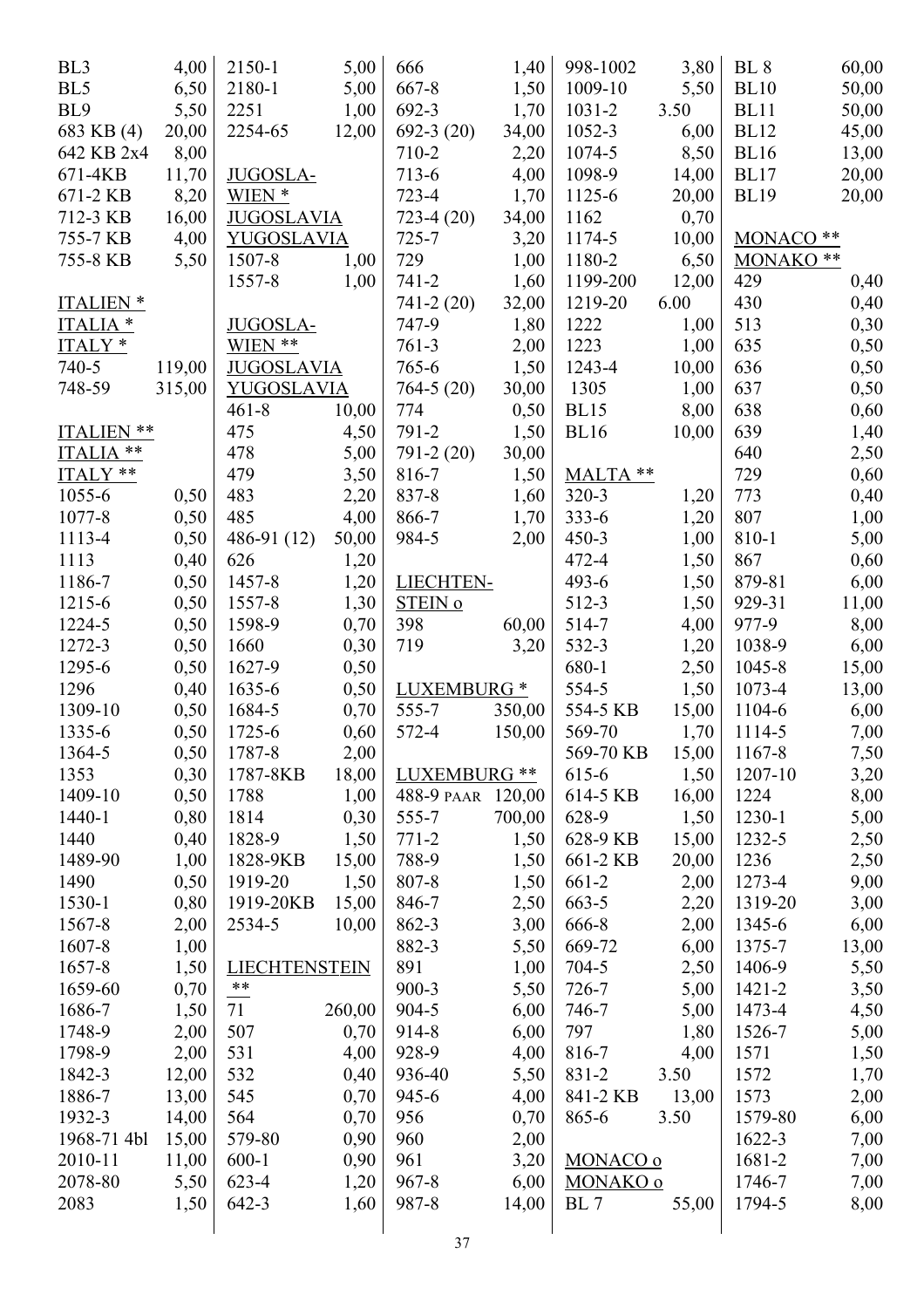| BL <sub>3</sub>     | 4,00   | 2150-1               | 5,00   | 666                    | 1,40   | 998-1002    | 3,80  | <b>BL</b> 8          | 60,00 |
|---------------------|--------|----------------------|--------|------------------------|--------|-------------|-------|----------------------|-------|
| BL5                 | 6,50   | 2180-1               | 5,00   | $667 - 8$              | 1,50   | 1009-10     | 5,50  | <b>BL10</b>          | 50,00 |
| BL9                 | 5,50   | 2251                 | 1,00   | 692-3                  | 1,70   | $1031 - 2$  | 3.50  | <b>BL11</b>          | 50,00 |
| 683 KB (4)          | 20,00  | 2254-65              | 12,00  | $692-3(20)$            | 34,00  | 1052-3      | 6,00  | <b>BL12</b>          | 45,00 |
| 642 KB 2x4          | 8,00   |                      |        | 710-2                  | 2,20   | 1074-5      | 8,50  | <b>BL16</b>          | 13,00 |
| 671-4KB             | 11,70  | <b>JUGOSLA-</b>      |        | $713-6$                | 4,00   | 1098-9      | 14,00 | <b>BL17</b>          | 20,00 |
| 671-2 KB            | 8,20   | WIEN *               |        | $723 - 4$              | 1,70   | 1125-6      | 20,00 | <b>BL19</b>          | 20,00 |
| 712-3 KB            | 16,00  | <b>JUGOSLAVIA</b>    |        | $723-4(20)$            | 34,00  | 1162        | 0,70  |                      |       |
| 755-7 KB            | 4,00   | <b>YUGOSLAVIA</b>    |        | $725 - 7$              | 3,20   | 1174-5      | 10,00 | MONACO <sup>**</sup> |       |
| 755-8 KB            | 5,50   | 1507-8               | 1,00   | 729                    | 1,00   | 1180-2      | 6,50  | MONAKO **            |       |
|                     |        | 1557-8               | 1,00   | $741 - 2$              | 1,60   | 1199-200    | 12,00 | 429                  | 0,40  |
| <b>ITALIEN*</b>     |        |                      |        | $741 - 2(20)$          | 32,00  | 1219-20     | 6.00  | 430                  | 0,40  |
| ITALIA <sup>*</sup> |        | JUGOSLA-             |        | 747-9                  | 1,80   | 1222        | 1,00  | 513                  | 0,30  |
| ITALY*              |        | WIEN **              |        | $761-3$                | 2,00   | 1223        | 1,00  | 635                  | 0,50  |
| 740-5               | 119,00 | <b>JUGOSLAVIA</b>    |        | 765-6                  | 1,50   | 1243-4      | 10,00 | 636                  | 0,50  |
| 748-59              | 315,00 | YUGOSLAVIA           |        | $764-5(20)$            | 30,00  | 1305        | 1,00  | 637                  | 0,50  |
|                     |        | $461 - 8$            | 10,00  | 774                    | 0,50   | <b>BL15</b> | 8,00  | 638                  | 0,60  |
| ITALIEN **          |        | 475                  | 4,50   | 791-2                  | 1,50   | <b>BL16</b> | 10,00 | 639                  | 1,40  |
| ITALIA **           |        | 478                  | 5,00   | 791-2 (20)             | 30,00  |             |       | 640                  | 2,50  |
| ITALY **            |        | 479                  | 3,50   | 816-7                  | 1,50   | MALTA **    |       | 729                  | 0,60  |
| 1055-6              | 0,50   | 483                  | 2,20   | 837-8                  | 1,60   | $320 - 3$   | 1,20  | 773                  | 0,40  |
| 1077-8              | 0,50   | 485                  | 4,00   | 866-7                  | 1,70   | $333 - 6$   | 1,20  | 807                  | 1,00  |
| 1113-4              | 0,50   | $486-91(12)$         | 50,00  | 984-5                  | 2,00   | $450 - 3$   | 1,00  | 810-1                | 5,00  |
| 1113                | 0,40   | 626                  | 1,20   |                        |        | $472 - 4$   | 1,50  | 867                  | 0,60  |
| 1186-7              | 0,50   | 1457-8               | 1,20   | LIECHTEN-              |        | $493 - 6$   | 1,50  | 879-81               | 6,00  |
| 1215-6              | 0,50   | 1557-8               | 1,30   | STEIN o                |        | 512-3       | 1,50  | 929-31               | 11,00 |
|                     |        |                      |        | 398                    |        | 514-7       |       | 977-9                |       |
| 1224-5              | 0,50   | 1598-9               | 0,70   |                        | 60,00  |             | 4,00  |                      | 8,00  |
| 1272-3              | 0,50   | 1660                 | 0,30   | 719                    | 3,20   | 532-3       | 1,20  | 1038-9               | 6,00  |
| 1295-6              | 0,50   | 1627-9               | 0,50   |                        |        | 680-1       | 2,50  | 1045-8               | 15,00 |
| 1296                | 0,40   | $1635 - 6$           | 0,50   | LUXEMBURG <sup>*</sup> |        | 554-5       | 1,50  | 1073-4               | 13,00 |
| 1309-10             | 0,50   | 1684-5               | 0,70   | 555-7                  | 350,00 | 554-5 KB    | 15,00 | 1104-6               | 6,00  |
| 1335-6              | 0,50   | 1725-6               | 0,60   | 572-4                  | 150,00 | 569-70      | 1,70  | 1114-5               | 7,00  |
| 1364-5              | 0,50   | 1787-8               | 2,00   |                        |        | 569-70 KB   | 15,00 | 1167-8               | 7,50  |
| 1353                | 0,30   | 1787-8KB             | 18,00  | LUXEMBURG **           |        | 615-6       | 1,50  | 1207-10              | 3,20  |
| 1409-10             | 0,50   | 1788                 | 1,00   | 488-9 PAAR 120,00      |        | 614-5 KB    | 16,00 | 1224                 | 8,00  |
| 1440-1              | 0,80   | 1814                 | 0,30   | 555-7                  | 700,00 | 628-9       | 1,50  | 1230-1               | 5,00  |
| 1440                | 0,40   | 1828-9               | 1,50   | $771 - 2$              | 1,50   | 628-9 KB    | 15,00 | 1232-5               | 2,50  |
| 1489-90             | 1,00   | 1828-9KB             | 15,00  | 788-9                  | 1,50   | 661-2 KB    | 20,00 | 1236                 | 2,50  |
| 1490                | 0,50   | 1919-20              | 1,50   | 807-8                  | 1,50   | 661-2       | 2,00  | 1273-4               | 9,00  |
| 1530-1              | 0,80   | 1919-20KB            | 15,00  | 846-7                  | 2,50   | 663-5       | 2,20  | 1319-20              | 3,00  |
| 1567-8              | 2,00   | 2534-5               | 10,00  | 862-3                  | 3,00   | 666-8       | 2,00  | 1345-6               | 6,00  |
| 1607-8              | 1,00   |                      |        | 882-3                  | 5,50   | 669-72      | 6,00  | 1375-7               | 13,00 |
| 1657-8              | 1,50   | <b>LIECHTENSTEIN</b> |        | 891                    | 1,00   | 704-5       | 2,50  | 1406-9               | 5,50  |
| 1659-60             | 0,70   | $***$                |        | $900 - 3$              | 5,50   | 726-7       | 5,00  | 1421-2               | 3,50  |
| 1686-7              | 1,50   | 71                   | 260,00 | 904-5                  | 6,00   | 746-7       | 5,00  | 1473-4               | 4,50  |
| 1748-9              | 2,00   | 507                  | 0,70   | 914-8                  | 6,00   | 797         | 1,80  | 1526-7               | 5,00  |
| 1798-9              | 2,00   | 531                  | 4,00   | 928-9                  | 4,00   | 816-7       | 4,00  | 1571                 | 1,50  |
| 1842-3              | 12,00  | 532                  | 0,40   | 936-40                 | 5,50   | 831-2       | 3.50  | 1572                 | 1,70  |
| 1886-7              | 13,00  | 545                  | 0,70   | 945-6                  | 4,00   | 841-2 KB    | 13,00 | 1573                 | 2,00  |
| 1932-3              | 14,00  | 564                  | 0,70   | 956                    | 0,70   | 865-6       | 3.50  | 1579-80              | 6,00  |
| 1968-71 4bl         | 15,00  | 579-80               | 0,90   | 960                    | 2,00   |             |       | 1622-3               | 7,00  |
| 2010-11             | 11,00  | $600-1$              | 0,90   | 961                    | 3,20   | MONACO o    |       | 1681-2               | 7,00  |
| 2078-80             | 5,50   | 623-4                | 1,20   | $967 - 8$              | 6,00   | MONAKO o    |       | 1746-7               | 7,00  |
| 2083                | 1,50   | 642-3                | 1,60   | 987-8                  | 14,00  | BL 7        | 55,00 | 1794-5               | 8,00  |
|                     |        |                      |        |                        |        |             |       |                      |       |
|                     |        |                      |        | 37                     |        |             |       |                      |       |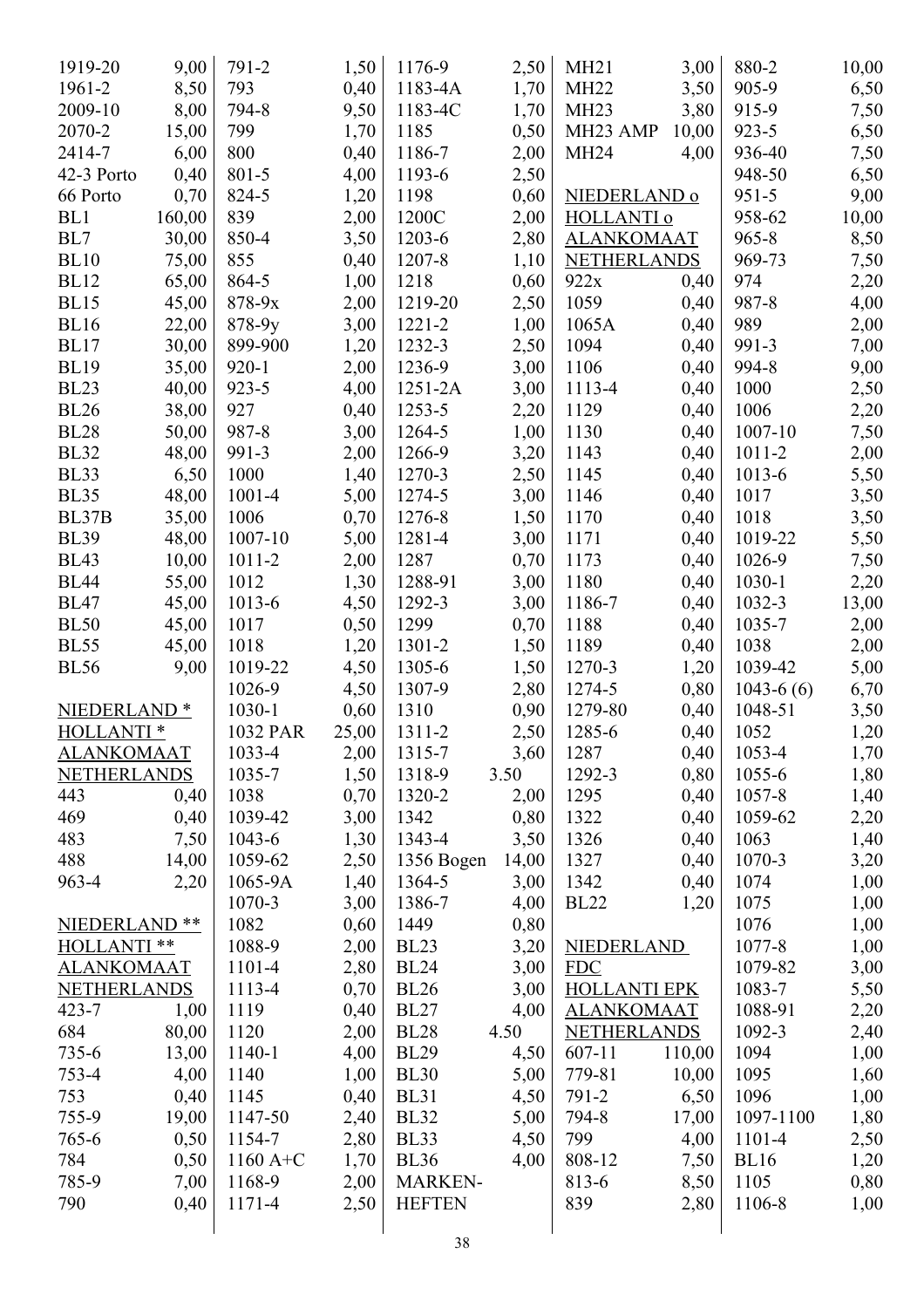| 1919-20                 | 9,00   | 791-2      | 1,50  | 1176-9         | 2,50  | MH21                  | 3,00   | 880-2       | 10,00 |
|-------------------------|--------|------------|-------|----------------|-------|-----------------------|--------|-------------|-------|
| 1961-2                  | 8,50   | 793        | 0,40  | 1183-4A        | 1,70  | <b>MH22</b>           | 3,50   | 905-9       | 6,50  |
| 2009-10                 | 8,00   | 794-8      | 9,50  | 1183-4C        | 1,70  | MH <sub>23</sub>      | 3,80   | 915-9       | 7,50  |
| 2070-2                  | 15,00  | 799        | 1,70  | 1185           | 0,50  | MH <sub>23</sub> AMP  | 10,00  | $923 - 5$   | 6,50  |
| 2414-7                  | 6,00   | 800        | 0,40  | 1186-7         | 2,00  | <b>MH24</b>           | 4,00   | 936-40      | 7,50  |
| 42-3 Porto              | 0,40   | 801-5      | 4,00  | 1193-6         | 2,50  |                       |        | 948-50      | 6,50  |
| 66 Porto                | 0,70   | 824-5      | 1,20  | 1198           | 0,60  | NIEDERLAND o          |        | $951 - 5$   | 9,00  |
| BL1                     | 160,00 | 839        | 2,00  | 1200C          | 2,00  | HOLLANTI <sub>0</sub> |        | 958-62      | 10,00 |
| BL7                     | 30,00  | 850-4      | 3,50  | 1203-6         | 2,80  | <b>ALANKOMAAT</b>     |        | $965 - 8$   | 8,50  |
| <b>BL10</b>             | 75,00  | 855        | 0,40  | 1207-8         |       | <b>NETHERLANDS</b>    |        | 969-73      |       |
|                         |        |            |       |                | 1,10  |                       |        | 974         | 7,50  |
| <b>BL12</b>             | 65,00  | 864-5      | 1,00  | 1218           | 0,60  | 922x                  | 0,40   |             | 2,20  |
| <b>BL15</b>             | 45,00  | $878 - 9x$ | 2,00  | 1219-20        | 2,50  | 1059                  | 0,40   | 987-8       | 4,00  |
| <b>BL16</b>             | 22,00  | 878-9y     | 3,00  | $1221 - 2$     | 1,00  | 1065A                 | 0,40   | 989         | 2,00  |
| <b>BL17</b>             | 30,00  | 899-900    | 1,20  | 1232-3         | 2,50  | 1094                  | 0,40   | 991-3       | 7,00  |
| <b>BL19</b>             | 35,00  | $920 - 1$  | 2,00  | 1236-9         | 3,00  | 1106                  | 0,40   | 994-8       | 9,00  |
| <b>BL23</b>             | 40,00  | $923 - 5$  | 4,00  | $1251 - 2A$    | 3,00  | 1113-4                | 0,40   | 1000        | 2,50  |
| <b>BL26</b>             | 38,00  | 927        | 0,40  | 1253-5         | 2,20  | 1129                  | 0,40   | 1006        | 2,20  |
| <b>BL28</b>             | 50,00  | 987-8      | 3,00  | 1264-5         | 1,00  | 1130                  | 0,40   | 1007-10     | 7,50  |
| <b>BL32</b>             | 48,00  | 991-3      | 2,00  | 1266-9         | 3,20  | 1143                  | 0,40   | 1011-2      | 2,00  |
| <b>BL33</b>             | 6,50   | 1000       | 1,40  | 1270-3         | 2,50  | 1145                  | 0,40   | 1013-6      | 5,50  |
| <b>BL35</b>             | 48,00  | 1001-4     | 5,00  | 1274-5         | 3,00  | 1146                  | 0,40   | 1017        | 3,50  |
| BL37B                   | 35,00  | 1006       | 0,70  | 1276-8         | 1,50  | 1170                  | 0,40   | 1018        | 3,50  |
| <b>BL39</b>             | 48,00  | 1007-10    | 5,00  | 1281-4         | 3,00  | 1171                  | 0,40   | 1019-22     | 5,50  |
| <b>BL43</b>             | 10,00  | 1011-2     | 2,00  | 1287           | 0,70  | 1173                  | 0,40   | 1026-9      | 7,50  |
| <b>BL44</b>             | 55,00  | 1012       | 1,30  | 1288-91        | 3,00  | 1180                  | 0,40   | 1030-1      | 2,20  |
| <b>BL47</b>             | 45,00  | 1013-6     | 4,50  | 1292-3         | 3,00  | 1186-7                | 0,40   | $1032 - 3$  | 13,00 |
| <b>BL50</b>             | 45,00  | 1017       | 0,50  | 1299           | 0,70  | 1188                  | 0,40   | 1035-7      | 2,00  |
| <b>BL55</b>             | 45,00  | 1018       | 1,20  | 1301-2         | 1,50  | 1189                  | 0,40   | 1038        | 2,00  |
| <b>BL56</b>             | 9,00   | 1019-22    | 4,50  | 1305-6         | 1,50  | 1270-3                | 1,20   | 1039-42     | 5,00  |
|                         |        | 1026-9     | 4,50  | 1307-9         | 2,80  | 1274-5                | 0,80   | $1043-6(6)$ | 6,70  |
| NIEDERLAND <sup>*</sup> |        | 1030-1     | 0,60  | 1310           | 0,90  | 1279-80               | 0,40   | 1048-51     | 3,50  |
| HOLLANTI <sup>*</sup>   |        | 1032 PAR   | 25,00 | 1311-2         | 2,50  | 1285-6                | 0,40   | 1052        | 1,20  |
| <b>ALANKOMAAT</b>       |        | 1033-4     | 2,00  | 1315-7         | 3,60  | 1287                  | 0,40   | 1053-4      | 1,70  |
| <b>NETHERLANDS</b>      |        | 1035-7     | 1,50  | 1318-9         | 3.50  | 1292-3                | 0,80   | $1055 - 6$  | 1,80  |
| 443                     | 0,40   | 1038       | 0,70  | 1320-2         | 2,00  | 1295                  | 0,40   | $1057 - 8$  | 1,40  |
| 469                     | 0,40   | 1039-42    | 3,00  | 1342           | 0,80  | 1322                  | 0,40   | 1059-62     |       |
|                         |        |            |       | 1343-4         |       |                       |        |             | 2,20  |
| 483                     | 7,50   | 1043-6     | 1,30  |                | 3,50  | 1326                  | 0,40   | 1063        | 1,40  |
| 488                     | 14,00  | 1059-62    | 2,50  | 1356 Bogen     | 14,00 | 1327                  | 0,40   | 1070-3      | 3,20  |
| 963-4                   | 2,20   | 1065-9A    | 1,40  | 1364-5         | 3,00  | 1342                  | 0,40   | 1074        | 1,00  |
|                         |        | 1070-3     | 3,00  | 1386-7         | 4,00  | <b>BL22</b>           | 1,20   | 1075        | 1,00  |
| NIEDERLAND **           |        | 1082       | 0,60  | 1449           | 0,80  |                       |        | 1076        | 1,00  |
| HOLLANTI **             |        | 1088-9     | 2,00  | <b>BL23</b>    | 3,20  | <b>NIEDERLAND</b>     |        | 1077-8      | 1,00  |
| <b>ALANKOMAAT</b>       |        | 1101-4     | 2,80  | <b>BL24</b>    | 3,00  | <b>FDC</b>            |        | 1079-82     | 3,00  |
| <b>NETHERLANDS</b>      |        | 1113-4     | 0,70  | <b>BL26</b>    | 3,00  | <b>HOLLANTI EPK</b>   |        | 1083-7      | 5,50  |
| $423 - 7$               | 1,00   | 1119       | 0,40  | <b>BL27</b>    | 4,00  | <b>ALANKOMAAT</b>     |        | 1088-91     | 2,20  |
| 684                     | 80,00  | 1120       | 2,00  | <b>BL28</b>    | 4.50  | <b>NETHERLANDS</b>    |        | 1092-3      | 2,40  |
| $735 - 6$               | 13,00  | 1140-1     | 4,00  | <b>BL29</b>    | 4,50  | $607 - 11$            | 110,00 | 1094        | 1,00  |
| $753 - 4$               | 4,00   | 1140       | 1,00  | <b>BL30</b>    | 5,00  | 779-81                | 10,00  | 1095        | 1,60  |
| 753                     | 0,40   | 1145       | 0,40  | <b>BL31</b>    | 4,50  | 791-2                 | 6,50   | 1096        | 1,00  |
| 755-9                   | 19,00  | 1147-50    | 2,40  | <b>BL32</b>    | 5,00  | 794-8                 | 17,00  | 1097-1100   | 1,80  |
| 765-6                   | 0,50   | 1154-7     | 2,80  | BL33           | 4,50  | 799                   | 4,00   | 1101-4      | 2,50  |
| 784                     | 0,50   | $1160A+C$  | 1,70  | <b>BL36</b>    | 4,00  | 808-12                | 7,50   | <b>BL16</b> | 1,20  |
| 785-9                   | 7,00   | 1168-9     | 2,00  | <b>MARKEN-</b> |       | 813-6                 | 8,50   | 1105        | 0,80  |
| 790                     | 0,40   | 1171-4     | 2,50  | <b>HEFTEN</b>  |       | 839                   | 2,80   | 1106-8      | 1,00  |
|                         |        |            |       |                |       |                       |        |             |       |
|                         |        |            |       |                |       |                       |        |             |       |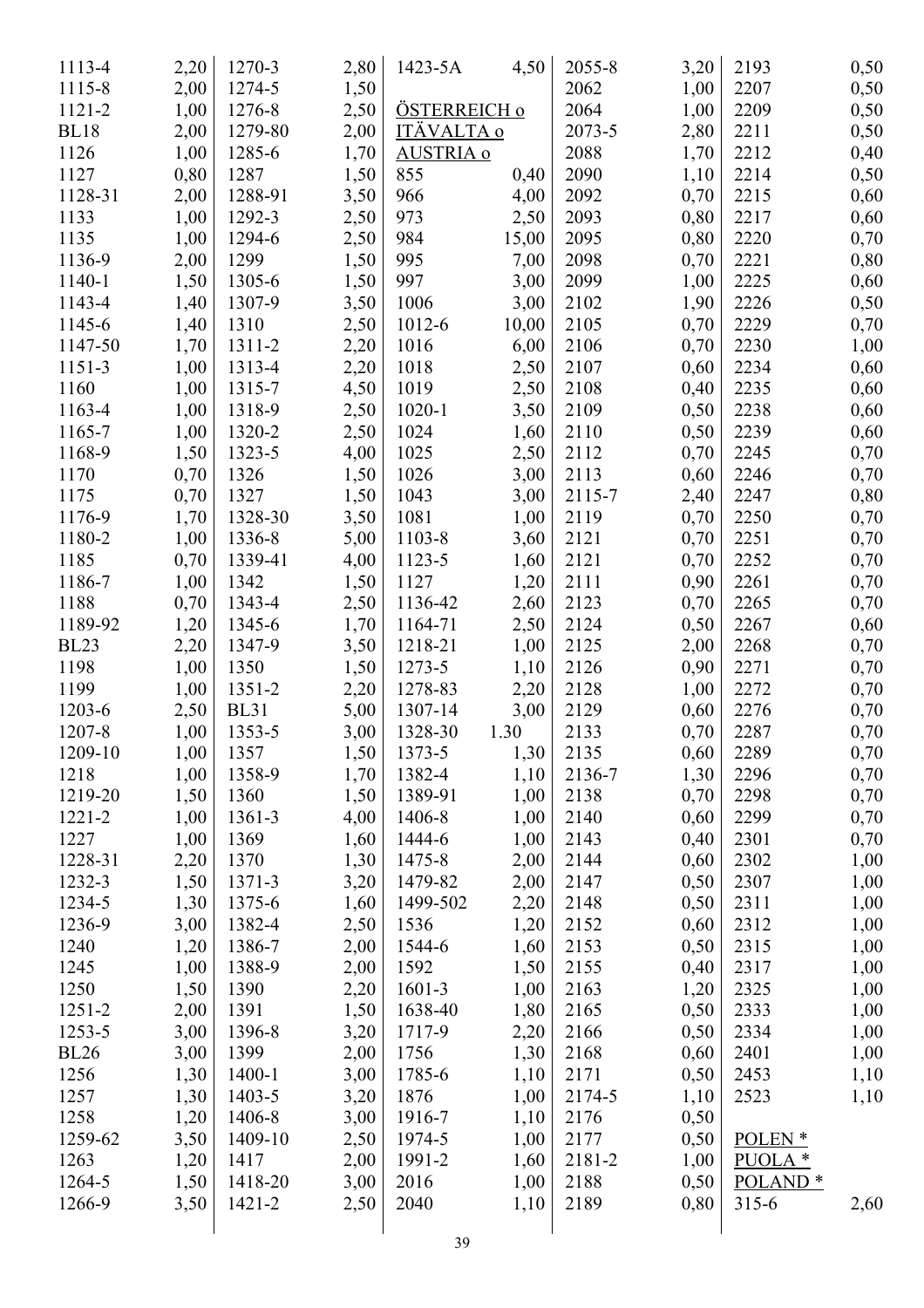| 1113-4      | 2,20         | 1270-3      | 2,80 | 1423-5A           | 4,50  | 2055-8 | 3,20 | 2193                | 0,50 |
|-------------|--------------|-------------|------|-------------------|-------|--------|------|---------------------|------|
| 1115-8      | 2,00         | 1274-5      | 1,50 |                   |       | 2062   | 1,00 | 2207                | 0,50 |
| 1121-2      | 1,00         | 1276-8      | 2,50 | ÖSTERREICH o      |       | 2064   | 1,00 | 2209                | 0,50 |
| <b>BL18</b> | 2,00         | 1279-80     | 2,00 | <b>ITÄVALTA o</b> |       | 2073-5 | 2,80 | 2211                | 0,50 |
| 1126        | 1,00         | 1285-6      | 1,70 | <b>AUSTRIA o</b>  |       | 2088   | 1,70 | 2212                | 0,40 |
| 1127        | 0,80         | 1287        | 1,50 | 855               | 0,40  | 2090   | 1,10 | 2214                | 0,50 |
| 1128-31     | 2,00         | 1288-91     | 3,50 | 966               | 4,00  | 2092   | 0,70 | 2215                | 0,60 |
| 1133        | 1,00         | 1292-3      | 2,50 | 973               | 2,50  | 2093   | 0,80 | 2217                | 0,60 |
| 1135        | 1,00         | 1294-6      | 2,50 | 984               | 15,00 | 2095   | 0,80 | 2220                | 0,70 |
| 1136-9      | 2,00         | 1299        | 1,50 | 995               | 7,00  | 2098   | 0,70 | 2221                | 0,80 |
| 1140-1      | 1,50         | 1305-6      | 1,50 | 997               | 3,00  | 2099   | 1,00 | 2225                | 0,60 |
| 1143-4      | 1,40         | 1307-9      | 3,50 | 1006              | 3,00  | 2102   | 1,90 | 2226                | 0,50 |
| 1145-6      | 1,40         | 1310        | 2,50 | 1012-6            | 10,00 | 2105   | 0,70 | 2229                | 0,70 |
| 1147-50     | 1,70         | 1311-2      | 2,20 | 1016              | 6,00  | 2106   | 0,70 | 2230                | 1,00 |
| 1151-3      | 1,00         | 1313-4      | 2,20 | 1018              | 2,50  | 2107   | 0,60 | 2234                | 0,60 |
| 1160        | 1,00         | 1315-7      | 4,50 | 1019              | 2,50  | 2108   | 0,40 | 2235                | 0,60 |
| 1163-4      | 1,00         | 1318-9      | 2,50 | $1020 - 1$        | 3,50  | 2109   | 0,50 | 2238                | 0,60 |
| 1165-7      | 1,00         | 1320-2      | 2,50 | 1024              | 1,60  | 2110   | 0,50 | 2239                | 0,60 |
| 1168-9      |              | 1323-5      |      | 1025              |       | 2112   |      | 2245                |      |
| 1170        | 1,50<br>0,70 | 1326        | 4,00 | 1026              | 2,50  | 2113   | 0,70 | 2246                | 0,70 |
|             |              |             | 1,50 |                   | 3,00  |        | 0,60 |                     | 0,70 |
| 1175        | 0,70         | 1327        | 1,50 | 1043              | 3,00  | 2115-7 | 2,40 | 2247                | 0,80 |
| 1176-9      | 1,70         | 1328-30     | 3,50 | 1081              | 1,00  | 2119   | 0,70 | 2250                | 0,70 |
| 1180-2      | 1,00         | 1336-8      | 5,00 | 1103-8            | 3,60  | 2121   | 0,70 | 2251                | 0,70 |
| 1185        | 0,70         | 1339-41     | 4,00 | 1123-5            | 1,60  | 2121   | 0,70 | 2252                | 0,70 |
| 1186-7      | 1,00         | 1342        | 1,50 | 1127              | 1,20  | 2111   | 0,90 | 2261                | 0,70 |
| 1188        | 0,70         | 1343-4      | 2,50 | 1136-42           | 2,60  | 2123   | 0,70 | 2265                | 0,70 |
| 1189-92     | 1,20         | 1345-6      | 1,70 | 1164-71           | 2,50  | 2124   | 0,50 | 2267                | 0,60 |
| <b>BL23</b> | 2,20         | 1347-9      | 3,50 | 1218-21           | 1,00  | 2125   | 2,00 | 2268                | 0,70 |
| 1198        | 1,00         | 1350        | 1,50 | 1273-5            | 1,10  | 2126   | 0,90 | 2271                | 0,70 |
| 1199        | 1,00         | 1351-2      | 2,20 | 1278-83           | 2,20  | 2128   | 1,00 | 2272                | 0,70 |
| 1203-6      | 2,50         | <b>BL31</b> | 5,00 | 1307-14           | 3,00  | 2129   | 0,60 | 2276                | 0,70 |
| 1207-8      | 1,00         | 1353-5      | 3,00 | 1328-30           | 1.30  | 2133   | 0,70 | 2287                | 0,70 |
| 1209-10     | 1,00         | 1357        | 1,50 | 1373-5            | 1,30  | 2135   | 0,60 | 2289                | 0,70 |
| 1218        | 1,00         | 1358-9      | 1,70 | 1382-4            | 1,10  | 2136-7 | 1,30 | 2296                | 0,70 |
| 1219-20     | 1,50         | 1360        | 1,50 | 1389-91           | 1,00  | 2138   | 0,70 | 2298                | 0,70 |
| 1221-2      | 1,00         | 1361-3      | 4,00 | 1406-8            | 1,00  | 2140   | 0,60 | 2299                | 0,70 |
| 1227        | 1,00         | 1369        | 1,60 | 1444-6            | 1,00  | 2143   | 0,40 | 2301                | 0,70 |
| 1228-31     | 2,20         | 1370        | 1,30 | 1475-8            | 2,00  | 2144   | 0,60 | 2302                | 1,00 |
| 1232-3      | 1,50         | $1371 - 3$  | 3,20 | 1479-82           | 2,00  | 2147   | 0,50 | 2307                | 1,00 |
| 1234-5      | 1,30         | 1375-6      | 1,60 | 1499-502          | 2,20  | 2148   | 0,50 | 2311                | 1,00 |
| 1236-9      | 3,00         | 1382-4      | 2,50 | 1536              | 1,20  | 2152   | 0,60 | 2312                | 1,00 |
| 1240        | 1,20         | 1386-7      | 2,00 | 1544-6            | 1,60  | 2153   | 0,50 | 2315                | 1,00 |
| 1245        | 1,00         | 1388-9      | 2,00 | 1592              | 1,50  | 2155   | 0,40 | 2317                | 1,00 |
| 1250        | 1,50         | 1390        | 2,20 | 1601-3            | 1,00  | 2163   | 1,20 | 2325                | 1,00 |
| $1251 - 2$  | 2,00         | 1391        | 1,50 | 1638-40           | 1,80  | 2165   | 0,50 | 2333                | 1,00 |
| 1253-5      | 3,00         | 1396-8      | 3,20 | 1717-9            | 2,20  | 2166   | 0,50 | 2334                | 1,00 |
| <b>BL26</b> | 3,00         | 1399        | 2,00 | 1756              | 1,30  | 2168   | 0,60 | 2401                | 1,00 |
| 1256        | 1,30         | 1400-1      | 3,00 | 1785-6            | 1,10  | 2171   | 0,50 | 2453                | 1,10 |
| 1257        | 1,30         | 1403-5      | 3,20 | 1876              | 1,00  | 2174-5 | 1,10 | 2523                | 1,10 |
| 1258        | 1,20         | 1406-8      | 3,00 | 1916-7            | 1,10  | 2176   | 0,50 |                     |      |
| 1259-62     | 3,50         | 1409-10     | 2,50 | 1974-5            | 1,00  | 2177   | 0,50 | POLEN <sup>*</sup>  |      |
| 1263        | 1,20         | 1417        | 2,00 | 1991-2            | 1,60  | 2181-2 | 1,00 | $PUOLA*$            |      |
| 1264-5      | 1,50         | 1418-20     | 3,00 | 2016              | 1,00  | 2188   | 0,50 | POLAND <sup>*</sup> |      |
| 1266-9      | 3,50         | 1421-2      | 2,50 | 2040              | 1,10  | 2189   | 0,80 | $315 - 6$           | 2,60 |
|             |              |             |      |                   |       |        |      |                     |      |
|             |              |             |      | 30                |       |        |      |                     |      |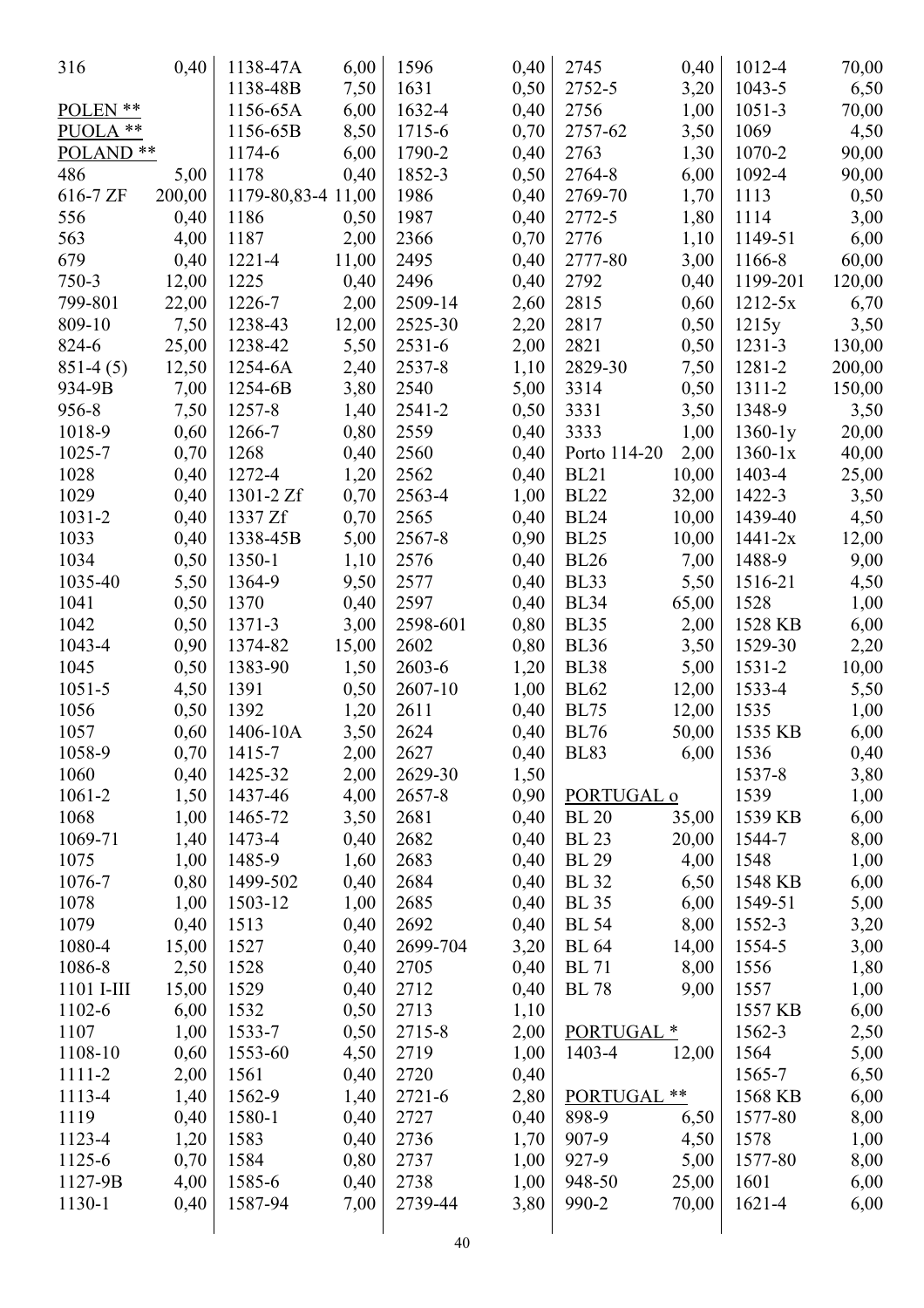| 316                  | 0,40         | 1138-47A             | 6,00         | 1596              | 0,40         | 2745                  | 0,40  | 1012-4         | 70,00  |
|----------------------|--------------|----------------------|--------------|-------------------|--------------|-----------------------|-------|----------------|--------|
|                      |              | 1138-48B             | 7,50         | 1631              | 0,50         | 2752-5                | 3,20  | 1043-5         | 6,50   |
| POLEN **             |              | 1156-65A             | 6,00         | 1632-4            | 0,40         | 2756                  | 1,00  | $1051 - 3$     | 70,00  |
| PUOLA **             |              | 1156-65B             | 8,50         | 1715-6            | 0,70         | 2757-62               | 3,50  | 1069           | 4,50   |
| POLAND <sup>**</sup> |              | 1174-6               | 6,00         | 1790-2            | 0,40         | 2763                  | 1,30  | 1070-2         | 90,00  |
| 486                  | 5,00         | 1178                 | 0,40         | 1852-3            | 0,50         | 2764-8                | 6,00  | 1092-4         | 90,00  |
| 616-7 ZF             | 200,00       | 1179-80, 83-4 11, 00 |              | 1986              | 0,40         | 2769-70               | 1,70  | 1113           | 0,50   |
| 556                  | 0,40         | 1186                 | 0,50         | 1987              | 0,40         | 2772-5                | 1,80  | 1114           | 3,00   |
| 563                  | 4,00         | 1187                 | 2,00         | 2366              | 0,70         | 2776                  | 1,10  | 1149-51        | 6,00   |
| 679                  | 0,40         | 1221-4               | 11,00        | 2495              | 0,40         | 2777-80               | 3,00  | 1166-8         | 60,00  |
| 750-3                | 12,00        | 1225                 | 0,40         | 2496              | 0,40         | 2792                  | 0,40  | 1199-201       | 120,00 |
| 799-801              | 22,00        | 1226-7               | 2,00         | 2509-14           | 2,60         | 2815                  | 0,60  | $1212 - 5x$    | 6,70   |
| 809-10               | 7,50         | 1238-43              | 12,00        | 2525-30           | 2,20         | 2817                  | 0,50  | 1215y          | 3,50   |
| 824-6                | 25,00        | 1238-42              | 5,50         | $2531 - 6$        | 2,00         | 2821                  | 0,50  | $1231 - 3$     | 130,00 |
| $851-4(5)$           | 12,50        | 1254-6A              | 2,40         | 2537-8            | 1,10         | 2829-30               | 7,50  | 1281-2         | 200,00 |
| 934-9B               | 7,00         | 1254-6B              | 3,80         | 2540              | 5,00         | 3314                  | 0,50  | 1311-2         | 150,00 |
| 956-8                | 7,50         | 1257-8               | 1,40         | 2541-2            | 0,50         | 3331                  | 3,50  | 1348-9         | 3,50   |
| 1018-9               | 0,60         | 1266-7               | 0,80         | 2559              | 0,40         | 3333                  | 1,00  | $1360-1y$      | 20,00  |
| 1025-7               | 0,70         | 1268                 | 0,40         | 2560              | 0,40         | Porto 114-20          | 2,00  | $1360-1x$      | 40,00  |
| 1028                 | 0,40         | 1272-4               | 1,20         | 2562              | 0,40         | <b>BL21</b>           | 10,00 | 1403-4         | 25,00  |
| 1029                 | 0,40         | 1301-2 Zf            | 0,70         | 2563-4            | 1,00         | <b>BL22</b>           | 32,00 | 1422-3         | 3,50   |
| 1031-2               | 0,40         | 1337 Zf              | 0,70         | 2565              | 0,40         | <b>BL24</b>           | 10,00 | 1439-40        | 4,50   |
| 1033                 | 0,40         | 1338-45B             | 5,00         | 2567-8            | 0,90         | <b>BL25</b>           | 10,00 | $1441 - 2x$    | 12,00  |
| 1034                 | 0,50         | 1350-1               | 1,10         | 2576              | 0,40         | <b>BL26</b>           | 7,00  | 1488-9         | 9,00   |
| 1035-40              | 5,50         | 1364-9               | 9,50         | 2577              | 0,40         | BL33                  | 5,50  | 1516-21        | 4,50   |
| 1041                 | 0,50         | 1370                 | 0,40         | 2597              | 0,40         | <b>BL34</b>           | 65,00 | 1528           | 1,00   |
| 1042                 | 0,50         | 1371-3               | 3,00         | 2598-601          | 0,80         | <b>BL35</b>           | 2,00  | 1528 KB        | 6,00   |
| 1043-4               | 0,90         | 1374-82              | 15,00        | 2602              | 0,80         | <b>BL36</b>           | 3,50  | 1529-30        | 2,20   |
| 1045                 | 0,50         | 1383-90              |              | 2603-6            |              | <b>BL38</b>           |       | 1531-2         |        |
| $1051 - 5$           | 4,50         | 1391                 | 1,50<br>0,50 | 2607-10           | 1,20         | <b>BL62</b>           | 5,00  | 1533-4         | 10,00  |
| 1056                 |              | 1392                 |              | 2611              | 1,00         | <b>BL75</b>           | 12,00 | 1535           | 5,50   |
| 1057                 | 0,50         | 1406-10A             | 1,20         |                   | 0,40         | <b>BL76</b>           | 12,00 | 1535 KB        | 1,00   |
|                      | 0,60         |                      | 3,50         | 2624              | 0,40         |                       | 50,00 |                | 6,00   |
| 1058-9               | 0,70         | 1415-7               | 2,00         | 2627              | 0,40         | <b>BL83</b>           | 6,00  | 1536           | 0,40   |
| 1060<br>1061-2       | 0,40         | 1425-32<br>1437-46   | 2,00<br>4,00 | 2629-30<br>2657-8 | 1,50<br>0,90 | PORTUGAL o            |       | 1537-8<br>1539 | 3,80   |
|                      | 1,50<br>1,00 |                      |              |                   |              | <b>BL</b> 20          |       | 1539 KB        | 1,00   |
| 1068                 |              | 1465-72              | 3,50         | 2681              | 0,40         |                       | 35,00 |                | 6,00   |
| 1069-71              | 1,40         | 1473-4               | 0,40         | 2682              | 0,40         | <b>BL</b> 23          | 20,00 | 1544-7         | 8,00   |
| 1075                 | 1,00         | 1485-9               | 1,60         | 2683              | 0,40         | <b>BL</b> 29          | 4,00  | 1548           | 1,00   |
| 1076-7               | 0,80         | 1499-502             | 0,40         | 2684              | 0,40         | <b>BL</b> 32          | 6,50  | 1548 KB        | 6,00   |
| 1078                 | 1,00         | 1503-12              | 1,00         | 2685              | 0,40         | <b>BL</b> 35          | 6,00  | 1549-51        | 5,00   |
| 1079                 | 0,40         | 1513                 | 0,40         | 2692              | 0,40         | <b>BL</b> 54          | 8,00  | 1552-3         | 3,20   |
| 1080-4               | 15,00        | 1527                 | 0,40         | 2699-704          | 3,20         | <b>BL</b> 64          | 14,00 | 1554-5         | 3,00   |
| 1086-8               | 2,50         | 1528                 | 0,40         | 2705              | 0,40         | <b>BL</b> 71          | 8,00  | 1556           | 1,80   |
| 1101 I-III           | 15,00        | 1529                 | 0,40         | 2712              | 0,40         | <b>BL</b> 78          | 9,00  | 1557           | 1,00   |
| 1102-6               | 6,00         | 1532                 | 0,50         | 2713              | 1,10         |                       |       | 1557 KB        | 6,00   |
| 1107                 | 1,00         | 1533-7               | 0,50         | 2715-8            | 2,00         | PORTUGAL <sup>*</sup> |       | 1562-3         | 2,50   |
| 1108-10              | 0,60         | 1553-60              | 4,50         | 2719              | 1,00         | 1403-4                | 12,00 | 1564           | 5,00   |
| 1111-2               | 2,00         | 1561                 | 0,40         | 2720              | 0,40         |                       |       | 1565-7         | 6,50   |
| 1113-4               | 1,40         | 1562-9               | 1,40         | $2721 - 6$        | 2,80         | <b>PORTUGAL</b>       | **    | 1568 KB        | 6,00   |
| 1119                 | 0,40         | 1580-1               | 0,40         | 2727              | 0,40         | 898-9                 | 6,50  | 1577-80        | 8,00   |
| 1123-4               | 1,20         | 1583                 | 0,40         | 2736              | 1,70         | 907-9                 | 4,50  | 1578           | 1,00   |
| 1125-6               | 0,70         | 1584                 | 0,80         | 2737              | 1,00         | $927 - 9$             | 5,00  | 1577-80        | 8,00   |
| 1127-9B              | 4,00         | 1585-6               | 0,40         | 2738              | 1,00         | 948-50                | 25,00 | 1601           | 6,00   |
| 1130-1               | 0,40         | 1587-94              | 7,00         | 2739-44           | 3,80         | 990-2                 | 70,00 | 1621-4         | 6,00   |
|                      |              |                      |              |                   |              |                       |       |                |        |
|                      |              |                      |              | 40                |              |                       |       |                |        |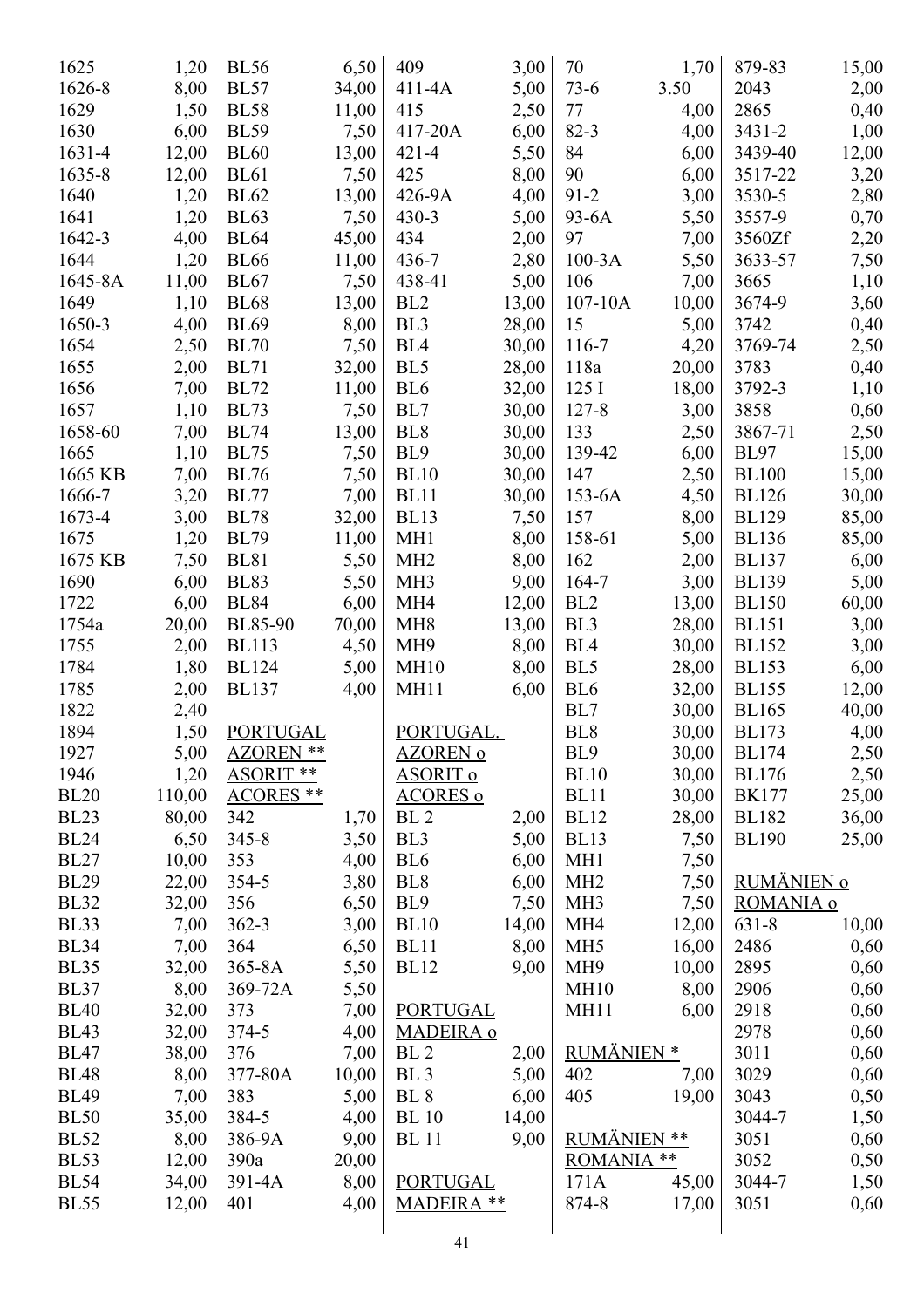| 1625        | 1,20   | <b>BL56</b>      | 6,50  | 409                 | 3,00  | 70                 | 1,70  | 879-83       | 15,00 |
|-------------|--------|------------------|-------|---------------------|-------|--------------------|-------|--------------|-------|
| 1626-8      | 8,00   | <b>BL57</b>      | 34,00 | 411-4A              | 5,00  | $73-6$             | 3.50  | 2043         | 2,00  |
| 1629        | 1,50   | <b>BL58</b>      | 11,00 | 415                 | 2,50  | 77                 | 4,00  | 2865         | 0,40  |
| 1630        | 6,00   | <b>BL59</b>      | 7,50  | 417-20A             | 6,00  | $82 - 3$           | 4,00  | $3431 - 2$   | 1,00  |
| 1631-4      | 12,00  | <b>BL60</b>      | 13,00 | $421 - 4$           | 5,50  | 84                 | 6,00  | 3439-40      | 12,00 |
| 1635-8      | 12,00  | <b>BL61</b>      | 7,50  | 425                 | 8,00  | 90                 | 6,00  | 3517-22      | 3,20  |
| 1640        | 1,20   | <b>BL62</b>      | 13,00 | 426-9A              | 4,00  | $91 - 2$           | 3,00  | 3530-5       | 2,80  |
| 1641        | 1,20   | <b>BL63</b>      | 7,50  | $430 - 3$           | 5,00  | 93-6A              | 5,50  | 3557-9       | 0,70  |
| 1642-3      | 4,00   | <b>BL64</b>      | 45,00 | 434                 | 2,00  | 97                 | 7,00  | 3560Zf       | 2,20  |
| 1644        | 1,20   | <b>BL66</b>      | 11,00 | 436-7               | 2,80  | $100-3A$           | 5,50  | 3633-57      | 7,50  |
| 1645-8A     | 11,00  | <b>BL67</b>      | 7,50  | 438-41              | 5,00  | 106                | 7,00  | 3665         | 1,10  |
| 1649        | 1,10   | <b>BL68</b>      | 13,00 | BL <sub>2</sub>     | 13,00 | $107 - 10A$        | 10,00 | 3674-9       | 3,60  |
| 1650-3      | 4,00   | <b>BL69</b>      | 8,00  | BL <sub>3</sub>     | 28,00 | 15                 | 5,00  | 3742         | 0,40  |
| 1654        | 2,50   | <b>BL70</b>      | 7,50  | BL <sub>4</sub>     | 30,00 | 116-7              | 4,20  | 3769-74      | 2,50  |
| 1655        | 2,00   | <b>BL71</b>      | 32,00 | BL <sub>5</sub>     | 28,00 | 118a               | 20,00 | 3783         | 0,40  |
| 1656        | 7,00   | <b>BL72</b>      | 11,00 | BL <sub>6</sub>     | 32,00 | 125I               | 18,00 | 3792-3       | 1,10  |
| 1657        | 1,10   | <b>BL73</b>      | 7,50  | BL7                 | 30,00 | $127 - 8$          | 3,00  | 3858         | 0,60  |
| 1658-60     | 7,00   | <b>BL74</b>      | 13,00 | BL <sub>8</sub>     | 30,00 | 133                | 2,50  | 3867-71      | 2,50  |
| 1665        | 1,10   | <b>BL75</b>      | 7,50  | BL9                 | 30,00 | 139-42             | 6,00  | <b>BL97</b>  | 15,00 |
| 1665 KB     | 7,00   | <b>BL76</b>      | 7,50  | <b>BL10</b>         | 30,00 | 147                | 2,50  | <b>BL100</b> | 15,00 |
| 1666-7      | 3,20   | <b>BL77</b>      | 7,00  | <b>BL11</b>         | 30,00 | 153-6A             | 4,50  | <b>BL126</b> | 30,00 |
| 1673-4      | 3,00   | <b>BL78</b>      | 32,00 | <b>BL13</b>         | 7,50  | 157                | 8,00  | <b>BL129</b> | 85,00 |
| 1675        | 1,20   | <b>BL79</b>      | 11,00 | MH <sub>1</sub>     | 8,00  | 158-61             | 5,00  | <b>BL136</b> | 85,00 |
| 1675 KB     | 7,50   | <b>BL81</b>      | 5,50  | MH <sub>2</sub>     | 8,00  | 162                | 2,00  | <b>BL137</b> | 6,00  |
| 1690        | 6,00   | <b>BL83</b>      | 5,50  | MH <sub>3</sub>     | 9,00  | 164-7              | 3,00  | <b>BL139</b> | 5,00  |
| 1722        | 6,00   | <b>BL84</b>      | 6,00  | MH <sub>4</sub>     | 12,00 | BL <sub>2</sub>    | 13,00 | <b>BL150</b> | 60,00 |
| 1754a       | 20,00  | <b>BL85-90</b>   | 70,00 | MH <sub>8</sub>     | 13,00 | BL <sub>3</sub>    | 28,00 | <b>BL151</b> | 3,00  |
| 1755        | 2,00   | <b>BL113</b>     | 4,50  | MH <sub>9</sub>     | 8,00  | BL <sub>4</sub>    | 30,00 | <b>BL152</b> | 3,00  |
| 1784        | 1,80   | <b>BL124</b>     | 5,00  | <b>MH10</b>         | 8,00  | BL5                | 28,00 | <b>BL153</b> | 6,00  |
| 1785        | 2,00   | <b>BL137</b>     | 4,00  | MH11                | 6,00  | BL <sub>6</sub>    | 32,00 | <b>BL155</b> | 12,00 |
| 1822        | 2,40   |                  |       |                     |       | BL7                | 30,00 | <b>BL165</b> | 40,00 |
| 1894        | 1,50   | <b>PORTUGAL</b>  |       | PORTUGAL.           |       | BL <sub>8</sub>    | 30,00 | <b>BL173</b> | 4,00  |
| 1927        | 5,00   | <b>AZOREN **</b> |       | AZOREN <sup>o</sup> |       | BL9                | 30,00 | <b>BL174</b> | 2,50  |
| 1946        | 1,20   | <b>ASORIT **</b> |       | <u>ASORIT o</u>     |       | <b>BL10</b>        | 30,00 | <b>BL176</b> | 2,50  |
| <b>BL20</b> | 110,00 | <b>ACORES**</b>  |       | <b>ACORES o</b>     |       | <b>BL11</b>        | 30,00 | <b>BK177</b> | 25,00 |
| <b>BL23</b> | 80,00  | 342              | 1,70  | BL <sub>2</sub>     | 2,00  | <b>BL12</b>        | 28,00 | <b>BL182</b> | 36,00 |
| <b>BL24</b> | 6,50   | $345 - 8$        | 3,50  | BL <sub>3</sub>     | 5,00  | <b>BL13</b>        | 7,50  | <b>BL190</b> | 25,00 |
| <b>BL27</b> | 10,00  | 353              | 4,00  | BL <sub>6</sub>     | 6,00  | MH <sub>1</sub>    | 7,50  |              |       |
| <b>BL29</b> | 22,00  | 354-5            | 3,80  | BL <sub>8</sub>     | 6,00  | MH <sub>2</sub>    | 7,50  | RUMÄNIEN o   |       |
| <b>BL32</b> | 32,00  | 356              | 6,50  | BL <sub>9</sub>     | 7,50  | MH <sub>3</sub>    | 7,50  | ROMANIA o    |       |
| <b>BL33</b> | 7,00   | $362 - 3$        | 3,00  | <b>BL10</b>         | 14,00 | MH <sub>4</sub>    | 12,00 | 631-8        | 10,00 |
| <b>BL34</b> | 7,00   | 364              | 6,50  | <b>BL11</b>         | 8,00  | MH <sub>5</sub>    | 16,00 | 2486         | 0,60  |
| <b>BL35</b> | 32,00  | 365-8A           | 5,50  | <b>BL12</b>         | 9,00  | MH <sub>9</sub>    | 10,00 | 2895         | 0,60  |
| <b>BL37</b> | 8,00   | 369-72A          | 5,50  |                     |       | <b>MH10</b>        | 8,00  | 2906         | 0,60  |
| <b>BL40</b> | 32,00  | 373              | 7,00  | <b>PORTUGAL</b>     |       | MH11               | 6,00  | 2918         | 0,60  |
| <b>BL43</b> | 32,00  | $374 - 5$        | 4,00  | MADEIRA o           |       |                    |       | 2978         | 0,60  |
| <b>BL47</b> | 38,00  | 376              | 7,00  | BL <sub>2</sub>     | 2,00  | <b>RUMÄNIEN*</b>   |       | 3011         | 0,60  |
| <b>BL48</b> | 8,00   | 377-80A          | 10,00 | BL <sub>3</sub>     | 5,00  | 402                | 7,00  | 3029         | 0,60  |
| <b>BL49</b> | 7,00   | 383              | 5,00  | BL <sub>8</sub>     | 6,00  | 405                | 19,00 | 3043         | 0,50  |
| <b>BL50</b> | 35,00  | 384-5            | 4,00  | <b>BL</b> 10        | 14,00 |                    |       | 3044-7       | 1,50  |
| <b>BL52</b> | 8,00   | 386-9A           | 9,00  | <b>BL</b> 11        | 9,00  | <b>RUMÄNIEN **</b> |       | 3051         | 0,60  |
| <b>BL53</b> | 12,00  | 390a             | 20,00 |                     |       | ROMANIA **         |       | 3052         | 0,50  |
| <b>BL54</b> | 34,00  | 391-4A           | 8,00  | <b>PORTUGAL</b>     |       | 171A               | 45,00 | 3044-7       | 1,50  |
| <b>BL55</b> | 12,00  | 401              | 4,00  | MADEIRA **          |       | 874-8              | 17,00 | 3051         | 0,60  |
|             |        |                  |       |                     |       |                    |       |              |       |
|             |        |                  |       | 41                  |       |                    |       |              |       |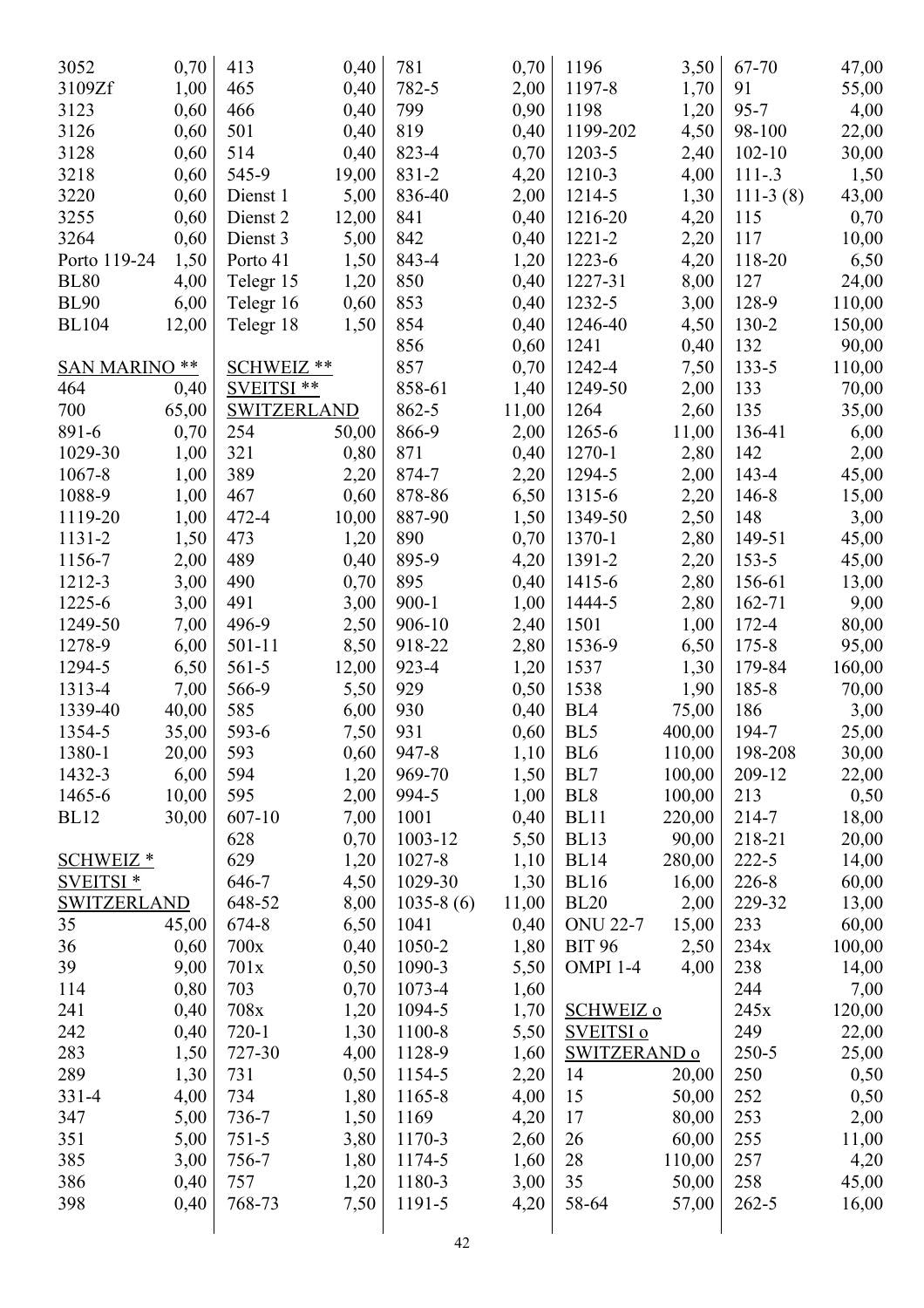| 3052                 | 0,70  | 413         | 0,40  | 781         | 0,70  | 1196                 | 3,50   | 67-70      | 47,00  |
|----------------------|-------|-------------|-------|-------------|-------|----------------------|--------|------------|--------|
| 3109Zf               | 1,00  | 465         | 0,40  | 782-5       | 2,00  | 1197-8               | 1,70   | 91         | 55,00  |
| 3123                 | 0,60  | 466         | 0,40  | 799         | 0,90  | 1198                 | 1,20   | $95 - 7$   | 4,00   |
| 3126                 | 0,60  | 501         | 0,40  | 819         | 0,40  | 1199-202             | 4,50   | 98-100     | 22,00  |
| 3128                 | 0,60  | 514         | 0,40  | 823-4       | 0,70  | 1203-5               | 2,40   | $102 - 10$ | 30,00  |
| 3218                 | 0,60  | 545-9       | 19,00 | 831-2       | 4,20  | 1210-3               | 4,00   | $111-.3$   | 1,50   |
| 3220                 | 0,60  | Dienst 1    | 5,00  | 836-40      | 2,00  | 1214-5               | 1,30   | $111-3(8)$ | 43,00  |
| 3255                 | 0,60  | Dienst 2    | 12,00 | 841         | 0,40  | 1216-20              | 4,20   | 115        | 0,70   |
| 3264                 | 0,60  | Dienst 3    | 5,00  | 842         | 0,40  | $1221 - 2$           | 2,20   | 117        | 10,00  |
| Porto 119-24         | 1,50  | Porto 41    | 1,50  | 843-4       | 1,20  | 1223-6               | 4,20   | 118-20     | 6,50   |
| <b>BL80</b>          | 4,00  | Telegr 15   | 1,20  | 850         | 0,40  | 1227-31              | 8,00   | 127        | 24,00  |
| <b>BL90</b>          | 6,00  | Telegr 16   | 0,60  | 853         | 0,40  | 1232-5               | 3,00   | 128-9      | 110,00 |
| <b>BL104</b>         | 12,00 | Telegr 18   | 1,50  | 854         | 0,40  | 1246-40              | 4,50   | $130 - 2$  | 150,00 |
|                      |       |             |       | 856         | 0,60  | 1241                 | 0,40   | 132        | 90,00  |
| <b>SAN MARINO **</b> |       | SCHWEIZ **  |       | 857         | 0,70  | 1242-4               | 7,50   | $133 - 5$  | 110,00 |
| 464                  | 0,40  | SVEITSI **  |       | 858-61      | 1,40  | 1249-50              | 2,00   | 133        | 70,00  |
| 700                  | 65,00 | SWITZERLAND |       | 862-5       | 11,00 | 1264                 | 2,60   | 135        | 35,00  |
| 891-6                | 0,70  | 254         | 50,00 | 866-9       | 2,00  | 1265-6               | 11,00  | 136-41     | 6,00   |
| 1029-30              | 1,00  | 321         | 0,80  | 871         | 0,40  | 1270-1               | 2,80   | 142        | 2,00   |
| 1067-8               | 1,00  | 389         | 2,20  | 874-7       | 2,20  | 1294-5               | 2,00   | 143-4      | 45,00  |
| 1088-9               | 1,00  | 467         | 0,60  | 878-86      | 6,50  | 1315-6               | 2,20   | 146-8      | 15,00  |
| 1119-20              | 1,00  | 472-4       | 10,00 | 887-90      | 1,50  | 1349-50              | 2,50   | 148        | 3,00   |
| 1131-2               | 1,50  | 473         | 1,20  | 890         | 0,70  | 1370-1               | 2,80   | 149-51     | 45,00  |
| 1156-7               | 2,00  | 489         | 0,40  | 895-9       | 4,20  | 1391-2               | 2,20   | $153 - 5$  | 45,00  |
| 1212-3               | 3,00  | 490         | 0,70  | 895         | 0,40  | 1415-6               | 2,80   | 156-61     | 13,00  |
| 1225-6               | 3,00  | 491         | 3,00  | $900 - 1$   | 1,00  | 1444-5               | 2,80   | 162-71     | 9,00   |
| 1249-50              | 7,00  | 496-9       | 2,50  | 906-10      | 2,40  | 1501                 | 1,00   | 172-4      | 80,00  |
| 1278-9               | 6,00  | $501 - 11$  | 8,50  | 918-22      | 2,80  | 1536-9               | 6,50   | $175 - 8$  | 95,00  |
| 1294-5               | 6,50  | $561-5$     | 12,00 | 923-4       | 1,20  | 1537                 | 1,30   | 179-84     | 160,00 |
| 1313-4               | 7,00  | 566-9       | 5,50  | 929         | 0,50  | 1538                 | 1,90   | 185-8      | 70,00  |
| 1339-40              | 40,00 | 585         | 6,00  | 930         | 0,40  | BL <sub>4</sub>      | 75,00  | 186        | 3,00   |
| 1354-5               | 35,00 | 593-6       | 7,50  | 931         | 0,60  | BL5                  | 400,00 | 194-7      | 25,00  |
| 1380-1               | 20,00 | 593         | 0,60  | 947-8       | 1,10  | BL <sub>6</sub>      | 110,00 | 198-208    | 30,00  |
| 1432-3               | 6,00  | 594         | 1,20  | 969-70      | 1,50  | BL7                  | 100,00 | 209-12     | 22,00  |
| 1465-6               | 10,00 | 595         | 2,00  | 994-5       | 1,00  | BL <sub>8</sub>      | 100,00 | 213        | 0,50   |
| <b>BL12</b>          | 30,00 | 607-10      | 7,00  | 1001        | 0,40  | <b>BL11</b>          | 220,00 | 214-7      | 18,00  |
|                      |       | 628         | 0,70  | 1003-12     | 5,50  | <b>BL13</b>          | 90,00  | 218-21     | 20,00  |
| <b>SCHWEIZ*</b>      |       | 629         | 1,20  | 1027-8      | 1,10  | <b>BL14</b>          | 280,00 | $222 - 5$  | 14,00  |
| <b>SVEITSI*</b>      |       | 646-7       | 4,50  | 1029-30     | 1,30  | <b>BL16</b>          | 16,00  | $226 - 8$  | 60,00  |
| <b>SWITZERLAND</b>   |       | 648-52      | 8,00  | $1035-8(6)$ | 11,00 | BL20                 | 2,00   | 229-32     | 13,00  |
| 35                   | 45,00 | 674-8       | 6,50  | 1041        | 0,40  | <b>ONU 22-7</b>      | 15,00  | 233        | 60,00  |
| 36                   | 0,60  | 700x        | 0,40  | 1050-2      | 1,80  | <b>BIT 96</b>        | 2,50   | 234x       | 100,00 |
| 39                   | 9,00  | 701x        | 0,50  | 1090-3      | 5,50  | OMPI 1-4             | 4,00   | 238        | 14,00  |
| 114                  | 0,80  | 703         | 0,70  | 1073-4      | 1,60  |                      |        | 244        | 7,00   |
| 241                  | 0,40  | 708x        | 1,20  | 1094-5      | 1,70  | <b>SCHWEIZ o</b>     |        | 245x       | 120,00 |
| 242                  | 0,40  | $720-1$     | 1,30  | 1100-8      | 5,50  | SVEITSI <sub>0</sub> |        | 249        | 22,00  |
| 283                  | 1,50  | 727-30      | 4,00  | 1128-9      | 1,60  | <b>SWITZERAND o</b>  |        | 250-5      | 25,00  |
| 289                  | 1,30  | 731         | 0,50  | 1154-5      | 2,20  | 14                   | 20,00  | 250        | 0,50   |
| $331 - 4$            | 4,00  | 734         | 1,80  | 1165-8      | 4,00  | 15                   | 50,00  | 252        | 0,50   |
| 347                  | 5,00  | 736-7       | 1,50  | 1169        | 4,20  | 17                   | 80,00  | 253        | 2,00   |
| 351                  | 5,00  | $751 - 5$   | 3,80  | 1170-3      | 2,60  | 26                   | 60,00  | 255        | 11,00  |
| 385                  | 3,00  | 756-7       | 1,80  | 1174-5      | 1,60  | 28                   | 110,00 | 257        | 4,20   |
| 386                  | 0,40  | 757         | 1,20  | 1180-3      | 3,00  | 35                   | 50,00  | 258        | 45,00  |
| 398                  | 0,40  | 768-73      | 7,50  | 1191-5      | 4,20  | 58-64                | 57,00  | $262 - 5$  | 16,00  |
|                      |       |             |       |             |       |                      |        |            |        |
|                      |       |             |       | $\Lambda$   |       |                      |        |            |        |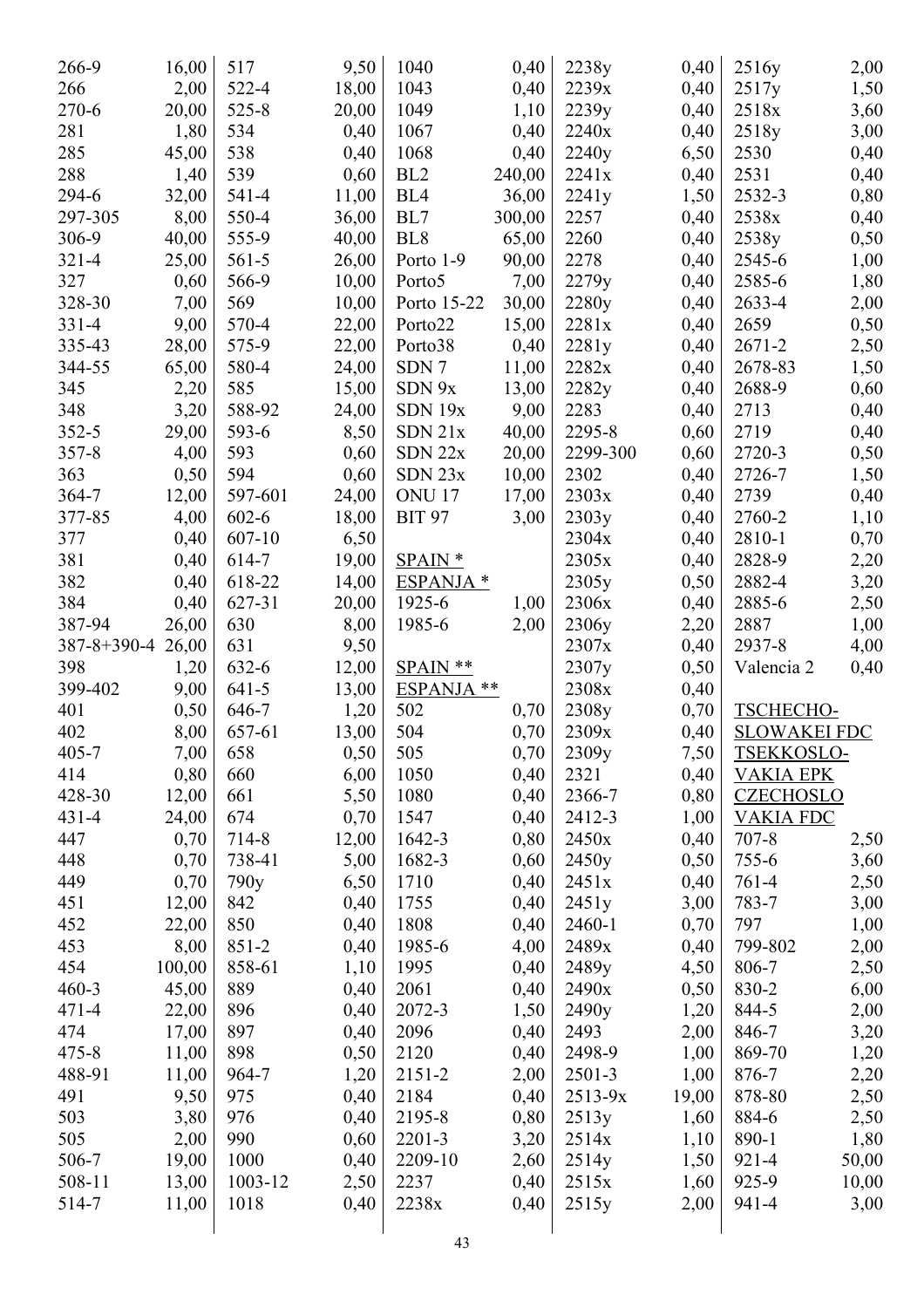| 266-9             | 16,00         | 517       | 9,50  | 1040                 | 0,40         | 2238y          | 0,40         | 2516y               | 2,00          |
|-------------------|---------------|-----------|-------|----------------------|--------------|----------------|--------------|---------------------|---------------|
| 266               | 2,00          | 522-4     | 18,00 | 1043                 | 0,40         | 2239x          | 0,40         | 2517y               | 1,50          |
| $270 - 6$         | 20,00         | $525 - 8$ | 20,00 | 1049                 | 1,10         | 2239y          | 0,40         | 2518x               | 3,60          |
| 281               | 1,80          | 534       | 0,40  | 1067                 | 0,40         | 2240x          | 0,40         | 2518y               | 3,00          |
| 285               | 45,00         | 538       | 0,40  | 1068                 | 0,40         | 2240y          | 6,50         | 2530                | 0,40          |
| 288               | 1,40          | 539       | 0,60  | BL <sub>2</sub>      | 240,00       | 2241x          | 0,40         | 2531                | 0,40          |
| 294-6             | 32,00         | 541-4     | 11,00 | BL <sub>4</sub>      | 36,00        | 2241y          | 1,50         | 2532-3              | 0,80          |
| 297-305           | 8,00          | 550-4     | 36,00 | BL7                  | 300,00       | 2257           | 0,40         | 2538x               | 0,40          |
| 306-9             | 40,00         | 555-9     | 40,00 | BL <sub>8</sub>      | 65,00        | 2260           | 0,40         | 2538y               | 0,50          |
| $321 - 4$         | 25,00         | $561-5$   | 26,00 | Porto 1-9            | 90,00        | 2278           | 0,40         | 2545-6              | 1,00          |
| 327               | 0,60          | 566-9     | 10,00 | Porto <sub>5</sub>   | 7,00         | 2279y          | 0,40         | 2585-6              | 1,80          |
| 328-30            | 7,00          | 569       | 10,00 | Porto 15-22          | 30,00        | 2280y          | 0,40         | 2633-4              | 2,00          |
| $331 - 4$         | 9,00          | 570-4     | 22,00 | Porto22              | 15,00        | 2281x          | 0,40         | 2659                | 0,50          |
| 335-43            | 28,00         | 575-9     | 22,00 | Porto38              | 0,40         | 2281y          | 0,40         | $2671 - 2$          | 2,50          |
| 344-55            | 65,00         | 580-4     | 24,00 | SDN 7                | 11,00        | 2282x          | 0,40         | 2678-83             | 1,50          |
| 345               | 2,20          | 585       | 15,00 | SDN 9x               | 13,00        | 2282y          | 0,40         | 2688-9              | 0,60          |
| 348               | 3,20          | 588-92    | 24,00 | SDN 19x              | 9,00         | 2283           | 0,40         | 2713                | 0,40          |
| $352 - 5$         | 29,00         | 593-6     | 8,50  | $SDN$ $21x$          | 40,00        | 2295-8         | 0,60         | 2719                | 0,40          |
| $357 - 8$         | 4,00          | 593       | 0,60  | $SDN$ 22 $x$         | 20,00        | 2299-300       | 0,60         | 2720-3              | 0,50          |
| 363               | 0,50          | 594       | 0,60  | $SDN$ 23 $x$         | 10,00        | 2302           | 0,40         | 2726-7              | 1,50          |
| 364-7             | 12,00         | 597-601   | 24,00 | <b>ONU17</b>         | 17,00        | 2303x          | 0,40         | 2739                | 0,40          |
| 377-85            | 4,00          | $602 - 6$ | 18,00 | <b>BIT 97</b>        | 3,00         | 2303y          | 0,40         | 2760-2              | 1,10          |
| 377               | 0,40          | 607-10    | 6,50  |                      |              | 2304x          | 0,40         | 2810-1              | 0,70          |
| 381               | 0,40          | 614-7     | 19,00 | $SPAIN *$            |              | 2305x          | 0,40         | 2828-9              | 2,20          |
| 382               | 0,40          | 618-22    | 14,00 | ESPANJA *            |              | 2305y          | 0,50         | 2882-4              | 3,20          |
| 384               | 0,40          | 627-31    | 20,00 | 1925-6               | 1,00         | 2306x          | 0,40         | 2885-6              | 2,50          |
| 387-94            | 26,00         | 630       | 8,00  | 1985-6               | 2,00         | 2306y          | 2,20         | 2887                | 1,00          |
| 387-8+390-4 26,00 |               | 631       | 9,50  |                      |              | 2307x          | 0,40         | 2937-8              | 4,00          |
| 398               | 1,20          | 632-6     | 12,00 | SPAIN **             |              | 2307y          | 0,50         | Valencia 2          | 0,40          |
| 399-402           | 9,00          | $641-5$   | 13,00 | ESPANJA **           |              | 2308x          | 0,40         |                     |               |
| 401               | 0,50          | 646-7     | 1,20  | 502                  | 0,70         | 2308y          | 0,70         | TSCHECHO-           |               |
| 402               | 8,00          | 657-61    | 13,00 | 504                  | 0,70         | 2309x          | 0,40         | <b>SLOWAKEI FDC</b> |               |
| $405 - 7$         | 7,00          | 658       | 0,50  | 505                  | 0,70         | 2309y          | 7,50         | TSEKKOSLO-          |               |
| 414               | 0,80          | 660       | 6,00  | 1050                 | 0,40         | 2321           | 0,40         | <b>VAKIA EPK</b>    |               |
| 428-30            | 12,00         | 661       | 5,50  | 1080                 | 0,40         | 2366-7         | 0,80         | <b>CZECHOSLO</b>    |               |
| $431 - 4$         | 24,00         | 674       | 0,70  | 1547                 | 0,40         | 2412-3         | 1,00         | <b>VAKIA FDC</b>    |               |
| 447               | 0,70          | 714-8     | 12,00 | 1642-3               | 0,80         | 2450x          | 0,40         | $707 - 8$           | 2,50          |
| 448               | 0,70          | 738-41    | 5,00  | 1682-3               | 0,60         | 2450y          | 0,50         | $755 - 6$           | 3,60          |
| 449               | 0,70          | 790y      | 6,50  | 1710                 | 0,40         | 2451x          | 0,40         | $761-4$             | 2,50          |
| 451               | 12,00         | 842       | 0,40  | 1755                 | 0,40         | 2451y          | 3,00         | 783-7               | 3,00          |
| 452               | 22,00         | 850       | 0,40  | 1808                 | 0,40         | 2460-1         | 0,70         | 797                 | 1,00          |
| 453               | 8,00          | $851 - 2$ | 0,40  | 1985-6               | 4,00         | 2489x          | 0,40         | 799-802             | 2,00          |
| 454               | 100,00        | 858-61    | 1,10  | 1995                 | 0,40         | 2489y          | 4,50         | 806-7               | 2,50          |
| $460 - 3$         | 45,00         | 889       | 0,40  | 2061                 | 0,40         | 2490x          | 0,50         | 830-2               | 6,00          |
| $471 - 4$         | 22,00         | 896       | 0,40  | 2072-3               | 1,50         | 2490y          | 1,20         | 844-5               | 2,00          |
| 474               | 17,00         | 897       | 0,40  | 2096                 | 0,40         | 2493           | 2,00         | 846-7               | 3,20          |
| $475 - 8$         | 11,00         | 898       | 0,50  | 2120                 | 0,40         | 2498-9         | 1,00         | 869-70              | 1,20          |
| 488-91            | 11,00         | 964-7     | 1,20  | 2151-2               | 2,00         | 2501-3         | 1,00         | 876-7               |               |
| 491               | 9,50          | 975       | 0,40  | 2184                 | 0,40         | $2513 - 9x$    | 19,00        | 878-80              | 2,20          |
| 503               |               | 976       | 0,40  |                      |              |                |              | 884-6               | 2,50          |
| 505               | 3,80          | 990       | 0,60  | 2195-8<br>$2201 - 3$ | 0,80         | 2513y<br>2514x | 1,60<br>1,10 | 890-1               | 2,50          |
| 506-7             | 2,00<br>19,00 | 1000      | 0,40  | 2209-10              | 3,20<br>2,60 | 2514y          | 1,50         | 921-4               | 1,80<br>50,00 |
| 508-11            | 13,00         | 1003-12   | 2,50  | 2237                 | 0,40         | 2515x          | 1,60         | 925-9               | 10,00         |
| 514-7             |               | 1018      |       | 2238x                |              | 2515y          | 2,00         | 941-4               |               |
|                   | 11,00         |           | 0,40  |                      | 0,40         |                |              |                     | 3,00          |
|                   |               |           |       | 43                   |              |                |              |                     |               |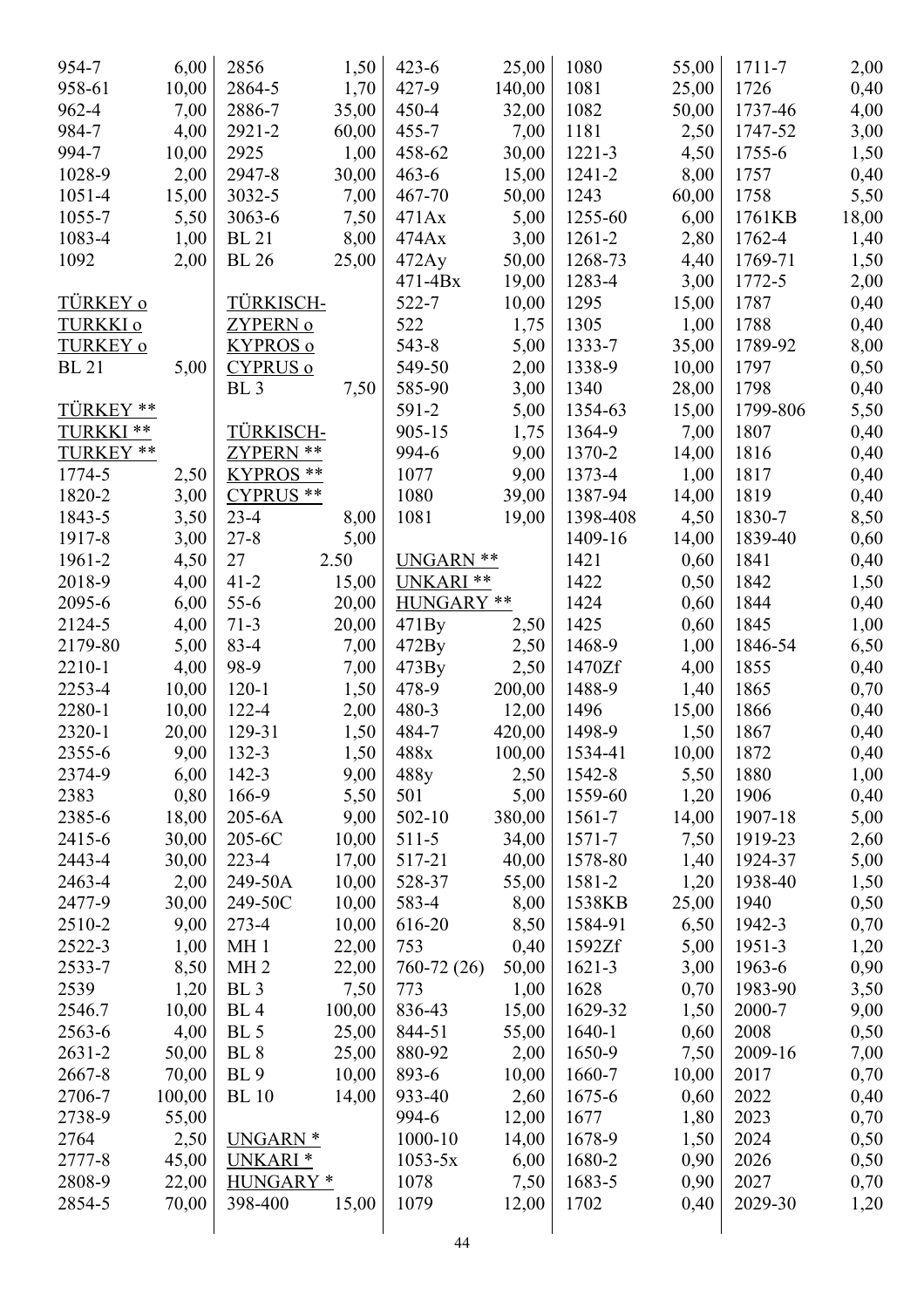| 954-7            | 6,00         | 2856                 | 1,50           | $423 - 6$        | 25,00        | 1080              | 55,00        | 1711-7   | 2,00         |
|------------------|--------------|----------------------|----------------|------------------|--------------|-------------------|--------------|----------|--------------|
| 958-61           | 10,00        | 2864-5               | 1,70           | $427 - 9$        | 140,00       | 1081              | 25,00        | 1726     | 0,40         |
| 962-4            | 7,00         | 2886-7               | 35,00          | $450 - 4$        | 32,00        | 1082              | 50,00        | 1737-46  | 4,00         |
| 984-7            | 4,00         | 2921-2               | 60,00          | $455 - 7$        | 7,00         | 1181              | 2,50         | 1747-52  | 3,00         |
| 994-7            | 10,00        | 2925                 | 1,00           | 458-62           | 30,00        | $1221 - 3$        | 4,50         | 1755-6   | 1,50         |
| 1028-9           | 2,00         | 2947-8               | 30,00          | $463 - 6$        | 15,00        | 1241-2            | 8,00         | 1757     | 0,40         |
| 1051-4           | 15,00        | 3032-5               | 7,00           | 467-70           | 50,00        | 1243              | 60,00        | 1758     | 5,50         |
| 1055-7           | 5,50         | $3063 - 6$           | 7,50           | 471Ax            | 5,00         | 1255-60           | 6,00         | 1761KB   | 18,00        |
| 1083-4           | 1,00         | <b>BL</b> 21         | 8,00           | 474Ax            | 3,00         | 1261-2            | 2,80         | 1762-4   | 1,40         |
| 1092             | 2,00         | <b>BL</b> 26         | 25,00          | 472Ay            | 50,00        | 1268-73           | 4,40         | 1769-71  | 1,50         |
|                  |              |                      |                | $471 - 4Bx$      | 19,00        | 1283-4            | 3,00         | 1772-5   | 2,00         |
| TÜRKEY o         |              | TÜRKISCH-            |                | 522-7            | 10,00        | 1295              | 15,00        | 1787     | 0,40         |
| TURKKI o         |              | <u>ZYPERN o</u>      |                | 522              | 1,75         | 1305              | 1,00         | 1788     | 0,40         |
| <b>TURKEY o</b>  |              | <b>KYPROS</b> o      |                | $543 - 8$        | 5,00         | 1333-7            | 35,00        | 1789-92  | 8,00         |
| <b>BL</b> 21     | 5,00         | <b>CYPRUS o</b>      |                | 549-50           | 2,00         | 1338-9            | 10,00        | 1797     | 0,50         |
|                  |              | BL <sub>3</sub>      | 7,50           | 585-90           | 3,00         | 1340              | 28,00        | 1798     | 0,40         |
| TÜRKEY **        |              |                      |                | 591-2            | 5,00         | 1354-63           | 15,00        | 1799-806 | 5,50         |
| TURKKI**         |              | TÜRKISCH-            |                | 905-15           | 1,75         | 1364-9            | 7,00         | 1807     | 0,40         |
| TURKEY **        |              | ZYPERN **            |                | 994-6            | 9,00         | 1370-2            | 14,00        | 1816     | 0,40         |
| 1774-5           | 2,50         | KYPROS **            |                | 1077             | 9,00         | 1373-4            | 1,00         | 1817     | 0,40         |
| 1820-2           | 3,00         | CYPRUS <sup>**</sup> |                | 1080             | 39,00        | 1387-94           | 14,00        | 1819     |              |
| 1843-5           | 3,50         | $23-4$               | 8,00           | 1081             | 19,00        | 1398-408          | 4,50         | 1830-7   | 0,40         |
| 1917-8           |              | $27 - 8$             |                |                  |              | 1409-16           |              | 1839-40  | 8,50         |
| 1961-2           | 3,00         | 27                   | 5,00<br>2.50   | UNGARN **        |              | 1421              | 14,00        | 1841     | 0,60         |
| 2018-9           | 4,50<br>4,00 | $41 - 2$             | 15,00          | UNKARI **        |              | 1422              | 0,60<br>0,50 | 1842     | 0,40         |
| 2095-6           | 6,00         | $55-6$               |                | HUNGARY **       |              | 1424              | 0,60         | 1844     | 1,50         |
| 2124-5           | 4,00         | $71-3$               | 20,00<br>20,00 | 471By            | 2,50         | 1425              | 0,60         | 1845     | 0,40         |
| 2179-80          | 5,00         | $83 - 4$             | 7,00           | 472By            |              | 1468-9            | 1,00         | 1846-54  | 1,00         |
| 2210-1           | 4,00         | 98-9                 | 7,00           | 473By            | 2,50<br>2,50 | 1470Zf            | 4,00         | 1855     | 6,50         |
| 2253-4           | 10,00        | $120 - 1$            | 1,50           | 478-9            | 200,00       | 1488-9            | 1,40         | 1865     | 0,40<br>0,70 |
| 2280-1           | 10,00        | $122 - 4$            | 2,00           | $480 - 3$        | 12,00        | 1496              | 15,00        | 1866     | 0,40         |
| 2320-1           | 20,00        | 129-31               | 1,50           | 484-7            | 420,00       | 1498-9            | 1,50         | 1867     | 0,40         |
| 2355-6           | 9,00         | 132-3                | 1,50           | 488x             | 100,00       | 1534-41           | 10,00        | 1872     | 0,40         |
| 2374-9           | 6,00         | $142 - 3$            | 9,00           | 488y             | 2,50         | 1542-8            | 5,50         | 1880     | 1,00         |
| 2383             | 0,80         | 166-9                | 5,50           | 501              | 5,00         | 1559-60           | 1,20         | 1906     | 0,40         |
| 2385-6           | 18,00        | 205-6A               | 9,00           | $502 - 10$       | 380,00       | 1561-7            | 14,00        | 1907-18  | 5,00         |
| 2415-6           | 30,00        | 205-6C               | 10,00          | $511-5$          | 34,00        | 1571-7            | 7,50         | 1919-23  | 2,60         |
| 2443-4           | 30,00        | $223 - 4$            | 17,00          | 517-21           | 40,00        | 1578-80           | 1,40         | 1924-37  | 5,00         |
| 2463-4           | 2,00         | 249-50A              | 10,00          | 528-37           | 55,00        | 1581-2            | 1,20         | 1938-40  | 1,50         |
| 2477-9           | 30,00        | 249-50C              | 10,00          | 583-4            | 8,00         | 1538KB            | 25,00        | 1940     | 0,50         |
| 2510-2           | 9,00         | $273 - 4$            | 10,00          | 616-20           | 8,50         | 1584-91           | 6,50         | 1942-3   | 0,70         |
| 2522-3           | 1,00         | MH <sub>1</sub>      | 22,00          | 753              | 0,40         | 1592Zf            | 5,00         | 1951-3   | 1,20         |
| 2533-7           | 8,50         | MH <sub>2</sub>      | 22,00          | 760-72 (26)      | 50,00        | 1621-3            | 3,00         | 1963-6   | 0,90         |
| 2539             |              | BL <sub>3</sub>      |                | 773              |              | 1628              |              | 1983-90  |              |
|                  | 1,20         |                      | 7,50           |                  | 1,00         |                   | 0,70         |          | 3,50         |
| 2546.7           | 10,00        | BL <sub>4</sub>      | 100,00         | 836-43           | 15,00        | 1629-32<br>1640-1 | 1,50         | 2000-7   | 9,00         |
| 2563-6<br>2631-2 | 4,00         | BL 5<br><b>BL</b> 8  | 25,00          | 844-51<br>880-92 | 55,00        | 1650-9            | 0,60         | 2008     | 0,50         |
|                  | 50,00        |                      | 25,00          |                  | 2,00         |                   | 7,50         | 2009-16  | 7,00         |
| 2667-8           | 70,00        | <b>BL</b> 9          | 10,00          | 893-6            | 10,00        | 1660-7            | 10,00        | 2017     | 0,70         |
| 2706-7           | 100,00       | <b>BL</b> 10         | 14,00          | 933-40           | 2,60         | 1675-6            | 0,60         | 2022     | 0,40         |
| 2738-9           | 55,00        |                      |                | 994-6            | 12,00        | 1677              | 1,80         | 2023     | 0,70         |
| 2764             | 2,50         | UNGARN <sup>*</sup>  |                | 1000-10          | 14,00        | 1678-9            | 1,50         | 2024     | 0,50         |
| 2777-8           | 45,00        | UNKARI <sup>*</sup>  |                | $1053 - 5x$      | 6,00         | 1680-2            | 0,90         | 2026     | 0,50         |
| 2808-9           | 22,00        | HUNGARY <sup>*</sup> |                | 1078             | 7,50         | 1683-5            | 0,90         | 2027     | 0,70         |
| 2854-5           | 70,00        | 398-400              | 15,00          | 1079             | 12,00        | 1702              | 0,40         | 2029-30  | 1,20         |
|                  |              |                      |                | 44               |              |                   |              |          |              |
|                  |              |                      |                |                  |              |                   |              |          |              |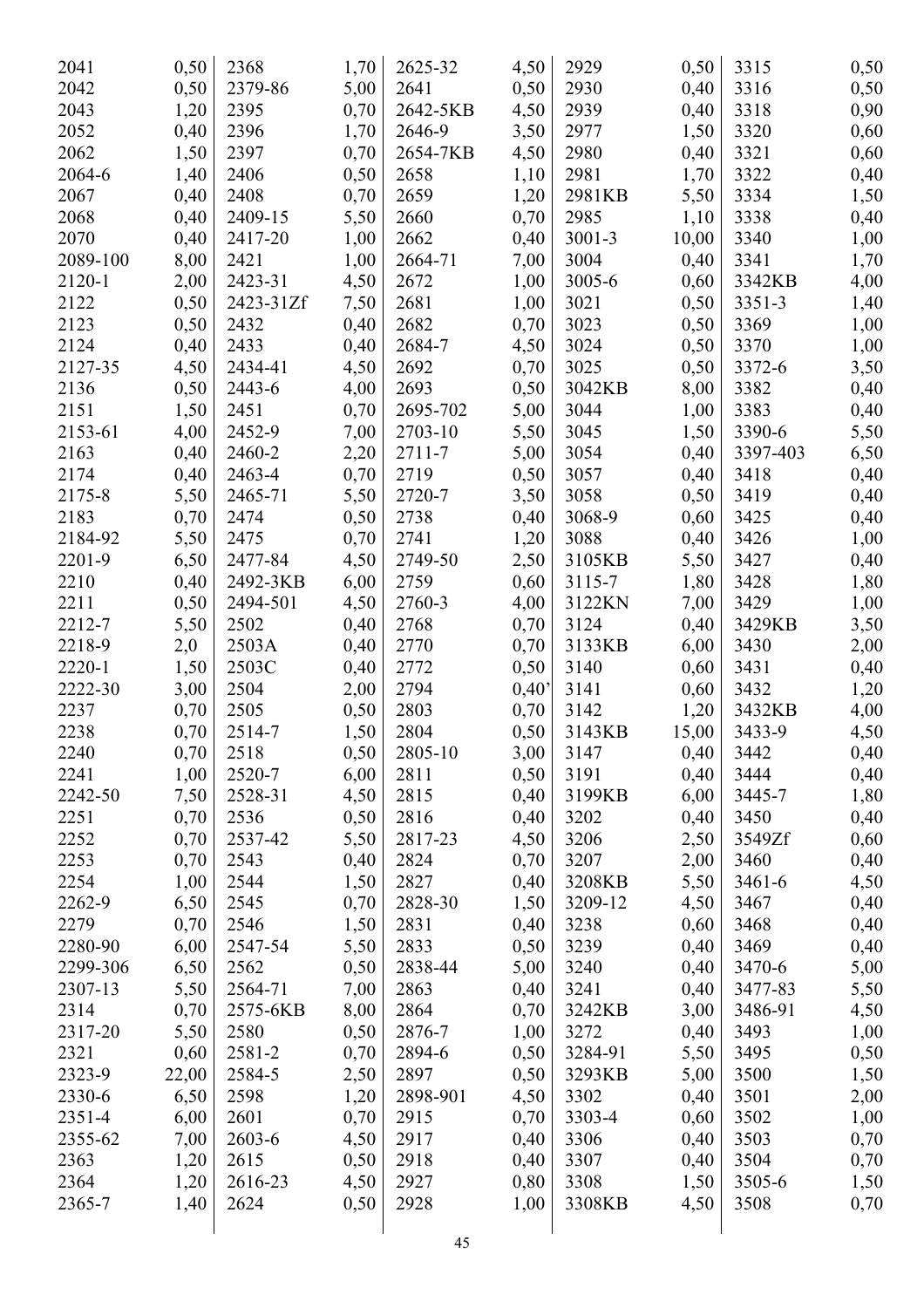| 2041     | 0,50  | 2368       | 1,70 | 2625-32         | 4,50  | 2929       | 0,50  | 3315     | 0,50 |
|----------|-------|------------|------|-----------------|-------|------------|-------|----------|------|
| 2042     | 0,50  | 2379-86    | 5,00 | 2641            | 0,50  | 2930       | 0,40  | 3316     | 0,50 |
| 2043     | 1,20  | 2395       | 0,70 | 2642-5KB        | 4,50  | 2939       | 0,40  | 3318     | 0,90 |
| 2052     | 0,40  | 2396       | 1,70 | 2646-9          | 3,50  | 2977       | 1,50  | 3320     | 0,60 |
| 2062     | 1,50  | 2397       | 0,70 | 2654-7KB        | 4,50  | 2980       | 0,40  | 3321     | 0,60 |
| 2064-6   | 1,40  | 2406       | 0,50 | 2658            | 1,10  | 2981       | 1,70  | 3322     | 0,40 |
| 2067     | 0,40  | 2408       | 0,70 | 2659            | 1,20  | 2981KB     | 5,50  | 3334     | 1,50 |
| 2068     | 0,40  | 2409-15    | 5,50 | 2660            | 0,70  | 2985       | 1,10  | 3338     | 0,40 |
| 2070     | 0,40  | 2417-20    | 1,00 | 2662            | 0,40  | $3001 - 3$ | 10,00 | 3340     | 1,00 |
| 2089-100 | 8,00  | 2421       | 1,00 | 2664-71         | 7,00  | 3004       | 0,40  | 3341     | 1,70 |
| 2120-1   | 2,00  | 2423-31    | 4,50 | 2672            | 1,00  | 3005-6     | 0,60  | 3342KB   | 4,00 |
| 2122     | 0,50  | 2423-31Zf  | 7,50 | 2681            | 1,00  | 3021       | 0,50  | 3351-3   | 1,40 |
| 2123     | 0,50  | 2432       | 0,40 | 2682            | 0,70  | 3023       | 0,50  | 3369     | 1,00 |
| 2124     | 0,40  | 2433       | 0,40 | 2684-7          | 4,50  | 3024       | 0,50  | 3370     | 1,00 |
| 2127-35  | 4,50  | 2434-41    | 4,50 | 2692            | 0,70  | 3025       | 0,50  | 3372-6   | 3,50 |
| 2136     | 0,50  | 2443-6     | 4,00 | 2693            | 0,50  | 3042KB     | 8,00  | 3382     | 0,40 |
| 2151     | 1,50  | 2451       | 0,70 | 2695-702        | 5,00  | 3044       | 1,00  | 3383     | 0,40 |
| 2153-61  | 4,00  | 2452-9     | 7,00 | 2703-10         | 5,50  | 3045       | 1,50  | 3390-6   | 5,50 |
| 2163     | 0,40  | 2460-2     | 2,20 | 2711-7          | 5,00  | 3054       | 0,40  | 3397-403 | 6,50 |
| 2174     | 0,40  | 2463-4     | 0,70 | 2719            | 0,50  | 3057       | 0,40  | 3418     | 0,40 |
| 2175-8   | 5,50  | 2465-71    | 5,50 | 2720-7          | 3,50  | 3058       | 0,50  | 3419     | 0,40 |
| 2183     | 0,70  | 2474       | 0,50 | 2738            | 0,40  | 3068-9     | 0,60  | 3425     |      |
| 2184-92  | 5,50  | 2475       | 0,70 | 2741            |       | 3088       |       | 3426     | 0,40 |
|          |       |            |      |                 | 1,20  |            | 0,40  |          | 1,00 |
| 2201-9   | 6,50  | 2477-84    | 4,50 | 2749-50<br>2759 | 2,50  | 3105KB     | 5,50  | 3427     | 0,40 |
| 2210     | 0,40  | 2492-3KB   | 6,00 |                 | 0,60  | 3115-7     | 1,80  | 3428     | 1,80 |
| 2211     | 0,50  | 2494-501   | 4,50 | 2760-3          | 4,00  | 3122KN     | 7,00  | 3429     | 1,00 |
| 2212-7   | 5,50  | 2502       | 0,40 | 2768            | 0,70  | 3124       | 0,40  | 3429KB   | 3,50 |
| 2218-9   | 2,0   | 2503A      | 0,40 | 2770            | 0,70  | 3133KB     | 6,00  | 3430     | 2,00 |
| 2220-1   | 1,50  | 2503C      | 0,40 | 2772            | 0,50  | 3140       | 0,60  | 3431     | 0,40 |
| 2222-30  | 3,00  | 2504       | 2,00 | 2794            | 0,40' | 3141       | 0,60  | 3432     | 1,20 |
| 2237     | 0,70  | 2505       | 0,50 | 2803            | 0,70  | 3142       | 1,20  | 3432KB   | 4,00 |
| 2238     | 0,70  | 2514-7     | 1,50 | 2804            | 0,50  | 3143KB     | 15,00 | 3433-9   | 4,50 |
| 2240     | 0,70  | 2518       | 0,50 | 2805-10         | 3,00  | 3147       | 0,40  | 3442     | 0,40 |
| 2241     | 1,00  | 2520-7     | 6,00 | 2811            | 0,50  | 3191       | 0,40  | 3444     | 0,40 |
| 2242-50  | 7,50  | 2528-31    | 4,50 | 2815            | 0,40  | 3199KB     | 6,00  | 3445-7   | 1,80 |
| 2251     | 0,70  | 2536       | 0,50 | 2816            | 0,40  | 3202       | 0,40  | 3450     | 0,40 |
| 2252     | 0,70  | 2537-42    | 5,50 | 2817-23         | 4,50  | 3206       | 2,50  | 3549Zf   | 0,60 |
| 2253     | 0,70  | 2543       | 0,40 | 2824            | 0,70  | 3207       | 2,00  | 3460     | 0,40 |
| 2254     | 1,00  | 2544       | 1,50 | 2827            | 0,40  | 3208KB     | 5,50  | 3461-6   | 4,50 |
| 2262-9   | 6,50  | 2545       | 0,70 | 2828-30         | 1,50  | 3209-12    | 4,50  | 3467     | 0,40 |
| 2279     | 0,70  | 2546       | 1,50 | 2831            | 0,40  | 3238       | 0,60  | 3468     | 0,40 |
| 2280-90  | 6,00  | 2547-54    | 5,50 | 2833            | 0,50  | 3239       | 0,40  | 3469     | 0,40 |
| 2299-306 | 6,50  | 2562       | 0,50 | 2838-44         | 5,00  | 3240       | 0,40  | 3470-6   | 5,00 |
| 2307-13  | 5,50  | 2564-71    | 7,00 | 2863            | 0,40  | 3241       | 0,40  | 3477-83  | 5,50 |
| 2314     | 0,70  | 2575-6KB   | 8,00 | 2864            | 0,70  | 3242KB     | 3,00  | 3486-91  | 4,50 |
| 2317-20  | 5,50  | 2580       | 0,50 | 2876-7          | 1,00  | 3272       | 0,40  | 3493     | 1,00 |
| 2321     | 0,60  | 2581-2     | 0,70 | 2894-6          | 0,50  | 3284-91    | 5,50  | 3495     | 0,50 |
| 2323-9   | 22,00 | 2584-5     | 2,50 | 2897            | 0,50  | 3293KB     | 5,00  | 3500     | 1,50 |
| 2330-6   | 6,50  | 2598       | 1,20 | 2898-901        | 4,50  | 3302       | 0,40  | 3501     | 2,00 |
| 2351-4   | 6,00  | 2601       | 0,70 | 2915            | 0,70  | 3303-4     | 0,60  | 3502     | 1,00 |
| 2355-62  | 7,00  | $2603 - 6$ | 4,50 | 2917            | 0,40  | 3306       | 0,40  | 3503     | 0,70 |
| 2363     | 1,20  | 2615       | 0,50 | 2918            | 0,40  | 3307       | 0,40  | 3504     | 0,70 |
| 2364     | 1,20  | 2616-23    | 4,50 | 2927            | 0,80  | 3308       | 1,50  | 3505-6   | 1,50 |
| 2365-7   | 1,40  | 2624       | 0,50 | 2928            | 1,00  | 3308KB     | 4,50  | 3508     | 0,70 |
|          |       |            |      |                 |       |            |       |          |      |
|          |       |            |      |                 |       |            |       |          |      |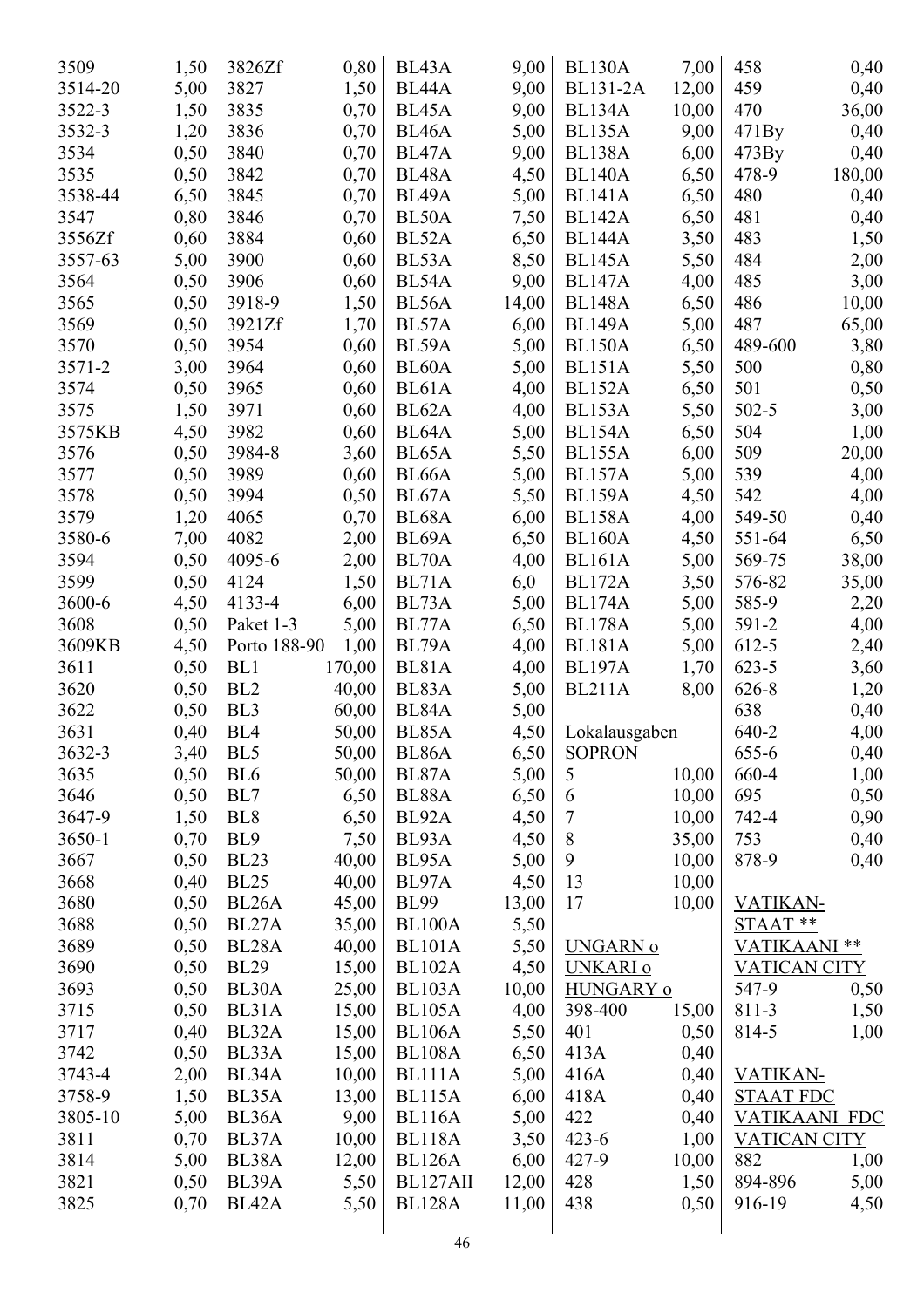| 3509    | 1,50 | 3826Zf             | 0,80   | BL43A              | 9,00  | <b>BL130A</b>   | 7,00  | 458                  | 0,40   |
|---------|------|--------------------|--------|--------------------|-------|-----------------|-------|----------------------|--------|
| 3514-20 | 5,00 | 3827               | 1,50   | BL <sub>44</sub> A | 9,00  | <b>BL131-2A</b> | 12,00 | 459                  | 0,40   |
| 3522-3  | 1,50 | 3835               | 0,70   | BL45A              | 9,00  | <b>BL134A</b>   | 10,00 | 470                  | 36,00  |
| 3532-3  | 1,20 | 3836               | 0,70   | BL <sub>46</sub> A | 5,00  | <b>BL135A</b>   | 9,00  | 471By                | 0,40   |
| 3534    | 0,50 | 3840               | 0,70   | BL47A              | 9,00  | <b>BL138A</b>   | 6,00  | 473By                | 0,40   |
| 3535    | 0,50 | 3842               | 0,70   | BL <sub>48</sub> A | 4,50  | <b>BL140A</b>   | 6,50  | 478-9                | 180,00 |
| 3538-44 | 6,50 | 3845               | 0,70   | BL <sub>49</sub> A | 5,00  | <b>BL141A</b>   | 6,50  | 480                  | 0,40   |
| 3547    | 0,80 | 3846               | 0,70   | BL50A              | 7,50  | <b>BL142A</b>   | 6,50  | 481                  | 0,40   |
| 3556Zf  | 0,60 | 3884               | 0,60   | BL52A              | 6,50  | <b>BL144A</b>   | 3,50  | 483                  | 1,50   |
| 3557-63 | 5,00 | 3900               | 0,60   | BL53A              | 8,50  | <b>BL145A</b>   | 5,50  | 484                  | 2,00   |
| 3564    | 0,50 | 3906               | 0,60   | BL54A              | 9,00  | <b>BL147A</b>   | 4,00  | 485                  | 3,00   |
| 3565    | 0,50 | 3918-9             | 1,50   | BL56A              | 14,00 | <b>BL148A</b>   | 6,50  | 486                  | 10,00  |
| 3569    | 0,50 | 3921Zf             | 1,70   | BL57A              | 6,00  | <b>BL149A</b>   | 5,00  | 487                  | 65,00  |
| 3570    | 0,50 | 3954               | 0,60   | BL59A              | 5,00  | <b>BL150A</b>   | 6,50  | 489-600              | 3,80   |
| 3571-2  | 3,00 | 3964               | 0,60   | BL60A              | 5,00  | <b>BL151A</b>   | 5,50  | 500                  | 0,80   |
| 3574    | 0,50 | 3965               | 0,60   | BL61A              | 4,00  | <b>BL152A</b>   | 6,50  | 501                  | 0,50   |
| 3575    | 1,50 | 3971               | 0,60   | BL62A              | 4,00  | <b>BL153A</b>   | 5,50  | $502 - 5$            | 3,00   |
| 3575KB  | 4,50 | 3982               | 0,60   | BL64A              | 5,00  | <b>BL154A</b>   | 6,50  | 504                  | 1,00   |
| 3576    | 0,50 | 3984-8             | 3,60   | BL65A              | 5,50  | <b>BL155A</b>   | 6,00  | 509                  | 20,00  |
| 3577    | 0,50 | 3989               | 0,60   | BL <sub>66</sub> A | 5,00  | <b>BL157A</b>   | 5,00  | 539                  | 4,00   |
| 3578    | 0,50 | 3994               | 0,50   | BL67A              | 5,50  | <b>BL159A</b>   | 4,50  | 542                  | 4,00   |
| 3579    | 1,20 | 4065               | 0,70   | BL68A              | 6,00  | <b>BL158A</b>   | 4,00  | 549-50               | 0,40   |
| 3580-6  | 7,00 | 4082               | 2,00   | BL69A              | 6,50  | <b>BL160A</b>   | 4,50  | 551-64               | 6,50   |
| 3594    | 0,50 | 4095-6             | 2,00   | BL70A              | 4,00  | <b>BL161A</b>   | 5,00  | 569-75               | 38,00  |
| 3599    | 0,50 | 4124               | 1,50   | BL71A              | 6,0   | <b>BL172A</b>   | 3,50  | 576-82               | 35,00  |
| 3600-6  | 4,50 | 4133-4             | 6,00   | BL73A              | 5,00  | <b>BL174A</b>   | 5,00  | 585-9                | 2,20   |
| 3608    | 0,50 | Paket 1-3          | 5,00   | BL77A              | 6,50  | <b>BL178A</b>   | 5,00  | 591-2                | 4,00   |
| 3609KB  | 4,50 | Porto 188-90       | 1,00   | BL79A              | 4,00  | <b>BL181A</b>   | 5,00  | 612-5                | 2,40   |
| 3611    | 0,50 | BL1                | 170,00 | BL81A              | 4,00  | <b>BL197A</b>   | 1,70  | $623 - 5$            | 3,60   |
| 3620    | 0,50 | BL <sub>2</sub>    | 40,00  | BL83A              | 5,00  | <b>BL211A</b>   | 8,00  | 626-8                | 1,20   |
| 3622    | 0,50 | BL <sub>3</sub>    | 60,00  | BL84A              | 5,00  |                 |       | 638                  | 0,40   |
| 3631    | 0,40 | BL <sub>4</sub>    | 50,00  | BL85A              | 4,50  | Lokalausgaben   |       | 640-2                | 4,00   |
| 3632-3  | 3,40 | BL5                | 50,00  | BL86A              | 6,50  | <b>SOPRON</b>   |       | 655-6                | 0,40   |
| 3635    | 0,50 | BL <sub>6</sub>    | 50,00  | BL87A              | 5,00  | 5               | 10,00 | 660-4                | 1,00   |
| 3646    | 0,50 | BL7                | 6,50   | BL88A              | 6,50  | 6               | 10,00 | 695                  | 0,50   |
| 3647-9  | 1,50 | BL <sub>8</sub>    | 6,50   | BL92A              | 4,50  | $\tau$          | 10,00 | 742-4                | 0,90   |
| 3650-1  | 0,70 | BL <sub>9</sub>    | 7,50   | BL93A              | 4,50  | $\,8\,$         | 35,00 | 753                  | 0,40   |
| 3667    | 0,50 | <b>BL23</b>        | 40,00  | BL95A              | 5,00  | $\mathbf{9}$    | 10,00 | 878-9                | 0,40   |
| 3668    | 0,40 | <b>BL25</b>        | 40,00  | BL97A              | 4,50  | 13              | 10,00 |                      |        |
| 3680    | 0,50 | BL26A              | 45,00  | <b>BL99</b>        | 13,00 | 17              | 10,00 | VATIKAN-             |        |
| 3688    | 0,50 | BL27A              | 35,00  | <b>BL100A</b>      | 5,50  |                 |       | STAAT**              |        |
| 3689    | 0,50 | BL <sub>28</sub> A | 40,00  | <b>BL101A</b>      |       | <b>UNGARN o</b> |       | VATIKAANI **         |        |
|         |      |                    |        |                    | 5,50  |                 |       |                      |        |
| 3690    | 0,50 | <b>BL29</b>        | 15,00  | <b>BL102A</b>      | 4,50  | UNKARI o        |       | <b>VATICAN CITY</b>  |        |
| 3693    | 0,50 | BL30A              | 25,00  | <b>BL103A</b>      | 10,00 | HUNGARY o       |       | 547-9                | 0,50   |
| 3715    | 0,50 | BL31A              | 15,00  | <b>BL105A</b>      | 4,00  | 398-400         | 15,00 | 811-3                | 1,50   |
| 3717    | 0,40 | BL32A              | 15,00  | <b>BL106A</b>      | 5,50  | 401             | 0,50  | 814-5                | 1,00   |
| 3742    | 0,50 | BL33A              | 15,00  | <b>BL108A</b>      | 6,50  | 413A            | 0,40  |                      |        |
| 3743-4  | 2,00 | BL34A              | 10,00  | BL111A             | 5,00  | 416A            | 0,40  | VATIKAN-             |        |
| 3758-9  | 1,50 | BL35A              | 13,00  | <b>BL115A</b>      | 6,00  | 418A            | 0,40  | <b>STAAT FDC</b>     |        |
| 3805-10 | 5,00 | BL36A              | 9,00   | <b>BL116A</b>      | 5,00  | 422             | 0,40  | <b>VATIKAANI FDC</b> |        |
| 3811    | 0,70 | BL37A              | 10,00  | <b>BL118A</b>      | 3,50  | $423 - 6$       | 1,00  | <b>VATICAN CITY</b>  |        |
| 3814    | 5,00 | BL38A              | 12,00  | <b>BL126A</b>      | 6,00  | 427-9           | 10,00 | 882                  | 1,00   |
| 3821    | 0,50 | BL39A              | 5,50   | BL127AII           | 12,00 | 428             | 1,50  | 894-896              | 5,00   |
| 3825    | 0,70 | BL42A              | 5,50   | <b>BL128A</b>      | 11,00 | 438             | 0,50  | 916-19               | 4,50   |
|         |      |                    |        | 46                 |       |                 |       |                      |        |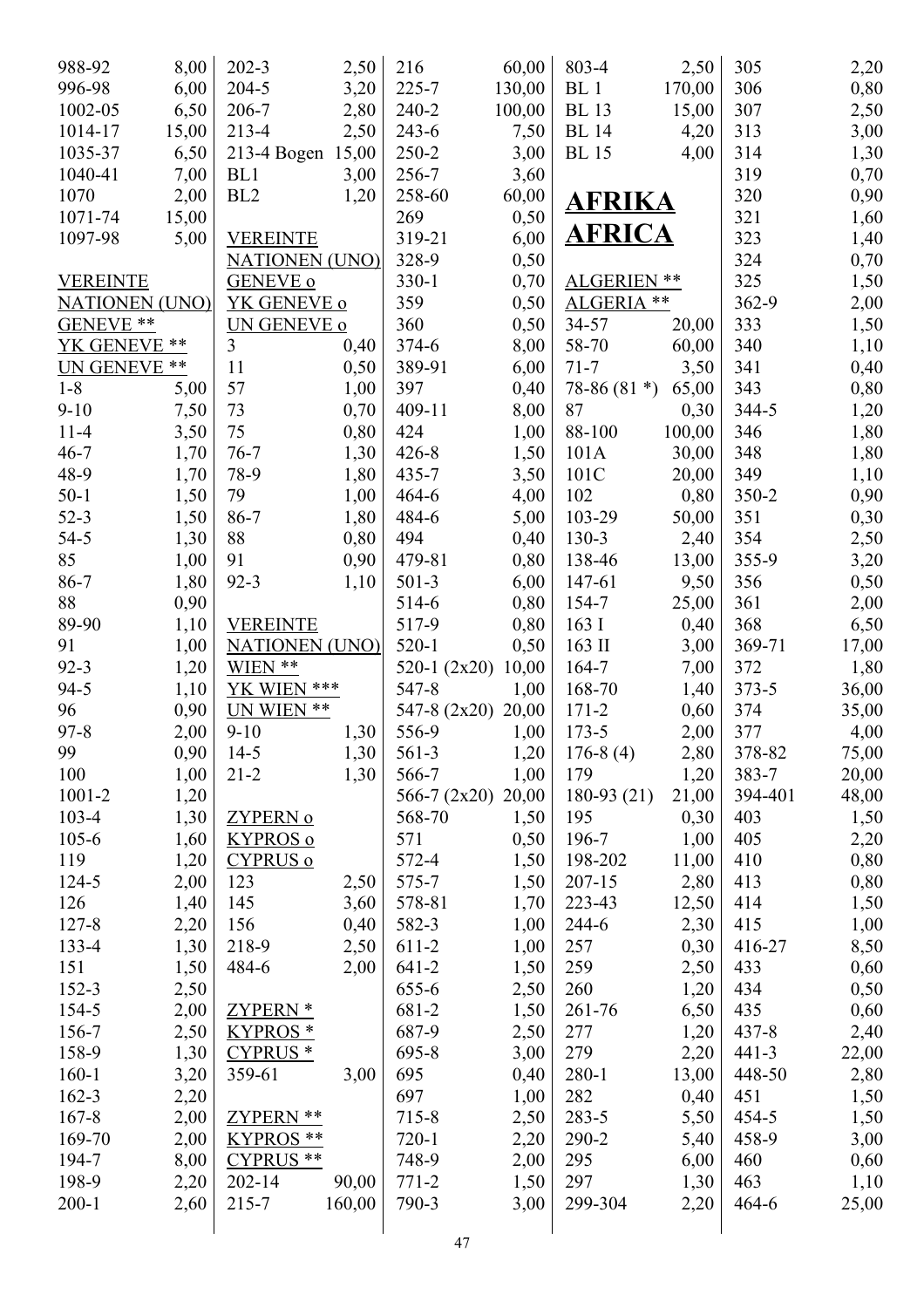| 988-92                  | 8,00  | $202 - 3$             | 2,50   | 216                | 60,00  | 803-4           | 2,50   | 305       | 2,20  |
|-------------------------|-------|-----------------------|--------|--------------------|--------|-----------------|--------|-----------|-------|
| 996-98                  | 6,00  | $204 - 5$             | 3,20   | $225 - 7$          | 130,00 | BL <sub>1</sub> | 170,00 | 306       | 0,80  |
| 1002-05                 | 6,50  | 206-7                 | 2,80   | $240 - 2$          | 100,00 | <b>BL</b> 13    | 15,00  | 307       | 2,50  |
| 1014-17                 | 15,00 | 213-4                 | 2,50   | 243-6              | 7,50   | <b>BL</b> 14    | 4,20   | 313       | 3,00  |
| 1035-37                 | 6,50  | 213-4 Bogen           | 15,00  | 250-2              | 3,00   | <b>BL</b> 15    | 4,00   | 314       | 1,30  |
| 1040-41                 | 7,00  | BL1                   | 3,00   | 256-7              | 3,60   |                 |        | 319       | 0,70  |
| 1070                    | 2,00  | BL <sub>2</sub>       | 1,20   | 258-60             | 60,00  | AFRIKA          |        | 320       | 0,90  |
| 1071-74                 | 15,00 |                       |        | 269                | 0,50   |                 |        | 321       | 1,60  |
| 1097-98                 | 5,00  | <b>VEREINTE</b>       |        | 319-21             | 6,00   | <b>AFRICA</b>   |        | 323       | 1,40  |
|                         |       | <b>NATIONEN (UNO)</b> |        | 328-9              | 0,50   |                 |        | 324       | 0,70  |
| <b>VEREINTE</b>         |       | <b>GENEVE o</b>       |        | $330-1$            | 0,70   | ALGERIEN **     |        | 325       | 1,50  |
| <b>NATIONEN (UNO)</b>   |       | YK GENEVE o           |        | 359                | 0,50   | ALGERIA **      |        | 362-9     | 2,00  |
| GENEVE <sup>**</sup>    |       | UN GENEVE o           |        | 360                | 0,50   | 34-57           | 20,00  | 333       | 1,50  |
| YK GENEVE <sup>**</sup> |       | 3                     | 0,40   | $374 - 6$          | 8,00   | 58-70           | 60,00  | 340       | 1,10  |
| <b>UN GENEVE **</b>     |       | 11                    | 0,50   | 389-91             | 6,00   | $71 - 7$        | 3,50   | 341       | 0,40  |
| $1 - 8$                 | 5,00  | 57                    | 1,00   | 397                | 0,40   | 78-86 $(81*)$   | 65,00  | 343       | 0,80  |
| $9 - 10$                | 7,50  | 73                    | 0,70   | 409-11             | 8,00   | 87              | 0,30   | 344-5     | 1,20  |
| $11 - 4$                | 3,50  | 75                    | 0,80   | 424                | 1,00   | 88-100          | 100,00 | 346       | 1,80  |
| $46 - 7$                | 1,70  | $76 - 7$              | 1,30   | $426 - 8$          | 1,50   | 101A            | 30,00  | 348       | 1,80  |
| 48-9                    | 1,70  | 78-9                  | 1,80   | 435-7              | 3,50   | 101C            | 20,00  | 349       | 1,10  |
| $50-1$                  | 1,50  | 79                    | 1,00   | 464-6              | 4,00   | 102             | 0,80   | $350 - 2$ | 0,90  |
| $52-3$                  | 1,50  | $86 - 7$              | 1,80   | 484-6              | 5,00   | 103-29          | 50,00  | 351       | 0,30  |
| $54 - 5$                | 1,30  | 88                    | 0,80   | 494                | 0,40   | $130-3$         | 2,40   | 354       | 2,50  |
| 85                      | 1,00  | 91                    | 0,90   | 479-81             | 0,80   | 138-46          | 13,00  | 355-9     | 3,20  |
| 86-7                    | 1,80  | $92 - 3$              | 1,10   | $501-3$            | 6,00   | 147-61          | 9,50   | 356       | 0,50  |
| 88                      | 0,90  |                       |        | 514-6              | 0,80   | 154-7           | 25,00  | 361       | 2,00  |
| 89-90                   | 1,10  | <b>VEREINTE</b>       |        | 517-9              | 0,80   | 163I            | 0,40   | 368       | 6,50  |
| 91                      | 1,00  | <b>NATIONEN (UNO)</b> |        | $520-1$            | 0,50   | 163 II          | 3,00   | 369-71    | 17,00 |
| $92 - 3$                | 1,20  | WIEN **               |        | 520-1 $(2x20)$     | 10,00  | $164 - 7$       | 7,00   | 372       | 1,80  |
| $94 - 5$                | 1,10  | YK WIEN ***           |        | 547-8              | 1,00   | 168-70          | 1,40   | $373 - 5$ | 36,00 |
| 96                      | 0,90  | UN WIEN **            |        | 547-8 (2x20) 20,00 |        | $171 - 2$       | 0,60   | 374       | 35,00 |
| $97 - 8$                | 2,00  | $9-10$                | 1,30   | 556-9              | 1,00   | $173 - 5$       | 2,00   | 377       | 4,00  |
| 99                      | 0,90  | $14-5$                | 1,30   | 561-3              | 1,20   | $176-8(4)$      | 2,80   | 378-82    | 75,00 |
| 100                     | 1,00  | $21 - 2$              | 1,30   | 566-7              | 1,00   | 179             | 1,20   | 383-7     | 20,00 |
| $1001 - 2$              | 1,20  |                       |        | 566-7 $(2x20)$     | 20,00  | $180-93(21)$    | 21,00  | 394-401   | 48,00 |
| $103 - 4$               | 1,30  | ZYPERN o              |        | 568-70             | 1,50   | 195             | 0,30   | 403       | 1,50  |
| $105 - 6$               | 1,60  | <b>KYPROS o</b>       |        | 571                | 0,50   | 196-7           | 1,00   | 405       | 2,20  |
| 119                     | 1,20  | <b>CYPRUS o</b>       |        | 572-4              | 1,50   | 198-202         | 11,00  | 410       | 0,80  |
| 124-5                   | 2,00  | 123                   | 2,50   | 575-7              | 1,50   | $207 - 15$      | 2,80   | 413       | 0,80  |
| 126                     | 1,40  | 145                   | 3,60   | 578-81             | 1,70   | 223-43          | 12,50  | 414       | 1,50  |
| 127-8                   | 2,20  | 156                   | 0,40   | 582-3              | 1,00   | $244-6$         | 2,30   | 415       | 1,00  |
| 133-4                   | 1,30  | 218-9                 | 2,50   | 611-2              | 1,00   | 257             | 0,30   | 416-27    | 8,50  |
| 151                     | 1,50  | 484-6                 | 2,00   | $641 - 2$          | 1,50   | 259             | 2,50   | 433       | 0,60  |
| 152-3                   | 2,50  |                       |        | 655-6              | 2,50   | 260             | 1,20   | 434       | 0,50  |
| 154-5                   | 2,00  | ZYPERN *              |        | 681-2              | 1,50   | 261-76          | 6,50   | 435       | 0,60  |
| 156-7                   | 2,50  | <b>KYPROS</b> *       |        | 687-9              | 2,50   | 277             | 1,20   | $437 - 8$ | 2,40  |
| 158-9                   | 1,30  | CYPRUS <sup>*</sup>   |        | 695-8              | 3,00   | 279             | 2,20   | $441 - 3$ | 22,00 |
| $160 - 1$               | 3,20  | 359-61                | 3,00   | 695                | 0,40   | 280-1           | 13,00  | 448-50    | 2,80  |
| $162 - 3$               | 2,20  |                       |        | 697                | 1,00   | 282             | 0,40   | 451       | 1,50  |
| $167 - 8$               | 2,00  | ZYPERN **             |        | 715-8              | 2,50   | 283-5           | 5,50   | 454-5     | 1,50  |
| 169-70                  | 2,00  | <b>KYPROS</b> **      |        | $720 - 1$          | 2,20   | 290-2           | 5,40   | 458-9     | 3,00  |
| 194-7                   | 8,00  | CYPRUS **             |        | 748-9              | 2,00   | 295             | 6,00   | 460       | 0,60  |
| 198-9                   | 2,20  | $202 - 14$            | 90,00  | $771 - 2$          | 1,50   | 297             | 1,30   | 463       | 1,10  |
| $200 - 1$               | 2,60  | $215 - 7$             | 160,00 | 790-3              | 3,00   | 299-304         | 2,20   | 464-6     | 25,00 |
|                         |       |                       |        | 47                 |        |                 |        |           |       |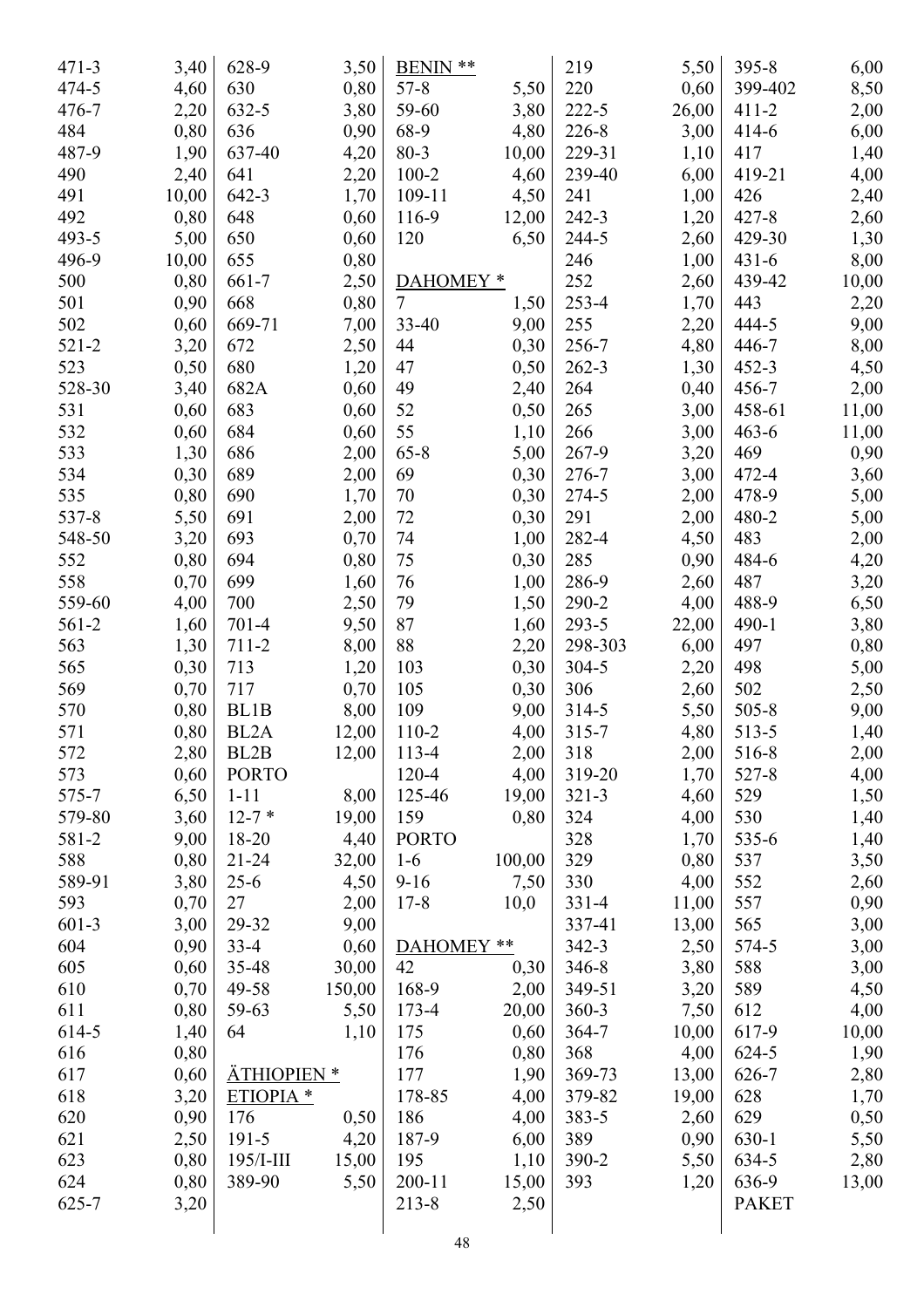| $471 - 3$ | 3,40  | 628-9                | 3,50   | **<br><b>BENIN</b>   |        | 219       | 5,50         | $395 - 8$    | 6,00         |
|-----------|-------|----------------------|--------|----------------------|--------|-----------|--------------|--------------|--------------|
| 474-5     | 4,60  | 630                  | 0,80   | $57 - 8$             | 5,50   | 220       | 0,60         | 399-402      | 8,50         |
| $476 - 7$ | 2,20  | 632-5                | 3,80   | 59-60                | 3,80   | $222 - 5$ | 26,00        | $411 - 2$    | 2,00         |
| 484       | 0,80  | 636                  | 0,90   | 68-9                 | 4,80   | 226-8     | 3,00         | $414 - 6$    | 6,00         |
| 487-9     | 1,90  | 637-40               | 4,20   | $80 - 3$             | 10,00  | 229-31    | 1,10         | 417          | 1,40         |
| 490       | 2,40  | 641                  | 2,20   | $100 - 2$            | 4,60   | 239-40    | 6,00         | 419-21       | 4,00         |
| 491       | 10,00 | 642-3                | 1,70   | $109 - 11$           | 4,50   | 241       | 1,00         | 426          | 2,40         |
| 492       | 0,80  | 648                  | 0,60   | 116-9                | 12,00  | 242-3     | 1,20         | $427 - 8$    | 2,60         |
| 493-5     | 5,00  | 650                  | 0,60   | 120                  | 6,50   | 244-5     | 2,60         | 429-30       | 1,30         |
| 496-9     | 10,00 | 655                  | 0,80   |                      |        | 246       | 1,00         | $431 - 6$    | 8,00         |
| 500       | 0,80  | 661-7                | 2,50   | DAHOMEY <sup>*</sup> |        | 252       | 2,60         | 439-42       | 10,00        |
| 501       | 0,90  | 668                  | 0,80   | $\overline{7}$       | 1,50   | 253-4     | 1,70         | 443          | 2,20         |
| 502       | 0,60  | 669-71               | 7,00   | 33-40                | 9,00   | 255       | 2,20         | 444-5        | 9,00         |
| $521 - 2$ | 3,20  | 672                  | 2,50   | 44                   | 0,30   | 256-7     | 4,80         | 446-7        | 8,00         |
| 523       | 0,50  | 680                  | 1,20   | 47                   | 0,50   | $262 - 3$ | 1,30         | $452 - 3$    | 4,50         |
| 528-30    | 3,40  | 682A                 | 0,60   | 49                   | 2,40   | 264       | 0,40         | 456-7        | 2,00         |
| 531       | 0,60  | 683                  | 0,60   | 52                   | 0,50   | 265       | 3,00         | 458-61       | 11,00        |
| 532       | 0,60  | 684                  | 0,60   | 55                   | 1,10   | 266       | 3,00         | $463 - 6$    | 11,00        |
| 533       | 1,30  | 686                  | 2,00   | $65 - 8$             | 5,00   | 267-9     | 3,20         | 469          | 0,90         |
| 534       | 0,30  | 689                  | 2,00   | 69                   | 0,30   | 276-7     | 3,00         | 472-4        | 3,60         |
| 535       | 0,80  | 690                  | 1,70   | 70                   | 0,30   | 274-5     | 2,00         | 478-9        | 5,00         |
| 537-8     | 5,50  | 691                  | 2,00   | 72                   | 0,30   | 291       | 2,00         | 480-2        | 5,00         |
| 548-50    | 3,20  | 693                  | 0,70   | 74                   | 1,00   | 282-4     | 4,50         | 483          | 2,00         |
| 552       | 0,80  | 694                  | 0,80   | 75                   | 0,30   | 285       | 0,90         | 484-6        | 4,20         |
| 558       | 0,70  | 699                  | 1,60   | 76                   | 1,00   | 286-9     | 2,60         | 487          | 3,20         |
| 559-60    | 4,00  | 700                  | 2,50   | 79                   | 1,50   | 290-2     | 4,00         | 488-9        | 6,50         |
| 561-2     | 1,60  | $701-4$              | 9,50   | 87                   | 1,60   | 293-5     | 22,00        | $490 - 1$    | 3,80         |
| 563       | 1,30  | 711-2                | 8,00   | 88                   | 2,20   | 298-303   | 6,00         | 497          | 0,80         |
| 565       | 0,30  | 713                  | 1,20   | 103                  | 0,30   | 304-5     | 2,20         | 498          | 5,00         |
| 569       | 0,70  | 717                  | 0,70   | 105                  | 0,30   | 306       | 2,60         | 502          | 2,50         |
| 570       | 0,80  | BL1B                 | 8,00   | 109                  | 9,00   | 314-5     | 5,50         | $505 - 8$    | 9,00         |
| 571       | 0,80  | BL2A                 | 12,00  | $110-2$              | 4,00   | $315 - 7$ | 4,80         | 513-5        | 1,40         |
| 572       | 2,80  | BL2B                 | 12,00  | 113-4                | 2,00   | 318       | 2,00         | 516-8        | 2,00         |
| 573       | 0,60  | <b>PORTO</b>         |        | $120 - 4$            | 4,00   | 319-20    | 1,70         | 527-8        | 4,00         |
| 575-7     | 6,50  | $1 - 11$             | 8,00   | 125-46               | 19,00  | $321 - 3$ | 4,60         | 529          | 1,50         |
| 579-80    | 3,60  | $12 - 7*$            | 19,00  | 159                  | 0,80   | 324       | 4,00         | 530          | 1,40         |
| 581-2     | 9,00  | 18-20                | 4,40   | <b>PORTO</b>         |        | 328       | 1,70         | 535-6        | 1,40         |
| 588       | 0,80  | $21 - 24$            | 32,00  | $1-6$                | 100,00 | 329       | 0,80         | 537          |              |
| 589-91    | 3,80  | $25-6$               | 4,50   | $9-16$               | 7,50   | 330       | 4,00         | 552          | 3,50<br>2,60 |
| 593       | 0,70  | 27                   | 2,00   | $17 - 8$             | 10,0   | $331 - 4$ | 11,00        | 557          | 0,90         |
| $601-3$   | 3,00  | 29-32                | 9,00   |                      |        | 337-41    | 13,00        | 565          | 3,00         |
| 604       | 0,90  | $33-4$               | 0,60   | DAHOMEY **           |        | $342 - 3$ | 2,50         | 574-5        |              |
| 605       | 0,60  | 35-48                | 30,00  | 42                   | 0,30   | 346-8     | 3,80         | 588          | 3,00<br>3,00 |
| 610       | 0,70  | 49-58                | 150,00 | 168-9                | 2,00   | 349-51    |              | 589          |              |
| 611       | 0,80  | 59-63                | 5,50   | $173 - 4$            | 20,00  | $360 - 3$ | 3,20<br>7,50 | 612          | 4,50         |
| 614-5     |       | 64                   | 1,10   | 175                  | 0,60   | $364 - 7$ | 10,00        | 617-9        | 4,00         |
|           | 1,40  |                      |        |                      |        |           |              |              | 10,00        |
| 616       | 0,80  |                      |        | 176                  | 0,80   | 368       | 4,00         | 624-5        | 1,90         |
| 617       | 0,60  | ÄTHIOPIEN *          |        | 177                  | 1,90   | 369-73    | 13,00        | 626-7        | 2,80         |
| 618       | 3,20  | ETIOPIA <sup>*</sup> |        | 178-85               | 4,00   | 379-82    | 19,00        | 628          | 1,70         |
| 620       | 0,90  | 176                  | 0,50   | 186                  | 4,00   | 383-5     | 2,60         | 629          | 0,50         |
| 621       | 2,50  | $191 - 5$            | 4,20   | 187-9                | 6,00   | 389       | 0,90         | 630-1        | 5,50         |
| 623       | 0,80  | $195$ /I-III         | 15,00  | 195                  | 1,10   | 390-2     | 5,50         | 634-5        | 2,80         |
| 624       | 0,80  | 389-90               | 5,50   | $200 - 11$           | 15,00  | 393       | 1,20         | 636-9        | 13,00        |
| 625-7     | 3,20  |                      |        | $213 - 8$            | 2,50   |           |              | <b>PAKET</b> |              |
|           |       |                      |        |                      |        |           |              |              |              |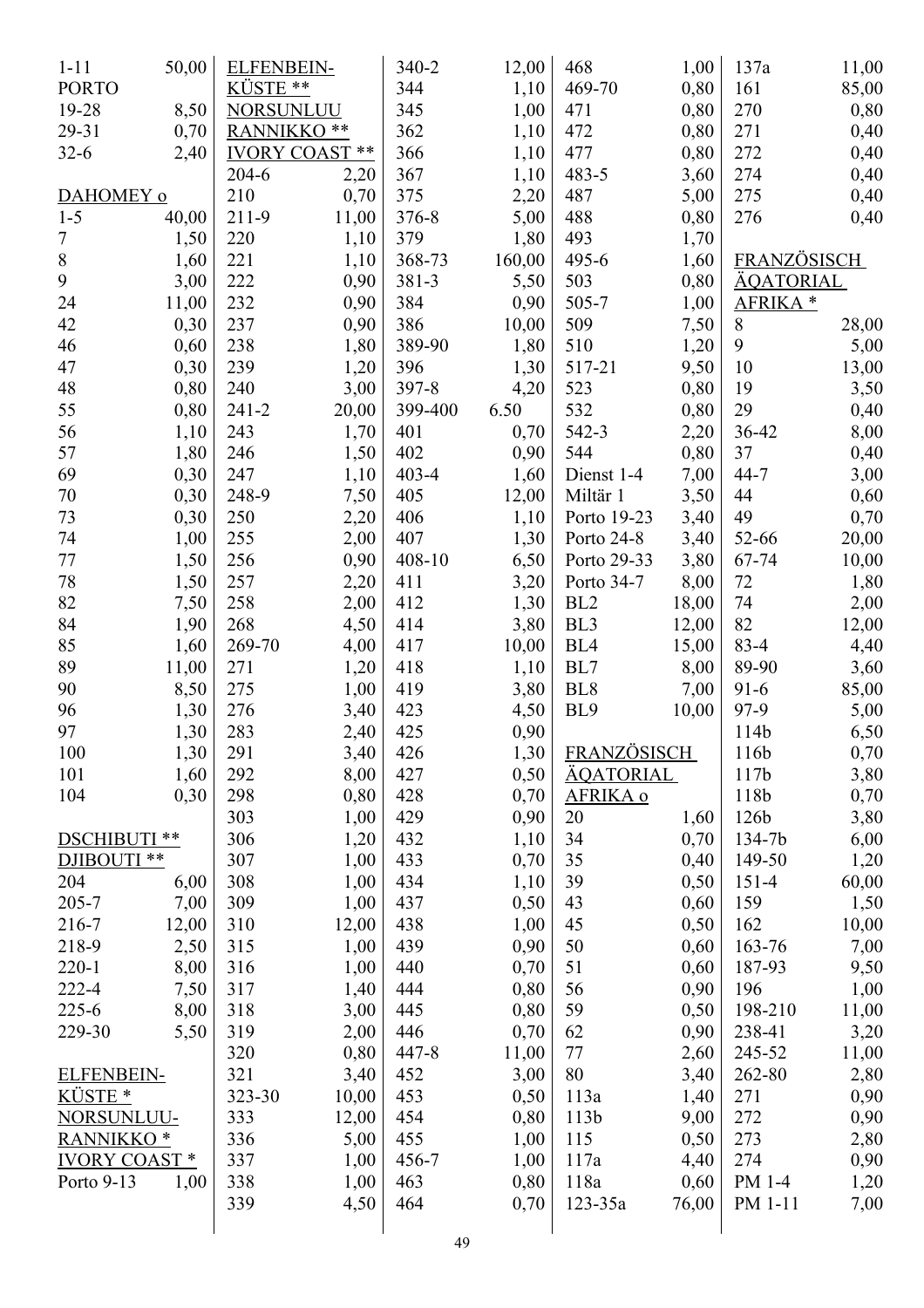| $1 - 11$              | 50,00 | <b>ELFENBEIN-</b> |                       | 340-2     | 12,00  | 468                | 1,00  | 137a                | 11,00 |
|-----------------------|-------|-------------------|-----------------------|-----------|--------|--------------------|-------|---------------------|-------|
| <b>PORTO</b>          |       | KÜSTE **          |                       | 344       | 1,10   | 469-70             | 0,80  | 161                 | 85,00 |
| 19-28                 | 8,50  | NORSUNLUU         |                       | 345       | 1,00   | 471                | 0,80  | 270                 | 0,80  |
| 29-31                 | 0,70  | RANNIKKO **       |                       | 362       | 1,10   | 472                | 0,80  | 271                 | 0,40  |
| $32 - 6$              | 2,40  |                   | <b>IVORY COAST **</b> | 366       | 1,10   | 477                | 0,80  | 272                 | 0,40  |
|                       |       | $204 - 6$         | 2,20                  | 367       | 1,10   | 483-5              | 3,60  | 274                 | 0,40  |
| DAHOMEY o             |       | 210               | 0,70                  | 375       | 2,20   | 487                | 5,00  | 275                 | 0,40  |
| $1 - 5$               | 40,00 | 211-9             | 11,00                 | 376-8     | 5,00   | 488                | 0,80  | 276                 | 0,40  |
| 7                     | 1,50  | 220               | 1,10                  | 379       | 1,80   | 493                | 1,70  |                     |       |
| $8\,$                 | 1,60  | 221               | 1,10                  | 368-73    | 160,00 | 495-6              | 1,60  | FRANZÖSISCH         |       |
| 9                     | 3,00  | 222               | 0,90                  | 381-3     | 5,50   | 503                | 0,80  | <u>ÄQATORIAL</u>    |       |
| 24                    | 11,00 | 232               | 0,90                  | 384       | 0,90   | 505-7              | 1,00  | AFRIKA <sup>*</sup> |       |
| 42                    | 0,30  | 237               | 0,90                  | 386       | 10,00  | 509                | 7,50  | 8                   | 28,00 |
| 46                    | 0,60  | 238               | 1,80                  | 389-90    | 1,80   | 510                | 1,20  | 9                   | 5,00  |
| 47                    | 0,30  | 239               | 1,20                  | 396       | 1,30   | 517-21             | 9,50  | 10                  | 13,00 |
| 48                    | 0,80  | 240               | 3,00                  | 397-8     | 4,20   | 523                | 0,80  | 19                  | 3,50  |
| 55                    | 0,80  | $241 - 2$         | 20,00                 | 399-400   | 6.50   | 532                | 0,80  | 29                  | 0,40  |
| 56                    | 1,10  | 243               | 1,70                  | 401       | 0,70   | 542-3              | 2,20  | 36-42               | 8,00  |
| 57                    | 1,80  | 246               | 1,50                  | 402       | 0,90   | 544                | 0,80  | 37                  | 0,40  |
| 69                    | 0,30  | 247               | 1,10                  | $403 - 4$ | 1,60   | Dienst 1-4         | 7,00  | $44 - 7$            | 3,00  |
| 70                    | 0,30  | 248-9             | 7,50                  | 405       | 12,00  | Miltär 1           | 3,50  | 44                  | 0,60  |
| 73                    | 0,30  | 250               | 2,20                  | 406       | 1,10   | Porto 19-23        | 3,40  | 49                  | 0,70  |
| 74                    | 1,00  | 255               | 2,00                  | 407       | 1,30   | Porto 24-8         | 3,40  | 52-66               | 20,00 |
| 77                    | 1,50  | 256               | 0,90                  | 408-10    | 6,50   | Porto 29-33        | 3,80  | 67-74               | 10,00 |
| 78                    | 1,50  | 257               | 2,20                  | 411       | 3,20   | Porto 34-7         | 8,00  | 72                  | 1,80  |
| 82                    | 7,50  | 258               | 2,00                  | 412       | 1,30   | BL <sub>2</sub>    | 18,00 | 74                  |       |
| 84                    | 1,90  | 268               | 4,50                  | 414       | 3,80   | BL <sub>3</sub>    |       | 82                  | 2,00  |
|                       |       |                   |                       |           |        |                    | 12,00 | $83 - 4$            | 12,00 |
| 85                    | 1,60  | 269-70            | 4,00                  | 417       | 10,00  | BL <sub>4</sub>    | 15,00 |                     | 4,40  |
| 89                    | 11,00 | 271               | 1,20                  | 418       | 1,10   | BL7                | 8,00  | 89-90               | 3,60  |
| 90                    | 8,50  | 275               | 1,00                  | 419       | 3,80   | BL <sub>8</sub>    | 7,00  | $91 - 6$            | 85,00 |
| 96                    | 1,30  | 276               | 3,40                  | 423       | 4,50   | BL <sub>9</sub>    | 10,00 | 97-9                | 5,00  |
| 97                    | 1,30  | 283               | 2,40                  | 425       | 0,90   |                    |       | 114b                | 6,50  |
| 100                   | 1,30  | 291               | 3,40                  | 426       | 1,30   | <b>FRANZÖSISCH</b> |       | 116b                | 0,70  |
| 101                   | 1,60  | 292               | 8,00                  | 427       | 0,50   | <u>ÄQATORIAL</u>   |       | 117b                | 3,80  |
| 104                   | 0,30  | 298               | 0,80                  | 428       | 0,70   | AFRIKA o           |       | 118b                | 0,70  |
|                       |       | 303               | 1,00                  | 429       | 0,90   | 20                 | 1,60  | 126b                | 3,80  |
| DSCHIBUTI **          |       | 306               | 1,20                  | 432       | 1,10   | 34                 | 0,70  | 134-7b              | 6,00  |
| DJIBOUTI **           |       | 307               | 1,00                  | 433       | 0,70   | 35                 | 0,40  | 149-50              | 1,20  |
| 204                   | 6,00  | 308               | 1,00                  | 434       | 1,10   | 39                 | 0,50  | $151 - 4$           | 60,00 |
| 205-7                 | 7,00  | 309               | 1,00                  | 437       | 0,50   | 43                 | 0,60  | 159                 | 1,50  |
| 216-7                 | 12,00 | 310               | 12,00                 | 438       | 1,00   | 45                 | 0,50  | 162                 | 10,00 |
| 218-9                 | 2,50  | 315               | 1,00                  | 439       | 0,90   | 50                 | 0,60  | 163-76              | 7,00  |
| $220 - 1$             | 8,00  | 316               | 1,00                  | 440       | 0,70   | 51                 | 0,60  | 187-93              | 9,50  |
| 222-4                 | 7,50  | 317               | 1,40                  | 444       | 0,80   | 56                 | 0,90  | 196                 | 1,00  |
| $225 - 6$             | 8,00  | 318               | 3,00                  | 445       | 0,80   | 59                 | 0,50  | 198-210             | 11,00 |
| 229-30                | 5,50  | 319               | 2,00                  | 446       | 0,70   | 62                 | 0,90  | 238-41              | 3,20  |
|                       |       | 320               | 0,80                  | 447-8     | 11,00  | 77                 | 2,60  | 245-52              | 11,00 |
| <b>ELFENBEIN-</b>     |       | 321               | 3,40                  | 452       | 3,00   | 80                 | 3,40  | 262-80              | 2,80  |
| KÜSTE <sup>*</sup>    |       | 323-30            | 10,00                 | 453       | 0,50   | 113a               | 1,40  | 271                 | 0,90  |
| NORSUNLUU-            |       | 333               | 12,00                 | 454       | 0,80   | 113b               | 9,00  | 272                 | 0,90  |
| RANNIKKO <sup>*</sup> |       | 336               | 5,00                  | 455       | 1,00   | 115                | 0,50  | 273                 | 2,80  |
| <b>IVORY COAST*</b>   |       | 337               | 1,00                  | 456-7     | 1,00   | 117a               | 4,40  | 274                 | 0,90  |
| Porto 9-13            | 1,00  | 338               | 1,00                  | 463       | 0,80   | 118a               | 0,60  | PM 1-4              | 1,20  |
|                       |       | 339               | 4,50                  | 464       | 0,70   | $123 - 35a$        | 76,00 | PM 1-11             | 7,00  |
|                       |       |                   |                       |           |        |                    |       |                     |       |
|                       |       |                   |                       | 49        |        |                    |       |                     |       |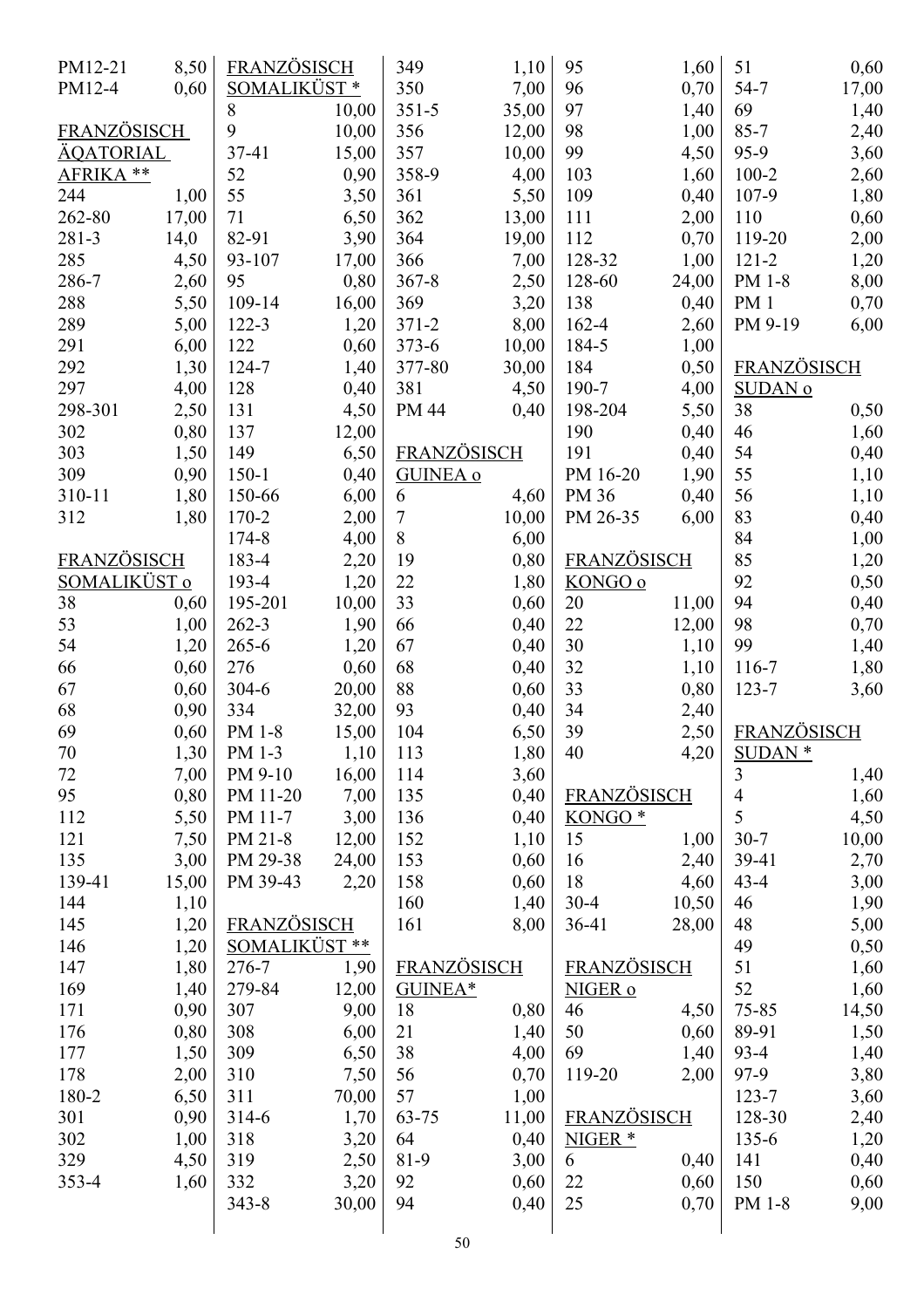| PM12-21      | 8,50  | <u>FRANZÖSISCH</u> |       | 349             | 1,10  | 95                 | 1,60  | 51                        | 0,60         |
|--------------|-------|--------------------|-------|-----------------|-------|--------------------|-------|---------------------------|--------------|
| PM12-4       | 0,60  | SOMALIKÜST*        |       | 350             | 7,00  | 96                 | 0,70  | $54 - 7$                  | 17,00        |
|              |       | 8                  | 10,00 | $351 - 5$       | 35,00 | 97                 | 1,40  | 69                        | 1,40         |
| FRANZÖSISCH  |       | 9                  | 10,00 | 356             | 12,00 | 98                 | 1,00  | $85 - 7$                  | 2,40         |
| ÄQATORIAL    |       | 37-41              | 15,00 | 357             | 10,00 | 99                 | 4,50  | 95-9                      | 3,60         |
| AFRIKA **    |       | 52                 | 0,90  | 358-9           | 4,00  | 103                | 1,60  | $100 - 2$                 | 2,60         |
| 244          | 1,00  | 55                 | 3,50  | 361             | 5,50  | 109                | 0,40  | 107-9                     | 1,80         |
| 262-80       | 17,00 | 71                 | 6,50  | 362             | 13,00 | 111                | 2,00  | 110                       | 0,60         |
| 281-3        | 14,0  | 82-91              | 3,90  | 364             | 19,00 | 112                | 0,70  | 119-20                    | 2,00         |
| 285          | 4,50  | 93-107             | 17,00 | 366             | 7,00  | 128-32             | 1,00  | $121 - 2$                 | 1,20         |
| 286-7        | 2,60  | 95                 | 0,80  | $367 - 8$       | 2,50  | 128-60             | 24,00 | PM 1-8                    | 8,00         |
| 288          | 5,50  | 109-14             | 16,00 | 369             | 3,20  | 138                | 0,40  | PM <sub>1</sub>           | 0,70         |
| 289          | 5,00  | 122-3              | 1,20  | $371 - 2$       | 8,00  | 162-4              | 2,60  | PM 9-19                   | 6,00         |
| 291          | 6,00  | 122                | 0,60  | $373 - 6$       | 10,00 | 184-5              | 1,00  |                           |              |
| 292          | 1,30  | 124-7              | 1,40  | 377-80          | 30,00 | 184                | 0,50  | <b>FRANZÖSISCH</b>        |              |
| 297          | 4,00  | 128                | 0,40  | 381             | 4,50  | 190-7              | 4,00  | <b>SUDAN</b> <sub>0</sub> |              |
| 298-301      | 2,50  | 131                | 4,50  | PM 44           | 0,40  | 198-204            | 5,50  | 38                        | 0,50         |
| 302          | 0,80  | 137                | 12,00 |                 |       | 190                | 0,40  | 46                        | 1,60         |
| 303          | 1,50  | 149                | 6,50  | FRANZÖSISCH     |       | 191                | 0,40  | 54                        | 0,40         |
| 309          | 0,90  | $150 - 1$          | 0,40  | <b>GUINEA o</b> |       | PM 16-20           | 1,90  | 55                        | 1,10         |
| 310-11       | 1,80  | 150-66             | 6,00  | 6               | 4,60  | PM 36              | 0,40  | 56                        | 1,10         |
| 312          | 1,80  | 170-2              | 2,00  | 7               | 10,00 | PM 26-35           | 6,00  | 83                        | 0,40         |
|              |       | 174-8              | 4,00  | 8               | 6,00  |                    |       | 84                        | 1,00         |
| FRANZÖSISCH  |       | 183-4              | 2,20  | 19              | 0,80  | <b>FRANZÖSISCH</b> |       | 85                        | 1,20         |
| SOMALIKÜST o |       | 193-4              | 1,20  | 22              | 1,80  | KONGO o            |       | 92                        | 0,50         |
| 38           | 0,60  | 195-201            | 10,00 | 33              | 0,60  | 20                 | 11,00 | 94                        | 0,40         |
| 53           | 1,00  | $262 - 3$          | 1,90  | 66              | 0,40  | 22                 | 12,00 | 98                        | 0,70         |
| 54           | 1,20  | $265 - 6$          | 1,20  | 67              | 0,40  | 30                 | 1,10  | 99                        | 1,40         |
| 66           | 0,60  | 276                | 0,60  | 68              | 0,40  | 32                 | 1,10  | 116-7                     | 1,80         |
| 67           | 0,60  | $304 - 6$          | 20,00 | 88              | 0,60  | 33                 | 0,80  | 123-7                     | 3,60         |
| 68           | 0,90  | 334                | 32,00 | 93              | 0,40  | 34                 | 2,40  |                           |              |
| 69           | 0,60  | PM 1-8             | 15,00 | 104             | 6,50  | 39                 | 2,50  | FRANZÖSISCH               |              |
| $70\,$       | 1,30  | PM 1-3             | 1,10  | 113             | 1,80  | 40                 | 4,20  | <b>SUDAN</b> *            |              |
| 72           | 7,00  | PM 9-10            | 16,00 | 114             | 3,60  |                    |       | $\mathfrak{Z}$            | 1,40         |
| 95           | 0,80  | PM 11-20           | 7,00  | 135             | 0,40  | FRANZÖSISCH        |       | $\overline{4}$            | 1,60         |
| 112          | 5,50  | PM 11-7            | 3,00  | 136             | 0,40  | KONGO <sup>*</sup> |       | 5                         | 4,50         |
| 121          | 7,50  | PM 21-8            | 12,00 | 152             | 1,10  | 15                 | 1,00  | $30 - 7$                  | 10,00        |
| 135          | 3,00  | PM 29-38           | 24,00 | 153             | 0,60  | 16                 | 2,40  | 39-41                     | 2,70         |
| 139-41       | 15,00 | PM 39-43           | 2,20  | 158             | 0,60  | 18                 | 4,60  | $43 - 4$                  | 3,00         |
| 144          | 1,10  |                    |       | 160             | 1,40  | $30 - 4$           | 10,50 | 46                        | 1,90         |
| 145          | 1,20  | <b>FRANZÖSISCH</b> |       | 161             | 8,00  | $36-41$            | 28,00 | 48                        | 5,00         |
| 146          | 1,20  | SOMALIKÜST**       |       |                 |       |                    |       | 49                        | 0,50         |
| 147          | 1,80  | 276-7              | 1,90  | FRANZÖSISCH     |       | <b>FRANZÖSISCH</b> |       | 51                        | 1,60         |
| 169          | 1,40  | 279-84             | 12,00 | GUINEA*         |       | NIGER o            |       | 52                        | 1,60         |
| 171          | 0,90  | 307                | 9,00  | 18              | 0,80  | 46                 | 4,50  | 75-85                     | 14,50        |
| 176          | 0,80  | 308                | 6,00  | 21              | 1,40  | 50                 | 0,60  | 89-91                     | 1,50         |
| 177          | 1,50  | 309                | 6,50  | 38              | 4,00  | 69                 | 1,40  | $93 - 4$                  | 1,40         |
| 178          | 2,00  | 310                | 7,50  | 56              | 0,70  | 119-20             | 2,00  | 97-9                      | 3,80         |
| 180-2        | 6,50  | 311                | 70,00 | 57              | 1,00  |                    |       | $123 - 7$                 | 3,60         |
| 301          | 0,90  | $314-6$            | 1,70  | 63-75           | 11,00 | <b>FRANZÖSISCH</b> |       | 128-30                    |              |
| 302          | 1,00  | 318                | 3,20  | 64              | 0,40  | NIGER <sup>*</sup> |       | 135-6                     | 2,40<br>1,20 |
| 329          | 4,50  | 319                | 2,50  | 81-9            | 3,00  | 6                  | 0,40  | 141                       | 0,40         |
| $353 - 4$    | 1,60  | 332                | 3,20  | 92              | 0,60  | 22                 | 0,60  | 150                       | 0,60         |
|              |       | $343 - 8$          | 30,00 | 94              | 0,40  | 25                 | 0,70  | PM 1-8                    | 9,00         |
|              |       |                    |       |                 |       |                    |       |                           |              |
|              |       |                    |       |                 |       |                    |       |                           |              |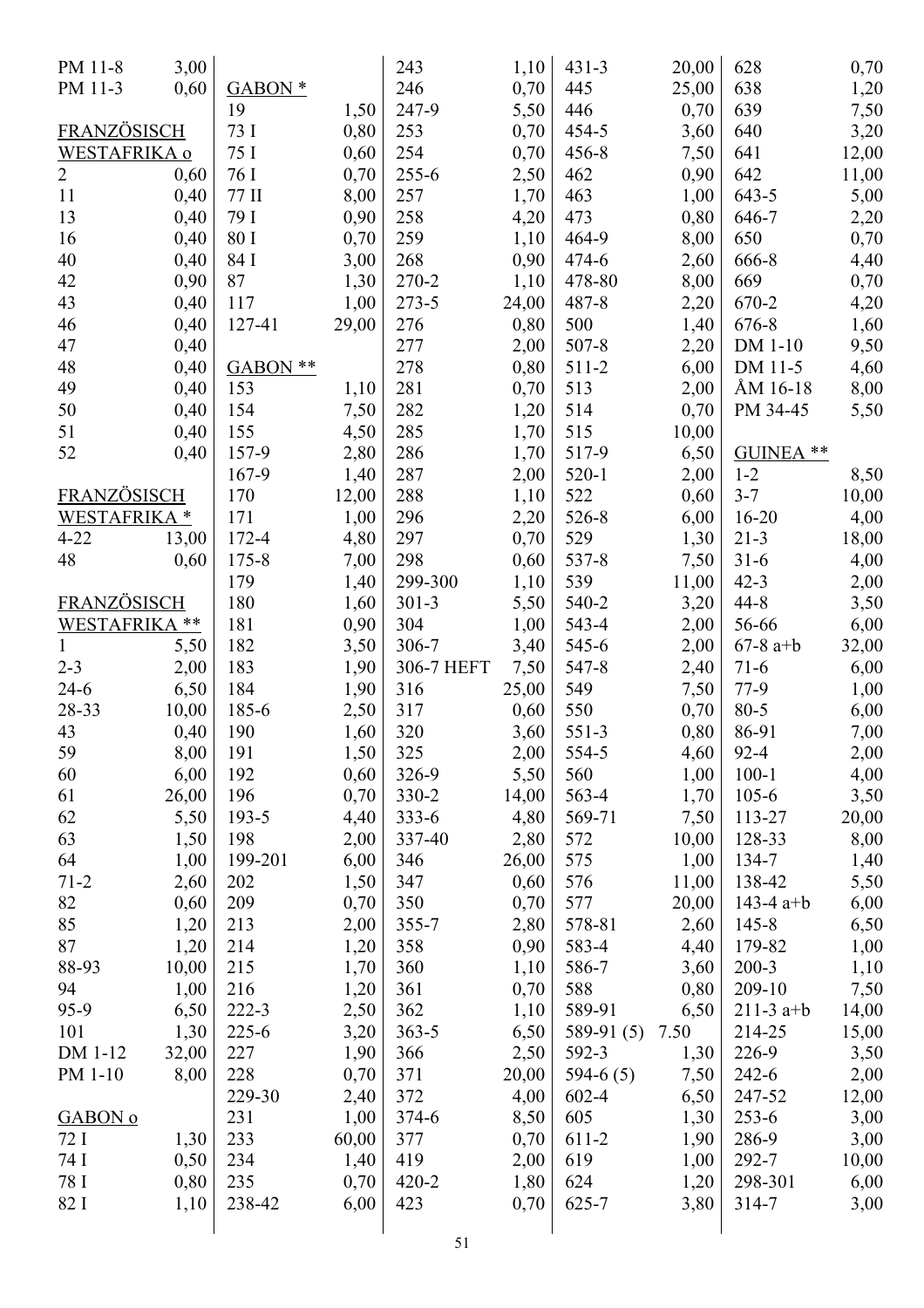| PM 11-8             | 3,00  |                     |       | 243        | 1,10  | $431 - 3$    | 20,00 | 628         | 0,70  |
|---------------------|-------|---------------------|-------|------------|-------|--------------|-------|-------------|-------|
| PM 11-3             | 0,60  | $GABON*$            |       | 246        | 0,70  | 445          | 25,00 | 638         | 1,20  |
|                     |       | 19                  | 1,50  | 247-9      | 5,50  | 446          | 0,70  | 639         | 7,50  |
| FRANZÖSISCH         |       | 73 I                | 0,80  | 253        | 0,70  | 454-5        | 3,60  | 640         | 3,20  |
| <b>WESTAFRIKA o</b> |       | 75 I                | 0,60  | 254        | 0,70  | $456 - 8$    | 7,50  | 641         | 12,00 |
| $\overline{2}$      | 0,60  | 76 I                | 0,70  | $255 - 6$  | 2,50  | 462          | 0,90  | 642         | 11,00 |
| 11                  | 0,40  | 77 II               | 8,00  | 257        | 1,70  | 463          | 1,00  | $643 - 5$   | 5,00  |
| 13                  | 0,40  | 79 I                | 0,90  | 258        | 4,20  | 473          | 0,80  | 646-7       | 2,20  |
| 16                  | 0,40  | 80 I                | 0,70  | 259        | 1,10  | 464-9        | 8,00  | 650         | 0,70  |
| 40                  | 0,40  | 84 I                | 3,00  | 268        | 0,90  | 474-6        | 2,60  | 666-8       | 4,40  |
| 42                  | 0,90  | 87                  | 1,30  | 270-2      | 1,10  | 478-80       | 8,00  | 669         | 0,70  |
| 43                  | 0,40  | 117                 | 1,00  | 273-5      | 24,00 | $487 - 8$    | 2,20  | 670-2       | 4,20  |
| 46                  | 0,40  | 127-41              | 29,00 | 276        | 0,80  | 500          | 1,40  | 676-8       | 1,60  |
| 47                  | 0,40  |                     |       | 277        | 2,00  | 507-8        | 2,20  | DM 1-10     | 9,50  |
| 48                  | 0,40  | GABON <sup>**</sup> |       | 278        | 0,80  | $511-2$      | 6,00  | DM 11-5     | 4,60  |
| 49                  | 0,40  | 153                 | 1,10  | 281        | 0,70  | 513          | 2,00  | ÅM 16-18    | 8,00  |
| 50                  | 0,40  | 154                 | 7,50  | 282        | 1,20  | 514          | 0,70  | PM 34-45    | 5,50  |
| 51                  | 0,40  | 155                 | 4,50  | 285        | 1,70  | 515          | 10,00 |             |       |
| 52                  | 0,40  | 157-9               | 2,80  | 286        | 1,70  | 517-9        | 6,50  | GUINEA **   |       |
|                     |       | 167-9               | 1,40  | 287        | 2,00  | $520 - 1$    | 2,00  | $1 - 2$     | 8,50  |
| <b>FRANZÖSISCH</b>  |       | 170                 | 12,00 | 288        | 1,10  | 522          | 0,60  | $3 - 7$     | 10,00 |
| WESTAFRIKA*         |       | 171                 | 1,00  | 296        | 2,20  | 526-8        | 6,00  | $16 - 20$   | 4,00  |
| $4 - 22$            | 13,00 | 172-4               | 4,80  | 297        | 0,70  | 529          | 1,30  | $21 - 3$    | 18,00 |
| 48                  | 0,60  | 175-8               | 7,00  | 298        | 0,60  | 537-8        | 7,50  | $31 - 6$    | 4,00  |
|                     |       | 179                 | 1,40  | 299-300    | 1,10  | 539          | 11,00 | $42 - 3$    | 2,00  |
| <b>FRANZÖSISCH</b>  |       | 180                 | 1,60  | $301 - 3$  | 5,50  | 540-2        | 3,20  | 44-8        | 3,50  |
| WESTAFRIKA **       |       | 181                 | 0,90  | 304        |       | 543-4        |       |             |       |
|                     |       |                     |       |            | 1,00  |              | 2,00  | 56-66       | 6,00  |
| $\mathbf{1}$        | 5,50  | 182                 | 3,50  | 306-7      | 3,40  | 545-6        | 2,00  | $67-8$ a+b  | 32,00 |
| $2 - 3$             | 2,00  | 183                 | 1,90  | 306-7 HEFT | 7,50  | 547-8        | 2,40  | $71-6$      | 6,00  |
| $24-6$              | 6,50  | 184                 | 1,90  | 316        | 25,00 | 549          | 7,50  | 77-9        | 1,00  |
| 28-33               | 10,00 | 185-6               | 2,50  | 317        | 0,60  | 550          | 0,70  | $80 - 5$    | 6,00  |
| 43                  | 0,40  | 190                 | 1,60  | 320        | 3,60  | 551-3        | 0,80  | 86-91       | 7,00  |
| 59                  | 8,00  | 191                 | 1,50  | 325        | 2,00  | 554-5        | 4,60  | $92 - 4$    | 2,00  |
| 60                  | 6,00  | 192                 | 0,60  | 326-9      | 5,50  | 560          | 1,00  | $100 - 1$   | 4,00  |
| 61                  | 26,00 | 196                 | 0,70  | 330-2      | 14,00 | 563-4        | 1,70  | $105 - 6$   | 3,50  |
| 62                  | 5,50  | 193-5               | 4,40  | $333 - 6$  | 4,80  | 569-71       | 7,50  | 113-27      | 20,00 |
| 63                  | 1,50  | 198                 | 2,00  | 337-40     | 2,80  | 572          | 10,00 | 128-33      | 8,00  |
| 64                  | 1,00  | 199-201             | 6,00  | 346        | 26,00 | 575          | 1,00  | 134-7       | 1,40  |
| $71 - 2$            | 2,60  | 202                 | 1,50  | 347        | 0,60  | 576          | 11,00 | 138-42      | 5,50  |
| 82                  | 0,60  | 209                 | 0,70  | 350        | 0,70  | 577          | 20,00 | 143-4 $a+b$ | 6,00  |
| 85                  | 1,20  | 213                 | 2,00  | $355 - 7$  | 2,80  | 578-81       | 2,60  | $145 - 8$   | 6,50  |
| 87                  | 1,20  | 214                 | 1,20  | 358        | 0,90  | 583-4        | 4,40  | 179-82      | 1,00  |
| 88-93               | 10,00 | 215                 | 1,70  | 360        | 1,10  | 586-7        | 3,60  | $200 - 3$   | 1,10  |
| 94                  | 1,00  | 216                 | 1,20  | 361        | 0,70  | 588          | 0,80  | 209-10      | 7,50  |
| 95-9                | 6,50  | $222 - 3$           | 2,50  | 362        | 1,10  | 589-91       | 6,50  | $211-3$ a+b | 14,00 |
| 101                 | 1,30  | $225 - 6$           | 3,20  | $363 - 5$  | 6,50  | 589-91 $(5)$ | 7.50  | 214-25      | 15,00 |
| DM 1-12             | 32,00 | 227                 | 1,90  | 366        | 2,50  | 592-3        | 1,30  | 226-9       | 3,50  |
| PM 1-10             | 8,00  | 228                 | 0,70  | 371        | 20,00 | 594-6 $(5)$  | 7,50  | $242 - 6$   | 2,00  |
|                     |       | 229-30              | 2,40  | 372        | 4,00  | 602-4        | 6,50  | 247-52      | 12,00 |
| GABON <sub>0</sub>  |       | 231                 | 1,00  | $374 - 6$  | 8,50  | 605          | 1,30  | $253 - 6$   | 3,00  |
| 72 I                | 1,30  | 233                 | 60,00 | 377        | 0,70  | $611-2$      | 1,90  | 286-9       | 3,00  |
| 74 I                | 0,50  | 234                 | 1,40  | 419        | 2,00  | 619          | 1,00  | 292-7       | 10,00 |
| 78 I                | 0,80  | 235                 | 0,70  | 420-2      | 1,80  | 624          | 1,20  | 298-301     | 6,00  |
| 82 I                | 1,10  | 238-42              | 6,00  | 423        | 0,70  | $625 - 7$    | 3,80  | 314-7       | 3,00  |
|                     |       |                     |       |            |       |              |       |             |       |
|                     |       |                     |       | 51         |       |              |       |             |       |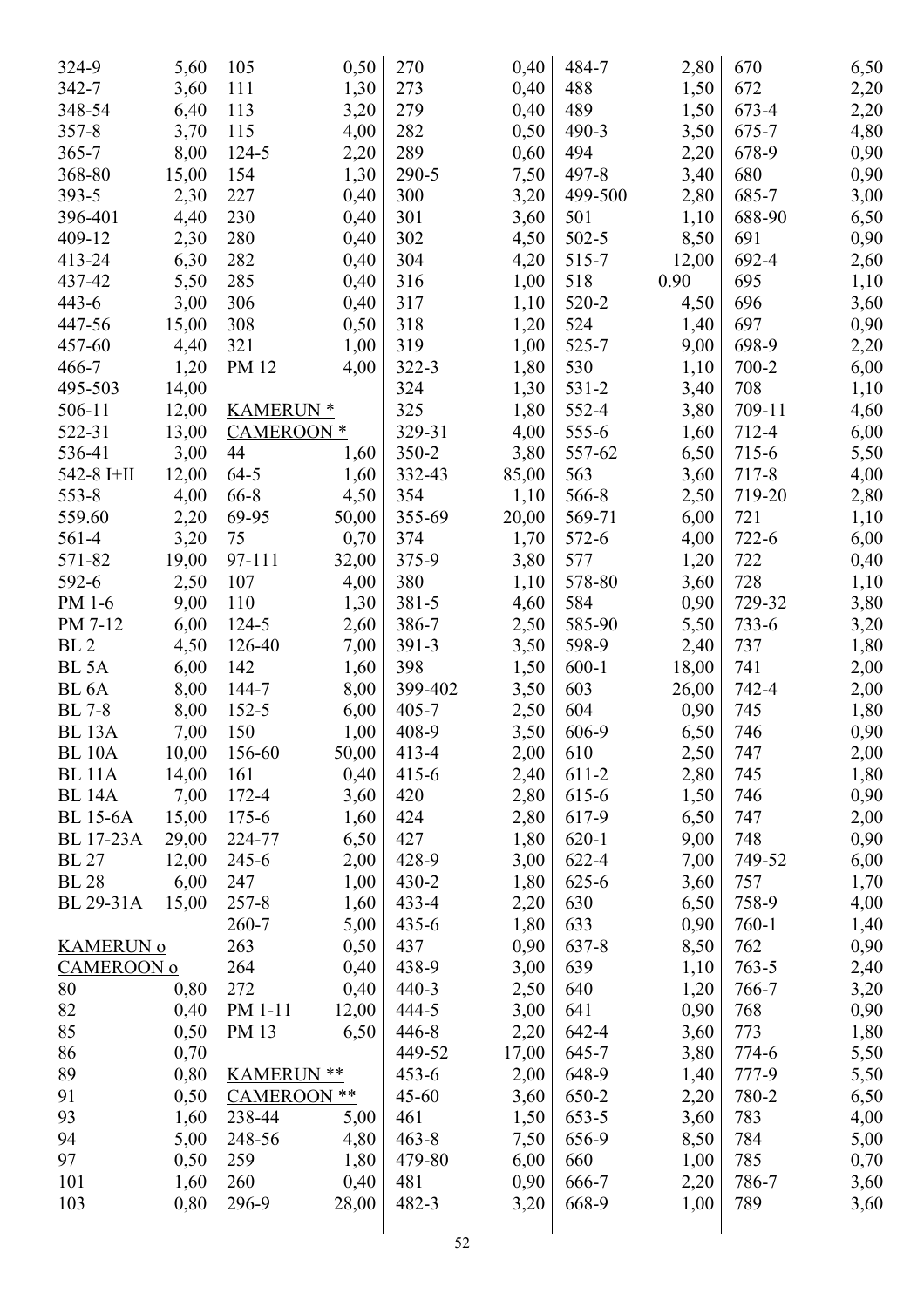| 324-9             | 5,60  | 105                | 0,50  | 270       | 0,40  | 484-7     | 2,80  | 670       | 6,50 |
|-------------------|-------|--------------------|-------|-----------|-------|-----------|-------|-----------|------|
| $342 - 7$         | 3,60  | 111                | 1,30  | 273       | 0,40  | 488       | 1,50  | 672       | 2,20 |
| 348-54            | 6,40  | 113                | 3,20  | 279       | 0,40  | 489       | 1,50  | 673-4     | 2,20 |
| $357 - 8$         | 3,70  | 115                | 4,00  | 282       | 0,50  | 490-3     | 3,50  | 675-7     | 4,80 |
| $365 - 7$         | 8,00  | 124-5              | 2,20  | 289       | 0,60  | 494       | 2,20  | 678-9     | 0,90 |
| 368-80            | 15,00 | 154                | 1,30  | 290-5     | 7,50  | 497-8     | 3,40  | 680       | 0,90 |
| 393-5             | 2,30  | 227                | 0,40  | 300       | 3,20  | 499-500   | 2,80  | 685-7     | 3,00 |
| 396-401           | 4,40  | 230                | 0,40  | 301       | 3,60  | 501       | 1,10  | 688-90    | 6,50 |
| 409-12            | 2,30  | 280                | 0,40  | 302       | 4,50  | 502-5     | 8,50  | 691       | 0,90 |
| 413-24            | 6,30  | 282                | 0,40  | 304       | 4,20  | 515-7     | 12,00 | 692-4     | 2,60 |
| 437-42            | 5,50  | 285                | 0,40  | 316       | 1,00  | 518       | 0.90  | 695       | 1,10 |
| $443 - 6$         | 3,00  | 306                | 0,40  | 317       | 1,10  | 520-2     | 4,50  | 696       | 3,60 |
| 447-56            | 15,00 | 308                | 0,50  | 318       | 1,20  | 524       | 1,40  | 697       | 0,90 |
| 457-60            | 4,40  | 321                | 1,00  | 319       | 1,00  | 525-7     | 9,00  | 698-9     | 2,20 |
| 466-7             | 1,20  | PM 12              | 4,00  | 322-3     | 1,80  | 530       | 1,10  | 700-2     | 6,00 |
| 495-503           | 14,00 |                    |       | 324       | 1,30  | $531 - 2$ | 3,40  | 708       | 1,10 |
| 506-11            | 12,00 | <b>KAMERUN *</b>   |       | 325       | 1,80  | 552-4     | 3,80  | 709-11    | 4,60 |
| 522-31            | 13,00 | <b>CAMEROON</b> *  |       | 329-31    | 4,00  | 555-6     | 1,60  | 712-4     | 6,00 |
| 536-41            | 3,00  | 44                 | 1,60  | 350-2     | 3,80  | 557-62    | 6,50  | 715-6     | 5,50 |
| 542-8 I+II        | 12,00 | $64 - 5$           | 1,60  | 332-43    | 85,00 | 563       | 3,60  | 717-8     | 4,00 |
| $553 - 8$         | 4,00  | 66-8               | 4,50  | 354       | 1,10  | 566-8     | 2,50  | 719-20    | 2,80 |
| 559.60            | 2,20  | 69-95              | 50,00 | 355-69    | 20,00 | 569-71    | 6,00  | 721       | 1,10 |
| 561-4             | 3,20  | 75                 | 0,70  | 374       | 1,70  | 572-6     | 4,00  | 722-6     | 6,00 |
| 571-82            | 19,00 | 97-111             | 32,00 | 375-9     | 3,80  | 577       | 1,20  | 722       | 0,40 |
| 592-6             | 2,50  | 107                | 4,00  | 380       |       | 578-80    | 3,60  | 728       |      |
| PM 1-6            | 9,00  | 110                |       | 381-5     | 1,10  | 584       |       | 729-32    | 1,10 |
|                   |       |                    | 1,30  |           | 4,60  | 585-90    | 0,90  |           | 3,80 |
| PM 7-12           | 6,00  | 124-5              | 2,60  | 386-7     | 2,50  |           | 5,50  | 733-6     | 3,20 |
| BL <sub>2</sub>   | 4,50  | 126-40             | 7,00  | 391-3     | 3,50  | 598-9     | 2,40  | 737       | 1,80 |
| BL <sub>5A</sub>  | 6,00  | 142                | 1,60  | 398       | 1,50  | $600 - 1$ | 18,00 | 741       | 2,00 |
| BL <sub>6</sub> A | 8,00  | 144-7              | 8,00  | 399-402   | 3,50  | 603       | 26,00 | 742-4     | 2,00 |
| <b>BL</b> 7-8     | 8,00  | $152 - 5$          | 6,00  | $405 - 7$ | 2,50  | 604       | 0,90  | 745       | 1,80 |
| <b>BL</b> 13A     | 7,00  | 150                | 1,00  | 408-9     | 3,50  | 606-9     | 6,50  | 746       | 0,90 |
| <b>BL</b> 10A     | 10,00 | 156-60             | 50,00 | 413-4     | 2,00  | 610       | 2,50  | 747       | 2,00 |
| <b>BL</b> 11A     | 14,00 | 161                | 0,40  | $415 - 6$ | 2,40  | 611-2     | 2,80  | 745       | 1,80 |
| <b>BL</b> 14A     | 7,00  | 172-4              | 3,60  | 420       | 2,80  | 615-6     | 1,50  | 746       | 0,90 |
| <b>BL</b> 15-6A   | 15,00 | $175 - 6$          | 1,60  | 424       | 2,80  | 617-9     | 6,50  | 747       | 2,00 |
| <b>BL</b> 17-23A  | 29,00 | 224-77             | 6,50  | 427       | 1,80  | $620 - 1$ | 9,00  | 748       | 0,90 |
| <b>BL</b> 27      | 12,00 | $245 - 6$          | 2,00  | 428-9     | 3,00  | 622-4     | 7,00  | 749-52    | 6,00 |
| <b>BL</b> 28      | 6,00  | 247                | 1,00  | $430 - 2$ | 1,80  | $625 - 6$ | 3,60  | 757       | 1,70 |
| BL 29-31A         | 15,00 | $257 - 8$          | 1,60  | 433-4     | 2,20  | 630       | 6,50  | 758-9     | 4,00 |
|                   |       | $260 - 7$          | 5,00  | $435 - 6$ | 1,80  | 633       | 0,90  | $760 - 1$ | 1,40 |
| <b>KAMERUN o</b>  |       | 263                | 0,50  | 437       | 0,90  | 637-8     | 8,50  | 762       | 0,90 |
| CAMEROON o        |       | 264                | 0,40  | 438-9     | 3,00  | 639       | 1,10  | $763 - 5$ | 2,40 |
| 80                | 0,80  | 272                | 0,40  | $440 - 3$ | 2,50  | 640       | 1,20  | 766-7     | 3,20 |
| 82                | 0,40  | PM 1-11            | 12,00 | 444-5     | 3,00  | 641       | 0,90  | 768       | 0,90 |
| 85                | 0,50  | PM 13              | 6,50  | $446 - 8$ | 2,20  | 642-4     | 3,60  | 773       | 1,80 |
| 86                | 0,70  |                    |       | 449-52    | 17,00 | 645-7     | 3,80  | 774-6     | 5,50 |
| 89                | 0,80  | <b>KAMERUN **</b>  |       | $453 - 6$ | 2,00  | 648-9     | 1,40  | 777-9     | 5,50 |
| 91                | 0,50  | <b>CAMEROON **</b> |       | $45 - 60$ | 3,60  | 650-2     | 2,20  | 780-2     | 6,50 |
| 93                | 1,60  | 238-44             | 5,00  | 461       | 1,50  | 653-5     | 3,60  | 783       | 4,00 |
| 94                | 5,00  | 248-56             | 4,80  | $463 - 8$ | 7,50  | 656-9     | 8,50  | 784       | 5,00 |
| 97                | 0,50  | 259                | 1,80  | 479-80    | 6,00  | 660       | 1,00  | 785       | 0,70 |
| 101               | 1,60  | 260                | 0,40  | 481       | 0,90  | 666-7     | 2,20  | 786-7     | 3,60 |
| 103               | 0,80  | 296-9              | 28,00 | 482-3     | 3,20  | 668-9     | 1,00  | 789       | 3,60 |
|                   |       |                    |       |           |       |           |       |           |      |
|                   |       |                    |       | 52        |       |           |       |           |      |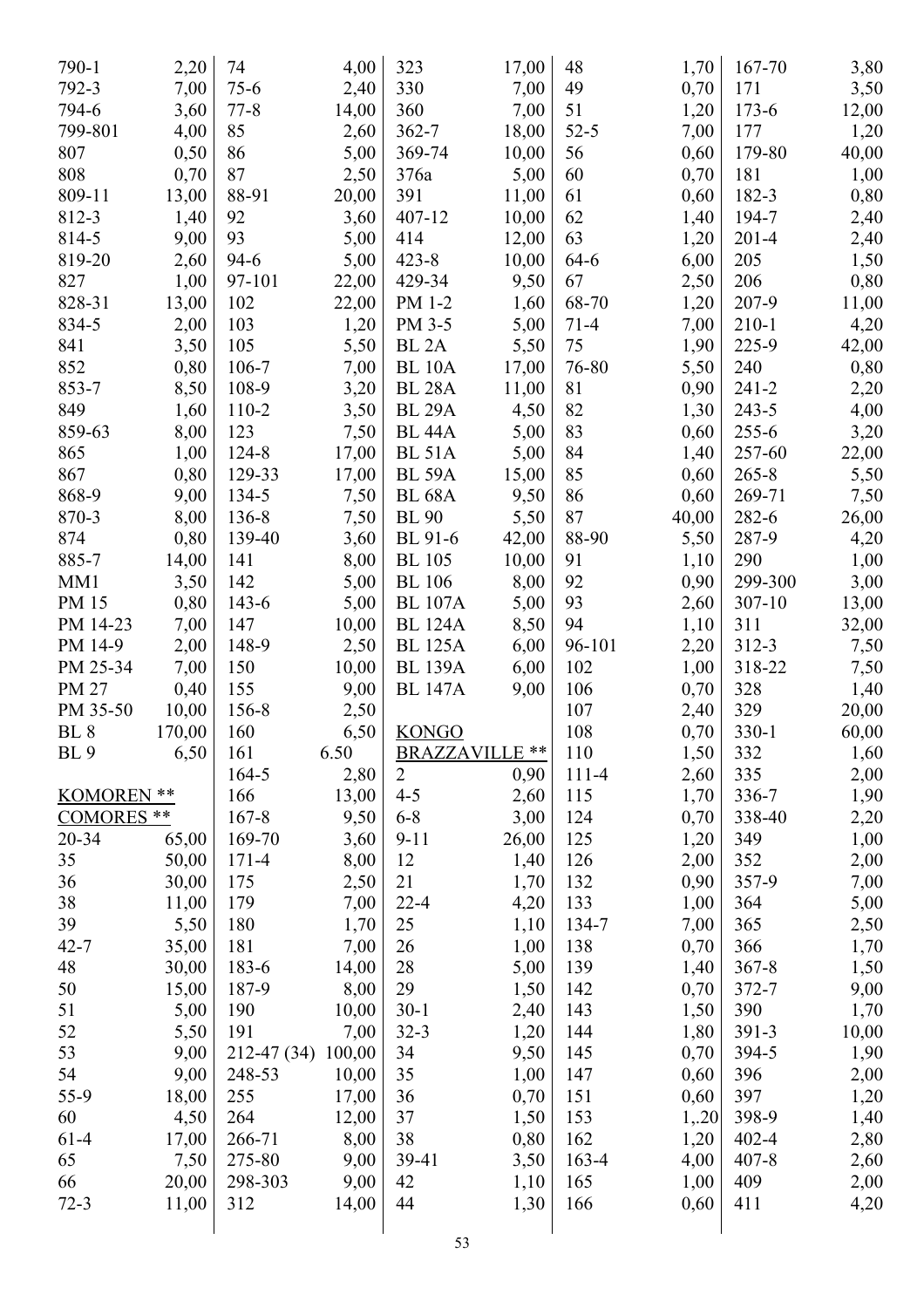| 790-1             | 2,20   | 74           | 4,00          | 323               | 17,00         | 48             | 1,70         | 167-70    | 3,80         |
|-------------------|--------|--------------|---------------|-------------------|---------------|----------------|--------------|-----------|--------------|
| 792-3             | 7,00   | $75-6$       | 2,40          | 330               | 7,00          | 49             | 0,70         | 171       | 3,50         |
| 794-6             | 3,60   | $77 - 8$     | 14,00         | 360               | 7,00          | 51             | 1,20         | $173 - 6$ | 12,00        |
| 799-801           | 4,00   | 85           | 2,60          | $362 - 7$         | 18,00         | $52 - 5$       | 7,00         | 177       | 1,20         |
| 807               | 0,50   | 86           | 5,00          | 369-74            | 10,00         | 56             | 0,60         | 179-80    | 40,00        |
| 808               | 0,70   | 87           | 2,50          | 376a              | 5,00          | 60             | 0,70         | 181       | 1,00         |
| 809-11            | 13,00  | 88-91        | 20,00         | 391               | 11,00         | 61             | 0,60         | 182-3     | 0,80         |
| 812-3             | 1,40   | 92           | 3,60          | 407-12            | 10,00         | 62             | 1,40         | 194-7     | 2,40         |
| 814-5             | 9,00   | 93           | 5,00          | 414               | 12,00         | 63             | 1,20         | $201 - 4$ | 2,40         |
| 819-20            | 2,60   | $94-6$       | 5,00          | $423 - 8$         | 10,00         | 64-6           | 6,00         | 205       | 1,50         |
| 827               | 1,00   | 97-101       | 22,00         | 429-34            | 9,50          | 67             | 2,50         | 206       | 0,80         |
| 828-31            | 13,00  | 102          | 22,00         | PM 1-2            | 1,60          | 68-70          | 1,20         | 207-9     | 11,00        |
| 834-5             | 2,00   | 103          | 1,20          | PM 3-5            | 5,00          | $71 - 4$       | 7,00         | $210 - 1$ | 4,20         |
| 841               | 3,50   | 105          | 5,50          | BL <sub>2</sub> A | 5,50          | 75             | 1,90         | 225-9     | 42,00        |
| 852               | 0,80   | 106-7        | 7,00          | <b>BL 10A</b>     | 17,00         | 76-80          | 5,50         | 240       | 0,80         |
| 853-7             | 8,50   | 108-9        | 3,20          | <b>BL 28A</b>     | 11,00         | 81             | 0,90         | $241 - 2$ | 2,20         |
| 849               | 1,60   | 110-2        | 3,50          | <b>BL 29A</b>     | 4,50          | 82             | 1,30         | $243 - 5$ | 4,00         |
| 859-63            | 8,00   | 123          | 7,50          | <b>BL</b> 44A     | 5,00          | 83             | 0,60         | $255 - 6$ | 3,20         |
| 865               | 1,00   | 124-8        | 17,00         | <b>BL 51A</b>     | 5,00          | 84             | 1,40         | 257-60    | 22,00        |
| 867               | 0,80   | 129-33       | 17,00         | <b>BL 59A</b>     | 15,00         | 85             | 0,60         | $265 - 8$ | 5,50         |
| 868-9             | 9,00   | 134-5        | 7,50          | <b>BL</b> 68A     | 9,50          | 86             | 0,60         | 269-71    | 7,50         |
| 870-3             | 8,00   | 136-8        | 7,50          | <b>BL</b> 90      | 5,50          | 87             | 40,00        | 282-6     | 26,00        |
| 874               | 0,80   | 139-40       | 3,60          | BL 91-6           | 42,00         | 88-90          | 5,50         | 287-9     | 4,20         |
| 885-7             | 14,00  | 141          | 8,00          | <b>BL</b> 105     | 10,00         | 91             | 1,10         | 290       | 1,00         |
| MM1               | 3,50   | 142          | 5,00          | <b>BL</b> 106     | 8,00          | 92             | 0,90         | 299-300   | 3,00         |
| PM 15             | 0,80   | $143 - 6$    | 5,00          | <b>BL 107A</b>    | 5,00          | 93             | 2,60         | 307-10    | 13,00        |
| PM 14-23          | 7,00   | 147          | 10,00         | <b>BL 124A</b>    | 8,50          | 94             | 1,10         | 311       | 32,00        |
| PM 14-9           | 2,00   | 148-9        | 2,50          | <b>BL 125A</b>    | 6,00          | 96-101         | 2,20         | $312 - 3$ | 7,50         |
| PM 25-34          | 7,00   | 150          | 10,00         | <b>BL 139A</b>    | 6,00          | 102            | 1,00         | 318-22    |              |
| PM 27             | 0,40   | 155          | 9,00          | <b>BL 147A</b>    | 9,00          | 106            | 0,70         | 328       | 7,50<br>1,40 |
| PM 35-50          | 10,00  | 156-8        | 2,50          |                   |               | 107            | 2,40         | 329       | 20,00        |
| BL <sub>8</sub>   | 170,00 | 160          | 6,50          | <b>KONGO</b>      |               | 108            | 0,70         | $330 - 1$ | 60,00        |
| BL <sub>9</sub>   | 6,50   | 161          | 6.50          | BRAZZAVILLE **    |               | 110            | 1,50         | 332       |              |
|                   |        |              |               | $\overline{2}$    | 0,90          |                |              | 335       | 1,60         |
| KOMOREN **        |        | 164-5<br>166 | 2,80<br>13,00 | $4 - 5$           | 2,60          | $111-4$<br>115 | 2,60<br>1,70 | 336-7     | 2,00         |
| <b>COMORES</b> ** |        | $167 - 8$    | 9,50          | $6 - 8$           |               | 124            | 0,70         | 338-40    | 1,90         |
| 20-34             |        |              |               |                   | 3,00<br>26,00 | 125            |              | 349       | 2,20         |
|                   | 65,00  | 169-70       | 3,60          | $9 - 11$          |               |                | 1,20         |           | 1,00         |
| 35                | 50,00  | $171 - 4$    | 8,00          | 12                | 1,40          | 126            | 2,00         | 352       | 2,00         |
| 36                | 30,00  | 175          | 2,50          | 21                | 1,70          | 132            | 0,90         | 357-9     | 7,00         |
| 38<br>39          | 11,00  | 179          | 7,00<br>1,70  | $22 - 4$<br>25    | 4,20          | 133<br>134-7   | 1,00         | 364       | 5,00         |
|                   | 5,50   | 180          |               |                   | 1,10          |                | 7,00         | 365       | 2,50         |
| $42 - 7$          | 35,00  | 181          | 7,00          | 26                | 1,00          | 138            | 0,70         | 366       | 1,70         |
| 48                | 30,00  | 183-6        | 14,00         | 28                | 5,00          | 139            | 1,40         | $367 - 8$ | 1,50         |
| 50                | 15,00  | 187-9        | 8,00          | 29                | 1,50          | 142            | 0,70         | 372-7     | 9,00         |
| 51                | 5,00   | 190          | 10,00         | $30-1$            | 2,40          | 143            | 1,50         | 390       | 1,70         |
| 52                | 5,50   | 191          | 7,00          | $32 - 3$          | 1,20          | 144            | 1,80         | 391-3     | 10,00        |
| 53                | 9,00   | 212-47 (34)  | 100,00        | 34                | 9,50          | 145            | 0,70         | 394-5     | 1,90         |
| 54                | 9,00   | 248-53       | 10,00         | 35                | 1,00          | 147            | 0,60         | 396       | 2,00         |
| 55-9              | 18,00  | 255          | 17,00         | 36                | 0,70          | 151            | 0,60         | 397       | 1,20         |
| 60                | 4,50   | 264          | 12,00         | 37                | 1,50          | 153            | 1,20         | 398-9     | 1,40         |
| $61-4$            | 17,00  | 266-71       | 8,00          | 38                | 0,80          | 162            | 1,20         | $402 - 4$ | 2,80         |
| 65                | 7,50   | 275-80       | 9,00          | 39-41             | 3,50          | $163-4$        | 4,00         | $407 - 8$ | 2,60         |
| 66                | 20,00  | 298-303      | 9,00          | 42                | 1,10          | 165            | 1,00         | 409       | 2,00         |
| $72 - 3$          | 11,00  | 312          | 14,00         | 44                | 1,30          | 166            | 0,60         | 411       | 4,20         |
|                   |        |              |               |                   |               |                |              |           |              |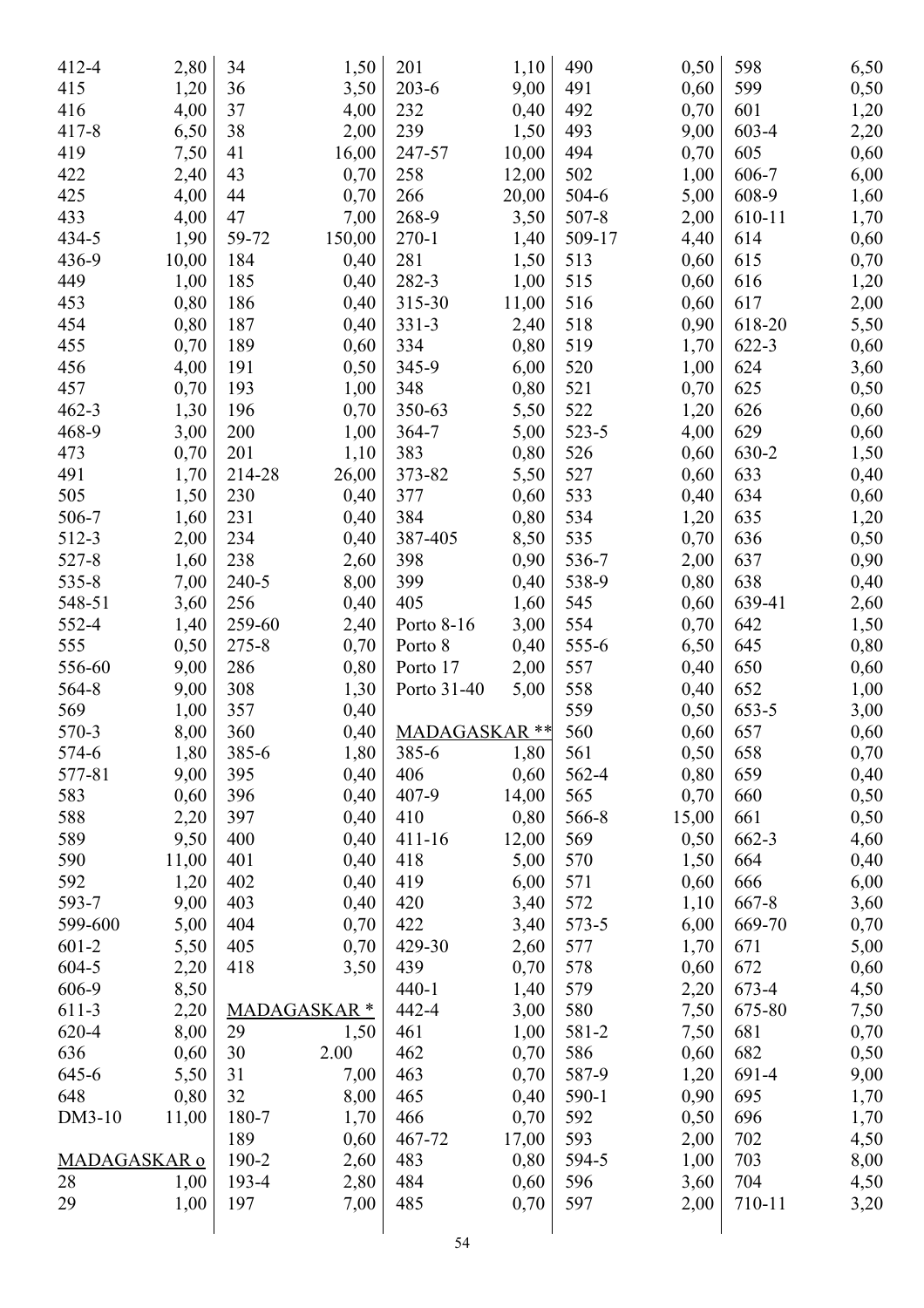| 412-4        | 2,80  | 34        | 1,50               | 201           | 1,10  | 490       | 0,50  | 598    | 6,50 |
|--------------|-------|-----------|--------------------|---------------|-------|-----------|-------|--------|------|
| 415          | 1,20  | 36        | 3,50               | $203 - 6$     | 9,00  | 491       | 0,60  | 599    | 0,50 |
| 416          | 4,00  | 37        | 4,00               | 232           | 0,40  | 492       | 0,70  | 601    | 1,20 |
| $417 - 8$    | 6,50  | 38        | 2,00               | 239           | 1,50  | 493       | 9,00  | 603-4  | 2,20 |
| 419          | 7,50  | 41        | 16,00              | 247-57        | 10,00 | 494       | 0,70  | 605    | 0,60 |
| 422          | 2,40  | 43        | 0,70               | 258           | 12,00 | 502       | 1,00  | 606-7  | 6,00 |
| 425          | 4,00  | 44        | 0,70               | 266           | 20,00 | 504-6     | 5,00  | 608-9  |      |
| 433          |       | 47        |                    | 268-9         |       | $507 - 8$ |       |        | 1,60 |
| 434-5        | 4,00  | 59-72     | 7,00               |               | 3,50  | 509-17    | 2,00  | 610-11 | 1,70 |
|              | 1,90  |           | 150,00             | $270 - 1$     | 1,40  |           | 4,40  | 614    | 0,60 |
| 436-9        | 10,00 | 184       | 0,40               | 281           | 1,50  | 513       | 0,60  | 615    | 0,70 |
| 449          | 1,00  | 185       | 0,40               | 282-3         | 1,00  | 515       | 0,60  | 616    | 1,20 |
| 453          | 0,80  | 186       | 0,40               | 315-30        | 11,00 | 516       | 0,60  | 617    | 2,00 |
| 454          | 0,80  | 187       | 0,40               | $331 - 3$     | 2,40  | 518       | 0,90  | 618-20 | 5,50 |
| 455          | 0,70  | 189       | 0,60               | 334           | 0,80  | 519       | 1,70  | 622-3  | 0,60 |
| 456          | 4,00  | 191       | 0,50               | 345-9         | 6,00  | 520       | 1,00  | 624    | 3,60 |
| 457          | 0,70  | 193       | 1,00               | 348           | 0,80  | 521       | 0,70  | 625    | 0,50 |
| $462 - 3$    | 1,30  | 196       | 0,70               | 350-63        | 5,50  | 522       | 1,20  | 626    | 0,60 |
| 468-9        | 3,00  | 200       | 1,00               | 364-7         | 5,00  | 523-5     | 4,00  | 629    | 0,60 |
| 473          | 0,70  | 201       | 1,10               | 383           | 0,80  | 526       | 0,60  | 630-2  | 1,50 |
| 491          | 1,70  | 214-28    | 26,00              | 373-82        | 5,50  | 527       | 0,60  | 633    | 0,40 |
| 505          | 1,50  | 230       | 0,40               | 377           | 0,60  | 533       | 0,40  | 634    | 0,60 |
| 506-7        | 1,60  | 231       | 0,40               | 384           | 0,80  | 534       | 1,20  | 635    | 1,20 |
| 512-3        | 2,00  | 234       | 0,40               | 387-405       | 8,50  | 535       | 0,70  | 636    | 0,50 |
| 527-8        | 1,60  | 238       | 2,60               | 398           | 0,90  | 536-7     | 2,00  | 637    | 0,90 |
| $535 - 8$    | 7,00  | $240 - 5$ | 8,00               | 399           | 0,40  | 538-9     | 0,80  | 638    | 0,40 |
| 548-51       | 3,60  | 256       | 0,40               | 405           | 1,60  | 545       | 0,60  | 639-41 | 2,60 |
| 552-4        | 1,40  | 259-60    | 2,40               | Porto 8-16    | 3,00  | 554       | 0,70  | 642    | 1,50 |
| 555          | 0,50  | $275 - 8$ | 0,70               | Porto 8       | 0,40  | 555-6     | 6,50  | 645    | 0,80 |
| 556-60       | 9,00  | 286       | 0,80               | Porto 17      | 2,00  | 557       | 0,40  | 650    | 0,60 |
| 564-8        | 9,00  | 308       | 1,30               | Porto 31-40   | 5,00  | 558       | 0,40  | 652    | 1,00 |
| 569          | 1,00  | 357       | 0,40               |               |       | 559       | 0,50  | 653-5  | 3,00 |
| 570-3        | 8,00  | 360       | 0,40               | MADAGASKAR ** |       | 560       | 0,60  | 657    | 0,60 |
| 574-6        | 1,80  | 385-6     | 1,80               | 385-6         | 1,80  | 561       | 0,50  | 658    | 0,70 |
| 577-81       | 9,00  | 395       | 0,40               | 406           | 0,60  | 562-4     | 0,80  | 659    | 0,40 |
| 583          | 0,60  | 396       | 0,40               | 407-9         | 14,00 | 565       | 0,70  | 660    | 0,50 |
| 588          | 2,20  | 397       | 0,40               | 410           | 0,80  | 566-8     | 15,00 | 661    | 0,50 |
| 589          | 9,50  | 400       | 0,40               | $411 - 16$    | 12,00 | 569       | 0,50  | 662-3  | 4,60 |
| 590          | 11,00 | 401       | 0,40               | 418           | 5,00  | 570       | 1,50  | 664    | 0,40 |
| 592          | 1,20  | 402       | 0,40               | 419           | 6,00  | 571       | 0,60  | 666    | 6,00 |
| 593-7        | 9,00  | 403       | 0,40               | 420           | 3,40  | 572       | 1,10  | 667-8  | 3,60 |
| 599-600      | 5,00  | 404       | 0,70               | 422           | 3,40  | 573-5     | 6,00  | 669-70 | 0,70 |
| 601-2        | 5,50  | 405       | 0,70               | 429-30        | 2,60  | 577       | 1,70  | 671    | 5,00 |
| 604-5        | 2,20  | 418       | 3,50               | 439           | 0,70  | 578       | 0,60  | 672    | 0,60 |
| 606-9        | 8,50  |           |                    | $440 - 1$     | 1,40  | 579       | 2,20  | 673-4  | 4,50 |
| 611-3        | 2,20  |           | <b>MADAGASKAR*</b> | 442-4         | 3,00  | 580       | 7,50  | 675-80 | 7,50 |
| 620-4        | 8,00  | 29        | 1,50               | 461           | 1,00  | 581-2     | 7,50  | 681    | 0,70 |
| 636          | 0,60  | 30        | 2.00               | 462           | 0,70  | 586       | 0,60  | 682    | 0,50 |
| 645-6        | 5,50  | 31        | 7,00               | 463           | 0,70  | 587-9     | 1,20  | 691-4  | 9,00 |
| 648          | 0,80  | 32        | 8,00               | 465           | 0,40  | 590-1     | 0,90  | 695    | 1,70 |
| DM3-10       | 11,00 | 180-7     | 1,70               | 466           | 0,70  | 592       | 0,50  | 696    | 1,70 |
|              |       | 189       | 0,60               | 467-72        | 17,00 | 593       | 2,00  | 702    | 4,50 |
| MADAGASKAR o |       | 190-2     | 2,60               | 483           | 0,80  | 594-5     | 1,00  | 703    | 8,00 |
|              |       | 193-4     |                    | 484           |       | 596       |       | 704    |      |
| 28           | 1,00  |           | 2,80               |               | 0,60  | 597       | 3,60  |        | 4,50 |
| 29           | 1,00  | 197       | 7,00               | 485           | 0,70  |           | 2,00  | 710-11 | 3,20 |
|              |       |           |                    |               |       |           |       |        |      |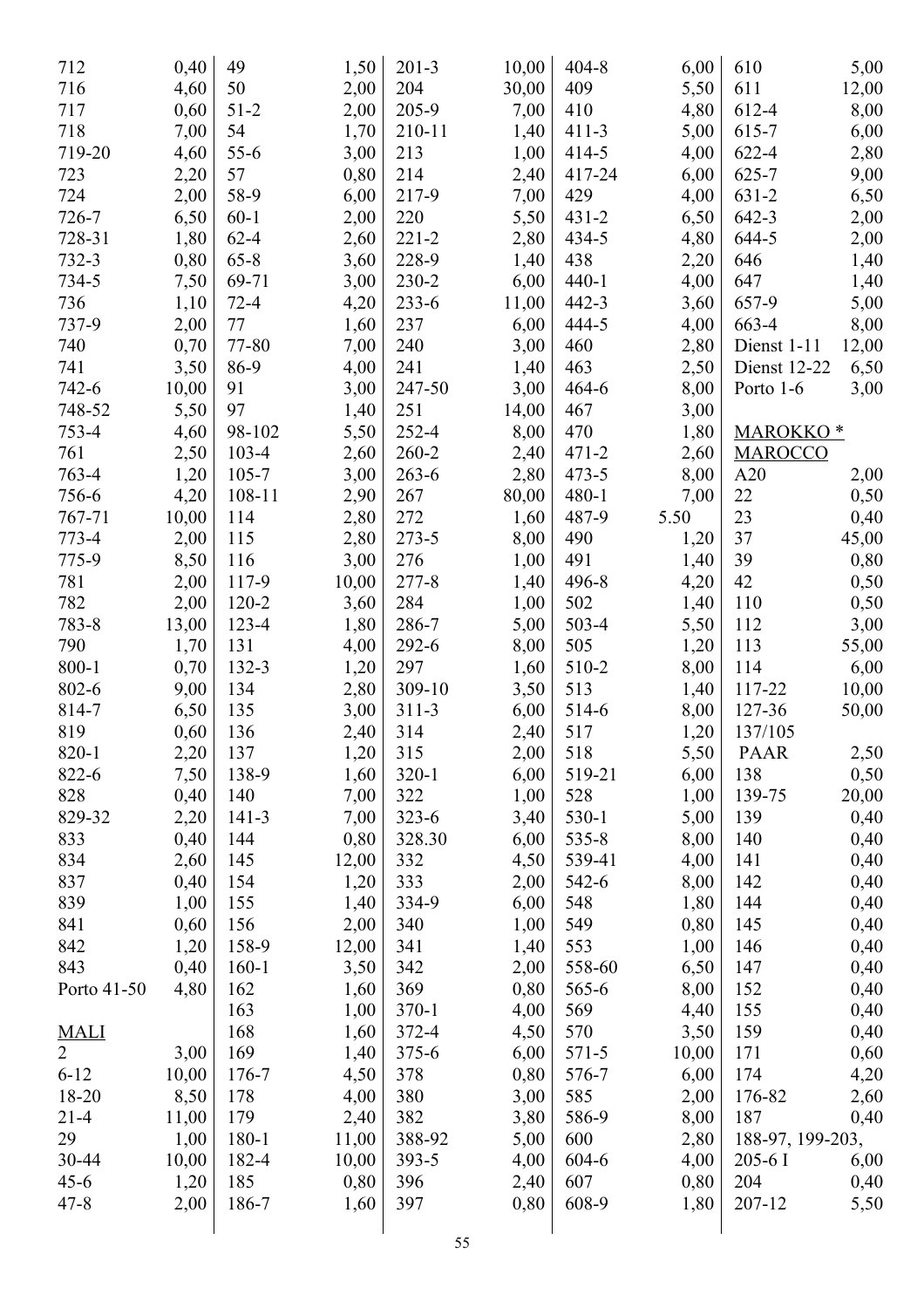| 712                     | 0,40  | 49        | 1,50  | $201 - 3$ | 10,00 | $404 - 8$ | 6,00  | 610                  | 5,00  |
|-------------------------|-------|-----------|-------|-----------|-------|-----------|-------|----------------------|-------|
| 716                     | 4,60  | 50        | 2,00  | 204       | 30,00 | 409       | 5,50  | 611                  | 12,00 |
| 717                     | 0,60  | $51-2$    | 2,00  | 205-9     | 7,00  | 410       | 4,80  | 612-4                | 8,00  |
| 718                     | 7,00  | 54        | 1,70  | 210-11    | 1,40  | $411 - 3$ | 5,00  | 615-7                | 6,00  |
| 719-20                  | 4,60  | $55 - 6$  | 3,00  | 213       | 1,00  | $414 - 5$ | 4,00  | 622-4                | 2,80  |
| 723                     | 2,20  | 57        | 0,80  | 214       | 2,40  | 417-24    | 6,00  | $625 - 7$            | 9,00  |
| 724                     | 2,00  | 58-9      | 6,00  | 217-9     | 7,00  | 429       | 4,00  | $631 - 2$            | 6,50  |
| 726-7                   | 6,50  | $60 - 1$  | 2,00  | 220       | 5,50  | $431 - 2$ | 6,50  | $642 - 3$            | 2,00  |
| 728-31                  | 1,80  | $62 - 4$  | 2,60  | $221 - 2$ | 2,80  | 434-5     | 4,80  | 644-5                | 2,00  |
| 732-3                   | 0,80  | $65 - 8$  | 3,60  | 228-9     | 1,40  | 438       | 2,20  | 646                  | 1,40  |
| 734-5                   | 7,50  | 69-71     | 3,00  | 230-2     | 6,00  | $440 - 1$ | 4,00  | 647                  | 1,40  |
| 736                     | 1,10  | $72 - 4$  | 4,20  | $233 - 6$ | 11,00 | $442 - 3$ | 3,60  | 657-9                | 5,00  |
| 737-9                   | 2,00  | 77        | 1,60  | 237       | 6,00  | 444-5     | 4,00  | 663-4                | 8,00  |
| 740                     | 0,70  | 77-80     | 7,00  | 240       | 3,00  | 460       | 2,80  | Dienst 1-11          | 12,00 |
| 741                     | 3,50  | 86-9      | 4,00  | 241       | 1,40  | 463       | 2,50  | Dienst 12-22         | 6,50  |
| 742-6                   | 10,00 | 91        | 3,00  | 247-50    | 3,00  | 464-6     | 8,00  | Porto 1-6            | 3,00  |
| 748-52                  | 5,50  | 97        | 1,40  | 251       | 14,00 | 467       | 3,00  |                      |       |
| 753-4                   | 4,60  | 98-102    | 5,50  | 252-4     | 8,00  | 470       | 1,80  | MAROKKO <sup>*</sup> |       |
| 761                     | 2,50  | 103-4     | 2,60  | 260-2     | 2,40  | $471 - 2$ | 2,60  | <b>MAROCCO</b>       |       |
| 763-4                   | 1,20  | $105 - 7$ | 3,00  | $263 - 6$ | 2,80  | $473 - 5$ | 8,00  | A20                  | 2,00  |
| 756-6                   | 4,20  | 108-11    | 2,90  | 267       | 80,00 | 480-1     | 7,00  | 22                   | 0,50  |
| 767-71                  | 10,00 | 114       | 2,80  | 272       | 1,60  | 487-9     | 5.50  | 23                   |       |
| 773-4                   |       |           |       |           |       |           |       |                      | 0,40  |
|                         | 2,00  | 115       | 2,80  | $273 - 5$ | 8,00  | 490       | 1,20  | 37                   | 45,00 |
| 775-9                   | 8,50  | 116       | 3,00  | 276       | 1,00  | 491       | 1,40  | 39                   | 0,80  |
| 781                     | 2,00  | 117-9     | 10,00 | $277 - 8$ | 1,40  | 496-8     | 4,20  | 42                   | 0,50  |
| 782                     | 2,00  | $120 - 2$ | 3,60  | 284       | 1,00  | 502       | 1,40  | 110                  | 0,50  |
| 783-8                   | 13,00 | 123-4     | 1,80  | 286-7     | 5,00  | 503-4     | 5,50  | 112                  | 3,00  |
| 790                     | 1,70  | 131       | 4,00  | 292-6     | 8,00  | 505       | 1,20  | 113                  | 55,00 |
| $800 - 1$               | 0,70  | 132-3     | 1,20  | 297       | 1,60  | 510-2     | 8,00  | 114                  | 6,00  |
| 802-6                   | 9,00  | 134       | 2,80  | 309-10    | 3,50  | 513       | 1,40  | 117-22               | 10,00 |
| 814-7                   | 6,50  | 135       | 3,00  | $311 - 3$ | 6,00  | 514-6     | 8,00  | 127-36               | 50,00 |
| 819                     | 0,60  | 136       | 2,40  | 314       | 2,40  | 517       | 1,20  | 137/105              |       |
| 820-1                   | 2,20  | 137       | 1,20  | 315       | 2,00  | 518       | 5,50  | <b>PAAR</b>          | 2,50  |
| 822-6                   | 7,50  | 138-9     | 1,60  | $320-1$   | 6,00  | 519-21    | 6,00  | 138                  | 0,50  |
| 828                     | 0,40  | 140       | 7,00  | 322       | 1,00  | 528       | 1,00  | 139-75               | 20,00 |
| 829-32                  | 2,20  | $141 - 3$ | 7,00  | $323 - 6$ | 3,40  | 530-1     | 5,00  | 139                  | 0,40  |
| 833                     | 0,40  | 144       | 0,80  | 328.30    | 6,00  | $535 - 8$ | 8,00  | 140                  | 0,40  |
| 834                     | 2,60  | 145       | 12,00 | 332       | 4,50  | 539-41    | 4,00  | 141                  | 0,40  |
| 837                     | 0,40  | 154       | 1,20  | 333       | 2,00  | 542-6     | 8,00  | 142                  | 0,40  |
| 839                     | 1,00  | 155       | 1,40  | 334-9     | 6,00  | 548       | 1,80  | 144                  | 0,40  |
| 841                     | 0,60  | 156       | 2,00  | 340       | 1,00  | 549       | 0,80  | 145                  | 0,40  |
| 842                     | 1,20  | 158-9     | 12,00 | 341       | 1,40  | 553       | 1,00  | 146                  | 0,40  |
| 843                     | 0,40  | $160 - 1$ | 3,50  | 342       | 2,00  | 558-60    | 6,50  | 147                  | 0,40  |
| Porto 41-50             | 4,80  | 162       | 1,60  | 369       | 0,80  | 565-6     | 8,00  | 152                  | 0,40  |
|                         |       | 163       | 1,00  | $370-1$   | 4,00  | 569       | 4,40  | 155                  | 0,40  |
| $\frac{\text{MALI}}{2}$ |       | 168       | 1,60  | 372-4     | 4,50  | 570       | 3,50  | 159                  | 0,40  |
|                         | 3,00  | 169       | 1,40  | $375 - 6$ | 6,00  | $571 - 5$ | 10,00 | 171                  | 0,60  |
| $6 - 12$                | 10,00 | 176-7     | 4,50  | 378       | 0,80  | 576-7     | 6,00  | 174                  | 4,20  |
| 18-20                   | 8,50  | 178       | 4,00  | 380       | 3,00  | 585       | 2,00  | 176-82               | 2,60  |
| $21 - 4$                | 11,00 | 179       | 2,40  | 382       | 3,80  | 586-9     | 8,00  | 187                  | 0,40  |
| 29                      | 1,00  | 180-1     | 11,00 | 388-92    | 5,00  | 600       | 2,80  | 188-97, 199-203,     |       |
| 30-44                   | 10,00 | 182-4     | 10,00 | $393 - 5$ | 4,00  | 604-6     | 4,00  | $205 - 6$ I          | 6,00  |
| $45 - 6$                | 1,20  | 185       | 0,80  | 396       | 2,40  | 607       | 0,80  | 204                  | 0,40  |
| $47 - 8$                | 2,00  | 186-7     | 1,60  | 397       | 0,80  | 608-9     | 1,80  | 207-12               | 5,50  |
|                         |       |           |       |           |       |           |       |                      |       |
|                         |       |           |       |           |       |           |       |                      |       |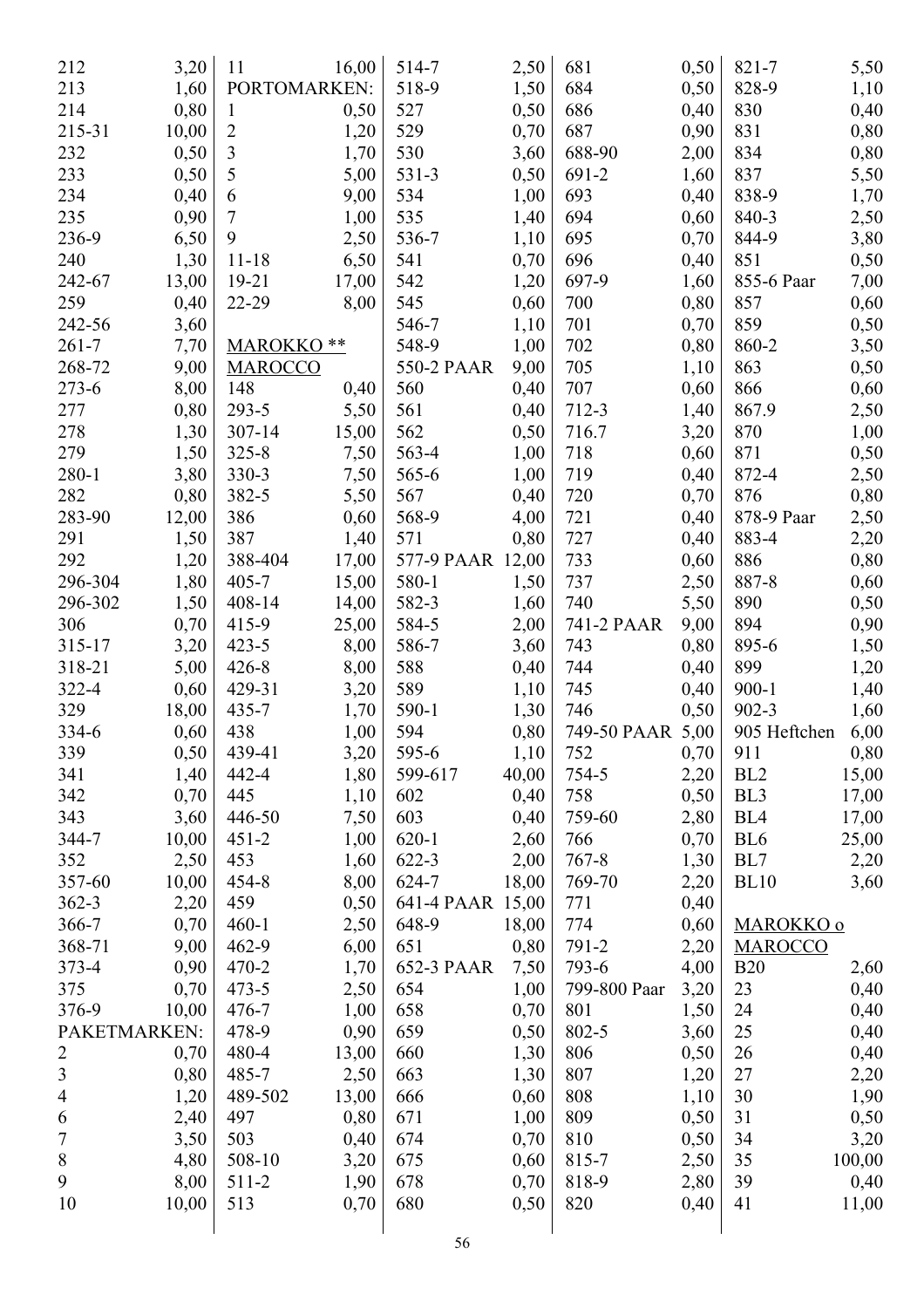| 212            | 3,20  | 11             | 16,00 | 514-7            | 2,50  | 681              | 0,50 | 821-7           | 5,50   |
|----------------|-------|----------------|-------|------------------|-------|------------------|------|-----------------|--------|
| 213            | 1,60  | PORTOMARKEN:   |       | 518-9            | 1,50  | 684              | 0,50 | 828-9           | 1,10   |
|                |       |                |       |                  |       | 686              |      |                 |        |
| 214            | 0,80  | $\mathbf{1}$   | 0,50  | 527              | 0,50  | 687              | 0,40 | 830             | 0,40   |
| 215-31         | 10,00 | $\overline{2}$ | 1,20  | 529              | 0,70  |                  | 0,90 | 831             | 0,80   |
| 232            | 0,50  | 3              | 1,70  | 530              | 3,60  | 688-90           | 2,00 | 834             | 0,80   |
| 233            | 0,50  | 5              | 5,00  | 531-3            | 0,50  | 691-2            | 1,60 | 837             | 5,50   |
| 234            | 0,40  | 6              | 9,00  | 534              | 1,00  | 693              | 0,40 | 838-9           | 1,70   |
| 235            | 0,90  | 7              | 1,00  | 535              | 1,40  | 694              | 0,60 | 840-3           | 2,50   |
| 236-9          | 6,50  | 9              | 2,50  | 536-7            | 1,10  | 695              | 0,70 | 844-9           | 3,80   |
| 240            | 1,30  | $11 - 18$      | 6,50  | 541              | 0,70  | 696              | 0,40 | 851             | 0,50   |
| 242-67         | 13,00 | $19 - 21$      | 17,00 | 542              | 1,20  | 697-9            | 1,60 | 855-6 Paar      | 7,00   |
| 259            | 0,40  | 22-29          | 8,00  | 545              | 0,60  | 700              | 0,80 | 857             | 0,60   |
| 242-56         | 3,60  |                |       | 546-7            | 1,10  | 701              | 0,70 | 859             | 0,50   |
| $261 - 7$      | 7,70  | <b>MAROKKO</b> | **    | 548-9            | 1,00  | 702              | 0,80 | 860-2           | 3,50   |
| 268-72         | 9,00  | <b>MAROCCO</b> |       | 550-2 PAAR       | 9,00  | 705              | 1,10 | 863             | 0,50   |
| $273 - 6$      | 8,00  | 148            | 0,40  | 560              | 0,40  | 707              | 0,60 | 866             | 0,60   |
| 277            | 0,80  | $293 - 5$      | 5,50  | 561              | 0,40  | 712-3            | 1,40 | 867.9           | 2,50   |
| 278            | 1,30  | $307 - 14$     | 15,00 | 562              | 0,50  | 716.7            | 3,20 | 870             | 1,00   |
| 279            | 1,50  | $325 - 8$      | 7,50  | 563-4            | 1,00  | 718              | 0,60 | 871             | 0,50   |
| $280 - 1$      | 3,80  | 330-3          | 7,50  | 565-6            | 1,00  | 719              | 0,40 | 872-4           | 2,50   |
| 282            | 0,80  | 382-5          | 5,50  | 567              | 0,40  | 720              | 0,70 | 876             | 0,80   |
| 283-90         | 12,00 | 386            | 0,60  | 568-9            | 4,00  | 721              | 0,40 | 878-9 Paar      | 2,50   |
| 291            | 1,50  | 387            | 1,40  | 571              | 0,80  | 727              | 0,40 | 883-4           | 2,20   |
| 292            | 1,20  | 388-404        | 17,00 | 577-9 PAAR       | 12,00 | 733              | 0,60 | 886             | 0,80   |
| 296-304        | 1,80  | $405 - 7$      | 15,00 | 580-1            | 1,50  | 737              | 2,50 | 887-8           | 0,60   |
| 296-302        | 1,50  | 408-14         | 14,00 | 582-3            | 1,60  | 740              | 5,50 | 890             | 0,50   |
| 306            | 0,70  | 415-9          | 25,00 | 584-5            |       | 741-2 PAAR       | 9,00 | 894             |        |
|                |       |                |       |                  | 2,00  |                  |      |                 | 0,90   |
| 315-17         | 3,20  | $423 - 5$      | 8,00  | 586-7            | 3,60  | 743              | 0,80 | 895-6           | 1,50   |
| 318-21         | 5,00  | $426 - 8$      | 8,00  | 588              | 0,40  | 744              | 0,40 | 899             | 1,20   |
| 322-4          | 0,60  | 429-31         | 3,20  | 589              | 1,10  | 745              | 0,40 | $900 - 1$       | 1,40   |
| 329            | 18,00 | 435-7          | 1,70  | 590-1            | 1,30  | 746              | 0,50 | $902 - 3$       | 1,60   |
| 334-6          | 0,60  | 438            | 1,00  | 594              | 0,80  | 749-50 PAAR 5,00 |      | 905 Heftchen    | 6,00   |
| 339            | 0,50  | 439-41         | 3,20  | 595-6            | 1,10  | 752              | 0,70 | 911             | 0,80   |
| 341            | 1,40  | 442-4          | 1,80  | 599-617          | 40,00 | 754-5            | 2,20 | BL <sub>2</sub> | 15,00  |
| 342            | 0,70  | 445            | 1,10  | 602              | 0,40  | 758              | 0,50 | BL <sub>3</sub> | 17,00  |
| 343            | 3,60  | 446-50         | 7,50  | 603              | 0,40  | 759-60           | 2,80 | BL <sub>4</sub> | 17,00  |
| 344-7          | 10,00 | $451 - 2$      | 1,00  | $620 - 1$        | 2,60  | 766              | 0,70 | BL <sub>6</sub> | 25,00  |
| 352            | 2,50  | 453            | 1,60  | 622-3            | 2,00  | $767 - 8$        | 1,30 | BL7             | 2,20   |
| 357-60         | 10,00 | 454-8          | 8,00  | 624-7            | 18,00 | 769-70           | 2,20 | <b>BL10</b>     | 3,60   |
| $362 - 3$      | 2,20  | 459            | 0,50  | 641-4 PAAR 15,00 |       | 771              | 0,40 |                 |        |
| 366-7          | 0,70  | $460 - 1$      | 2,50  | 648-9            | 18,00 | 774              | 0,60 | MAROKKO o       |        |
| 368-71         | 9,00  | 462-9          | 6,00  | 651              | 0,80  | 791-2            | 2,20 | <b>MAROCCO</b>  |        |
| 373-4          | 0,90  | $470 - 2$      | 1,70  | 652-3 PAAR       | 7,50  | 793-6            | 4,00 | <b>B20</b>      | 2,60   |
| 375            | 0,70  | $473 - 5$      | 2,50  | 654              | 1,00  | 799-800 Paar     | 3,20 | 23              | 0,40   |
| 376-9          | 10,00 | 476-7          | 1,00  | 658              | 0,70  | 801              | 1,50 | 24              | 0,40   |
| PAKETMARKEN:   |       | 478-9          | 0,90  | 659              | 0,50  | 802-5            | 3,60 | 25              | 0,40   |
| $\overline{2}$ | 0,70  | 480-4          | 13,00 | 660              | 1,30  | 806              | 0,50 | 26              | 0,40   |
| $\overline{3}$ | 0,80  | 485-7          | 2,50  | 663              | 1,30  | 807              | 1,20 | $27\,$          | 2,20   |
| 4              | 1,20  | 489-502        | 13,00 | 666              | 0,60  | 808              | 1,10 | 30              | 1,90   |
| 6              | 2,40  | 497            | 0,80  | 671              | 1,00  | 809              | 0,50 | 31              | 0,50   |
| $\overline{7}$ | 3,50  | 503            | 0,40  | 674              | 0,70  | 810              | 0,50 | 34              | 3,20   |
| $\, 8$         | 4,80  | 508-10         | 3,20  | 675              | 0,60  | 815-7            | 2,50 | 35              | 100,00 |
| 9              | 8,00  | 511-2          | 1,90  | 678              | 0,70  | 818-9            | 2,80 | 39              | 0,40   |
| 10             | 10,00 | 513            | 0,70  | 680              | 0,50  | 820              | 0,40 | 41              | 11,00  |
|                |       |                |       |                  |       |                  |      |                 |        |
|                |       |                |       |                  |       |                  |      |                 |        |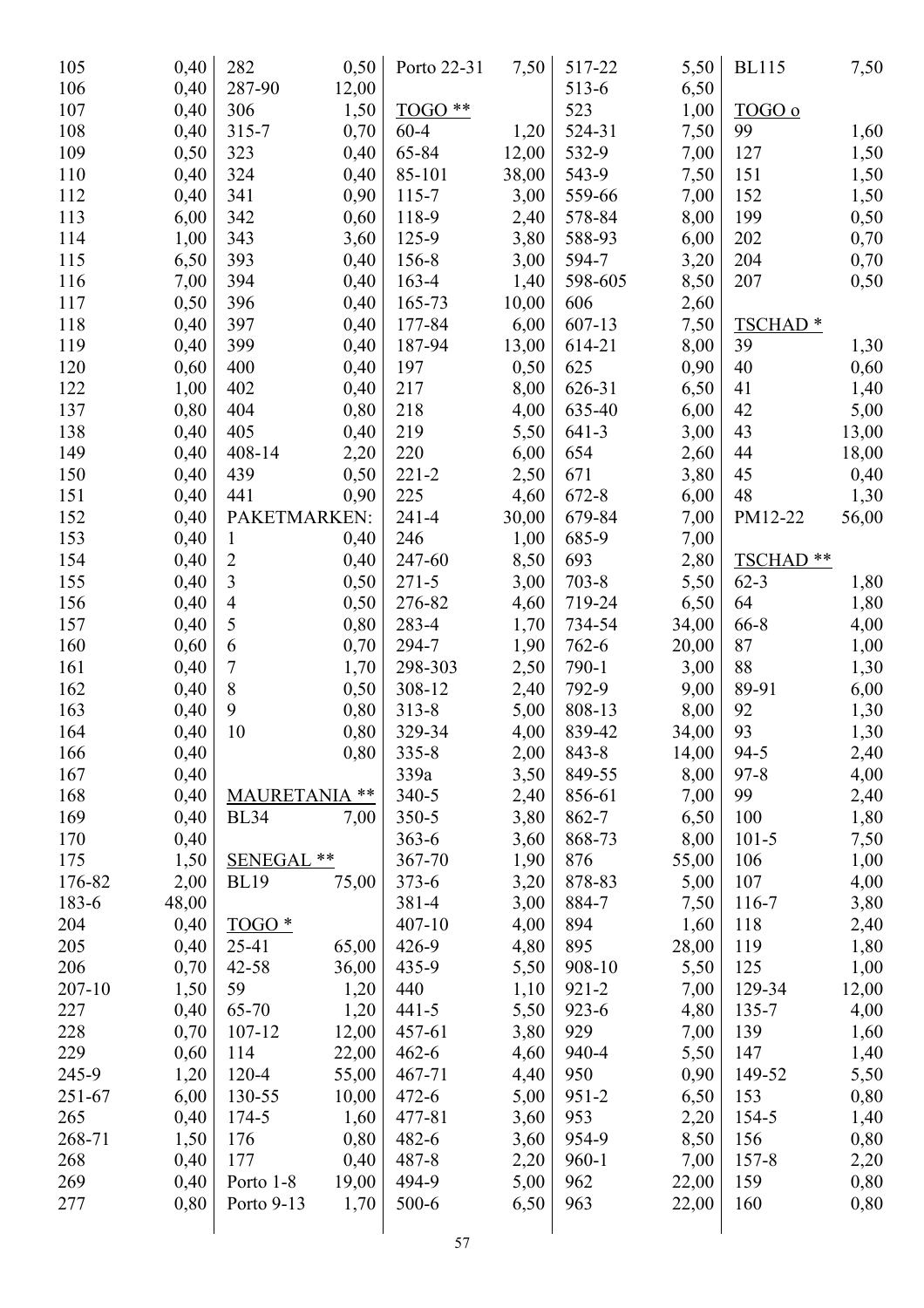| 105    | 0,40  | 282                  | 0,50  | Porto 22-31 | 7,50  | 517-22    | 5,50  | <b>BL115</b>         | 7,50  |
|--------|-------|----------------------|-------|-------------|-------|-----------|-------|----------------------|-------|
| 106    | 0,40  | 287-90               | 12,00 |             |       | 513-6     | 6,50  |                      |       |
| 107    | 0,40  | 306                  | 1,50  | TOGO **     |       | 523       | 1,00  | TOGO o               |       |
| 108    | 0,40  | $315 - 7$            | 0,70  | $60 - 4$    | 1,20  | 524-31    | 7,50  | 99                   | 1,60  |
| 109    | 0,50  | 323                  | 0,40  | 65-84       | 12,00 | 532-9     | 7,00  | 127                  | 1,50  |
| 110    | 0,40  | 324                  | 0,40  | 85-101      | 38,00 | 543-9     | 7,50  | 151                  | 1,50  |
| 112    | 0,40  | 341                  | 0,90  | 115-7       | 3,00  | 559-66    | 7,00  | 152                  | 1,50  |
| 113    | 6,00  | 342                  | 0,60  | 118-9       | 2,40  | 578-84    | 8,00  | 199                  | 0,50  |
| 114    | 1,00  | 343                  | 3,60  | 125-9       | 3,80  | 588-93    | 6,00  | 202                  | 0,70  |
| 115    | 6,50  | 393                  | 0,40  | 156-8       | 3,00  | 594-7     | 3,20  | 204                  | 0,70  |
| 116    | 7,00  | 394                  | 0,40  | 163-4       | 1,40  | 598-605   | 8,50  | 207                  | 0,50  |
| 117    | 0,50  | 396                  | 0,40  | 165-73      | 10,00 | 606       | 2,60  |                      |       |
| 118    | 0,40  | 397                  | 0,40  | 177-84      | 6,00  | 607-13    | 7,50  | TSCHAD <sup>*</sup>  |       |
| 119    | 0,40  | 399                  | 0,40  | 187-94      | 13,00 | 614-21    | 8,00  | 39                   | 1,30  |
| 120    | 0,60  | 400                  | 0,40  | 197         | 0,50  | 625       | 0,90  | 40                   | 0,60  |
| 122    | 1,00  | 402                  | 0,40  | 217         | 8,00  | 626-31    | 6,50  | 41                   | 1,40  |
| 137    | 0,80  | 404                  | 0,80  | 218         | 4,00  | 635-40    | 6,00  | 42                   | 5,00  |
| 138    | 0,40  | 405                  | 0,40  | 219         | 5,50  | $641 - 3$ | 3,00  | 43                   | 13,00 |
| 149    | 0,40  | 408-14               | 2,20  | 220         | 6,00  | 654       | 2,60  | 44                   | 18,00 |
| 150    | 0,40  | 439                  | 0,50  | $221 - 2$   | 2,50  | 671       | 3,80  | 45                   | 0,40  |
| 151    | 0,40  | 441                  | 0,90  | 225         | 4,60  | $672 - 8$ | 6,00  | 48                   | 1,30  |
| 152    | 0,40  | PAKETMARKEN:         |       | $241 - 4$   | 30,00 | 679-84    | 7,00  | PM12-22              | 56,00 |
| 153    | 0,40  | $\mathbf{1}$         | 0,40  | 246         | 1,00  | 685-9     | 7,00  |                      |       |
| 154    | 0,40  | $\overline{2}$       | 0,40  | 247-60      | 8,50  | 693       | 2,80  | TSCHAD <sup>**</sup> |       |
| 155    | 0,40  | 3                    | 0,50  | $271 - 5$   | 3,00  | $703 - 8$ | 5,50  | $62 - 3$             | 1,80  |
| 156    | 0,40  | $\overline{4}$       | 0,50  | 276-82      | 4,60  | 719-24    | 6,50  | 64                   | 1,80  |
| 157    | 0,40  | 5                    | 0,80  | 283-4       | 1,70  | 734-54    | 34,00 | 66-8                 | 4,00  |
| 160    | 0,60  | 6                    | 0,70  | 294-7       | 1,90  | $762 - 6$ | 20,00 | 87                   | 1,00  |
| 161    | 0,40  | 7                    | 1,70  | 298-303     | 2,50  | 790-1     | 3,00  | 88                   | 1,30  |
| 162    | 0,40  | 8                    | 0,50  | 308-12      | 2,40  | 792-9     | 9,00  | 89-91                | 6,00  |
| 163    | 0,40  | 9                    | 0,80  | $313 - 8$   | 5,00  | 808-13    | 8,00  | 92                   | 1,30  |
| 164    | 0,40  | 10                   | 0,80  | 329-34      | 4,00  | 839-42    | 34,00 | 93                   | 1,30  |
| 166    | 0,40  |                      | 0,80  | 335-8       | 2,00  | 843-8     | 14,00 | $94 - 5$             | 2,40  |
| 167    | 0,40  |                      |       | 339a        | 3,50  | 849-55    | 8,00  | $97 - 8$             | 4,00  |
| 168    | 0,40  | <b>MAURETANIA **</b> |       | $340 - 5$   | 2,40  | 856-61    | 7,00  | 99                   | 2,40  |
| 169    | 0,40  | <b>BL34</b>          | 7,00  | 350-5       | 3,80  | 862-7     | 6,50  | 100                  | 1,80  |
| 170    | 0,40  |                      |       | $363 - 6$   | 3,60  | 868-73    | 8,00  | $101 - 5$            | 7,50  |
| 175    | 1,50  | <b>SENEGAL</b>       | **    | 367-70      | 1,90  | 876       | 55,00 | 106                  | 1,00  |
| 176-82 | 2,00  | <b>BL19</b>          | 75,00 | $373 - 6$   | 3,20  | 878-83    | 5,00  | 107                  | 4,00  |
| 183-6  | 48,00 |                      |       | 381-4       | 3,00  | 884-7     | 7,50  | 116-7                | 3,80  |
| 204    | 0,40  | $TOGO*$              |       | 407-10      | 4,00  | 894       | 1,60  | 118                  | 2,40  |
| 205    | 0,40  | 25-41                | 65,00 | 426-9       | 4,80  | 895       | 28,00 | 119                  | 1,80  |
| 206    | 0,70  | 42-58                | 36,00 | 435-9       | 5,50  | 908-10    | 5,50  | 125                  | 1,00  |
| 207-10 | 1,50  | 59                   | 1,20  | 440         | 1,10  | $921 - 2$ | 7,00  | 129-34               | 12,00 |
| 227    | 0,40  | 65-70                | 1,20  | $441 - 5$   | 5,50  | 923-6     | 4,80  | 135-7                | 4,00  |
| 228    | 0,70  | 107-12               | 12,00 | 457-61      | 3,80  | 929       | 7,00  | 139                  | 1,60  |
| 229    | 0,60  | 114                  | 22,00 | $462 - 6$   | 4,60  | 940-4     | 5,50  | 147                  | 1,40  |
| 245-9  | 1,20  | 120-4                | 55,00 | 467-71      | 4,40  | 950       | 0,90  | 149-52               | 5,50  |
| 251-67 | 6,00  | 130-55               | 10,00 | $472 - 6$   | 5,00  | $951 - 2$ | 6,50  | 153                  | 0,80  |
| 265    | 0,40  | 174-5                | 1,60  | 477-81      | 3,60  | 953       | 2,20  | 154-5                | 1,40  |
| 268-71 | 1,50  | 176                  | 0,80  | 482-6       | 3,60  | 954-9     | 8,50  | 156                  | 0,80  |
| 268    | 0,40  | 177                  | 0,40  | 487-8       | 2,20  | $960 - 1$ | 7,00  | $157 - 8$            | 2,20  |
| 269    | 0,40  | Porto 1-8            | 19,00 | 494-9       | 5,00  | 962       | 22,00 | 159                  | 0,80  |
| 277    | 0,80  | Porto 9-13           | 1,70  | 500-6       | 6,50  | 963       | 22,00 | 160                  | 0,80  |
|        |       |                      |       | 57          |       |           |       |                      |       |
|        |       |                      |       |             |       |           |       |                      |       |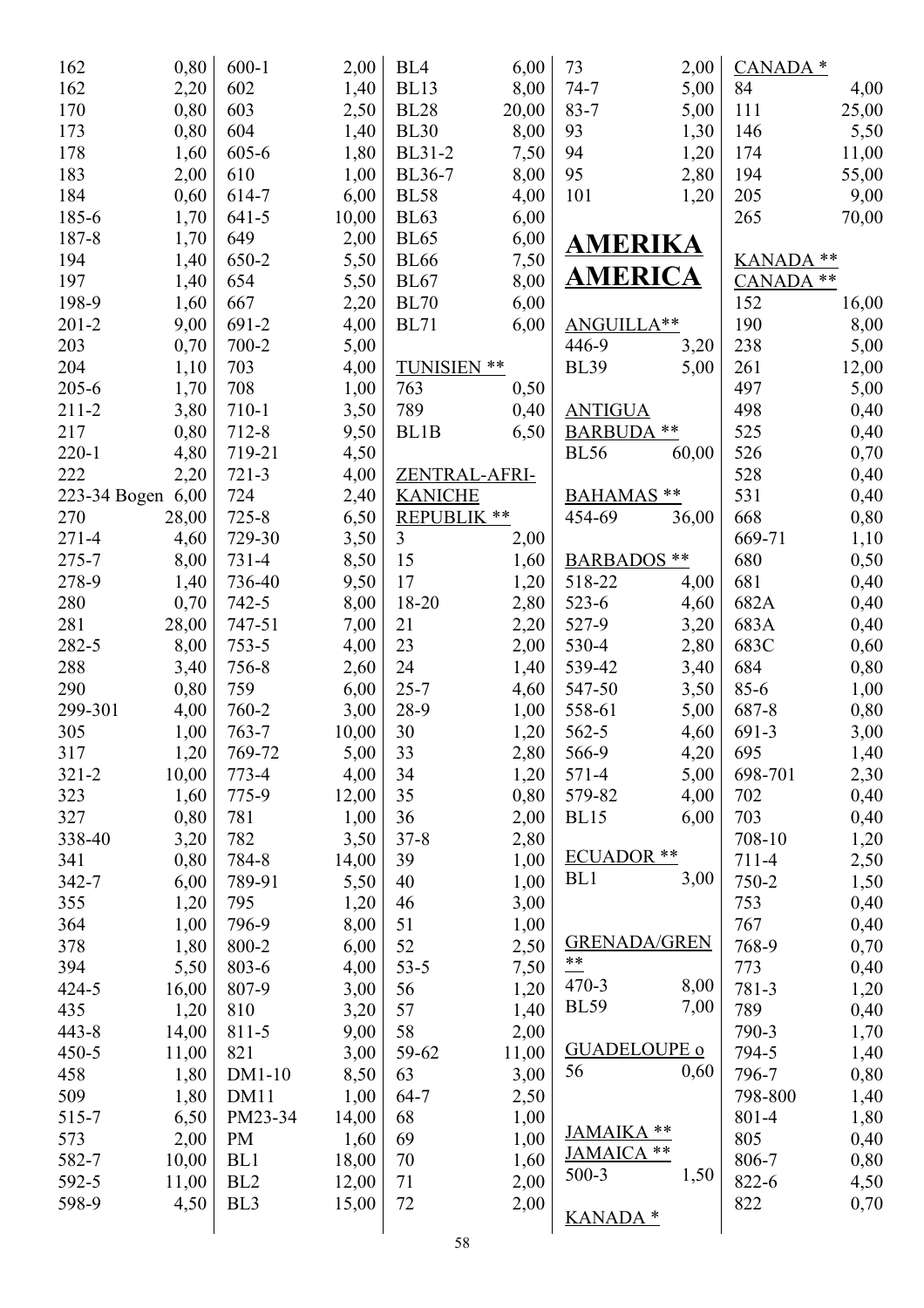| 162               | 0,80          | $600-1$         | 2,00         | BL <sub>4</sub>      | 6,00         | 73                    | 2,00         | CANADA <sup>*</sup> |              |
|-------------------|---------------|-----------------|--------------|----------------------|--------------|-----------------------|--------------|---------------------|--------------|
| 162               | 2,20          | 602             | 1,40         | <b>BL13</b>          | 8,00         | $74 - 7$              | 5,00         | 84                  | 4,00         |
| 170               | 0,80          | 603             | 2,50         | <b>BL28</b>          | 20,00        | $83 - 7$              | 5,00         | 111                 | 25,00        |
| 173               | 0,80          | 604             | 1,40         | <b>BL30</b>          | 8,00         | 93                    | 1,30         | 146                 | 5,50         |
| 178               | 1,60          | 605-6           | 1,80         | <b>BL31-2</b>        | 7,50         | 94                    | 1,20         | 174                 | 11,00        |
| 183               | 2,00          | 610             | 1,00         | BL36-7               | 8,00         | 95                    | 2,80         | 194                 | 55,00        |
| 184               | 0,60          | 614-7           | 6,00         | <b>BL58</b>          | 4,00         | 101                   | 1,20         | 205                 | 9,00         |
| 185-6             | 1,70          | $641 - 5$       | 10,00        | <b>BL63</b>          | 6,00         |                       |              | 265                 | 70,00        |
| 187-8             | 1,70          | 649             | 2,00         | <b>BL65</b>          | 6,00         | AMERIKA               |              |                     |              |
| 194               | 1,40          | 650-2           | 5,50         | <b>BL66</b>          | 7,50         |                       |              | <b>KANADA</b>       | **           |
| 197               | 1,40          | 654             | 5,50         | <b>BL67</b>          | 8,00         | <b>AMERICA</b>        |              | <b>CANADA</b>       | $***$        |
| 198-9             | 1,60          | 667             | 2,20         | <b>BL70</b>          | 6,00         |                       |              | 152                 | 16,00        |
| $201 - 2$         | 9,00          | 691-2           | 4,00         | <b>BL71</b>          | 6,00         | ANGUILLA**            |              | 190                 | 8,00         |
| 203               | 0,70          | 700-2           | 5,00         |                      |              | 446-9                 | 3,20         | 238                 | 5,00         |
| 204               | 1,10          | 703             | 4,00         | TUNISIEN **          |              | <b>BL39</b>           | 5,00         | 261                 | 12,00        |
| $205 - 6$         | 1,70          | 708             | 1,00         | 763                  | 0,50         |                       |              | 497                 | 5,00         |
| $211 - 2$         | 3,80          | 710-1           | 3,50         | 789                  | 0,40         | <b>ANTIGUA</b>        |              | 498                 | 0,40         |
| 217               | 0,80          | 712-8           | 9,50         | BL1B                 | 6,50         | <b>BARBUDA</b>        | **           | 525                 | 0,40         |
| $220 - 1$         | 4,80          | 719-21          | 4,50         |                      |              | <b>BL56</b>           | 60,00        | 526                 | 0,70         |
| 222               | 2,20          | $721 - 3$       | 4,00         | <b>ZENTRAL-AFRI-</b> |              |                       |              | 528                 | 0,40         |
| 223-34 Bogen 6,00 |               | 724             | 2,40         | <b>KANICHE</b>       |              | BAHAMAS **            |              | 531                 | 0,40         |
| 270               | 28,00         | $725 - 8$       | 6,50         | REPUBLIK **          |              | 454-69                | 36,00        | 668                 | 0,80         |
| 271-4             | 4,60          | 729-30          | 3,50         | 3                    | 2,00         |                       |              | 669-71              | 1,10         |
| 275-7             | 8,00          | 731-4           | 8,50         | 15                   | 1,60         | <b>BARBADOS</b> **    |              | 680                 | 0,50         |
| 278-9             | 1,40          | 736-40          | 9,50         | 17                   | 1,20         | 518-22                | 4,00         | 681                 | 0,40         |
| 280               | 0,70          | $742 - 5$       | 8,00         | 18-20                | 2,80         | $523 - 6$             | 4,60         | 682A                | 0,40         |
| 281               | 28,00         | 747-51          | 7,00         | 21                   | 2,20         | 527-9                 | 3,20         | 683A                | 0,40         |
| 282-5             | 8,00          | $753 - 5$       | 4,00         | 23                   | 2,00         | 530-4                 | 2,80         | 683C                |              |
| 288               | 3,40          | 756-8           |              | 24                   |              | 539-42                |              | 684                 | 0,60         |
| 290               | 0,80          | 759             | 2,60<br>6,00 | $25 - 7$             | 1,40<br>4,60 | 547-50                | 3,40<br>3,50 | $85 - 6$            | 0,80<br>1,00 |
| 299-301           | 4,00          | 760-2           | 3,00         | 28-9                 | 1,00         | 558-61                |              | 687-8               |              |
| 305               | 1,00          | $763 - 7$       | 10,00        | 30                   | 1,20         | 562-5                 | 5,00<br>4,60 | 691-3               | 0,80         |
| 317               |               | 769-72          |              | 33                   |              | 566-9                 | 4,20         | 695                 | 3,00         |
|                   | 1,20          |                 | 5,00         |                      | 2,80         |                       |              |                     | 1,40         |
| $321 - 2$<br>323  | 10,00<br>1,60 | 773-4<br>775-9  | 4,00         | 34<br>35             | 1,20<br>0,80 | 571-4                 | 5,00         | 698-701<br>702      | 2,30         |
| 327               | 0,80          | 781             | 12,00        | 36                   |              | 579-82<br><b>BL15</b> | 4,00<br>6,00 | 703                 | 0,40         |
|                   |               | 782             | 1,00         | $37 - 8$             | 2,00         |                       |              | 708-10              | 0,40         |
| 338-40            | 3,20          | 784-8           | 3,50         | 39                   | 2,80         | <b>ECUADOR</b> **     |              | 711-4               | 1,20         |
| 341<br>342-7      | 0,80          | 789-91          | 14,00        | 40                   | 1,00<br>1,00 | BL <sub>1</sub>       | 3,00         | 750-2               | 2,50         |
|                   | 6,00          |                 | 5,50         | 46                   |              |                       |              |                     | 1,50         |
| 355<br>364        | 1,20          | 795<br>796-9    | 1,20<br>8,00 | 51                   | 3,00         |                       |              | 753<br>767          | 0,40         |
|                   | 1,00          |                 |              | 52                   | 1,00         | <b>GRENADA/GREN</b>   |              | 768-9               | 0,40         |
| 378               | 1,80          | 800-2           | 6,00         |                      | 2,50         | $**$                  |              |                     | 0,70         |
| 394               | 5,50          | 803-6           | 4,00         | $53 - 5$             | 7,50         | $470 - 3$             | 8,00         | 773                 | 0,40         |
| 424-5             | 16,00         | 807-9           | 3,00         | 56                   | 1,20         | <b>BL59</b>           | 7,00         | 781-3               | 1,20         |
| 435               | 1,20          | 810             | 3,20         | 57                   | 1,40         |                       |              | 789                 | 0,40         |
| $443 - 8$         | 14,00         | 811-5           | 9,00         | 58                   | 2,00         | <b>GUADELOUPE o</b>   |              | 790-3               | 1,70         |
| $450 - 5$         | 11,00         | 821             | 3,00         | 59-62                | 11,00        | 56                    | 0,60         | 794-5               | 1,40         |
| 458               | 1,80          | $DM1-10$        | 8,50         | 63                   | 3,00         |                       |              | 796-7               | 0,80         |
| 509               | 1,80          | DM11            | 1,00         | $64 - 7$             | 2,50         |                       |              | 798-800             | 1,40         |
| 515-7             | 6,50          | PM23-34         | 14,00        | 68                   | 1,00         | JAMAIKA **            |              | 801-4               | 1,80         |
| 573               | 2,00          | PM              | 1,60         | 69                   | 1,00         | JAMAICA **            |              | 805                 | 0,40         |
| 582-7             | 10,00         | BL1             | 18,00        | 70                   | 1,60         | $500-3$               | 1,50         | 806-7               | 0,80         |
| 592-5             | 11,00         | BL <sub>2</sub> | 12,00        | 71                   | 2,00         |                       |              | 822-6               | 4,50         |
| 598-9             | 4,50          | BL <sub>3</sub> | 15,00        | 72                   | 2,00         | <b>KANADA*</b>        |              | 822                 | 0,70         |
|                   |               |                 |              |                      |              |                       |              |                     |              |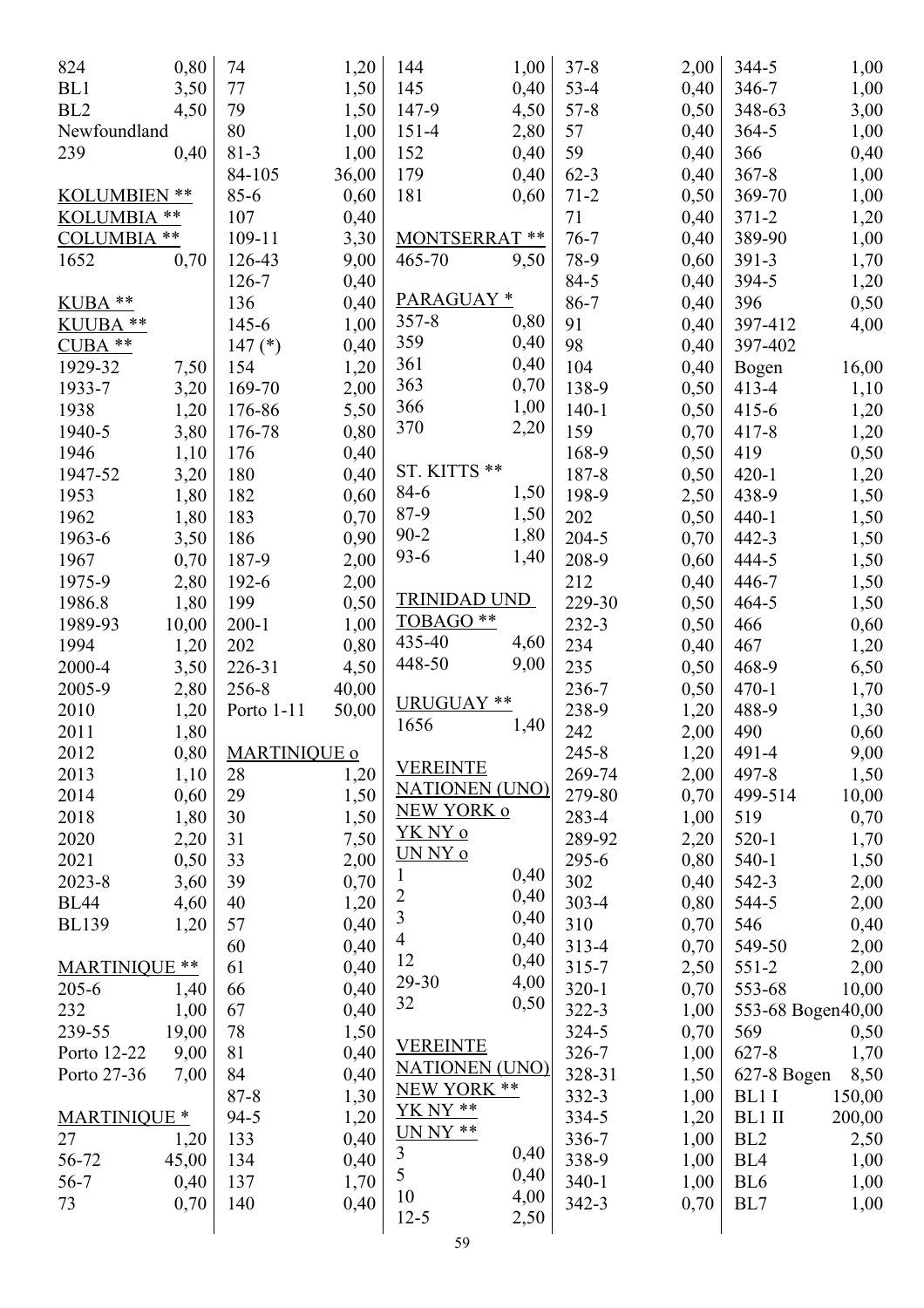| 824                  | 0,80  | 74                  | 1,20         | 144                    | 1,00 | $37 - 8$  | 2,00 | 344-5             | 1,00   |
|----------------------|-------|---------------------|--------------|------------------------|------|-----------|------|-------------------|--------|
| BL1                  | 3,50  | 77                  | 1,50         | 145                    | 0,40 | $53 - 4$  | 0,40 | 346-7             | 1,00   |
| BL <sub>2</sub>      | 4,50  | 79                  | 1,50         | 147-9                  | 4,50 | $57 - 8$  | 0,50 | 348-63            | 3,00   |
| Newfoundland         |       | 80                  | 1,00         | $151 - 4$              | 2,80 | 57        | 0,40 | 364-5             | 1,00   |
| 239                  | 0,40  | $81 - 3$            | 1,00         | 152                    | 0,40 | 59        | 0,40 | 366               | 0,40   |
|                      |       | 84-105              | 36,00        | 179                    | 0,40 | $62 - 3$  | 0,40 | $367 - 8$         | 1,00   |
| KOLUMBIEN **         |       | $85 - 6$            | 0,60         | 181                    | 0,60 | $71 - 2$  | 0,50 | 369-70            | 1,00   |
| KOLUMBIA **          |       | 107                 | 0,40         |                        |      | 71        | 0,40 | $371 - 2$         | 1,20   |
| <b>COLUMBIA</b>      | $***$ | 109-11              | 3,30         | <b>MONTSERRAT</b>      | **   | $76 - 7$  | 0,40 | 389-90            | 1,00   |
| 1652                 | 0,70  | 126-43              | 9,00         | 465-70                 | 9,50 | 78-9      | 0,60 | 391-3             | 1,70   |
|                      |       | 126-7               | 0,40         |                        |      | 84-5      | 0,40 | 394-5             | 1,20   |
| KUBA **              |       | 136                 | 0,40         | PARAGUAY*              |      | 86-7      | 0,40 | 396               | 0,50   |
| KUUBA **             |       | 145-6               | 1,00         | $357 - 8$              | 0,80 | 91        | 0,40 | 397-412           | 4,00   |
| $CUBA$ **            |       | 147 $(*)$           | 0,40         | 359                    | 0,40 | 98        | 0,40 | 397-402           |        |
| 1929-32              | 7,50  | 154                 | 1,20         | 361                    | 0,40 | 104       | 0,40 | Bogen             | 16,00  |
| 1933-7               | 3,20  | 169-70              | 2,00         | 363                    | 0,70 | 138-9     | 0,50 | $413 - 4$         | 1,10   |
| 1938                 | 1,20  | 176-86              | 5,50         | 366                    | 1,00 | $140 - 1$ | 0,50 | $415 - 6$         | 1,20   |
| 1940-5               | 3,80  | 176-78              | 0,80         | 370                    | 2,20 | 159       | 0,70 | $417 - 8$         | 1,20   |
| 1946                 | 1,10  | 176                 |              |                        |      | 168-9     |      | 419               |        |
| 1947-52              |       | 180                 | 0,40<br>0,40 | <b>ST. KITTS</b><br>** |      | 187-8     | 0,50 | $420 - 1$         | 0,50   |
|                      | 3,20  |                     |              | 84-6                   | 1,50 |           | 0,50 |                   | 1,20   |
| 1953                 | 1,80  | 182                 | 0,60         | 87-9                   | 1,50 | 198-9     | 2,50 | 438-9             | 1,50   |
| 1962                 | 1,80  | 183                 | 0,70         | $90 - 2$               | 1,80 | 202       | 0,50 | $440 - 1$         | 1,50   |
| 1963-6               | 3,50  | 186                 | 0,90         | $93 - 6$               | 1,40 | 204-5     | 0,70 | 442-3             | 1,50   |
| 1967                 | 0,70  | 187-9               | 2,00         |                        |      | 208-9     | 0,60 | 444-5             | 1,50   |
| 1975-9               | 2,80  | 192-6               | 2,00         |                        |      | 212       | 0,40 | 446-7             | 1,50   |
| 1986.8               | 1,80  | 199                 | 0,50         | <b>TRINIDAD UND</b>    |      | 229-30    | 0,50 | $464 - 5$         | 1,50   |
| 1989-93              | 10,00 | $200 - 1$           | 1,00         | TOBAGO **              |      | 232-3     | 0,50 | 466               | 0,60   |
| 1994                 | 1,20  | 202                 | 0,80         | 435-40                 | 4,60 | 234       | 0,40 | 467               | 1,20   |
| 2000-4               | 3,50  | 226-31              | 4,50         | 448-50                 | 9,00 | 235       | 0,50 | 468-9             | 6,50   |
| 2005-9               | 2,80  | 256-8               | 40,00        |                        |      | 236-7     | 0,50 | $470-1$           | 1,70   |
| 2010                 | 1,20  | Porto 1-11          | 50,00        | URUGUAY **             |      | 238-9     | 1,20 | 488-9             | 1,30   |
| 2011                 | 1,80  |                     |              | 1656                   | 1,40 | 242       | 2,00 | 490               | 0,60   |
| 2012                 | 0,80  | <b>MARTINIQUE o</b> |              |                        |      | $245 - 8$ | 1,20 | 491-4             | 9,00   |
| 2013                 | 1,10  | 28                  | 1,20         | <b>VEREINTE</b>        |      | 269-74    | 2,00 | 497-8             | 1,50   |
| 2014                 | 0,60  | 29                  | 1,50         | <b>NATIONEN (UNO)</b>  |      | 279-80    | 0,70 | 499-514           | 10,00  |
| 2018                 | 1,80  | 30                  | 1,50         | <b>NEW YORK o</b>      |      | 283-4     | 1,00 | 519               | 0,70   |
| 2020                 | 2,20  | 31                  | 7,50         | <u>YK NY o</u>         |      | 289-92    | 2,20 | $520 - 1$         | 1,70   |
| 2021                 | 0,50  | 33                  | 2,00         | UN NY o                |      | 295-6     | 0,80 | $540-1$           | 1,50   |
| 2023-8               | 3,60  | 39                  | 0,70         | 1                      | 0,40 | 302       | 0,40 | 542-3             | 2,00   |
| <b>BL44</b>          | 4,60  | 40                  | 1,20         | $\overline{c}$         | 0,40 | $303 - 4$ | 0,80 | 544-5             | 2,00   |
| <b>BL139</b>         | 1,20  | 57                  | 0,40         | $\overline{3}$         | 0,40 | 310       | 0,70 | 546               | 0,40   |
|                      |       | 60                  | 0,40         | 4                      | 0,40 | 313-4     | 0,70 | 549-50            | 2,00   |
| <b>MARTINIQUE **</b> |       | 61                  | 0,40         | 12                     | 0,40 | $315 - 7$ | 2,50 | $551-2$           | 2,00   |
| $205 - 6$            | 1,40  | 66                  | 0,40         | 29-30                  | 4,00 | $320 - 1$ | 0,70 | 553-68            | 10,00  |
| 232                  | 1,00  | 67                  | 0,40         | 32                     | 0,50 | 322-3     | 1,00 | 553-68 Bogen40,00 |        |
| 239-55               | 19,00 | 78                  | 1,50         |                        |      | 324-5     | 0,70 | 569               | 0,50   |
| Porto 12-22          | 9,00  | 81                  | 0,40         | <b>VEREINTE</b>        |      | 326-7     | 1,00 | 627-8             | 1,70   |
| Porto 27-36          | 7,00  | 84                  | 0,40         | <b>NATIONEN (UNO)</b>  |      | 328-31    | 1,50 | 627-8 Bogen       | 8,50   |
|                      |       | $87 - 8$            | 1,30         | NEW YORK **            |      | 332-3     | 1,00 | BL1 I             | 150,00 |
| <b>MARTINIQUE *</b>  |       | $94 - 5$            | 1,20         | YK NY **               |      | 334-5     | 1,20 | BL1 II            | 200,00 |
| 27                   | 1,20  | 133                 | 0,40         | $UNNY$ **              |      | 336-7     | 1,00 | BL <sub>2</sub>   | 2,50   |
| 56-72                | 45,00 | 134                 | 0,40         | 3                      | 0,40 | 338-9     | 1,00 | BL <sub>4</sub>   | 1,00   |
| $56 - 7$             | 0,40  | 137                 | 1,70         | 5                      | 0,40 | $340-1$   | 1,00 | BL <sub>6</sub>   | 1,00   |
| 73                   | 0,70  | 140                 | 0,40         | 10                     | 4,00 | 342-3     | 0,70 | BL7               | 1,00   |
|                      |       |                     |              | $12 - 5$               | 2,50 |           |      |                   |        |
|                      |       |                     |              |                        |      |           |      |                   |        |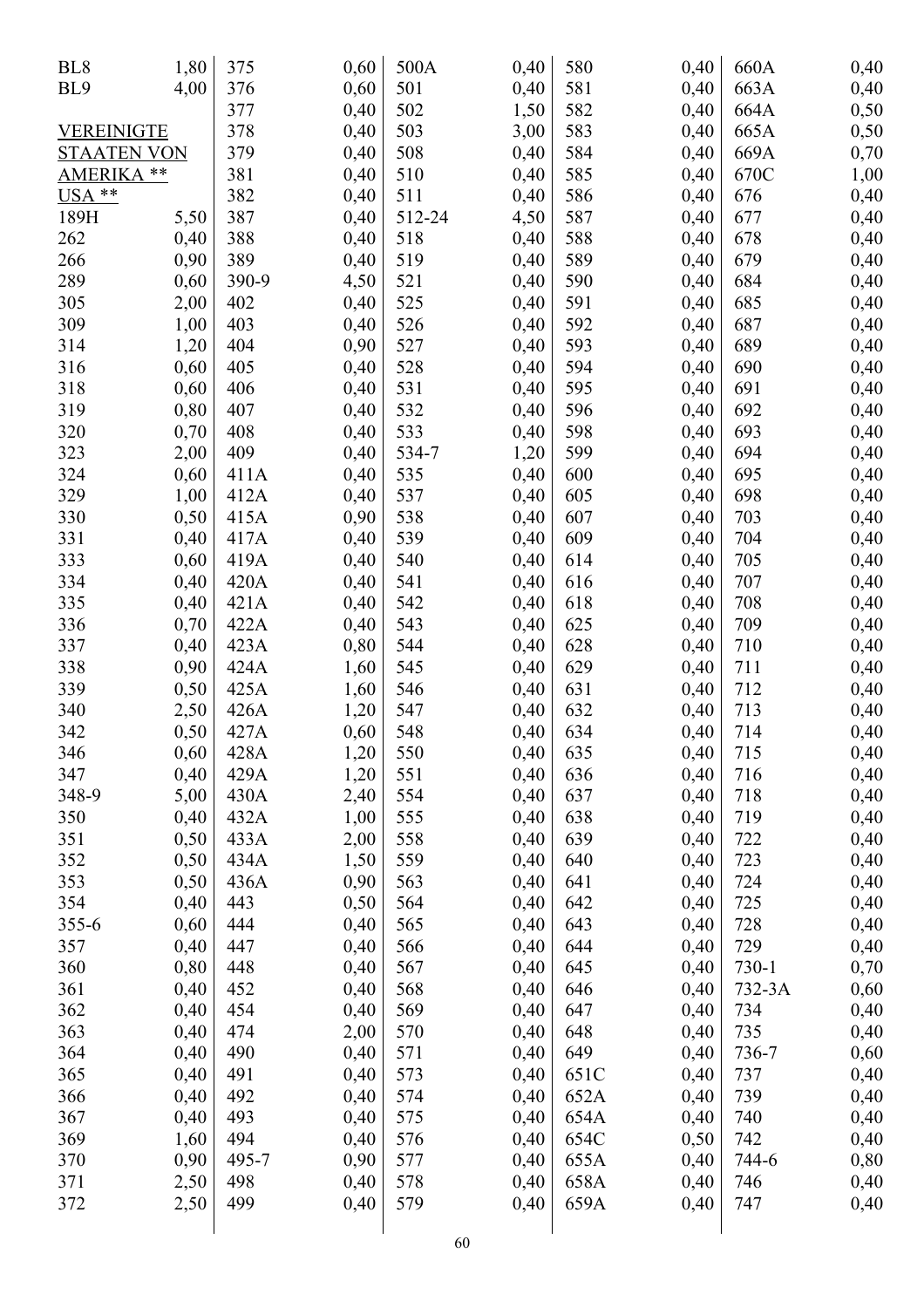| BL <sub>8</sub>      | 1,80 | 375   | 0,60 | 500A   | 0,40 | 580  | 0,40         | 660A   | 0,40 |
|----------------------|------|-------|------|--------|------|------|--------------|--------|------|
| BL9                  | 4,00 | 376   | 0,60 | 501    | 0,40 | 581  | 0,40         | 663A   | 0,40 |
|                      |      | 377   | 0,40 | 502    | 1,50 | 582  | 0,40         | 664A   | 0,50 |
| VEREINIGTE           |      | 378   | 0,40 | 503    | 3,00 | 583  | 0,40         | 665A   | 0,50 |
| <b>STAATEN VON</b>   |      | 379   | 0,40 | 508    | 0,40 | 584  | 0,40         | 669A   | 0,70 |
| <b>AMERIKA</b><br>** |      | 381   | 0,40 | 510    | 0,40 | 585  | 0,40         | 670C   | 1,00 |
| USA **               |      | 382   | 0,40 | 511    | 0,40 | 586  | 0,40         | 676    | 0,40 |
| 189H                 | 5,50 | 387   | 0,40 | 512-24 | 4,50 | 587  | 0,40         | 677    | 0,40 |
| 262                  | 0,40 | 388   | 0,40 | 518    | 0,40 | 588  | 0,40         | 678    | 0,40 |
| 266                  | 0,90 | 389   | 0,40 | 519    | 0,40 | 589  | 0,40         | 679    | 0,40 |
| 289                  | 0,60 | 390-9 | 4,50 | 521    | 0,40 | 590  | 0,40         | 684    | 0,40 |
| 305                  | 2,00 | 402   | 0,40 | 525    | 0,40 | 591  | 0,40         | 685    | 0,40 |
| 309                  | 1,00 | 403   | 0,40 | 526    | 0,40 | 592  | 0,40         | 687    | 0,40 |
| 314                  | 1,20 | 404   | 0,90 | 527    | 0,40 | 593  | 0,40         | 689    | 0,40 |
| 316                  | 0,60 | 405   | 0,40 | 528    | 0,40 | 594  | 0,40         | 690    | 0,40 |
| 318                  | 0,60 | 406   | 0,40 | 531    | 0,40 | 595  | 0,40         | 691    | 0,40 |
| 319                  | 0,80 | 407   | 0,40 | 532    | 0,40 | 596  | 0,40         | 692    | 0,40 |
| 320                  | 0,70 | 408   | 0,40 | 533    | 0,40 | 598  | 0,40         | 693    | 0,40 |
| 323                  | 2,00 | 409   | 0,40 | 534-7  | 1,20 | 599  | 0,40         | 694    | 0,40 |
| 324                  | 0,60 | 411A  | 0,40 | 535    | 0,40 | 600  | 0,40         | 695    | 0,40 |
| 329                  | 1,00 | 412A  | 0,40 | 537    | 0,40 | 605  | 0,40         | 698    | 0,40 |
| 330                  | 0,50 | 415A  | 0,90 | 538    | 0,40 | 607  | 0,40         | 703    | 0,40 |
| 331                  | 0,40 | 417A  | 0,40 | 539    | 0,40 | 609  | 0,40         | 704    | 0,40 |
| 333                  | 0,60 | 419A  | 0,40 | 540    | 0,40 | 614  | 0,40         | 705    | 0,40 |
| 334                  | 0,40 | 420A  | 0,40 | 541    | 0,40 | 616  | 0,40         | 707    | 0,40 |
| 335                  | 0,40 | 421A  | 0,40 | 542    | 0,40 | 618  | 0,40         | 708    | 0,40 |
| 336                  | 0,70 | 422A  | 0,40 | 543    | 0,40 | 625  | 0,40         | 709    | 0,40 |
| 337                  | 0,40 | 423A  | 0,80 | 544    | 0,40 | 628  | 0,40         | 710    |      |
| 338                  | 0,90 | 424A  |      | 545    |      | 629  |              | 711    | 0,40 |
| 339                  | 0,50 | 425A  | 1,60 | 546    | 0,40 | 631  | 0,40<br>0,40 | 712    | 0,40 |
| 340                  |      |       | 1,60 | 547    | 0,40 | 632  |              | 713    | 0,40 |
| 342                  | 2,50 | 426A  | 1,20 |        | 0,40 | 634  | 0,40         | 714    | 0,40 |
|                      | 0,50 | 427A  | 0,60 | 548    | 0,40 |      | 0,40         |        | 0,40 |
| 346                  | 0,60 | 428A  | 1,20 | 550    | 0,40 | 635  | 0,40         | 715    | 0,40 |
| 347                  | 0,40 | 429A  | 1,20 | 551    | 0,40 | 636  | 0,40         | 716    | 0,40 |
| 348-9                | 5,00 | 430A  | 2,40 | 554    | 0,40 | 637  | 0,40         | 718    | 0,40 |
| 350                  | 0,40 | 432A  | 1,00 | 555    | 0,40 | 638  | 0,40         | 719    | 0,40 |
| 351                  | 0,50 | 433A  | 2,00 | 558    | 0,40 | 639  | 0,40         | 722    | 0,40 |
| 352                  | 0,50 | 434A  | 1,50 | 559    | 0,40 | 640  | 0,40         | 723    | 0,40 |
| 353                  | 0,50 | 436A  | 0,90 | 563    | 0,40 | 641  | 0,40         | 724    | 0,40 |
| 354                  | 0,40 | 443   | 0,50 | 564    | 0,40 | 642  | 0,40         | 725    | 0,40 |
| 355-6                | 0,60 | 444   | 0,40 | 565    | 0,40 | 643  | 0,40         | 728    | 0,40 |
| 357                  | 0,40 | 447   | 0,40 | 566    | 0,40 | 644  | 0,40         | 729    | 0,40 |
| 360                  | 0,80 | 448   | 0,40 | 567    | 0,40 | 645  | 0,40         | 730-1  | 0,70 |
| 361                  | 0,40 | 452   | 0,40 | 568    | 0,40 | 646  | 0,40         | 732-3A | 0,60 |
| 362                  | 0,40 | 454   | 0,40 | 569    | 0,40 | 647  | 0,40         | 734    | 0,40 |
| 363                  | 0,40 | 474   | 2,00 | 570    | 0,40 | 648  | 0,40         | 735    | 0,40 |
| 364                  | 0,40 | 490   | 0,40 | 571    | 0,40 | 649  | 0,40         | 736-7  | 0,60 |
| 365                  | 0,40 | 491   | 0,40 | 573    | 0,40 | 651C | 0,40         | 737    | 0,40 |
| 366                  | 0,40 | 492   | 0,40 | 574    | 0,40 | 652A | 0,40         | 739    | 0,40 |
| 367                  | 0,40 | 493   | 0,40 | 575    | 0,40 | 654A | 0,40         | 740    | 0,40 |
| 369                  | 1,60 | 494   | 0,40 | 576    | 0,40 | 654C | 0,50         | 742    | 0,40 |
| 370                  | 0,90 | 495-7 | 0,90 | 577    | 0,40 | 655A | 0,40         | 744-6  | 0,80 |
| 371                  | 2,50 | 498   | 0,40 | 578    | 0,40 | 658A | 0,40         | 746    | 0,40 |
| 372                  | 2,50 | 499   | 0,40 | 579    | 0,40 | 659A | 0,40         | 747    | 0,40 |
|                      |      |       |      |        |      |      |              |        |      |
|                      |      |       |      | 60     |      |      |              |        |      |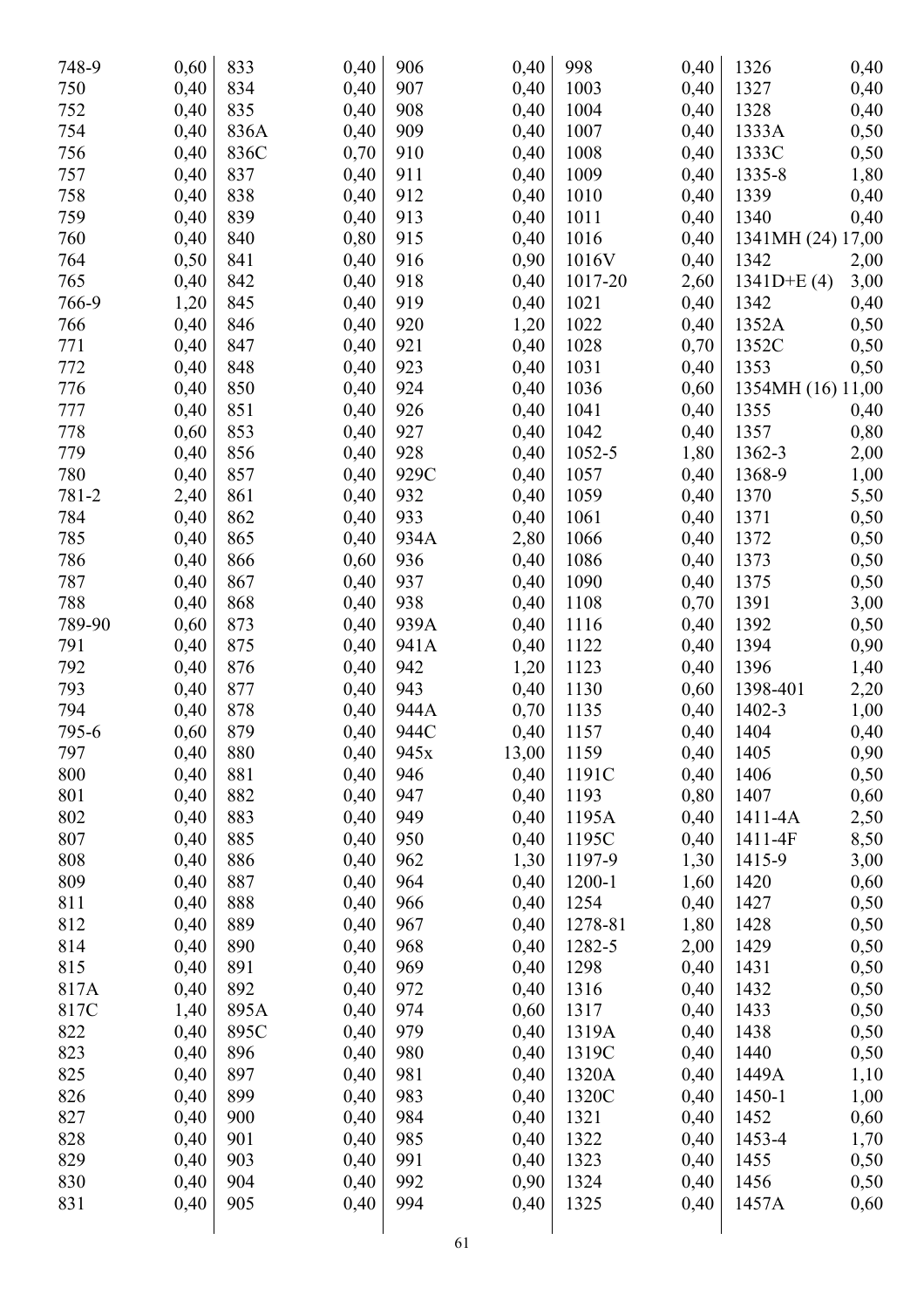| 748-9  | 0,60 | 833  | 0,40 | 906  | 0,40  | 998     | 0,40 | 1326              | 0,40 |
|--------|------|------|------|------|-------|---------|------|-------------------|------|
| 750    | 0,40 | 834  | 0,40 | 907  | 0,40  | 1003    | 0,40 | 1327              | 0,40 |
| 752    | 0,40 | 835  | 0,40 | 908  | 0,40  | 1004    | 0,40 | 1328              | 0,40 |
| 754    | 0,40 | 836A | 0,40 | 909  | 0,40  | 1007    | 0,40 | 1333A             | 0,50 |
| 756    | 0,40 | 836C | 0,70 | 910  | 0,40  | 1008    | 0,40 | 1333C             | 0,50 |
| 757    | 0,40 | 837  | 0,40 | 911  | 0,40  | 1009    | 0,40 | 1335-8            | 1,80 |
| 758    | 0,40 | 838  | 0,40 | 912  | 0,40  | 1010    | 0,40 | 1339              | 0,40 |
| 759    | 0,40 | 839  | 0,40 | 913  | 0,40  | 1011    | 0,40 | 1340              | 0,40 |
| 760    | 0,40 | 840  | 0,80 | 915  | 0,40  | 1016    | 0,40 | 1341MH (24) 17,00 |      |
| 764    | 0,50 | 841  | 0,40 | 916  | 0,90  | 1016V   | 0,40 | 1342              | 2,00 |
| 765    | 0,40 | 842  | 0,40 | 918  | 0,40  | 1017-20 | 2,60 | $1341D+E(4)$      | 3,00 |
| 766-9  | 1,20 | 845  | 0,40 | 919  | 0,40  | 1021    | 0,40 | 1342              | 0,40 |
| 766    | 0,40 | 846  | 0,40 | 920  | 1,20  | 1022    | 0,40 | 1352A             | 0,50 |
| 771    | 0,40 | 847  | 0,40 | 921  | 0,40  | 1028    | 0,70 | 1352C             | 0,50 |
| 772    | 0,40 | 848  | 0,40 | 923  | 0,40  | 1031    | 0,40 | 1353              | 0,50 |
| 776    | 0,40 | 850  | 0,40 | 924  | 0,40  | 1036    | 0,60 | 1354MH (16) 11,00 |      |
| 777    | 0,40 | 851  | 0,40 | 926  | 0,40  | 1041    | 0,40 | 1355              | 0,40 |
| 778    | 0,60 | 853  | 0,40 | 927  | 0,40  | 1042    | 0,40 | 1357              | 0,80 |
| 779    | 0,40 | 856  | 0,40 | 928  | 0,40  | 1052-5  | 1,80 | 1362-3            | 2,00 |
| 780    | 0,40 | 857  | 0,40 | 929C | 0,40  | 1057    | 0,40 | 1368-9            | 1,00 |
| 781-2  | 2,40 | 861  | 0,40 | 932  | 0,40  | 1059    | 0,40 | 1370              | 5,50 |
| 784    | 0,40 | 862  | 0,40 | 933  | 0,40  | 1061    | 0,40 | 1371              | 0,50 |
| 785    | 0,40 | 865  | 0,40 | 934A | 2,80  | 1066    | 0,40 | 1372              | 0,50 |
| 786    | 0,40 | 866  | 0,60 | 936  | 0,40  | 1086    | 0,40 | 1373              | 0,50 |
| 787    | 0,40 | 867  | 0,40 | 937  | 0,40  | 1090    | 0,40 | 1375              | 0,50 |
| 788    | 0,40 | 868  | 0,40 | 938  | 0,40  | 1108    | 0,70 | 1391              | 3,00 |
| 789-90 | 0,60 | 873  | 0,40 | 939A | 0,40  | 1116    | 0,40 | 1392              | 0,50 |
| 791    | 0,40 | 875  | 0,40 | 941A | 0,40  | 1122    | 0,40 | 1394              | 0,90 |
| 792    | 0,40 | 876  | 0,40 | 942  | 1,20  | 1123    | 0,40 | 1396              | 1,40 |
| 793    | 0,40 | 877  | 0,40 | 943  | 0,40  | 1130    | 0,60 | 1398-401          | 2,20 |
| 794    | 0,40 | 878  | 0,40 | 944A | 0,70  | 1135    | 0,40 | 1402-3            | 1,00 |
| 795-6  | 0,60 | 879  | 0,40 | 944C | 0,40  | 1157    | 0,40 | 1404              | 0,40 |
| 797    | 0,40 | 880  | 0,40 | 945x | 13,00 | 1159    | 0,40 | 1405              | 0,90 |
| 800    | 0,40 | 881  | 0,40 | 946  | 0,40  | 1191C   | 0,40 | 1406              | 0,50 |
| 801    | 0,40 | 882  | 0,40 | 947  | 0,40  | 1193    | 0,80 | 1407              | 0,60 |
| 802    | 0,40 | 883  | 0,40 | 949  | 0,40  | 1195A   | 0,40 | 1411-4A           | 2,50 |
| 807    | 0,40 | 885  | 0,40 | 950  | 0,40  | 1195C   | 0,40 | 1411-4F           | 8,50 |
| 808    | 0,40 | 886  | 0,40 | 962  | 1,30  | 1197-9  | 1,30 | 1415-9            | 3,00 |
| 809    | 0,40 | 887  | 0,40 | 964  | 0,40  | 1200-1  | 1,60 | 1420              | 0,60 |
| 811    | 0,40 | 888  | 0,40 | 966  | 0,40  | 1254    | 0,40 | 1427              | 0,50 |
| 812    | 0,40 | 889  | 0,40 | 967  | 0,40  | 1278-81 | 1,80 | 1428              | 0,50 |
| 814    | 0,40 | 890  | 0,40 | 968  | 0,40  | 1282-5  | 2,00 | 1429              | 0,50 |
| 815    | 0,40 | 891  | 0,40 | 969  | 0,40  | 1298    | 0,40 | 1431              | 0,50 |
| 817A   | 0,40 | 892  | 0,40 | 972  | 0,40  | 1316    | 0,40 | 1432              | 0,50 |
| 817C   | 1,40 | 895A | 0,40 | 974  | 0,60  | 1317    | 0,40 | 1433              | 0,50 |
| 822    | 0,40 | 895C | 0,40 | 979  | 0,40  | 1319A   | 0,40 | 1438              | 0,50 |
| 823    | 0,40 | 896  | 0,40 | 980  | 0,40  | 1319C   | 0,40 | 1440              | 0,50 |
| 825    | 0,40 | 897  | 0,40 | 981  | 0,40  | 1320A   | 0,40 | 1449A             |      |
| 826    | 0,40 | 899  | 0,40 | 983  | 0,40  | 1320C   | 0,40 | 1450-1            | 1,10 |
| 827    | 0,40 | 900  | 0,40 | 984  | 0,40  | 1321    | 0,40 | 1452              | 1,00 |
| 828    | 0,40 | 901  | 0,40 | 985  | 0,40  | 1322    | 0,40 | 1453-4            | 0,60 |
| 829    | 0,40 | 903  | 0,40 | 991  | 0,40  | 1323    |      | 1455              | 1,70 |
|        |      |      |      | 992  |       |         | 0,40 |                   | 0,50 |
| 830    | 0,40 | 904  | 0,40 |      | 0,90  | 1324    | 0,40 | 1456              | 0,50 |
| 831    | 0,40 | 905  | 0,40 | 994  | 0,40  | 1325    | 0,40 | 1457A             | 0,60 |
|        |      |      |      | 61   |       |         |      |                   |      |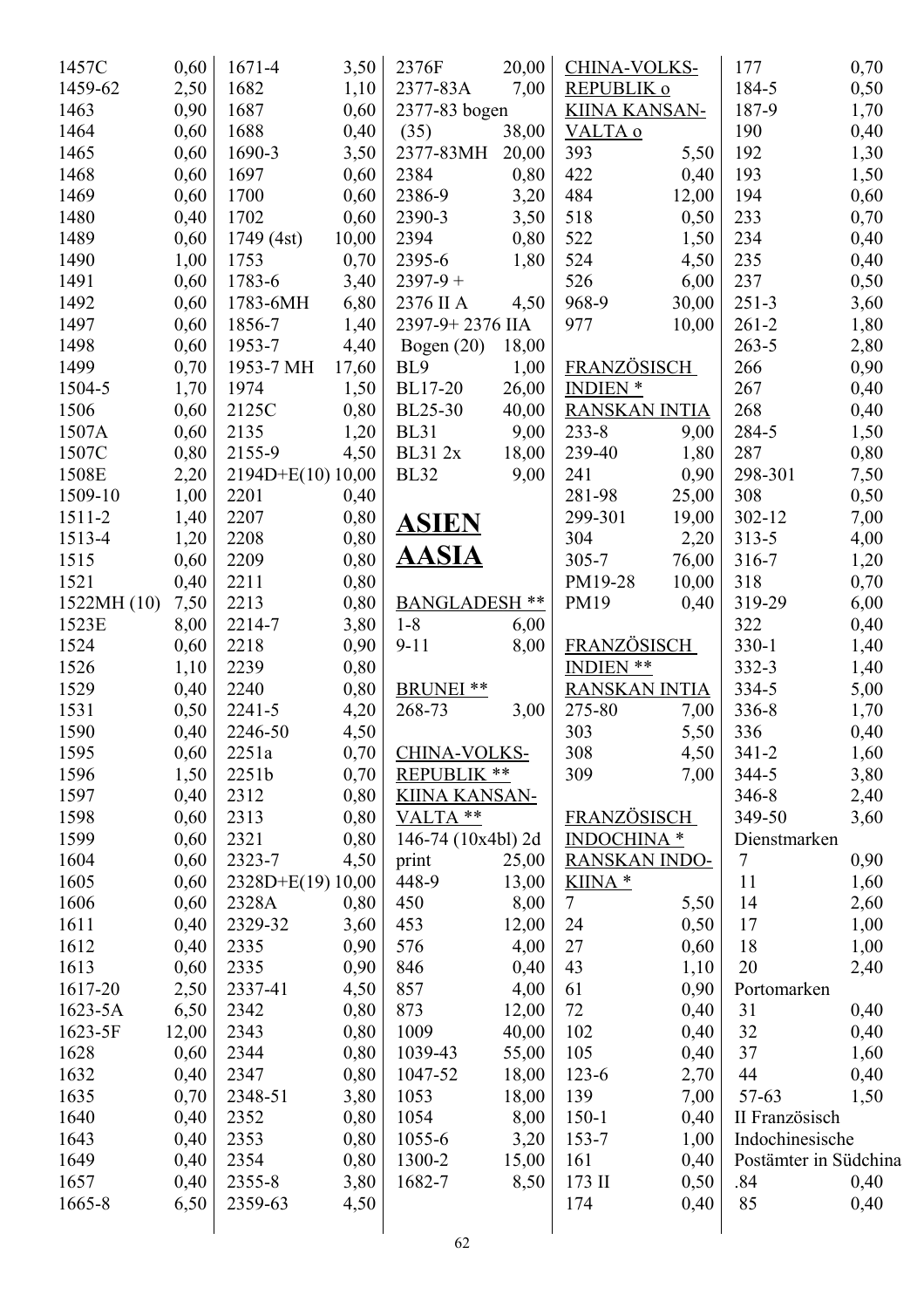| 1457C       | 0,60  | 1671-4             | 3,50  | 2376F                | 20,00 | CHINA-VOLKS-         |       | 177                   | 0,70 |
|-------------|-------|--------------------|-------|----------------------|-------|----------------------|-------|-----------------------|------|
| 1459-62     | 2,50  | 1682               | 1,10  | 2377-83A             | 7,00  | REPUBLIK o           |       | 184-5                 | 0,50 |
| 1463        | 0,90  | 1687               | 0,60  | 2377-83 bogen        |       | <b>KIINA KANSAN-</b> |       | 187-9                 | 1,70 |
| 1464        | 0,60  | 1688               | 0,40  | (35)                 | 38,00 | VALTA o              |       | 190                   | 0,40 |
| 1465        | 0,60  | 1690-3             | 3,50  | 2377-83MH            | 20,00 | 393                  | 5,50  | 192                   | 1,30 |
| 1468        | 0,60  | 1697               | 0,60  | 2384                 | 0,80  | 422                  | 0,40  | 193                   | 1,50 |
| 1469        | 0,60  | 1700               | 0,60  | 2386-9               | 3,20  | 484                  | 12,00 | 194                   | 0,60 |
| 1480        | 0,40  | 1702               | 0,60  | 2390-3               | 3,50  | 518                  | 0,50  | 233                   | 0,70 |
| 1489        | 0,60  | 1749 (4st)         | 10,00 | 2394                 | 0,80  | 522                  | 1,50  | 234                   | 0,40 |
| 1490        | 1,00  | 1753               | 0,70  | 2395-6               | 1,80  | 524                  | 4,50  | 235                   | 0,40 |
| 1491        | 0,60  | 1783-6             | 3,40  | $2397 - 9 +$         |       | 526                  | 6,00  | 237                   | 0,50 |
| 1492        | 0,60  | 1783-6MH           | 6,80  | 2376 II A            | 4,50  | 968-9                | 30,00 | $251 - 3$             | 3,60 |
| 1497        | 0,60  | 1856-7             | 1,40  | 2397-9+2376 IIA      |       | 977                  | 10,00 | $261 - 2$             | 1,80 |
| 1498        | 0,60  | 1953-7             | 4,40  | Bogen $(20)$         | 18,00 |                      |       | $263 - 5$             | 2,80 |
| 1499        | 0,70  | 1953-7 MH          | 17,60 | BL <sub>9</sub>      | 1,00  | <b>FRANZÖSISCH</b>   |       | 266                   | 0,90 |
| 1504-5      | 1,70  | 1974               | 1,50  | <b>BL17-20</b>       | 26,00 | <b>INDIEN</b> *      |       | 267                   | 0,40 |
| 1506        | 0,60  | 2125C              | 0,80  | <b>BL25-30</b>       | 40,00 | <b>RANSKAN INTIA</b> |       | 268                   | 0,40 |
| 1507A       | 0,60  | 2135               | 1,20  | <b>BL31</b>          | 9,00  | $233 - 8$            | 9,00  | 284-5                 | 1,50 |
| 1507C       | 0,80  | 2155-9             | 4,50  | <b>BL312x</b>        | 18,00 | 239-40               | 1,80  | 287                   | 0,80 |
| 1508E       | 2,20  | $2194D+E(10)10,00$ |       | <b>BL32</b>          | 9,00  | 241                  | 0,90  | 298-301               | 7,50 |
| 1509-10     | 1,00  | 2201               | 0,40  |                      |       | 281-98               | 25,00 | 308                   | 0,50 |
| 1511-2      | 1,40  | 2207               | 0,80  |                      |       | 299-301              | 19,00 | 302-12                | 7,00 |
| 1513-4      | 1,20  | 2208               | 0,80  | <b>ASIEN</b>         |       | 304                  | 2,20  | $313 - 5$             | 4,00 |
| 1515        | 0,60  | 2209               | 0,80  | <u>AASIA</u>         |       | $305 - 7$            | 76,00 | 316-7                 | 1,20 |
| 1521        | 0,40  | 2211               | 0,80  |                      |       | PM19-28              | 10,00 | 318                   | 0,70 |
| 1522MH (10) | 7,50  | 2213               | 0,80  | <b>BANGLADESH **</b> |       | PM19                 | 0,40  | 319-29                | 6,00 |
| 1523E       | 8,00  | 2214-7             | 3,80  | $1 - 8$              | 6,00  |                      |       | 322                   | 0,40 |
| 1524        | 0,60  | 2218               | 0,90  | $9 - 11$             | 8,00  | FRANZÖSISCH          |       | $330-1$               | 1,40 |
| 1526        | 1,10  | 2239               | 0,80  |                      |       | INDIEN **            |       | $332 - 3$             | 1,40 |
| 1529        | 0,40  | 2240               | 0,80  | <b>BRUNEI</b><br>**  |       | <b>RANSKAN INTIA</b> |       | 334-5                 | 5,00 |
| 1531        | 0,50  | 2241-5             | 4,20  | 268-73               | 3,00  | 275-80               | 7,00  | 336-8                 | 1,70 |
| 1590        | 0,40  | 2246-50            | 4,50  |                      |       | 303                  | 5,50  | 336                   | 0,40 |
| 1595        | 0,60  | 2251a              | 0,70  | CHINA-VOLKS-         |       | 308                  | 4,50  | $341 - 2$             | 1,60 |
| 1596        | 1,50  | 2251b              | 0,70  | REPUBLIK **          |       | 309                  | 7,00  | 344-5                 | 3,80 |
| 1597        | 0,40  | 2312               | 0,80  | <b>KIINA KANSAN-</b> |       |                      |       | 346-8                 | 2,40 |
| 1598        | 0,60  | 2313               | 0,80  | VALTA **             |       | <b>FRANZÖSISCH</b>   |       | 349-50                | 3,60 |
| 1599        | 0,60  | 2321               | 0,80  | 146-74 (10x4bl) 2d   |       | <b>INDOCHINA</b> *   |       | Dienstmarken          |      |
| 1604        | 0,60  | 2323-7             | 4,50  | print                | 25,00 | <b>RANSKAN INDO-</b> |       | $\tau$                | 0,90 |
| 1605        | 0,60  | 2328D+E(19) 10,00  |       | 448-9                | 13,00 | KIINA *              |       | 11                    | 1,60 |
| 1606        | 0,60  | 2328A              | 0,80  | 450                  | 8,00  | $\tau$               | 5,50  | 14                    | 2,60 |
| 1611        | 0,40  | 2329-32            | 3,60  | 453                  | 12,00 | 24                   | 0,50  | 17                    | 1,00 |
| 1612        | 0,40  | 2335               | 0,90  | 576                  | 4,00  | 27                   | 0,60  | 18                    | 1,00 |
| 1613        | 0,60  | 2335               | 0,90  | 846                  | 0,40  | 43                   | 1,10  | 20                    | 2,40 |
| 1617-20     | 2,50  | 2337-41            | 4,50  | 857                  | 4,00  | 61                   | 0,90  | Portomarken           |      |
| 1623-5A     | 6,50  | 2342               | 0,80  | 873                  | 12,00 | 72                   | 0,40  | 31                    | 0,40 |
| 1623-5F     | 12,00 | 2343               | 0,80  | 1009                 | 40,00 | 102                  | 0,40  | 32                    | 0,40 |
| 1628        | 0,60  | 2344               | 0,80  | 1039-43              | 55,00 | 105                  | 0,40  | 37                    | 1,60 |
| 1632        | 0,40  | 2347               | 0,80  | 1047-52              | 18,00 | $123 - 6$            | 2,70  | 44                    | 0,40 |
| 1635        | 0,70  | 2348-51            | 3,80  | 1053                 | 18,00 | 139                  | 7,00  | $57 - 63$             | 1,50 |
| 1640        | 0,40  | 2352               | 0,80  | 1054                 | 8,00  | $150 - 1$            | 0,40  | II Französisch        |      |
| 1643        | 0,40  | 2353               | 0,80  | 1055-6               | 3,20  | 153-7                | 1,00  | Indochinesische       |      |
| 1649        | 0,40  | 2354               | 0,80  | 1300-2               | 15,00 | 161                  | 0,40  | Postämter in Südchina |      |
| 1657        | 0,40  | 2355-8             | 3,80  | 1682-7               | 8,50  | 173 II               | 0,50  | .84                   | 0,40 |
| 1665-8      | 6,50  | 2359-63            | 4,50  |                      |       | 174                  | 0,40  | 85                    | 0,40 |
|             |       |                    |       | 62                   |       |                      |       |                       |      |
|             |       |                    |       |                      |       |                      |       |                       |      |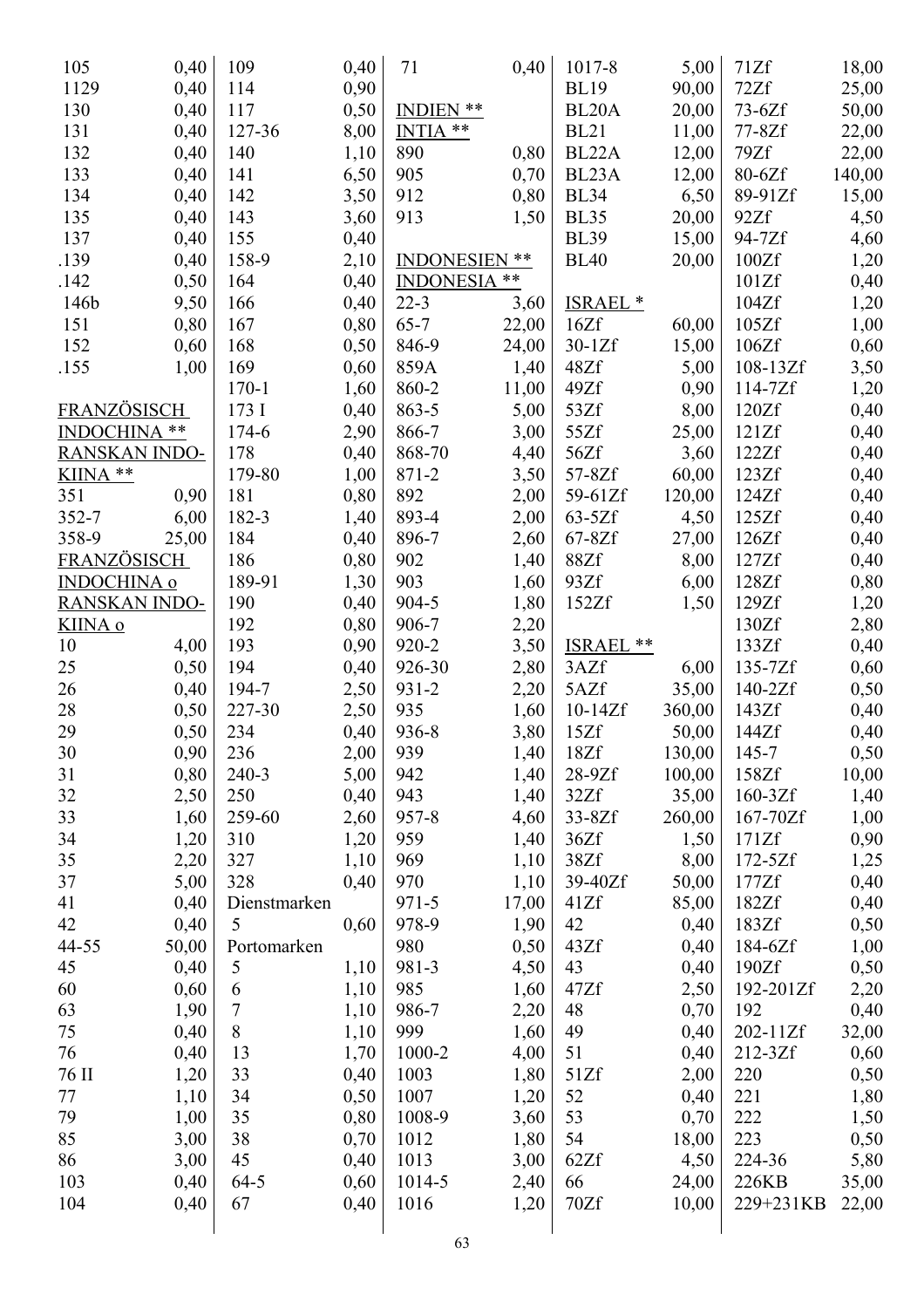| 105                  | 0,40  | 109            | 0,40 | 71                  | 0,40  | 1017-8              | 5,00   | 71Zf        | 18,00  |
|----------------------|-------|----------------|------|---------------------|-------|---------------------|--------|-------------|--------|
| 1129                 | 0,40  | 114            | 0,90 |                     |       | <b>BL19</b>         | 90,00  | 72Zf        | 25,00  |
| 130                  | 0,40  | 117            | 0,50 | INDIEN **           |       | BL <sub>20</sub> A  | 20,00  | $73-6Zf$    | 50,00  |
| 131                  | 0,40  | 127-36         | 8,00 | INTIA <sup>**</sup> |       | <b>BL21</b>         | 11,00  | 77-8Zf      | 22,00  |
| 132                  | 0,40  | 140            | 1,10 | 890                 | 0,80  | BL22A               | 12,00  | 79Zf        | 22,00  |
| 133                  | 0,40  | 141            | 6,50 | 905                 | 0,70  | BL23A               | 12,00  | 80-6Zf      | 140,00 |
| 134                  | 0,40  | 142            | 3,50 | 912                 | 0,80  | <b>BL34</b>         | 6,50   | 89-91Zf     | 15,00  |
| 135                  | 0,40  | 143            | 3,60 | 913                 | 1,50  | <b>BL35</b>         | 20,00  | 92Zf        | 4,50   |
| 137                  | 0,40  | 155            | 0,40 |                     |       | <b>BL39</b>         | 15,00  | 94-7Zf      | 4,60   |
| .139                 | 0,40  | 158-9          | 2,10 | INDONESIEN **       |       | <b>BL40</b>         | 20,00  | 100Zf       | 1,20   |
| .142                 | 0,50  | 164            | 0,40 | <b>INDONESIA</b>    | **    |                     |        | 101Zf       | 0,40   |
| 146b                 | 9,50  | 166            | 0,40 | $22 - 3$            | 3,60  | ISRAEL <sup>*</sup> |        | 104Zf       | 1,20   |
| 151                  | 0,80  | 167            | 0,80 | $65 - 7$            | 22,00 | 16Zf                | 60,00  | 105Zf       | 1,00   |
| 152                  | 0,60  | 168            | 0,50 | 846-9               | 24,00 | $30-1Zf$            | 15,00  | 106Zf       | 0,60   |
| .155                 | 1,00  | 169            | 0,60 | 859A                | 1,40  | 48Zf                | 5,00   | $108-13Zf$  | 3,50   |
|                      |       | $170 - 1$      | 1,60 | 860-2               | 11,00 | 49Zf                | 0,90   | $114-7Zf$   | 1,20   |
| FRANZÖSISCH          |       | 173 I          | 0,40 | 863-5               | 5,00  | 53Zf                | 8,00   | 120Zf       | 0,40   |
| INDOCHINA **         |       | 174-6          | 2,90 | 866-7               | 3,00  | 55Zf                | 25,00  | 121Zf       | 0,40   |
| <b>RANSKAN INDO-</b> |       | 178            | 0,40 | 868-70              | 4,40  | 56Zf                | 3,60   | 122Zf       | 0,40   |
| KIINA **             |       | 179-80         | 1,00 | 871-2               | 3,50  | 57-8Zf              | 60,00  | 123Zf       | 0,40   |
| 351                  | 0,90  | 181            | 0,80 | 892                 | 2,00  | 59-61Zf             | 120,00 | 124Zf       | 0,40   |
| 352-7                | 6,00  | 182-3          | 1,40 | 893-4               | 2,00  | $63-5Zf$            | 4,50   | 125Zf       | 0,40   |
| 358-9                | 25,00 | 184            | 0,40 | 896-7               | 2,60  | $67-8Zf$            | 27,00  | 126Zf       | 0,40   |
| <b>FRANZÖSISCH</b>   |       | 186            | 0,80 | 902                 | 1,40  | 88Zf                | 8,00   | 127Zf       | 0,40   |
| <b>INDOCHINA</b> o   |       | 189-91         | 1,30 | 903                 | 1,60  | 93Zf                | 6,00   | 128Zf       | 0,80   |
| <b>RANSKAN INDO-</b> |       | 190            | 0,40 | 904-5               | 1,80  | 152Zf               | 1,50   | 129Zf       | 1,20   |
| <u>KIINA o</u>       |       | 192            | 0,80 | 906-7               | 2,20  |                     |        | 130Zf       | 2,80   |
| 10                   | 4,00  | 193            | 0,90 | 920-2               | 3,50  | <b>ISRAEL</b><br>** |        | 133Zf       | 0,40   |
| 25                   | 0,50  | 194            | 0,40 | 926-30              | 2,80  | 3AZf                | 6,00   | $135 - 7Zf$ | 0,60   |
| 26                   | 0,40  | 194-7          | 2,50 | 931-2               | 2,20  | 5AZf                | 35,00  | $140-2Zf$   | 0,50   |
| 28                   | 0,50  | 227-30         | 2,50 | 935                 | 1,60  | $10-14Zf$           | 360,00 | 143Zf       | 0,40   |
| 29                   | 0,50  | 234            | 0,40 | 936-8               | 3,80  | 15Zf                | 50,00  | 144Zf       | 0,40   |
| 30                   | 0,90  | 236            | 2,00 | 939                 | 1,40  | 18Zf                | 130,00 | 145-7       | 0,50   |
| 31                   | 0,80  | 240-3          | 5,00 | 942                 | 1,40  | $28-9Zf$            | 100,00 | 158Zf       | 10,00  |
| 32                   | 2,50  | 250            | 0,40 | 943                 | 1,40  | 32Zf                | 35,00  | $160-3Zf$   | 1,40   |
| 33                   | 1,60  | 259-60         | 2,60 | $957 - 8$           | 4,60  | $33-8Zf$            | 260,00 | 167-70Zf    | 1,00   |
| 34                   | 1,20  | 310            | 1,20 | 959                 | 1,40  | 36Zf                | 1,50   | 171Zf       | 0,90   |
| 35                   | 2,20  | 327            | 1,10 | 969                 | 1,10  | 38Zf                | 8,00   | $172 - 5Zf$ | 1,25   |
| 37                   | 5,00  | 328            | 0,40 | 970                 | 1,10  | 39-40Zf             | 50,00  | 177Zf       | 0,40   |
| 41                   | 0,40  | Dienstmarken   |      | $971 - 5$           | 17,00 | 41Zf                | 85,00  | 182Zf       | 0,40   |
| 42                   | 0,40  | 5              | 0,60 | 978-9               | 1,90  | 42                  | 0,40   | 183Zf       | 0,50   |
| 44-55                | 50,00 | Portomarken    |      | 980                 | 0,50  | 43Zf                | 0,40   | 184-6Zf     | 1,00   |
| 45                   | 0,40  | $\mathfrak{S}$ | 1,10 | 981-3               | 4,50  | 43                  | 0,40   | 190Zf       | 0,50   |
| 60                   | 0,60  | 6              | 1,10 | 985                 | 1,60  | 47Zf                | 2,50   | 192-201Zf   | 2,20   |
| 63                   | 1,90  | 7              | 1,10 | 986-7               | 2,20  | 48                  | 0,70   | 192         | 0,40   |
| 75                   | 0,40  | 8              | 1,10 | 999                 | 1,60  | 49                  | 0,40   | 202-11Zf    | 32,00  |
| 76                   | 0,40  | 13             | 1,70 | 1000-2              | 4,00  | 51                  | 0,40   | 212-3Zf     | 0,60   |
| 76 II                | 1,20  | 33             | 0,40 | 1003                | 1,80  | 51Zf                | 2,00   | 220         | 0,50   |
| 77                   | 1,10  | 34             | 0,50 | 1007                | 1,20  | 52                  | 0,40   | 221         | 1,80   |
| 79                   | 1,00  | 35             | 0,80 | 1008-9              | 3,60  | 53                  | 0,70   | 222         | 1,50   |
| 85                   | 3,00  | 38             | 0,70 | 1012                | 1,80  | 54                  | 18,00  | 223         | 0,50   |
| 86                   | 3,00  | 45             | 0,40 | 1013                | 3,00  | 62Zf                | 4,50   | 224-36      | 5,80   |
| 103                  | 0,40  | $64 - 5$       | 0,60 | 1014-5              | 2,40  | 66                  | 24,00  | 226KB       | 35,00  |
| 104                  | 0,40  | 67             | 0,40 | 1016                | 1,20  | 70Zf                | 10,00  | 229+231KB   | 22,00  |
|                      |       |                |      |                     |       |                     |        |             |        |
|                      |       |                |      | 63                  |       |                     |        |             |        |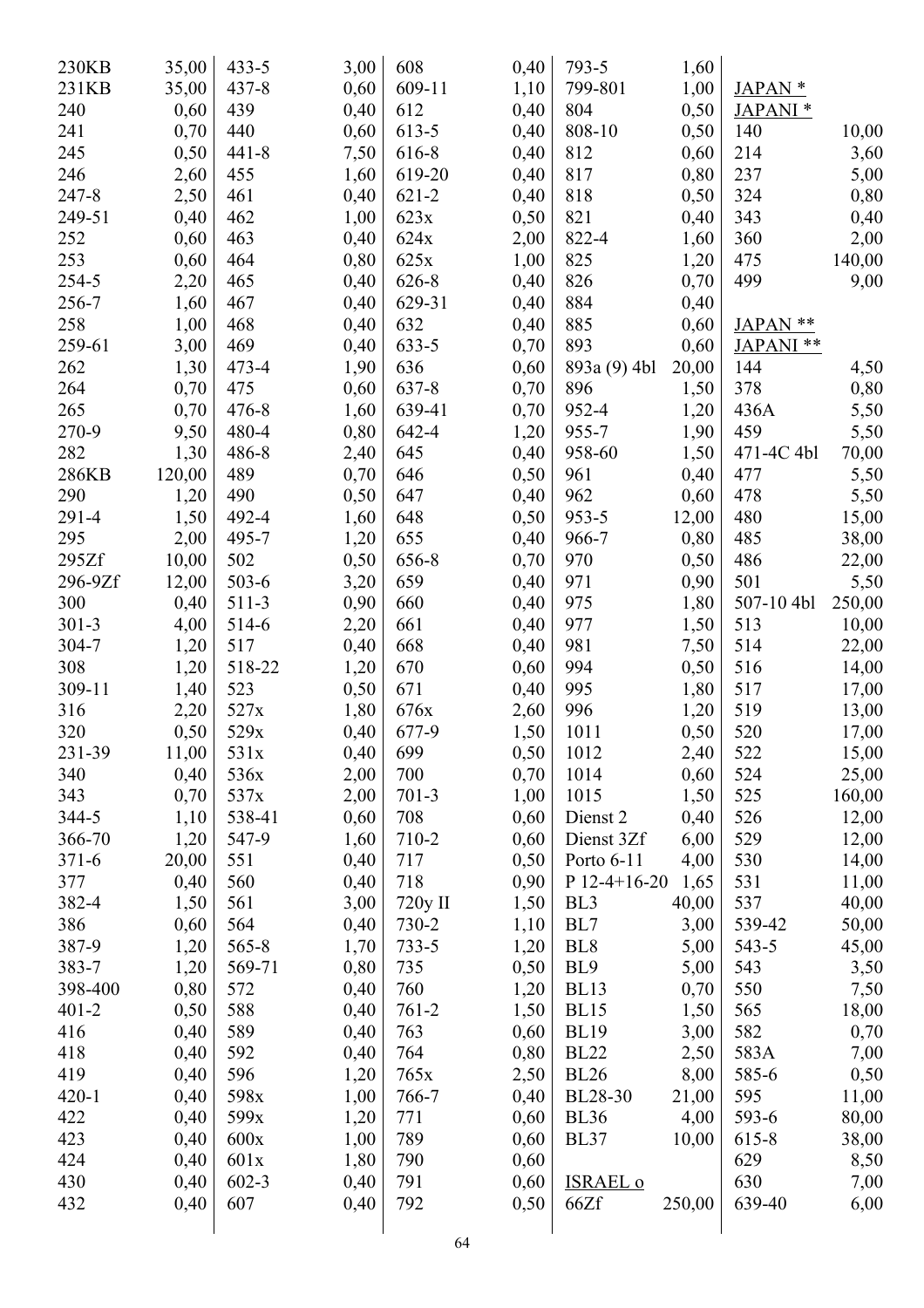| 230KB     | 35,00  | $433 - 5$ | 3,00 | 608       | 0,40 | 793-5           | 1,60   |                      |        |
|-----------|--------|-----------|------|-----------|------|-----------------|--------|----------------------|--------|
| 231KB     | 35,00  | $437 - 8$ | 0,60 | 609-11    | 1,10 | 799-801         | 1,00   | JAPAN <sup>*</sup>   |        |
| 240       | 0,60   | 439       | 0,40 | 612       | 0,40 | 804             | 0,50   | JAPANI <sup>*</sup>  |        |
| 241       | 0,70   | 440       | 0,60 | 613-5     | 0,40 | 808-10          | 0,50   | 140                  | 10,00  |
| 245       | 0,50   | $441 - 8$ | 7,50 | 616-8     | 0,40 | 812             | 0,60   | 214                  | 3,60   |
| 246       | 2,60   | 455       | 1,60 | 619-20    | 0,40 | 817             | 0,80   | 237                  | 5,00   |
| 247-8     | 2,50   | 461       | 0,40 | $621 - 2$ | 0,40 | 818             | 0,50   | 324                  | 0,80   |
| 249-51    |        | 462       |      | 623x      |      | 821             |        | 343                  |        |
|           | 0,40   |           | 1,00 |           | 0,50 |                 | 0,40   |                      | 0,40   |
| 252       | 0,60   | 463       | 0,40 | 624x      | 2,00 | 822-4           | 1,60   | 360                  | 2,00   |
| 253       | 0,60   | 464       | 0,80 | 625x      | 1,00 | 825             | 1,20   | 475                  | 140,00 |
| 254-5     | 2,20   | 465       | 0,40 | 626-8     | 0,40 | 826             | 0,70   | 499                  | 9,00   |
| 256-7     | 1,60   | 467       | 0,40 | 629-31    | 0,40 | 884             | 0,40   |                      |        |
| 258       | 1,00   | 468       | 0,40 | 632       | 0,40 | 885             | 0,60   | JAPAN **             |        |
| 259-61    | 3,00   | 469       | 0,40 | $633 - 5$ | 0,70 | 893             | 0,60   | JAPANI <sup>**</sup> |        |
| 262       | 1,30   | 473-4     | 1,90 | 636       | 0,60 | 893a (9) 4bl    | 20,00  | 144                  | 4,50   |
| 264       | 0,70   | 475       | 0,60 | 637-8     | 0,70 | 896             | 1,50   | 378                  | 0,80   |
| 265       | 0,70   | $476 - 8$ | 1,60 | 639-41    | 0,70 | 952-4           | 1,20   | 436A                 | 5,50   |
| 270-9     | 9,50   | 480-4     | 0,80 | 642-4     | 1,20 | 955-7           | 1,90   | 459                  | 5,50   |
| 282       | 1,30   | 486-8     | 2,40 | 645       | 0,40 | 958-60          | 1,50   | 471-4C 4bl           | 70,00  |
| 286KB     | 120,00 | 489       | 0,70 | 646       | 0,50 | 961             | 0,40   | 477                  | 5,50   |
| 290       | 1,20   | 490       | 0,50 | 647       | 0,40 | 962             | 0,60   | 478                  | 5,50   |
| 291-4     | 1,50   | 492-4     | 1,60 | 648       | 0,50 | 953-5           | 12,00  | 480                  | 15,00  |
| 295       | 2,00   | 495-7     | 1,20 | 655       | 0,40 | 966-7           | 0,80   | 485                  | 38,00  |
| 295Zf     | 10,00  | 502       | 0,50 | 656-8     | 0,70 | 970             | 0,50   | 486                  |        |
| 296-9Zf   |        | $503 - 6$ |      | 659       |      | 971             |        | 501                  | 22,00  |
|           | 12,00  |           | 3,20 |           | 0,40 |                 | 0,90   |                      | 5,50   |
| 300       | 0,40   | $511-3$   | 0,90 | 660       | 0,40 | 975             | 1,80   | 507-10 4bl           | 250,00 |
| $301 - 3$ | 4,00   | 514-6     | 2,20 | 661       | 0,40 | 977             | 1,50   | 513                  | 10,00  |
| 304-7     | 1,20   | 517       | 0,40 | 668       | 0,40 | 981             | 7,50   | 514                  | 22,00  |
| 308       | 1,20   | 518-22    | 1,20 | 670       | 0,60 | 994             | 0,50   | 516                  | 14,00  |
| 309-11    | 1,40   | 523       | 0,50 | 671       | 0,40 | 995             | 1,80   | 517                  | 17,00  |
| 316       | 2,20   | 527x      | 1,80 | 676x      | 2,60 | 996             | 1,20   | 519                  | 13,00  |
| 320       | 0,50   | 529x      | 0,40 | 677-9     | 1,50 | 1011            | 0,50   | 520                  | 17,00  |
| 231-39    | 11,00  | 531x      | 0,40 | 699       | 0,50 | 1012            | 2,40   | 522                  | 15,00  |
| 340       | 0,40   | 536x      | 2,00 | 700       | 0,70 | 1014            | 0,60   | 524                  | 25,00  |
| 343       | 0,70   | 537x      | 2,00 | $701-3$   | 1,00 | 1015            | 1,50   | 525                  | 160,00 |
| 344-5     | 1,10   | 538-41    | 0,60 | 708       | 0,60 | Dienst 2        | 0,40   | 526                  | 12,00  |
| 366-70    | 1,20   | 547-9     | 1,60 | 710-2     | 0,60 | Dienst 3Zf      | 6,00   | 529                  | 12,00  |
| $371 - 6$ | 20,00  | 551       | 0,40 | 717       | 0,50 | Porto 6-11      | 4,00   | 530                  | 14,00  |
| 377       | 0,40   | 560       | 0,40 | 718       | 0,90 | $P$ 12-4+16-20  | 1,65   | 531                  | 11,00  |
| 382-4     | 1,50   | 561       | 3,00 | 720y II   | 1,50 | BL <sub>3</sub> | 40,00  | 537                  | 40,00  |
| 386       | 0,60   | 564       | 0,40 | 730-2     | 1,10 | BL7             | 3,00   | 539-42               | 50,00  |
| 387-9     | 1,20   | $565 - 8$ |      | $733 - 5$ |      | BL <sub>8</sub> |        | 543-5                |        |
|           |        |           | 1,70 |           | 1,20 |                 | 5,00   |                      | 45,00  |
| 383-7     | 1,20   | 569-71    | 0,80 | 735       | 0,50 | BL <sub>9</sub> | 5,00   | 543                  | 3,50   |
| 398-400   | 0,80   | 572       | 0,40 | 760       | 1,20 | <b>BL13</b>     | 0,70   | 550                  | 7,50   |
| $401 - 2$ | 0,50   | 588       | 0,40 | $761 - 2$ | 1,50 | <b>BL15</b>     | 1,50   | 565                  | 18,00  |
| 416       | 0,40   | 589       | 0,40 | 763       | 0,60 | <b>BL19</b>     | 3,00   | 582                  | 0,70   |
| 418       | 0,40   | 592       | 0,40 | 764       | 0,80 | <b>BL22</b>     | 2,50   | 583A                 | 7,00   |
| 419       | 0,40   | 596       | 1,20 | 765x      | 2,50 | <b>BL26</b>     | 8,00   | 585-6                | 0,50   |
| $420 - 1$ | 0,40   | 598x      | 1,00 | 766-7     | 0,40 | BL28-30         | 21,00  | 595                  | 11,00  |
| 422       | 0,40   | 599x      | 1,20 | 771       | 0,60 | <b>BL36</b>     | 4,00   | 593-6                | 80,00  |
| 423       | 0,40   | 600x      | 1,00 | 789       | 0,60 | <b>BL37</b>     | 10,00  | 615-8                | 38,00  |
| 424       | 0,40   | 601x      | 1,80 | 790       | 0,60 |                 |        | 629                  | 8,50   |
| 430       | 0,40   | $602 - 3$ | 0,40 | 791       | 0,60 | <b>ISRAEL o</b> |        | 630                  | 7,00   |
| 432       | 0,40   | 607       | 0,40 | 792       | 0,50 | 66Zf            | 250,00 | 639-40               | 6,00   |
|           |        |           |      |           |      |                 |        |                      |        |
|           |        |           |      | 64        |      |                 |        |                      |        |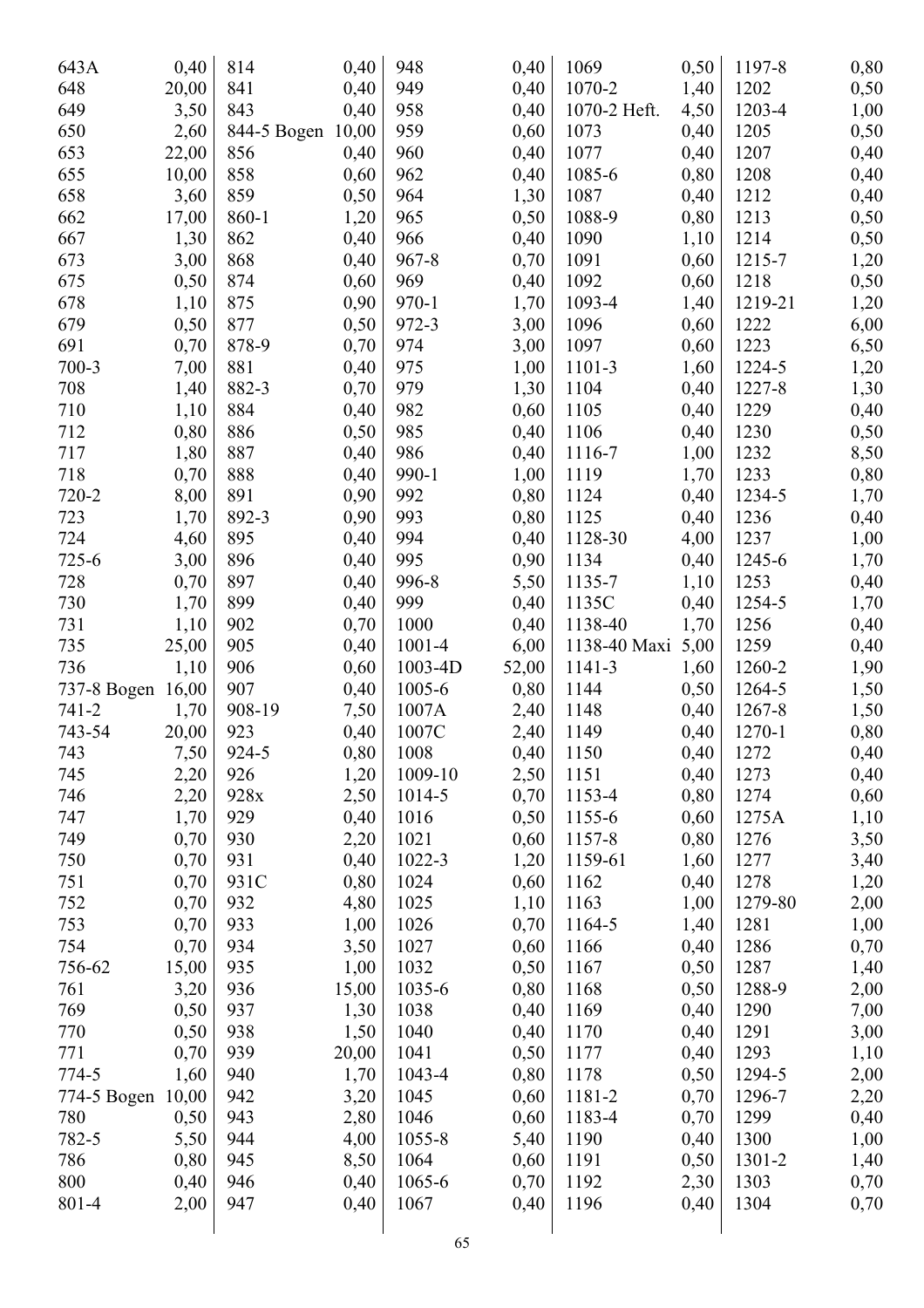| 643A                     | 0,40  | 814         | 0,40         | 948               | 0,40  | 1069         | 0,50 | 1197-8  | 0,80         |
|--------------------------|-------|-------------|--------------|-------------------|-------|--------------|------|---------|--------------|
| 648                      | 20,00 | 841         | 0,40         | 949               | 0,40  | 1070-2       | 1,40 | 1202    | 0,50         |
| 649                      | 3,50  | 843         | 0,40         | 958               | 0,40  | 1070-2 Heft. | 4,50 | 1203-4  | 1,00         |
| 650                      | 2,60  | 844-5 Bogen | 10,00        | 959               | 0,60  | 1073         | 0,40 | 1205    | 0,50         |
| 653                      | 22,00 | 856         | 0,40         | 960               | 0,40  | 1077         | 0,40 | 1207    | 0,40         |
| 655                      | 10,00 | 858         | 0,60         | 962               | 0,40  | 1085-6       | 0,80 | 1208    | 0,40         |
| 658                      | 3,60  | 859         | 0,50         | 964               | 1,30  | 1087         | 0,40 | 1212    | 0,40         |
| 662                      | 17,00 | 860-1       | 1,20         | 965               | 0,50  | 1088-9       | 0,80 | 1213    | 0,50         |
| 667                      | 1,30  | 862         | 0,40         | 966               | 0,40  | 1090         | 1,10 | 1214    | 0,50         |
| 673                      | 3,00  | 868         | 0,40         | $967 - 8$         | 0,70  | 1091         | 0,60 | 1215-7  | 1,20         |
| 675                      | 0,50  | 874         | 0,60         | 969               | 0,40  | 1092         | 0,60 | 1218    | 0,50         |
| 678                      | 1,10  | 875         | 0,90         | 970-1             | 1,70  | 1093-4       | 1,40 | 1219-21 | 1,20         |
| 679                      | 0,50  | 877         | 0,50         | 972-3             | 3,00  | 1096         | 0,60 | 1222    | 6,00         |
| 691                      | 0,70  | 878-9       | 0,70         | 974               | 3,00  | 1097         | 0,60 | 1223    | 6,50         |
| 700-3                    | 7,00  | 881         | 0,40         | 975               | 1,00  | 1101-3       | 1,60 | 1224-5  | 1,20         |
| 708                      | 1,40  | 882-3       | 0,70         | 979               | 1,30  | 1104         | 0,40 | 1227-8  | 1,30         |
| 710                      | 1,10  | 884         | 0,40         | 982               | 0,60  | 1105         | 0,40 | 1229    | 0,40         |
| 712                      | 0,80  | 886         | 0,50         | 985               | 0,40  | 1106         | 0,40 | 1230    | 0,50         |
| 717                      | 1,80  | 887         | 0,40         | 986               | 0,40  | 1116-7       | 1,00 | 1232    | 8,50         |
| 718                      | 0,70  | 888         | 0,40         | 990-1             | 1,00  | 1119         | 1,70 | 1233    | 0,80         |
| 720-2                    | 8,00  | 891         | 0,90         | 992               | 0,80  | 1124         | 0,40 | 1234-5  | 1,70         |
| 723                      | 1,70  | 892-3       | 0,90         | 993               | 0,80  | 1125         | 0,40 | 1236    | 0,40         |
| 724                      | 4,60  | 895         | 0,40         | 994               | 0,40  | 1128-30      | 4,00 | 1237    | 1,00         |
| 725-6                    | 3,00  | 896         | 0,40         | 995               | 0,90  | 1134         | 0,40 | 1245-6  | 1,70         |
| 728                      | 0,70  | 897         | 0,40         | 996-8             | 5,50  | 1135-7       | 1,10 | 1253    | 0,40         |
| 730                      | 1,70  | 899         | 0,40         | 999               | 0,40  | 1135C        | 0,40 | 1254-5  | 1,70         |
| 731                      | 1,10  | 902         | 0,70         | 1000              | 0,40  | 1138-40      | 1,70 | 1256    | 0,40         |
| 735                      | 25,00 | 905         | 0,40         | 1001-4            | 6,00  | 1138-40 Maxi | 5,00 | 1259    |              |
| 736                      | 1,10  | 906         | 0,60         | 1003-4D           | 52,00 | 1141-3       | 1,60 | 1260-2  | 0,40         |
|                          | 16,00 | 907         |              | 1005-6            | 0,80  | 1144         | 0,50 | 1264-5  | 1,90         |
| 737-8 Bogen<br>$741 - 2$ | 1,70  | 908-19      | 0,40<br>7,50 | 1007A             | 2,40  | 1148         | 0,40 | 1267-8  | 1,50         |
| 743-54                   | 20,00 | 923         | 0,40         | 1007C             | 2,40  | 1149         | 0,40 | 1270-1  | 1,50<br>0,80 |
| 743                      |       | 924-5       | 0,80         | 1008              | 0,40  | 1150         |      | 1272    |              |
|                          | 7,50  |             |              |                   |       |              | 0,40 |         | 0,40         |
| 745                      | 2,20  | 926         | 1,20         | 1009-10<br>1014-5 | 2,50  | 1151         | 0,40 | 1273    | 0,40         |
| 746                      | 2,20  | 928x        | 2,50         |                   | 0,70  | 1153-4       | 0,80 | 1274    | 0,60         |
| 747                      | 1,70  | 929         | 0,40         | 1016              | 0,50  | 1155-6       | 0,60 | 1275A   | 1,10         |
| 749                      | 0,70  | 930         | 2,20         | 1021              | 0,60  | 1157-8       | 0,80 | 1276    | 3,50         |
| 750                      | 0,70  | 931         | 0,40         | 1022-3            | 1,20  | 1159-61      | 1,60 | 1277    | 3,40         |
| 751                      | 0,70  | 931C        | 0,80         | 1024              | 0,60  | 1162         | 0,40 | 1278    | 1,20         |
| 752                      | 0,70  | 932         | 4,80         | 1025              | 1,10  | 1163         | 1,00 | 1279-80 | 2,00         |
| 753                      | 0,70  | 933         | 1,00         | 1026              | 0,70  | 1164-5       | 1,40 | 1281    | 1,00         |
| 754                      | 0,70  | 934         | 3,50         | 1027              | 0,60  | 1166         | 0,40 | 1286    | 0,70         |
| 756-62                   | 15,00 | 935         | 1,00         | 1032              | 0,50  | 1167         | 0,50 | 1287    | 1,40         |
| 761                      | 3,20  | 936         | 15,00        | 1035-6            | 0,80  | 1168         | 0,50 | 1288-9  | 2,00         |
| 769                      | 0,50  | 937         | 1,30         | 1038              | 0,40  | 1169         | 0,40 | 1290    | 7,00         |
| 770                      | 0,50  | 938         | 1,50         | 1040              | 0,40  | 1170         | 0,40 | 1291    | 3,00         |
| 771                      | 0,70  | 939         | 20,00        | 1041              | 0,50  | 1177         | 0,40 | 1293    | 1,10         |
| 774-5                    | 1,60  | 940         | 1,70         | 1043-4            | 0,80  | 1178         | 0,50 | 1294-5  | 2,00         |
| 774-5 Bogen              | 10,00 | 942         | 3,20         | 1045              | 0,60  | 1181-2       | 0,70 | 1296-7  | 2,20         |
| 780                      | 0,50  | 943         | 2,80         | 1046              | 0,60  | 1183-4       | 0,70 | 1299    | 0,40         |
| 782-5                    | 5,50  | 944         | 4,00         | 1055-8            | 5,40  | 1190         | 0,40 | 1300    | 1,00         |
| 786                      | 0,80  | 945         | 8,50         | 1064              | 0,60  | 1191         | 0,50 | 1301-2  | 1,40         |
| 800                      | 0,40  | 946         | 0,40         | 1065-6            | 0,70  | 1192         | 2,30 | 1303    | 0,70         |
| 801-4                    | 2,00  | 947         | 0,40         | 1067              | 0,40  | 1196         | 0,40 | 1304    | 0,70         |
|                          |       |             |              | 65                |       |              |      |         |              |
|                          |       |             |              |                   |       |              |      |         |              |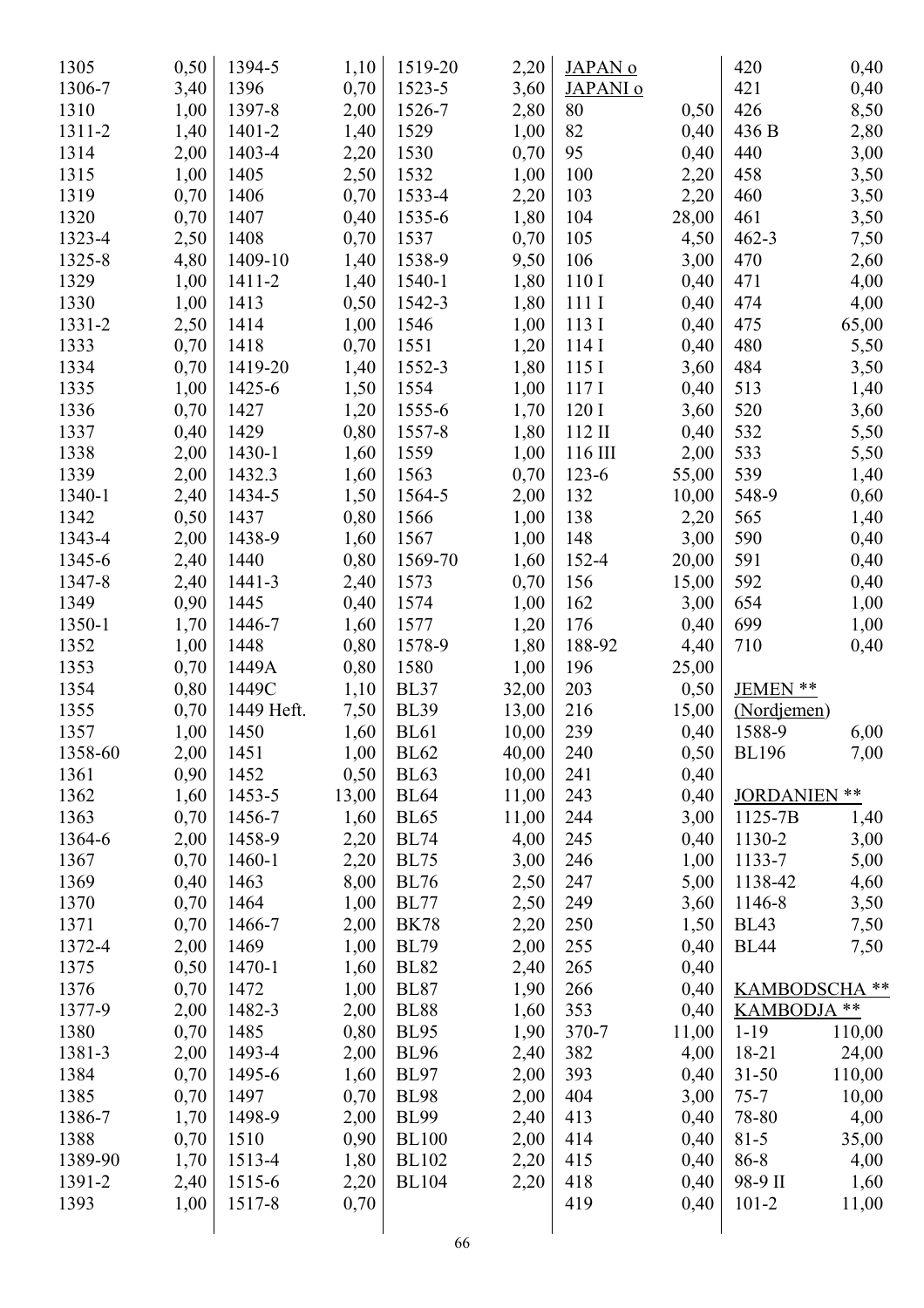| 1305    | 0,50 | 1394-5     | 1,10  | 1519-20      | 2,20  | JAPAN <sub>0</sub>  |       | 420                  | 0,40   |
|---------|------|------------|-------|--------------|-------|---------------------|-------|----------------------|--------|
| 1306-7  | 3,40 | 1396       | 0,70  | 1523-5       | 3,60  | JAPANI <sub>0</sub> |       | 421                  | 0,40   |
| 1310    | 1,00 | 1397-8     | 2,00  | 1526-7       | 2,80  | 80                  | 0,50  | 426                  | 8,50   |
| 1311-2  | 1,40 | $1401 - 2$ | 1,40  | 1529         | 1,00  | 82                  | 0,40  | 436 B                | 2,80   |
| 1314    | 2,00 | 1403-4     | 2,20  | 1530         | 0,70  | 95                  | 0,40  | 440                  | 3,00   |
| 1315    | 1,00 | 1405       | 2,50  | 1532         | 1,00  | 100                 | 2,20  | 458                  | 3,50   |
| 1319    | 0,70 | 1406       | 0,70  | 1533-4       | 2,20  | 103                 | 2,20  | 460                  | 3,50   |
| 1320    | 0,70 | 1407       | 0,40  | 1535-6       | 1,80  | 104                 | 28,00 | 461                  | 3,50   |
| 1323-4  | 2,50 | 1408       | 0,70  | 1537         | 0,70  | 105                 | 4,50  | $462 - 3$            | 7,50   |
| 1325-8  | 4,80 | 1409-10    | 1,40  | 1538-9       | 9,50  | 106                 | 3,00  | 470                  | 2,60   |
| 1329    | 1,00 | 1411-2     | 1,40  | 1540-1       | 1,80  | 110 I               | 0,40  | 471                  | 4,00   |
| 1330    | 1,00 | 1413       | 0,50  | 1542-3       | 1,80  | 111I                | 0,40  | 474                  | 4,00   |
| 1331-2  | 2,50 | 1414       | 1,00  | 1546         | 1,00  | 113 I               | 0,40  | 475                  | 65,00  |
| 1333    | 0,70 | 1418       | 0,70  | 1551         | 1,20  | 114I                | 0,40  | 480                  | 5,50   |
| 1334    | 0,70 | 1419-20    | 1,40  | 1552-3       | 1,80  | 115I                | 3,60  | 484                  | 3,50   |
| 1335    |      | 1425-6     |       | 1554         |       | 117I                |       | 513                  |        |
|         | 1,00 |            | 1,50  |              | 1,00  |                     | 0,40  |                      | 1,40   |
| 1336    | 0,70 | 1427       | 1,20  | 1555-6       | 1,70  | 120 I               | 3,60  | 520                  | 3,60   |
| 1337    | 0,40 | 1429       | 0,80  | 1557-8       | 1,80  | $112$ II            | 0,40  | 532                  | 5,50   |
| 1338    | 2,00 | 1430-1     | 1,60  | 1559         | 1,00  | 116 III             | 2,00  | 533                  | 5,50   |
| 1339    | 2,00 | 1432.3     | 1,60  | 1563         | 0,70  | 123-6               | 55,00 | 539                  | 1,40   |
| 1340-1  | 2,40 | 1434-5     | 1,50  | 1564-5       | 2,00  | 132                 | 10,00 | 548-9                | 0,60   |
| 1342    | 0,50 | 1437       | 0,80  | 1566         | 1,00  | 138                 | 2,20  | 565                  | 1,40   |
| 1343-4  | 2,00 | 1438-9     | 1,60  | 1567         | 1,00  | 148                 | 3,00  | 590                  | 0,40   |
| 1345-6  | 2,40 | 1440       | 0,80  | 1569-70      | 1,60  | 152-4               | 20,00 | 591                  | 0,40   |
| 1347-8  | 2,40 | $1441 - 3$ | 2,40  | 1573         | 0,70  | 156                 | 15,00 | 592                  | 0,40   |
| 1349    | 0,90 | 1445       | 0,40  | 1574         | 1,00  | 162                 | 3,00  | 654                  | 1,00   |
| 1350-1  | 1,70 | 1446-7     | 1,60  | 1577         | 1,20  | 176                 | 0,40  | 699                  | 1,00   |
| 1352    | 1,00 | 1448       | 0,80  | 1578-9       | 1,80  | 188-92              | 4,40  | 710                  | 0,40   |
| 1353    | 0,70 | 1449A      | 0,80  | 1580         | 1,00  | 196                 | 25,00 |                      |        |
| 1354    | 0,80 | 1449C      | 1,10  | <b>BL37</b>  | 32,00 | 203                 | 0,50  | JEMEN **             |        |
| 1355    | 0,70 | 1449 Heft. | 7,50  | <b>BL39</b>  | 13,00 | 216                 | 15,00 | (Nordjemen)          |        |
| 1357    | 1,00 | 1450       | 1,60  | <b>BL61</b>  | 10,00 | 239                 | 0,40  | 1588-9               | 6,00   |
| 1358-60 | 2,00 | 1451       | 1,00  | <b>BL62</b>  | 40,00 | 240                 | 0,50  | <b>BL196</b>         | 7,00   |
| 1361    | 0,90 | 1452       | 0,50  | <b>BL63</b>  | 10,00 | 241                 | 0,40  |                      |        |
| 1362    | 1,60 | 1453-5     | 13,00 | <b>BL64</b>  | 11,00 | 243                 | 0,40  | <b>JORDANIEN</b>     | $***$  |
| 1363    | 0,70 | 1456-7     | 1,60  | <b>BL65</b>  | 11,00 | 244                 | 3,00  | 1125-7B              | 1,40   |
| 1364-6  | 2,00 | 1458-9     | 2,20  | <b>BL74</b>  | 4,00  | 245                 | 0,40  | 1130-2               | 3,00   |
| 1367    | 0,70 | 1460-1     | 2,20  | <b>BL75</b>  | 3,00  | 246                 | 1,00  | 1133-7               | 5,00   |
| 1369    | 0,40 | 1463       | 8,00  | <b>BL76</b>  | 2,50  | 247                 | 5,00  | 1138-42              | 4,60   |
| 1370    | 0,70 | 1464       | 1,00  | <b>BL77</b>  | 2,50  | 249                 | 3,60  | 1146-8               | 3,50   |
| 1371    | 0,70 | 1466-7     | 2,00  | <b>BK78</b>  | 2,20  | 250                 | 1,50  | <b>BL43</b>          | 7,50   |
| 1372-4  | 2,00 | 1469       | 1,00  | <b>BL79</b>  | 2,00  | 255                 | 0,40  | <b>BL44</b>          | 7,50   |
| 1375    | 0,50 | 1470-1     | 1,60  | <b>BL82</b>  | 2,40  | 265                 | 0,40  |                      |        |
| 1376    | 0,70 | 1472       |       | <b>BL87</b>  |       |                     |       | <b>KAMBODSCHA **</b> |        |
| 1377-9  |      | 1482-3     | 1,00  |              | 1,90  | 266                 | 0,40  | KAMBODJA **          |        |
|         | 2,00 |            | 2,00  | <b>BL88</b>  | 1,60  | 353                 | 0,40  |                      |        |
| 1380    | 0,70 | 1485       | 0,80  | <b>BL95</b>  | 1,90  | 370-7               | 11,00 | $1 - 19$             | 110,00 |
| 1381-3  | 2,00 | 1493-4     | 2,00  | <b>BL96</b>  | 2,40  | 382                 | 4,00  | 18-21                | 24,00  |
| 1384    | 0,70 | 1495-6     | 1,60  | <b>BL97</b>  | 2,00  | 393                 | 0,40  | $31 - 50$            | 110,00 |
| 1385    | 0,70 | 1497       | 0,70  | <b>BL98</b>  | 2,00  | 404                 | 3,00  | $75 - 7$             | 10,00  |
| 1386-7  | 1,70 | 1498-9     | 2,00  | <b>BL99</b>  | 2,40  | 413                 | 0,40  | 78-80                | 4,00   |
| 1388    | 0,70 | 1510       | 0,90  | <b>BL100</b> | 2,00  | 414                 | 0,40  | $81 - 5$             | 35,00  |
| 1389-90 | 1,70 | 1513-4     | 1,80  | <b>BL102</b> | 2,20  | 415                 | 0,40  | 86-8                 | 4,00   |
| 1391-2  | 2,40 | 1515-6     | 2,20  | <b>BL104</b> | 2,20  | 418                 | 0,40  | 98-9 II              | 1,60   |
| 1393    | 1,00 | 1517-8     | 0,70  |              |       | 419                 | 0,40  | $101 - 2$            | 11,00  |
|         |      |            |       | 66           |       |                     |       |                      |        |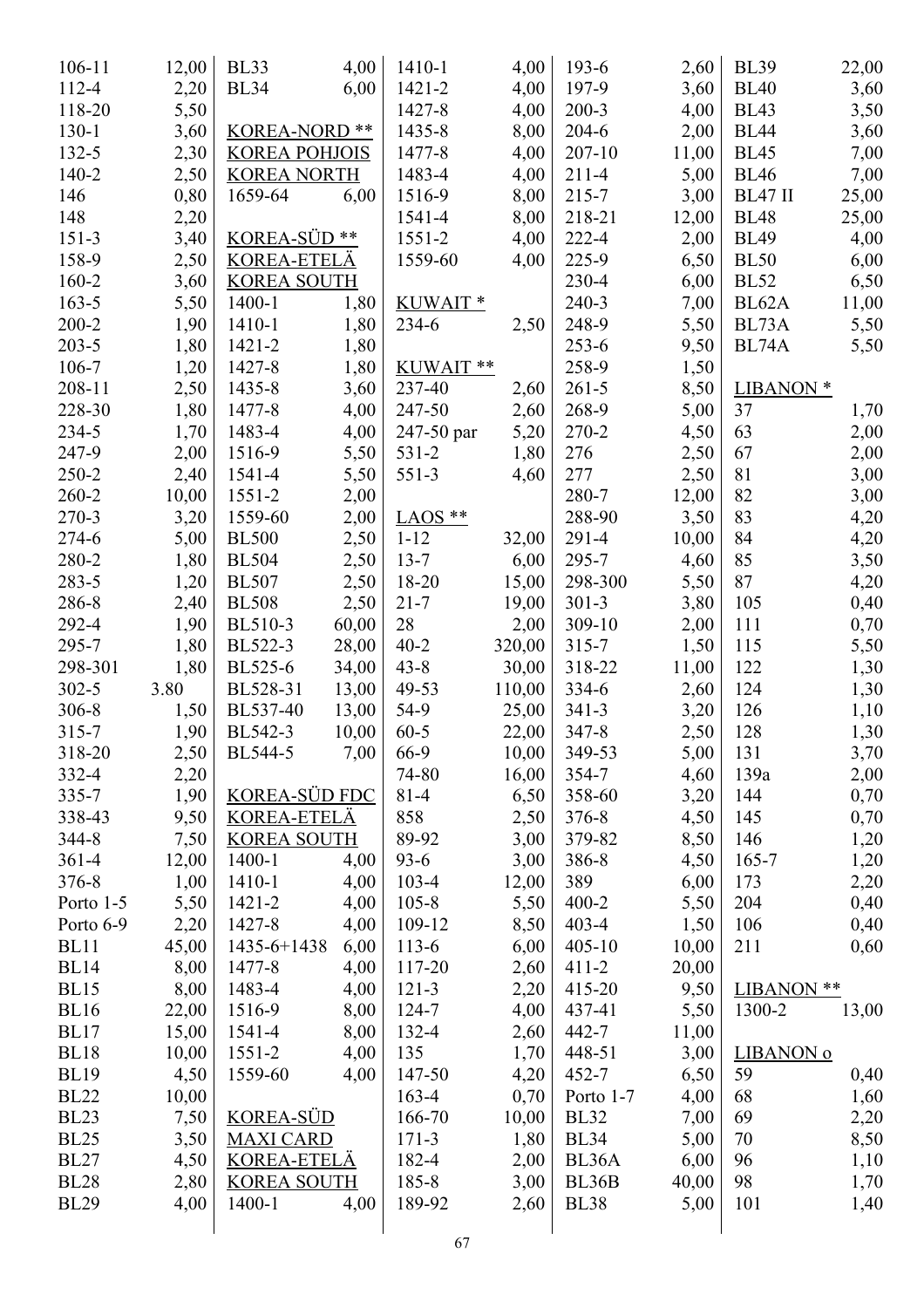| $106 - 11$  | 12,00 | <b>BL33</b>             | 4,00  | 1410-1     | 4,00   | $193-6$     | 2,60  | <b>BL39</b>          | 22,00 |
|-------------|-------|-------------------------|-------|------------|--------|-------------|-------|----------------------|-------|
| 112-4       | 2,20  | <b>BL34</b>             | 6,00  | 1421-2     | 4,00   | 197-9       | 3,60  | <b>BL40</b>          | 3,60  |
| 118-20      | 5,50  |                         |       | 1427-8     | 4,00   | $200 - 3$   | 4,00  | <b>BL43</b>          | 3,50  |
| $130-1$     | 3,60  | <b>KOREA-NORD **</b>    |       | 1435-8     | 8,00   | $204 - 6$   | 2,00  | <b>BL44</b>          | 3,60  |
| $132 - 5$   | 2,30  | <b>KOREA POHJOIS</b>    |       | 1477-8     | 4,00   | $207 - 10$  | 11,00 | <b>BL45</b>          | 7,00  |
| $140 - 2$   | 2,50  | <b>KOREA NORTH</b>      |       | 1483-4     | 4,00   | $211 - 4$   | 5,00  | <b>BL46</b>          | 7,00  |
| 146         | 0,80  | 1659-64                 | 6,00  | 1516-9     | 8,00   | $215 - 7$   | 3,00  | BL47 II              | 25,00 |
| 148         | 2,20  |                         |       | 1541-4     | 8,00   | 218-21      | 12,00 | <b>BL48</b>          | 25,00 |
| $151-3$     | 3,40  | KOREA-SÜD <sup>**</sup> |       | $1551 - 2$ | 4,00   | $222 - 4$   | 2,00  | <b>BL49</b>          | 4,00  |
| 158-9       | 2,50  | <b>KOREA-ETELÄ</b>      |       | 1559-60    | 4,00   | 225-9       | 6,50  | <b>BL50</b>          | 6,00  |
| 160-2       | 3,60  | <b>KOREA SOUTH</b>      |       |            |        | 230-4       | 6,00  | <b>BL52</b>          | 6,50  |
| $163 - 5$   | 5,50  | 1400-1                  | 1,80  | KUWAIT*    |        | $240 - 3$   | 7,00  | BL <sub>62</sub> A   | 11,00 |
| $200 - 2$   | 1,90  | 1410-1                  | 1,80  | 234-6      | 2,50   | 248-9       | 5,50  | BL73A                | 5,50  |
| $203 - 5$   | 1,80  | 1421-2                  | 1,80  |            |        | $253 - 6$   | 9,50  | BL74A                | 5,50  |
| 106-7       | 1,20  | 1427-8                  | 1,80  | KUWAIT**   |        | 258-9       | 1,50  |                      |       |
| 208-11      | 2,50  | 1435-8                  | 3,60  | 237-40     | 2,60   | $261 - 5$   | 8,50  | LIBANON <sup>*</sup> |       |
| 228-30      | 1,80  | 1477-8                  | 4,00  | 247-50     | 2,60   | 268-9       | 5,00  | 37                   | 1,70  |
| 234-5       | 1,70  | 1483-4                  | 4,00  | 247-50 par | 5,20   | 270-2       | 4,50  | 63                   | 2,00  |
| 247-9       |       | 1516-9                  |       | $531 - 2$  |        | 276         |       | 67                   |       |
| 250-2       | 2,00  |                         | 5,50  |            | 1,80   | 277         | 2,50  |                      | 2,00  |
|             | 2,40  | 1541-4                  | 5,50  | $551-3$    | 4,60   |             | 2,50  | 81                   | 3,00  |
| $260 - 2$   | 10,00 | $1551 - 2$              | 2,00  |            |        | 280-7       | 12,00 | 82                   | 3,00  |
| $270-3$     | 3,20  | 1559-60                 | 2,00  | $LAOS **$  |        | 288-90      | 3,50  | 83                   | 4,20  |
| 274-6       | 5,00  | <b>BL500</b>            | 2,50  | $1 - 12$   | 32,00  | $291 - 4$   | 10,00 | 84                   | 4,20  |
| 280-2       | 1,80  | <b>BL504</b>            | 2,50  | $13 - 7$   | 6,00   | 295-7       | 4,60  | 85                   | 3,50  |
| 283-5       | 1,20  | <b>BL507</b>            | 2,50  | 18-20      | 15,00  | 298-300     | 5,50  | 87                   | 4,20  |
| 286-8       | 2,40  | <b>BL508</b>            | 2,50  | $21 - 7$   | 19,00  | $301 - 3$   | 3,80  | 105                  | 0,40  |
| 292-4       | 1,90  | BL510-3                 | 60,00 | 28         | 2,00   | 309-10      | 2,00  | 111                  | 0,70  |
| 295-7       | 1,80  | BL522-3                 | 28,00 | $40 - 2$   | 320,00 | $315 - 7$   | 1,50  | 115                  | 5,50  |
| 298-301     | 1,80  | BL525-6                 | 34,00 | $43 - 8$   | 30,00  | 318-22      | 11,00 | 122                  | 1,30  |
| $302 - 5$   | 3.80  | BL528-31                | 13,00 | 49-53      | 110,00 | $334-6$     | 2,60  | 124                  | 1,30  |
| $306 - 8$   | 1,50  | BL537-40                | 13,00 | 54-9       | 25,00  | $341 - 3$   | 3,20  | 126                  | 1,10  |
| $315 - 7$   | 1,90  | BL542-3                 | 10,00 | $60 - 5$   | 22,00  | $347 - 8$   | 2,50  | 128                  | 1,30  |
| 318-20      | 2,50  | BL544-5                 | 7,00  | 66-9       | 10,00  | 349-53      | 5,00  | 131                  | 3,70  |
| 332-4       | 2,20  |                         |       | 74-80      | 16,00  | 354-7       | 4,60  | 139a                 | 2,00  |
| 335-7       | 1,90  | <b>KOREA-SÜD FDC</b>    |       | $81 - 4$   | 6,50   | 358-60      | 3,20  | 144                  | 0,70  |
| 338-43      | 9,50  | <b>KOREA-ETELÄ</b>      |       | 858        | 2,50   | $376 - 8$   | 4,50  | 145                  | 0,70  |
| 344-8       | 7,50  | <b>KOREA SOUTH</b>      |       | 89-92      | 3,00   | 379-82      | 8,50  | 146                  | 1,20  |
| $361 - 4$   | 12,00 | 1400-1                  | 4,00  | $93-6$     | 3,00   | 386-8       | 4,50  | $165 - 7$            | 1,20  |
| 376-8       | 1,00  | 1410-1                  | 4,00  | 103-4      | 12,00  | 389         | 6,00  | 173                  | 2,20  |
| Porto 1-5   | 5,50  | 1421-2                  | 4,00  | $105 - 8$  | 5,50   | $400 - 2$   | 5,50  | 204                  | 0,40  |
| Porto 6-9   | 2,20  | 1427-8                  | 4,00  | 109-12     | 8,50   | $403 - 4$   | 1,50  | 106                  | 0,40  |
| <b>BL11</b> | 45,00 | 1435-6+1438             | 6,00  | $113-6$    | 6,00   | $405 - 10$  | 10,00 | 211                  | 0,60  |
| <b>BL14</b> | 8,00  | 1477-8                  | 4,00  | 117-20     | 2,60   | $411 - 2$   | 20,00 |                      |       |
| <b>BL15</b> | 8,00  | 1483-4                  | 4,00  | $121 - 3$  | 2,20   | 415-20      | 9,50  | LIBANON **           |       |
| <b>BL16</b> | 22,00 | 1516-9                  | 8,00  | 124-7      | 4,00   | 437-41      | 5,50  | 1300-2               | 13,00 |
| BL17        | 15,00 | 1541-4                  | 8,00  | 132-4      | 2,60   | 442-7       | 11,00 |                      |       |
| <b>BL18</b> | 10,00 | $1551 - 2$              | 4,00  | 135        | 1,70   | 448-51      | 3,00  | LIBANON <sub>o</sub> |       |
| <b>BL19</b> | 4,50  | 1559-60                 | 4,00  | 147-50     | 4,20   | $452 - 7$   | 6,50  | 59                   | 0,40  |
| <b>BL22</b> | 10,00 |                         |       | 163-4      | 0,70   | Porto 1-7   | 4,00  | 68                   | 1,60  |
| <b>BL23</b> | 7,50  | <b>KOREA-SÜD</b>        |       | 166-70     | 10,00  | <b>BL32</b> | 7,00  | 69                   | 2,20  |
| <b>BL25</b> | 3,50  | <b>MAXI CARD</b>        |       | $171-3$    | 1,80   | <b>BL34</b> | 5,00  | 70                   | 8,50  |
| <b>BL27</b> | 4,50  | <b>KOREA-ETELÄ</b>      |       | 182-4      | 2,00   | BL36A       | 6,00  | 96                   | 1,10  |
| <b>BL28</b> | 2,80  | <b>KOREA SOUTH</b>      |       | 185-8      | 3,00   | BL36B       | 40,00 | 98                   | 1,70  |
| <b>BL29</b> | 4,00  | 1400-1                  | 4,00  | 189-92     | 2,60   | <b>BL38</b> | 5,00  | 101                  |       |
|             |       |                         |       |            |        |             |       |                      | 1,40  |
|             |       |                         |       | 67         |        |             |       |                      |       |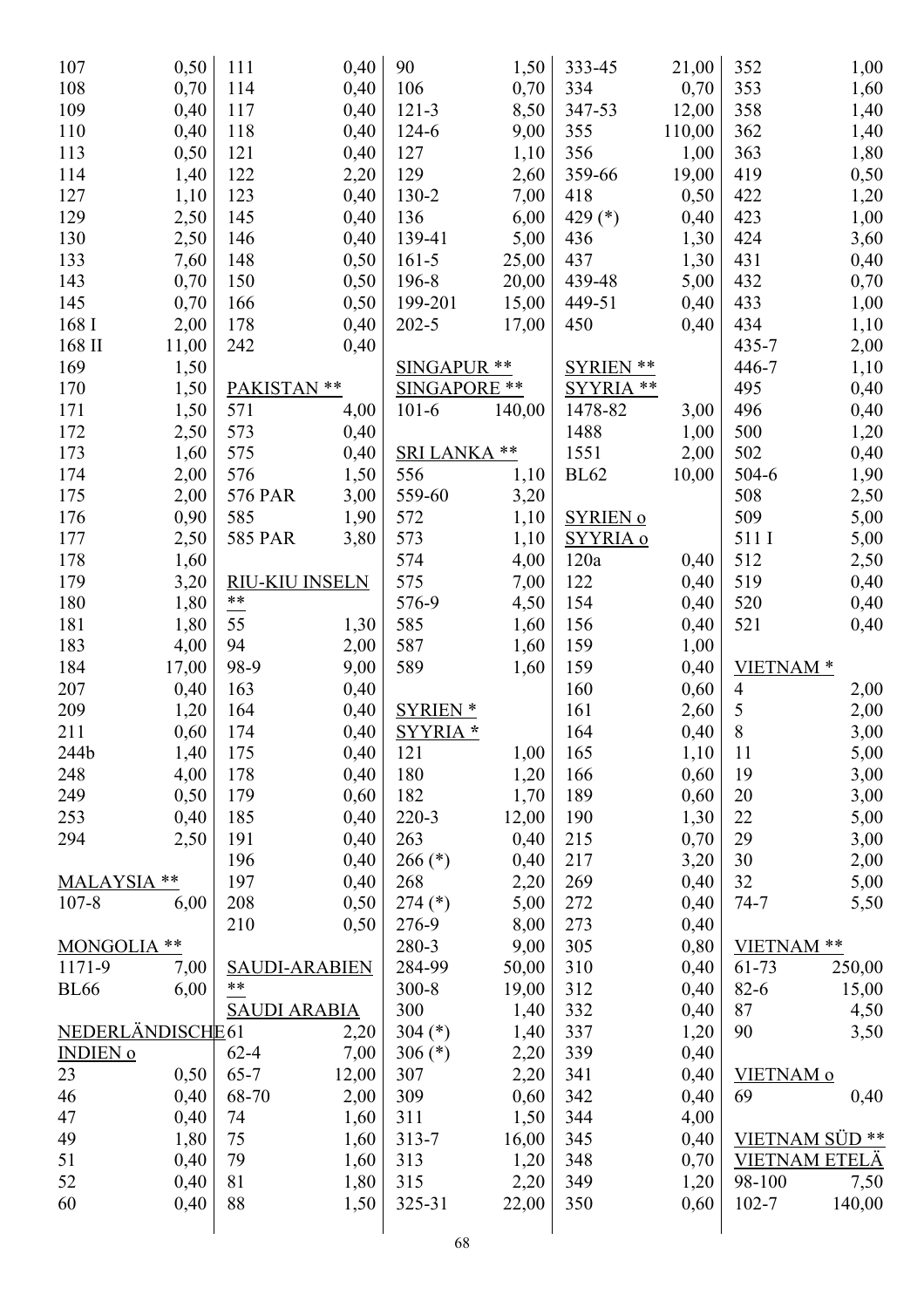| 107               | 0,50         | 111                  | 0,40  | 90                 | 1,50   | 333-45              | 21,00  | 352                  | 1,00         |
|-------------------|--------------|----------------------|-------|--------------------|--------|---------------------|--------|----------------------|--------------|
| 108               | 0,70         | 114                  | 0,40  | 106                | 0,70   | 334                 | 0,70   | 353                  | 1,60         |
| 109               | 0,40         | 117                  | 0,40  | $121 - 3$          | 8,50   | 347-53              | 12,00  | 358                  | 1,40         |
| 110               | 0,40         | 118                  | 0,40  | 124-6              | 9,00   | 355                 | 110,00 | 362                  | 1,40         |
| 113               | 0,50         | 121                  | 0,40  | 127                | 1,10   | 356                 | 1,00   | 363                  | 1,80         |
| 114               | 1,40         | 122                  | 2,20  | 129                | 2,60   | 359-66              | 19,00  | 419                  | 0,50         |
| 127               | 1,10         | 123                  | 0,40  | 130-2              | 7,00   | 418                 | 0,50   | 422                  | 1,20         |
| 129               | 2,50         | 145                  | 0,40  | 136                | 6,00   | 429 (*)             | 0,40   | 423                  | 1,00         |
| 130               | 2,50         | 146                  | 0,40  | 139-41             | 5,00   | 436                 | 1,30   | 424                  | 3,60         |
| 133               | 7,60         | 148                  | 0,50  | $161 - 5$          | 25,00  | 437                 | 1,30   | 431                  | 0,40         |
| 143               | 0,70         | 150                  | 0,50  | 196-8              | 20,00  | 439-48              | 5,00   | 432                  | 0,70         |
| 145               | 0,70         | 166                  | 0,50  | 199-201            | 15,00  | 449-51              | 0,40   | 433                  | 1,00         |
| 168 I             | 2,00         | 178                  | 0,40  | $202 - 5$          | 17,00  | 450                 | 0,40   | 434                  | 1,10         |
| $168~\mathrm{II}$ | 11,00        | 242                  | 0,40  |                    |        |                     |        | 435-7                | 2,00         |
| 169               | 1,50         |                      |       | <b>SINGAPUR **</b> |        | <b>SYRIEN **</b>    |        | 446-7                | 1,10         |
| 170               | 1,50         | PAKISTAN **          |       | SINGAPORE **       |        | <b>SYYRIA</b><br>** |        | 495                  | 0,40         |
| 171               | 1,50         | 571                  | 4,00  | $101 - 6$          | 140,00 | 1478-82             | 3,00   | 496                  | 0,40         |
| 172               | 2,50         | 573                  | 0,40  |                    |        | 1488                | 1,00   | 500                  | 1,20         |
| 173               | 1,60         | 575                  | 0,40  | <b>SRI LANKA</b>   | **     | 1551                | 2,00   | 502                  | 0,40         |
| 174               | 2,00         | 576                  | 1,50  | 556                | 1,10   | <b>BL62</b>         | 10,00  | 504-6                | 1,90         |
| 175               | 2,00         | <b>576 PAR</b>       | 3,00  | 559-60             | 3,20   |                     |        | 508                  | 2,50         |
| 176               | 0,90         | 585                  | 1,90  | 572                | 1,10   | <b>SYRIEN o</b>     |        | 509                  | 5,00         |
| 177               | 2,50         | <b>585 PAR</b>       | 3,80  | 573                | 1,10   | SYYRIA o            |        | 511 I                | 5,00         |
| 178               | 1,60         |                      |       | 574                | 4,00   | 120a                | 0,40   | 512                  |              |
| 179               | 3,20         | RIU-KIU INSELN       |       | 575                | 7,00   | 122                 | 0,40   | 519                  | 2,50         |
| 180               |              | $***$                |       | 576-9              |        | 154                 | 0,40   | 520                  | 0,40<br>0,40 |
| 181               | 1,80<br>1,80 | 55                   |       | 585                | 4,50   |                     |        |                      |              |
|                   |              | 94                   | 1,30  |                    | 1,60   | 156                 | 0,40   | 521                  | 0,40         |
| 183               | 4,00         | 98-9                 | 2,00  | 587                | 1,60   | 159                 | 1,00   |                      |              |
| 184<br>207        | 17,00        |                      | 9,00  | 589                | 1,60   | 159                 | 0,40   | VIETNAM <sup>*</sup> |              |
|                   | 0,40         | 163                  | 0,40  | <b>SYRIEN*</b>     |        | 160                 | 0,60   | $\overline{4}$<br>5  | 2,00         |
| 209               | 1,20         | 164                  | 0,40  |                    |        | 161                 | 2,60   |                      | 2,00         |
| 211               | 0,60         | 174                  | 0,40  | SYYRIA *           |        | 164                 | 0,40   | 8                    | 3,00         |
| 244b              | 1,40         | 175                  | 0,40  | 121                | 1,00   | 165                 | 1,10   | 11                   | 5,00         |
| 248               | 4,00         | 178                  | 0,40  | 180                | 1,20   | 166                 | 0,60   | 19                   | 3,00         |
| 249               | 0,50         | 179                  | 0,60  | 182                | 1,70   | 189                 | 0,60   | 20                   | 3,00         |
| 253               | 0,40         | 185                  | 0,40  | 220-3              | 12,00  | 190                 | 1,30   | 22                   | 5,00         |
| 294               | 2,50         | 191                  | 0,40  | 263                | 0,40   | 215                 | 0,70   | 29                   | 3,00         |
|                   |              | 196                  | 0,40  | $266$ (*)          | 0,40   | 217                 | 3,20   | 30                   | 2,00         |
| MALAYSIA **       |              | 197                  | 0,40  | 268                | 2,20   | 269                 | 0,40   | 32                   | 5,00         |
| $107 - 8$         | 6,00         | 208                  | 0,50  | $274$ (*)          | 5,00   | 272                 | 0,40   | $74 - 7$             | 5,50         |
|                   |              | 210                  | 0,50  | 276-9              | 8,00   | 273                 | 0,40   |                      |              |
| MONGOLIA **       |              |                      |       | 280-3              | 9,00   | 305                 | 0,80   | VIETNAM **           |              |
| 1171-9            | 7,00         | <b>SAUDI-ARABIEN</b> |       | 284-99             | 50,00  | 310                 | 0,40   | 61-73                | 250,00       |
| <b>BL66</b>       | 6,00         | $***$                |       | $300 - 8$          | 19,00  | 312                 | 0,40   | $82 - 6$             | 15,00        |
|                   |              | <b>SAUDI ARABIA</b>  |       | 300                | 1,40   | 332                 | 0,40   | 87                   | 4,50         |
| NEDERLÄNDISCHE61  |              |                      | 2,20  | 304 $(*)$          | 1,40   | 337                 | 1,20   | 90                   | 3,50         |
| <b>INDIEN 0</b>   |              | $62 - 4$             | 7,00  | 306 (*)            | 2,20   | 339                 | 0,40   |                      |              |
| 23                | 0,50         | $65 - 7$             | 12,00 | 307                | 2,20   | 341                 | 0,40   | VIETNAM <sup>o</sup> |              |
| 46                | 0,40         | 68-70                | 2,00  | 309                | 0,60   | 342                 | 0,40   | 69                   | 0,40         |
| 47                | 0,40         | 74                   | 1,60  | 311                | 1,50   | 344                 | 4,00   |                      |              |
| 49                | 1,80         | 75                   | 1,60  | $313 - 7$          | 16,00  | 345                 | 0,40   | VIETNAM SÜD **       |              |
| 51                | 0,40         | 79                   | 1,60  | 313                | 1,20   | 348                 | 0,70   | <b>VIETNAM ETELÄ</b> |              |
| 52                | 0,40         | 81                   | 1,80  | 315                | 2,20   | 349                 | 1,20   | 98-100               | 7,50         |
| 60                | 0,40         | 88                   | 1,50  | 325-31             | 22,00  | 350                 | 0,60   | $102 - 7$            | 140,00       |
|                   |              |                      |       |                    |        |                     |        |                      |              |
|                   |              |                      |       | 68                 |        |                     |        |                      |              |